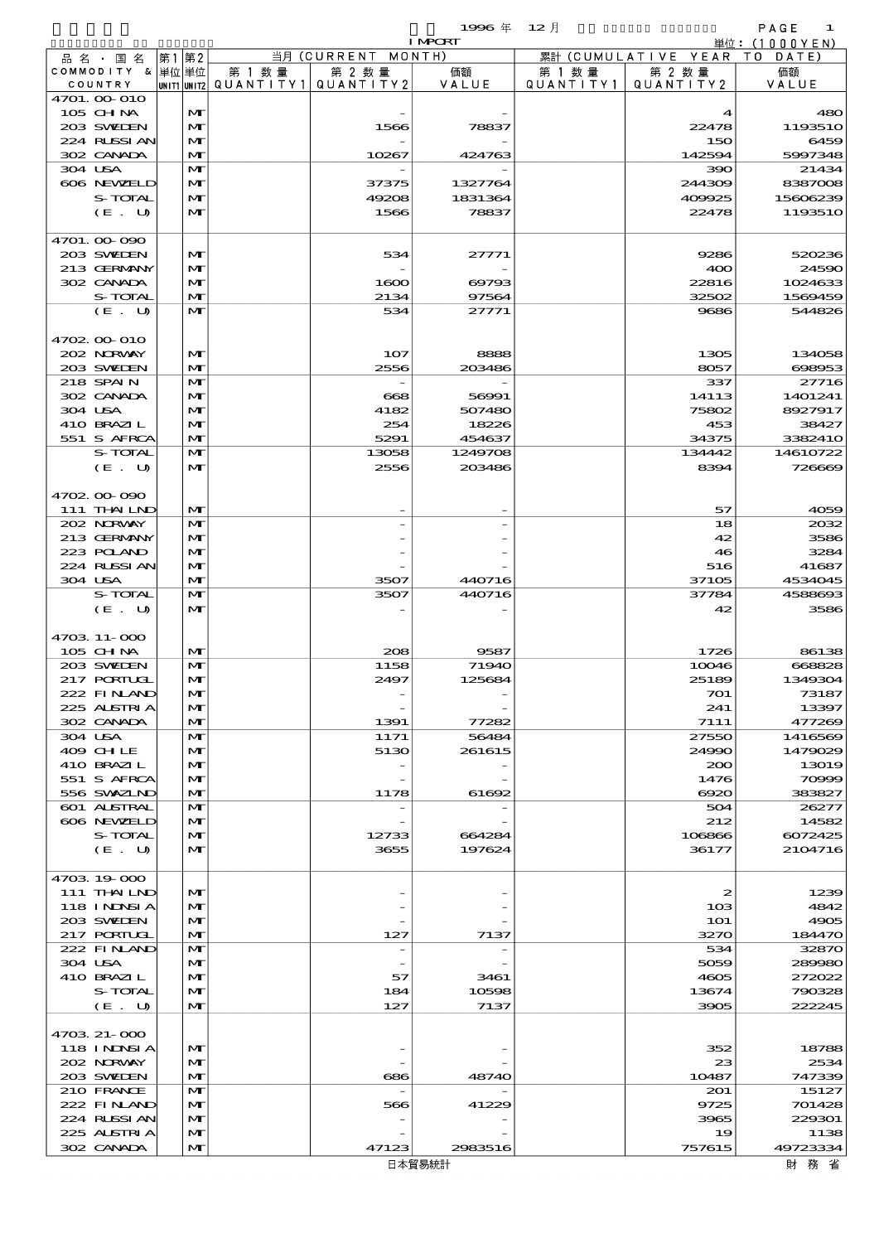$1996 \& 12 \rightarrow$  PAGE 1

|                            |      |                              |                                       |                    | <b>I MPORT</b> |           |                              | 単位:(1000YEN)      |
|----------------------------|------|------------------------------|---------------------------------------|--------------------|----------------|-----------|------------------------------|-------------------|
| 品名・国名                      | 第1第2 |                              |                                       | 当月 (CURRENT MONTH) |                |           | 累計 (CUMULATIVE YEAR TO DATE) |                   |
| COMMODITY & 単位単位           |      |                              | 第 1 数量                                | 第 2 数量             | 価額             | 第 1 数 量   | 第 2 数量                       | 価額                |
| COUNTRY<br>4701. 00-010    |      |                              | UNIT1 UNIT2  QUANT   TY1  QUANT   TY2 |                    | VALUE          | QUANTITY1 | QUANTITY 2                   | VALUE             |
| 105 CH NA                  |      | $\mathbf{M}$                 |                                       |                    |                |           | 4                            | 480               |
| 203 SWIEN                  |      | $\mathbf{M}$                 |                                       | 1566               | 78837          |           | 22478                        | 1193510           |
| 224 RLSSIAN                |      | $\mathbf{M}$                 |                                       |                    |                |           | 150                          | 6459              |
| 302 CANADA                 |      | $\mathbf{M}$                 |                                       | 10267              | 424763         |           | 142594                       | 5997348           |
| 304 USA                    |      | $\mathbf{M}$                 |                                       |                    |                |           | 390                          | 21434             |
| 606 NEWELD                 |      | M                            |                                       | 37375              | 1327764        |           | 244309                       | 8387008           |
| S-TOTAL                    |      | M                            |                                       | 49208              | 1831364        |           | 409925                       | 15606239          |
| (E. U)                     |      | $\mathbf{M}$                 |                                       | 1566               | 78837          |           | 22478                        | 1193510           |
| 4701.00-090                |      |                              |                                       |                    |                |           |                              |                   |
| 203 SWIEN                  |      | $\mathbf{M}$                 |                                       | 534                | 27771          |           | 9286                         | 520236            |
| 213 GERMANY                |      | M                            |                                       |                    |                |           | 400                          | 24590             |
| 302 CANADA                 |      | M                            |                                       | 1600               | 69793          |           | 22816                        | 1024633           |
| S-TOTAL                    |      | $\mathbf{M}$                 |                                       | 2134               | 97564          |           | 32502                        | 1569459           |
| (E. U)                     |      | $\mathbf{M}$                 |                                       | 534                | 27771          |           | 9686                         | 544826            |
|                            |      |                              |                                       |                    |                |           |                              |                   |
| 4702.00-010                |      |                              |                                       |                    |                |           |                              |                   |
| 202 NRWAY                  |      | $\mathbf{M}$                 |                                       | 107                | 8888           |           | 1305                         | 134058            |
| 203 SVELEN<br>218 SPAIN    |      | $\mathbf{M}$<br>$\mathbf{M}$ |                                       | 2556               | 203486         |           | 8057<br>337                  | 698953            |
| 302 CANADA                 |      | M                            |                                       | $\bf{668}$         | 56991          |           | 14113                        | 27716<br>1401241  |
| 304 USA                    |      | M                            |                                       | 4182               | 507480         |           | 75802                        | 8927917           |
| 410 BRAZIL                 |      | M                            |                                       | 254                | 18226          |           | 453                          | 38427             |
| 551 S AFRCA                |      | $\mathbf{M}$                 |                                       | 5291               | 454637         |           | 34375                        | 3382410           |
| S-TOTAL                    |      | $\mathbf{M}$                 |                                       | 13058              | 1249708        |           | 134442                       | 14610722          |
| (E. U)                     |      | $\mathbf{M}$                 |                                       | 2556               | 203486         |           | 8394                         | 726669            |
|                            |      |                              |                                       |                    |                |           |                              |                   |
| 4702.00.090                |      |                              |                                       |                    |                |           |                              |                   |
| 111 THAILND                |      | $\mathbf{M}$                 |                                       |                    |                |           | 57                           | 4059              |
| 202 NORWAY                 |      | $\mathbf{M}$                 |                                       |                    |                |           | 18                           | 2032              |
| 213 GERMANY                |      | M                            |                                       |                    |                |           | 42                           | 3586              |
| 223 POLAND<br>224 RUSSI AN |      | M<br>$\mathbf{M}$            |                                       |                    |                |           | 46<br>516                    | 3284              |
| 304 USA                    |      | $\mathbf{M}$                 |                                       | 3507               | 440716         |           | 37105                        | 41687<br>4534045  |
| S-TOTAL                    |      | $\mathbf{M}$                 |                                       | 3507               | 440716         |           | 37784                        | 4588693           |
| (E. U)                     |      | $\mathbf{M}$                 |                                       |                    |                |           | 42                           | 3586              |
|                            |      |                              |                                       |                    |                |           |                              |                   |
| 4703 11-000                |      |                              |                                       |                    |                |           |                              |                   |
| 105 CHNA                   |      | $\mathbf{M}$                 |                                       | 208                | 9587           |           | 1726                         | 86138             |
| 203 SWIEN                  |      | $\mathbf{M}$                 |                                       | 1158               | 71940          |           | 10046                        | 668828            |
| $217$ PORTUGL              |      | $\mathbf{M}$                 |                                       | 2497               | 125684         |           | 25189                        | 1349304           |
| 222 FINAND                 |      | $\mathbf{M}$                 |                                       |                    |                |           | 701                          | 73187             |
| 225 ALSTRIA                |      | M                            |                                       |                    |                |           | 241                          | 13397             |
| 302 CANADA<br>304 USA      |      | M<br>$\mathbf{M}$            |                                       | 1391<br>1171       | 77282<br>56484 |           | 7111<br>27550                | 477269<br>1416569 |
| 409 CHLE                   |      | M                            |                                       | 5130               | 261615         |           | 24990                        | 1479029           |
| 410 BRAZIL                 |      | M                            |                                       |                    |                |           | 200                          | 13019             |
| 551 S AFRCA                |      | M                            |                                       |                    |                |           | 1476                         | 70999             |
| 556 SWXZIND                |      | $\mathbf{M}$                 |                                       | 1178               | 61692          |           | $\Theta$ 20                  | 383827            |
| 601 ALSTRAL                |      | M                            |                                       |                    |                |           | 504                          | 26277             |
| 606 NEWELD                 |      | M                            |                                       |                    |                |           | 212                          | 14582             |
| S-TOTAL                    |      | M                            |                                       | 12733              | 664284         |           | 106866                       | 6072425           |
| (E. U)                     |      | $\mathbf{M}$                 |                                       | 3655               | 197624         |           | 36177                        | 2104716           |
| 4703 19 000                |      |                              |                                       |                    |                |           |                              |                   |
| 111 THAILND                |      | $\mathbf{M}$                 |                                       |                    |                |           | 2                            | 1239              |
| 118 I NDSI A               |      | $\mathbf{M}$                 |                                       |                    |                |           | 103                          | 4842              |
| 203 SVELEN                 |      | $\mathbf{M}$                 |                                       |                    |                |           | 101                          | 4905              |
| 217 PORTUGL                |      | M                            |                                       | 127                | 7137           |           | 3270                         | 184470            |
| 222 FINAND                 |      | M                            |                                       |                    |                |           | 534                          | 32870             |
| 304 USA                    |      | M                            |                                       |                    |                |           | 5059                         | 289980            |
| 410 BRAZIL                 |      | M                            |                                       | 57                 | 3461           |           | 4605                         | 272022            |
| S-TOTAL                    |      | M                            |                                       | 184                | 10598          |           | 13674                        | 790328            |
| (E. U)                     |      | $\mathbf{M}$                 |                                       | 127                | 7137           |           | 3905                         | 222245            |
|                            |      |                              |                                       |                    |                |           |                              |                   |
| 4703 21-000                |      |                              |                                       |                    |                |           |                              |                   |
| 118 I NDSI A               |      | $\mathbf{M}$                 |                                       |                    |                |           | 352                          | 18788             |
| 202 NORWAY                 |      | M                            |                                       |                    |                |           | 23                           | 2534              |
| 203 SWIEN<br>210 FRANCE    |      | M<br>M                       |                                       | 686                | 48740          |           | 10487<br>201                 | 747339<br>15127   |
| 222 FINAND                 |      | $\mathbf{M}$                 |                                       | 566                | 41229          |           | 9725                         | 701428            |
|                            |      |                              |                                       |                    |                |           |                              |                   |

 $302 \text{ CANDA}$   $\boxed{|\mathbf{M}|}$   $47123$   $2983516$   $757615$ 

 $224$  RUSSIAN  $\vert M \vert$  - - - - 3965 229301  $225$  ALSTRIA  $\begin{matrix} \mathbf{M} \\ \mathbf{M} \end{matrix}$   $\begin{matrix} \mathbf{M} \\ \mathbf{M} \end{matrix}$   $\begin{matrix} \mathbf{M} \\ \mathbf{M} \end{matrix}$   $\begin{matrix} \mathbf{M} \\ \mathbf{M} \end{matrix}$   $\begin{matrix} \mathbf{M} \\ \mathbf{M} \end{matrix}$   $\begin{matrix} \mathbf{M} \\ \mathbf{M} \end{matrix}$   $\begin{matrix} \mathbf{M} \\ \mathbf{M} \end{matrix}$   $\begin{matrix} \mathbf{M} \\ \mathbf{M} \end{matrix}$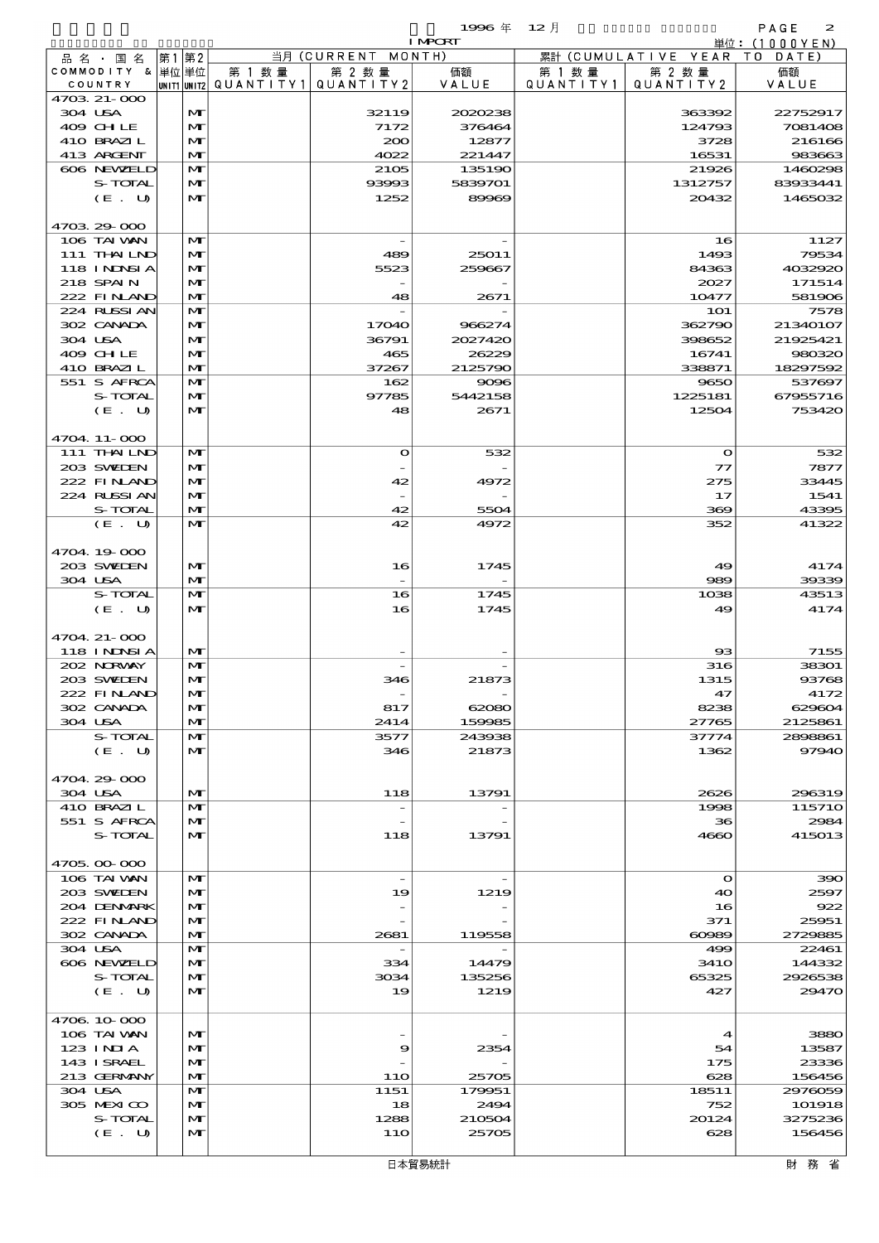|             |             |                         |                    | 1996 年         | $12$ 月    |                     | PAGE<br>$\boldsymbol{z}$ |
|-------------|-------------|-------------------------|--------------------|----------------|-----------|---------------------|--------------------------|
|             |             |                         |                    | <b>I MPORT</b> |           |                     | 単位:(1000YEN)             |
| 品名・<br>国名   | 第2<br> 第1   |                         | 当月 (CURRENT MONTH) |                |           | 累計 (CUMULATIVE YEAR | DATE                     |
| COMMODITY   | &   単位   単位 | 数量<br>第                 | 第 2 数 量            | 価額             | 第 1 数 量   | 第 2 数量              | 価額                       |
| COUNTRY     |             | UNIT1 UNIT2  QUANTITY 1 | QUANTITY2          | VALUE          | QUANTITY1 | QUANTITY 2          | VALUE                    |
| 4703 21-000 |             |                         |                    |                |           |                     |                          |

|         | 品 名 ・ 国 名         | 第1 第2 |              |                          | 当月 (CURRENT MONTH)       |         |           | 累計 (CUMULATIVE YEAR) | T O<br>DATE) |
|---------|-------------------|-------|--------------|--------------------------|--------------------------|---------|-----------|----------------------|--------------|
|         | COMMODITY & 単位単位  |       |              | 第 1 数 量                  | 第 2 数量                   | 価額      | 第 1 数 量   | 第 2 数量               | 価額           |
|         | COUNTRY           |       |              | UNIT1 UNIT2  Q∪ANT   TY1 | QUANTITY2                | VALUE   | QUANTITY1 | QUANTITY2            | VALUE        |
|         | 4703 21-000       |       |              |                          |                          |         |           |                      |              |
| 304 USA |                   |       | M            |                          | 32119                    | 2020238 |           | 363392               | 22752917     |
|         | 409 CHLE          |       | M            |                          | 7172                     | 376464  |           | 124793               | 7081408      |
|         | 410 BRAZIL        |       | M            |                          | 200                      | 12877   |           | 3728                 | 216166       |
|         | 413 ARGENT        |       | $\mathbf{M}$ |                          | 4022                     | 221447  |           | 16531                | 983663       |
|         |                   |       |              |                          |                          |         |           |                      |              |
|         | 606 NEWELD        |       | M            |                          | 2105                     | 135190  |           | 21926                | 1460298      |
|         | S-TOTAL           |       | M            |                          | 93993                    | 5839701 |           | 1312757              | 83933441     |
|         | (E. U)            |       | M            |                          | 1252                     | 89969   |           | 20432                | 1465032      |
|         |                   |       |              |                          |                          |         |           |                      |              |
|         | 4703 29 000       |       |              |                          |                          |         |           |                      |              |
|         | 106 TAI VAN       |       | M            |                          |                          |         |           | 16                   | 1127         |
|         | 111 THAILND       |       | $\mathbf{M}$ |                          | 489                      | 25011   |           | 1493                 | 79534        |
|         |                   |       |              |                          |                          |         |           |                      |              |
|         | <b>118 INNSIA</b> |       | $\mathbf{M}$ |                          | 5523                     | 259667  |           | 84363                | 4032920      |
|         | 218 SPAIN         |       | M            |                          |                          |         |           | 2027                 | 171514       |
|         | 222 FINLAND       |       | $\mathbf{M}$ |                          | 48                       | 2671    |           | 10477                | 581906       |
|         | 224 RLSSIAN       |       | M            |                          |                          |         |           | <b>1O1</b>           | 7578         |
|         | 302 CANADA        |       | M            |                          | 17040                    | 966274  |           | 362790               | 21340107     |
|         | 304 USA           |       | M            |                          | 36791                    | 2027420 |           | 398652               | 21925421     |
|         | 409 CHLE          |       | M            |                          |                          | 26229   |           | 16741                | 980320       |
|         |                   |       |              |                          | 465                      |         |           |                      |              |
|         | 410 BRAZIL        |       | $\mathbf{M}$ |                          | 37267                    | 2125790 |           | 338871               | 18297592     |
|         | 551 S AFRCA       |       | M            |                          | 162                      | 9096    |           | 9650                 | 537697       |
|         | S-TOTAL           |       | M            |                          | 97785                    | 5442158 |           | 1225181              | 67955716     |
|         | (E. U)            |       | M            |                          | 48                       | 2671    |           | 12504                | 753420       |
|         |                   |       |              |                          |                          |         |           |                      |              |
|         | 4704 11-000       |       |              |                          |                          |         |           |                      |              |
|         |                   |       |              |                          |                          |         |           |                      |              |
|         | 111 THAILND       |       | M            |                          | $\mathbf o$              | 532     |           | $\mathbf{o}$         | 532          |
|         | 203 SWIDEN        |       | M            |                          |                          |         |           | $\tau$               | 7877         |
|         | 222 FINAND        |       | M            |                          | 42                       | 4972    |           | 275                  | 33445        |
|         | 224 RUSSI AN      |       | M            |                          |                          |         |           | 17                   | 1541         |
|         | S-TOTAL           |       | $\mathbf{M}$ |                          | 42                       | 5504    |           | 369                  | 43395        |
|         | (E. U)            |       | M            |                          | 42                       | 4972    |           | 352                  | 41322        |
|         |                   |       |              |                          |                          |         |           |                      |              |
|         |                   |       |              |                          |                          |         |           |                      |              |
|         | 4704.19-000       |       |              |                          |                          |         |           |                      |              |
|         | 203 SWIEN         |       | M            |                          | 16                       | 1745    |           | 49                   | 4174         |
| 304 USA |                   |       | M            |                          |                          |         |           | 989                  | 39339        |
|         | S-TOTAL           |       | M            |                          | 16                       | 1745    |           | 1038                 | 43513        |
|         | (E. U)            |       | $\mathbf{M}$ |                          | 16                       | 1745    |           | 49                   | 4174         |
|         |                   |       |              |                          |                          |         |           |                      |              |
|         | 4704 21-000       |       |              |                          |                          |         |           |                      |              |
|         |                   |       |              |                          |                          |         |           |                      |              |
|         | 118 I NDSI A      |       | M            |                          |                          |         |           | ങ                    | 7155         |
|         | 202 NORWAY        |       | M            |                          |                          |         |           | 316                  | 38301        |
|         | 203 SWIEN         |       | M            |                          | 346                      | 21873   |           | 1315                 | 93768        |
|         | 222 FINAND        |       | M            |                          |                          |         |           | 47                   | 4172         |
|         | 302 CANADA        |       | M            |                          | 817                      | 62080   |           | 8238                 | 629604       |
|         | 304 USA           |       | M            |                          | 2414                     | 159985  |           | 27765                | 2125861      |
|         | S-TOTAL           |       | M            |                          | 3577                     | 243938  |           |                      | 2898861      |
|         |                   |       |              |                          |                          |         |           | 37774                |              |
|         | (E. U)            |       | M            |                          | 346                      | 21873   |           | 1362                 | 97940        |
|         |                   |       |              |                          |                          |         |           |                      |              |
|         | 4704.29-000       |       |              |                          |                          |         |           |                      |              |
| 304 USA |                   |       | M            |                          | 118                      | 13791   |           | 2626                 | 296319       |
|         | 410 BRAZIL        |       | M            |                          | $\overline{\phantom{a}}$ |         |           | 1998                 | 11571O       |
|         | 551 S AFRCA       |       | M            |                          |                          |         |           | 36                   | 2984         |
|         | S-TOTAL           |       | $\mathbf{M}$ |                          | 118                      | 13791   |           | 4660                 | 415013       |
|         |                   |       |              |                          |                          |         |           |                      |              |
|         |                   |       |              |                          |                          |         |           |                      |              |
|         | 4705.00-000       |       |              |                          |                          |         |           |                      |              |
|         | 106 TAI WAN       |       | M            |                          | $\overline{\phantom{a}}$ |         |           | $\bullet$            | 390          |
|         | 203 SWEDEN        |       | M            |                          | 19                       | 1219    |           | 40                   | 2597         |
|         | 204 DENMRK        |       | M            |                          |                          |         |           | 16                   | 922          |
|         | 222 FINAND        |       | M            |                          |                          |         |           | 371                  | 25951        |
|         | 302 CANADA        |       | $\mathbf{M}$ |                          | 2681                     | 119558  |           | 00089                | 2729885      |
|         | 304 USA           |       | M            |                          | $\overline{\phantom{a}}$ |         |           | 499                  | 22461        |
|         |                   |       |              |                          |                          |         |           |                      |              |
|         | 606 NEWELD        |       | M            |                          | 334                      | 14479   |           | <b>3410</b>          | 144332       |
|         | S-TOTAL           |       | M            |                          | 3034                     | 135256  |           | 65325                | 2926538      |
|         | (E. U)            |       | M            |                          | 19                       | 1219    |           | 427                  | 29470        |
|         |                   |       |              |                          |                          |         |           |                      |              |
|         | 4706 10 000       |       |              |                          |                          |         |           |                      |              |
|         | 106 TAI WAN       |       | M            |                          |                          |         |           | $\mathbf 4$          | 3880         |
|         | 123 INIA          |       | M            |                          | 9                        | 2354    |           | 54                   | 13587        |
|         | 143 ISRAEL        |       |              |                          |                          |         |           |                      |              |
|         |                   |       | M            |                          |                          |         |           | 175                  | 23336        |
|         | 213 GERMANY       |       | M            |                          | 11O                      | 25705   |           | 628                  | 156456       |
|         | 304 USA           |       | M            |                          | 1151                     | 179951  |           | 18511                | 2976059      |
|         | 305 MEXICO        |       | M            |                          | 18                       | 2494    |           | 752                  | 101918       |
|         | S-TOTAL           |       | M            |                          | 1288                     | 210504  |           | 20124                | 3275236      |
|         | (E. U)            |       | M            |                          | 11O                      | 25705   |           | 628                  | 156456       |
|         |                   |       |              |                          |                          |         |           |                      |              |
|         |                   |       |              |                          |                          |         |           |                      |              |
|         |                   |       |              |                          |                          | 日本貿易統計  |           |                      | 財 務 省        |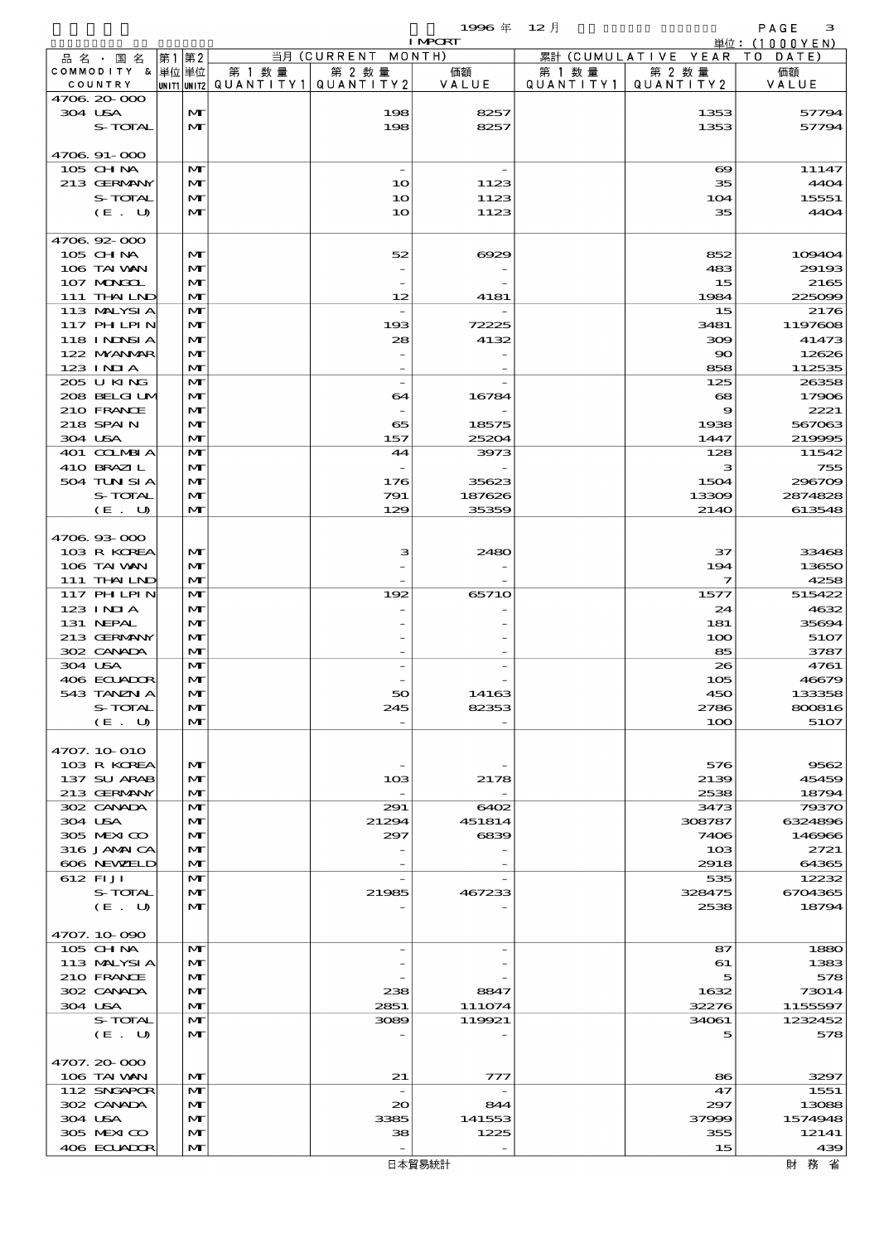$1996 \# 12$   $\frac{1}{2}$ 

|                            |    |                              |                                                  |                                             | <b>I MPCRT</b>  |                      |                              | 単位: (1000YEN)     |
|----------------------------|----|------------------------------|--------------------------------------------------|---------------------------------------------|-----------------|----------------------|------------------------------|-------------------|
| 品名・国名                      | 第1 | 第2                           |                                                  | 当月 (CURRENT MONTH)                          |                 |                      | 累計 (CUMULATIVE YEAR TO DATE) |                   |
| COMMODITY & 単位単位           |    |                              | 第 1 数量<br> UNIT1 UNIT2  QUANT   TY1  QUANT   TY2 | 第 2 数量                                      | 価額<br>VALUE     | 第 1 数 量<br>QUANTITY1 | 第 2 数量<br>QUANTITY 2         | 価額                |
| COUNTRY<br>4706.20-000     |    |                              |                                                  |                                             |                 |                      |                              | VALUE             |
| 304 USA                    |    | $\mathbf{M}$                 |                                                  | 198                                         | 8257            |                      | 1353                         | 57794             |
| S-TOTAL                    |    | $\mathbf{M}$                 |                                                  | 198                                         | 8257            |                      | 1353                         | 57794             |
|                            |    |                              |                                                  |                                             |                 |                      |                              |                   |
| 4706.91-000                |    |                              |                                                  |                                             |                 |                      |                              |                   |
| 105 CH NA                  |    | M                            |                                                  | $\overline{\phantom{a}}$                    |                 |                      | $\infty$                     | 11147             |
| 213 GERMANY                |    | M                            |                                                  | 10                                          | 1123            |                      | 35                           | 4404              |
| S-TOTAL                    |    | $\mathbf{M}$                 |                                                  | 1 <sub>O</sub>                              | 1123            |                      | 104                          | 15551             |
| (E. U)                     |    | $\mathbf{M}$                 |                                                  | 10                                          | 1123            |                      | 35                           | 4404              |
| 4706.92-000                |    |                              |                                                  |                                             |                 |                      |                              |                   |
| 105 CHNA                   |    | $\mathbf{M}$                 |                                                  | 52                                          | 6929            |                      | 852                          | 109404            |
| 106 TAI VAN                |    | $\mathbf{M}$                 |                                                  |                                             |                 |                      | 483                          | 29193             |
| 107 MONGOL                 |    | M                            |                                                  |                                             |                 |                      | 15                           | 2165              |
| 111 THAILND                |    | $\mathbf{M}$                 |                                                  | 12                                          | 4181            |                      | 1984                         | 225099            |
| 113 MALYSIA                |    | $\mathbf{M}$                 |                                                  |                                             |                 |                      | 15                           | 2176              |
| 117 PHLPIN                 |    | M                            |                                                  | 193                                         | 72225           |                      | 3481                         | 1197608           |
| 118 INNSI A                |    | $\mathbf{M}$                 |                                                  | 28                                          | 4132            |                      | 300                          | 41473             |
| 122 NYANAR<br>$123$ INIA   |    | $\mathbf{M}$<br>$\mathbf{M}$ |                                                  |                                             |                 |                      | $\infty$<br>858              | 12626<br>112535   |
| 205 U KING                 |    | $\mathbf{M}$                 |                                                  | $\overline{\phantom{a}}$                    |                 |                      | 125                          | 26358             |
| 208 BELGI UM               |    | M                            |                                                  | 64                                          | 16784           |                      | $\mathbf{68}$                | 17906             |
| 210 FRANCE                 |    | $\mathbf{M}$                 |                                                  |                                             |                 |                      | 9                            | 2221              |
| 218 SPAIN                  |    | M                            |                                                  | 65                                          | 18575           |                      | 1938                         | 567063            |
| 304 USA                    |    | $\mathbf{M}$                 |                                                  | 157                                         | 25204           |                      | 1447                         | 219995            |
| 401 COLMBIA                |    | $\mathbf{M}$                 |                                                  | 44                                          | 3973            |                      | 128                          | 11542             |
| 410 BRAZIL                 |    | $\mathbf{M}$                 |                                                  |                                             |                 |                      | з                            | 755               |
| 504 TUN SI A               |    | $\mathbf{M}$                 |                                                  | 176                                         | 35623           |                      | 1504                         | 296709            |
| S-TOTAL<br>(E. U)          |    | M<br>$\mathbf{M}$            |                                                  | 791<br>129                                  | 187626<br>35359 |                      | 13309<br>2140                | 2874828<br>613548 |
|                            |    |                              |                                                  |                                             |                 |                      |                              |                   |
| 4706.93-000                |    |                              |                                                  |                                             |                 |                      |                              |                   |
| 103 R KOREA                |    | $\mathbf{M}$                 |                                                  | з                                           | 2480            |                      | 37                           | 33468             |
| 106 TAI VAN                |    | M                            |                                                  |                                             |                 |                      | 194                          | 13650             |
| 111 THAILND                |    | $\mathbf{M}$                 |                                                  |                                             |                 |                      | $\overline{\mathbf{z}}$      | 4258              |
| 117 PHLPIN                 |    | $\mathbf{M}$                 |                                                  | 192                                         | 65710           |                      | 1577                         | 515422            |
| 123 INIA                   |    | $\mathbf{M}$                 |                                                  |                                             |                 |                      | 24                           | 4632              |
| 131 NEPAL                  |    | $\mathbf{M}$                 |                                                  |                                             |                 |                      | 181                          | 35694             |
| 213 GERMANY<br>302 CANADA  |    | M<br>$\mathbf{M}$            |                                                  |                                             |                 |                      | 100<br>85                    | 5107<br>3787      |
| 304 USA                    |    | $\mathbf{M}$                 |                                                  |                                             |                 |                      | 26                           | 4761              |
| 406 ECLADOR                |    | $\mathbf{M}$                 |                                                  |                                             |                 |                      | 105                          | 46679             |
| 543 TANZN A                |    | $\mathbf{M}$                 |                                                  | 50                                          | 14163           |                      | 450                          | 133358            |
| S-TOTAL                    |    | M                            |                                                  | 245                                         | 82353           |                      | 2786                         | 800816            |
| (E. U)                     |    | $\mathbf{M}$                 |                                                  |                                             |                 |                      | 100                          | 5107              |
|                            |    |                              |                                                  |                                             |                 |                      |                              |                   |
| 4707. 10-010               |    |                              |                                                  |                                             |                 |                      |                              |                   |
| 103 R KOREA                |    | $\mathbf{M}$                 |                                                  |                                             |                 |                      | 576                          | 9562              |
| 137 SU ARAB<br>213 GERMANY |    | M<br>M                       |                                                  | 10 <sup>3</sup><br>$\overline{\phantom{a}}$ | 2178            |                      | 2139<br>2538                 | 45459<br>18794    |
| 302 CANADA                 |    | M                            |                                                  | 291                                         | 6402            |                      | 3473                         | 79370             |
| 304 USA                    |    | $\mathbf{M}$                 |                                                  | 21294                                       | 451814          |                      | 308787                       | 6324896           |
| 305 MEXICO                 |    | $\mathbf{M}$                 |                                                  | 297                                         | 6839            |                      | 7406                         | 146966            |
| 316 JAMAICA                |    | M                            |                                                  |                                             |                 |                      | 10 <sub>3</sub>              | 2721              |
| 606 NEWELD                 |    | M                            |                                                  |                                             |                 |                      | 2918                         | 64365             |
| 612 FIJI                   |    | M                            |                                                  |                                             |                 |                      | 535                          | 12232             |
| S-TOTAL                    |    | $\mathbf{M}$                 |                                                  | 21985                                       | 467233          |                      | 328475                       | 6704365           |
| (E. U)                     |    | $\mathbf{M}$                 |                                                  |                                             |                 |                      | 2538                         | 18794             |
| 4707.10.090                |    |                              |                                                  |                                             |                 |                      |                              |                   |
| 105 CHNA                   |    | $\mathbf{M}$                 |                                                  |                                             |                 |                      | 87                           | 1880              |
| 113 MALYSIA                |    | $\mathbf{M}$                 |                                                  |                                             |                 |                      | 61                           | 1383              |
| 210 FRANCE                 |    | $\mathbf{M}$                 |                                                  |                                             |                 |                      | 5                            | 578               |
| 302 CANADA                 |    | M                            |                                                  | 238                                         | 8847            |                      | 1632                         | 73014             |
| 304 USA                    |    | M                            |                                                  | 2851                                        | 111074          |                      | 32276                        | 1155597           |
| S-TOTAL                    |    | M                            |                                                  | 3089                                        | 119921          |                      | 34061                        | 1232452           |
| (E. U)                     |    | $\mathbf{M}$                 |                                                  |                                             |                 |                      | 5                            | 578               |
| 4707.20-000                |    |                              |                                                  |                                             |                 |                      |                              |                   |
| 106 TAI VAN                |    | $\mathbf{M}$                 |                                                  | 21                                          | 777             |                      | 86                           | 3297              |
| 112 SNGAPOR                |    | M                            |                                                  | $\overline{\phantom{a}}$                    |                 |                      | 47                           | 1551              |
| 302 CANADA                 |    | $\mathbf{M}$                 |                                                  | 20                                          | 844             |                      | 297                          | 13088             |
| 304 USA                    |    | M                            |                                                  | 3385                                        | 141553          |                      | 37999                        | 1574948           |
| 305 MEXICO                 |    | M                            |                                                  | 38                                          | 1225            |                      | 355                          | 12141             |
| 406 ECUADOR                |    | M                            |                                                  |                                             |                 |                      | 15                           | 439               |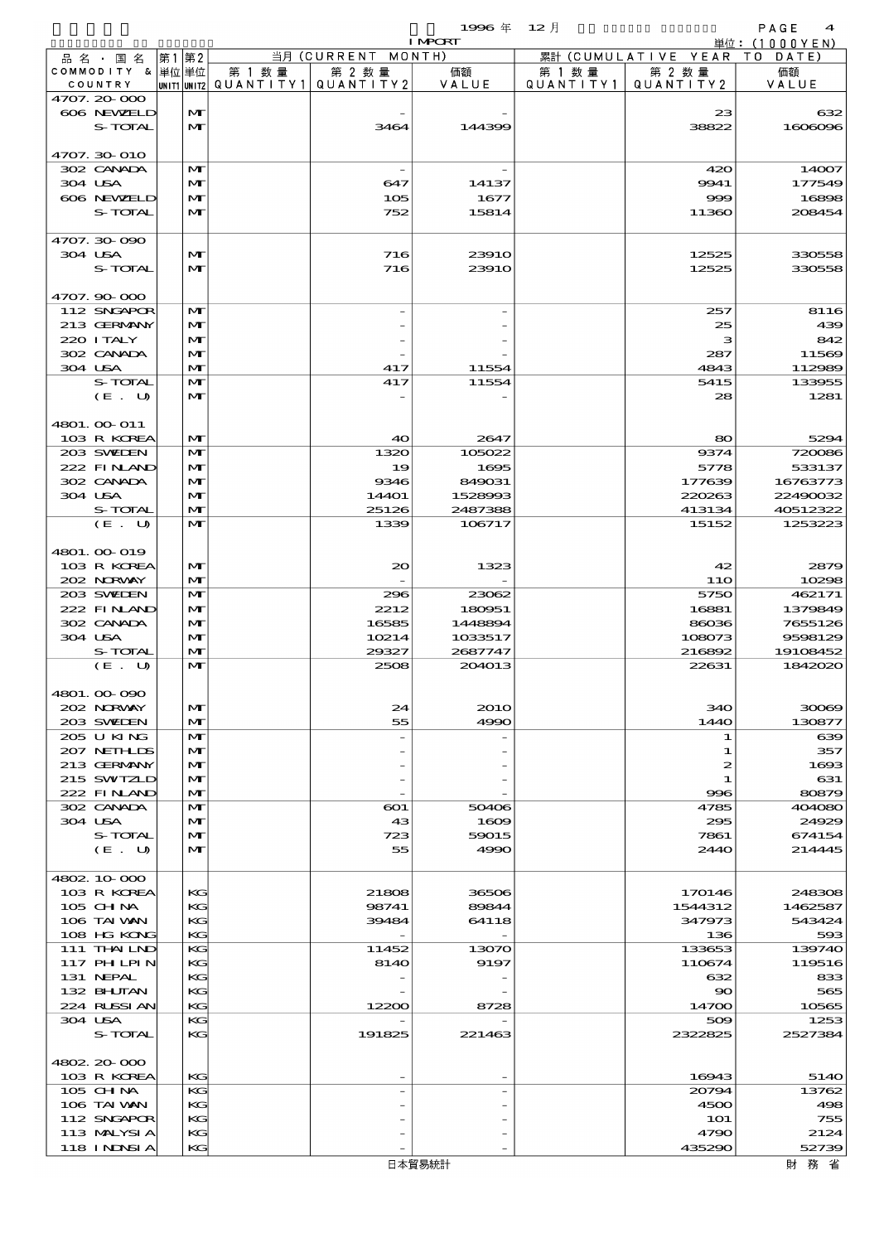品別国別表 輸 入 1996 12 確定 (Fixed Annual) 4

|                            |                              |        |                                       | <b>I MPORT</b>    |           |                              | 単位: (1000YEN)      |
|----------------------------|------------------------------|--------|---------------------------------------|-------------------|-----------|------------------------------|--------------------|
| 品名・国名                      | 第1第2                         |        | 当月 (CURRENT MONTH)                    |                   |           | 累計 (CUMULATIVE YEAR TO DATE) |                    |
| COMMODITY & 単位単位           |                              | 第 1 数量 | 第 2 数量                                | 価額                | 第 1 数量    | 第 2 数量                       | 価額                 |
| COUNTRY                    |                              |        | UNIT1 UNIT2 QUANT I TY 1 QUANT I TY 2 | VALUE             | QUANTITY1 | QUANTITY 2                   | VALUE              |
| 4707.20-000                |                              |        |                                       |                   |           |                              |                    |
| 606 NEWELD<br>S-TOTAL      | $\mathbf{M}$<br>$\mathbf{M}$ |        | 3464                                  | 144399            |           | 23<br>38822                  | 632<br>1606096     |
|                            |                              |        |                                       |                   |           |                              |                    |
| 4707.30-010                |                              |        |                                       |                   |           |                              |                    |
| 302 CANADA                 | $\mathbf{M}$                 |        |                                       |                   |           | 420                          | 14007              |
| 304 USA                    | $\mathbf{M}$                 |        | 647                                   | 14137             |           | 9941                         | 177549             |
| 606 NEWELD                 | $\mathbf{M}$                 |        | 105                                   | 1677              |           | 999                          | 16898              |
| S-TOTAL                    | $\mathbf{M}$                 |        | 752                                   | 15814             |           | 11360                        | 208454             |
|                            |                              |        |                                       |                   |           |                              |                    |
| 4707.30-090                |                              |        |                                       |                   |           |                              |                    |
| 304 USA                    | $\mathbf{M}$                 |        | 716                                   | <b>23910</b>      |           | 12525                        | 330558             |
| S-TOTAL                    | $\mathbf{M}$                 |        | 716                                   | <b>23910</b>      |           | 12525                        | 330558             |
|                            |                              |        |                                       |                   |           |                              |                    |
| 4707.90-000                |                              |        |                                       |                   |           |                              |                    |
| 112 SNGAPOR                | $\mathbf{M}$                 |        |                                       |                   |           | 257                          | 8116               |
| 213 GERMANY                | $\mathbf{M}$                 |        |                                       |                   |           | 25                           | 439                |
| 220 I TALY                 | $\mathbf{M}$                 |        |                                       |                   |           | з                            | 842                |
| 302 CANADA                 | $\mathbf{M}$                 |        |                                       |                   |           | 287                          | 11569              |
| 304 USA                    | $\mathbf{M}$                 |        | 417                                   | 11554             |           | 4843                         | 112989             |
| S-TOTAL                    | $\mathbf{M}$                 |        | 417                                   | 11554             |           | 5415                         | 133955             |
| (E. U)                     | $\mathbf{M}$                 |        |                                       |                   |           | 28                           | 1281               |
|                            |                              |        |                                       |                   |           |                              |                    |
| 4801. 00 011               |                              |        |                                       |                   |           |                              |                    |
| 103 R KOREA                | $\mathbf{M}$                 |        | 40                                    | 2647              |           | 80                           | 5294               |
| 203 SWIEN                  | $\mathbf{M}$                 |        | 1320                                  | 105022            |           | 9374                         | 720086             |
| 222 FINAND                 | $\mathbf{M}$                 |        | 19                                    | 1695              |           | 5778                         | 533137             |
| 302 CANADA                 | $\mathbf{M}$                 |        | 9346                                  | 849031            |           | 177639                       | 16763773           |
| 304 USA                    | $\mathbf{M}$                 |        | 144O1                                 | 1528993           |           | 220263                       | 22490032           |
| S-TOTAL                    | $\mathbf{M}$                 |        | 25126                                 | 2487388           |           | 413134                       | 40512322           |
| (E. U)                     | $\mathbf{M}$                 |        | 1339                                  | 106717            |           | 15152                        | 1253223            |
|                            |                              |        |                                       |                   |           |                              |                    |
| 4801.00-019                |                              |        |                                       |                   |           |                              |                    |
| 103 R KOREA                | $\mathbf{M}$                 |        | 20                                    | 1323              |           | 42                           | 2879               |
| 202 NORWAY                 | M                            |        |                                       |                   |           | 11O                          | 10298              |
| 203 SWIEN<br>222 FINAND    | $\mathbf{M}$<br>M            |        | 296                                   | 23062             |           | 5750                         | 462171             |
| 302 CANADA                 | $\mathbf{M}$                 |        | 2212<br>16585                         | 180951<br>1448894 |           | 16881<br>86036               | 1379849<br>7655126 |
| 304 USA                    | M                            |        | 10214                                 | 1033517           |           | 108073                       | 9598129            |
| S-TOTAL                    | $\mathbf{M}$                 |        | 29327                                 | 2687747           |           | 216892                       | 19108452           |
| (E. U)                     | $\mathbf{M}$                 |        | 2508                                  | 204013            |           | 22631                        | 1842020            |
|                            |                              |        |                                       |                   |           |                              |                    |
| 4801.00-090                |                              |        |                                       |                   |           |                              |                    |
| 202 NORWAY                 | M                            |        | 24                                    | <b>2010</b>       |           | 340                          | 30069              |
| 203 SWIDEN                 | $\mathbf{M}$                 |        | 55                                    | 4990              |           | 144O                         | 130877             |
| 205 U KING                 | $\mathbf{M}$                 |        |                                       |                   |           | 1                            | 639                |
| 207 NETHLIS                | M                            |        |                                       |                   |           | 1                            | 357                |
| 213 GERMANY                | $\mathbf{M}$                 |        |                                       |                   |           | 2                            | 1693               |
| 215 SWIZLD                 | M                            |        |                                       |                   |           | 1                            | 631                |
| 222 FINAND                 | $\mathbf{M}$                 |        |                                       |                   |           | 996                          | 80879              |
| 302 CANADA                 | M                            |        | $\boldsymbol{\mathrm{co}}$            | 50406             |           | 4785                         | 404080             |
| 304 USA                    | M                            |        | 43                                    | 1609              |           | 295                          | 24929              |
| S-TOTAL                    | $\mathbf{M}$                 |        | 723                                   | 59015             |           | 7861                         | 674154             |
| (E. U)                     | M                            |        | 55                                    | 4990              |           | 2440                         | 214445             |
|                            |                              |        |                                       |                   |           |                              |                    |
| 4802 10 000                |                              |        |                                       |                   |           |                              |                    |
| 103 R KOREA                | KG                           |        | 21808                                 | 36506             |           | 170146                       | 248308             |
| $105$ CHNA                 | KG                           |        | 98741                                 | 89844             |           | 1544312                      | 1462587            |
| 106 TAI WAN                | KG                           |        | 39484                                 | 64118             |           | 347973                       | 543424             |
| 108 HG KONG                | KG                           |        |                                       |                   |           | 136                          | 593                |
| 111 THAILND                | KG                           |        | 11452                                 | 13070             |           | 133653                       | 139740             |
| 117 PH LPIN                | KG                           |        | 8140                                  | 9197              |           | 110674                       | 119516             |
| 131 NEPAL                  | KG                           |        |                                       |                   |           | 632                          | 833                |
| 132 BHUTAN                 | KG                           |        |                                       |                   |           | 90                           | 565                |
| 224 RUSSI AN               | KG                           |        | 12200                                 | 8728              |           | 14700                        | 10565              |
| 304 USA                    | KG                           |        |                                       |                   |           | 509                          | 1253               |
| S-TOTAL                    | KG                           |        | 191825                                | 221463            |           | 2322825                      | 2527384            |
|                            |                              |        |                                       |                   |           |                              |                    |
| 4802.20-000                |                              |        |                                       |                   |           |                              |                    |
| 103 R KOREA                | KG                           |        |                                       |                   |           | 16943                        | 5140               |
| 105 CH NA                  | KG                           |        |                                       |                   |           | 20794                        | 13762              |
| 106 TAI VAN                | KG                           |        |                                       |                   |           | 4500                         | 498                |
| 112 SNGAPOR<br>113 MALYSIA | KG<br>KG                     |        |                                       |                   |           | <b>1O1</b><br>4790           | 755<br>2124        |
| 118 I NDSI A               | KG                           |        |                                       |                   |           | 435290                       | 52739              |
|                            |                              |        |                                       |                   |           |                              |                    |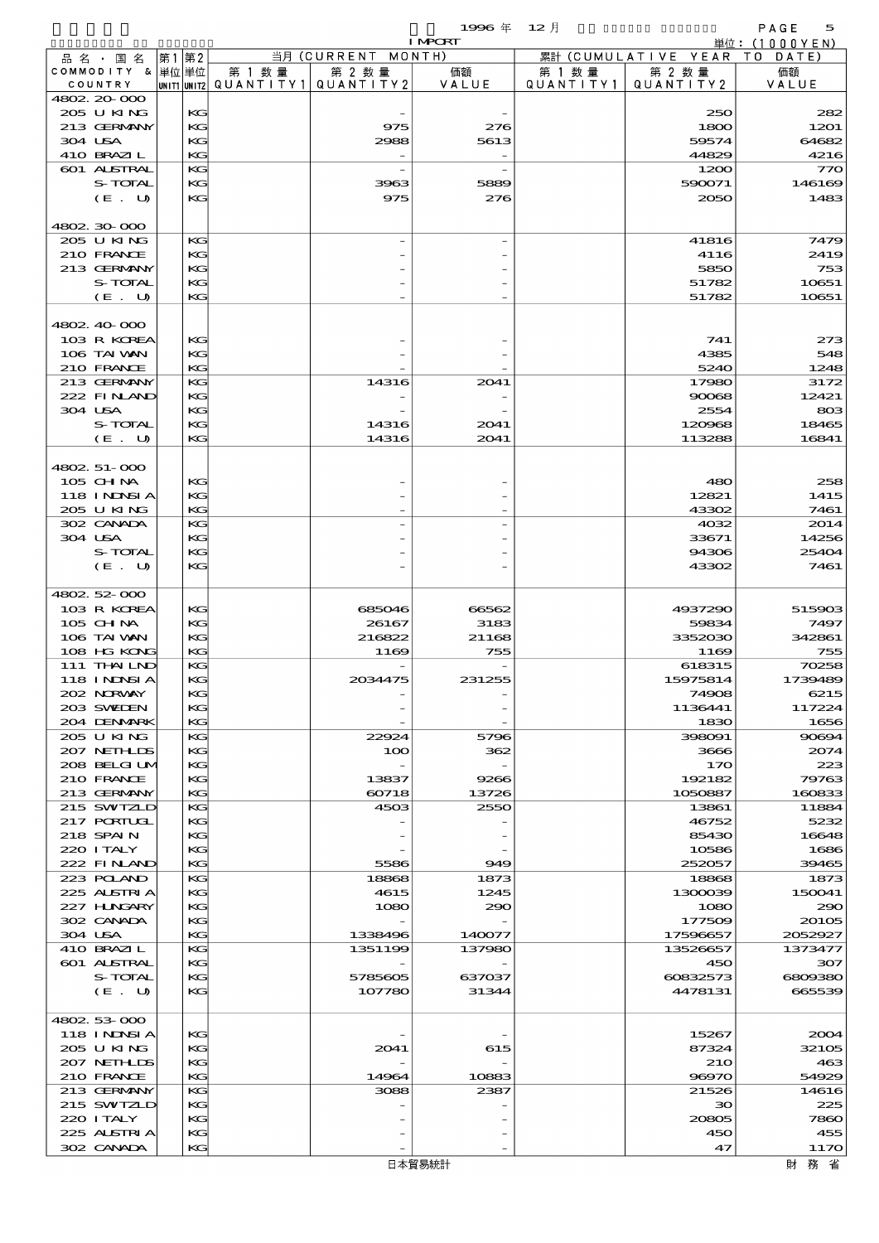|                           |          |                          |                    | 1996年          | $12$ 月    |                      | PAGE<br>5     |
|---------------------------|----------|--------------------------|--------------------|----------------|-----------|----------------------|---------------|
|                           |          |                          |                    | <b>I MPCRT</b> |           |                      | 単位: (1000YEN) |
| 品 名 ・ 国 名                 | 第1第2     |                          | 当月 (CURRENT MONTH) |                |           | 累計 (CUMULATIVE YEAR) | T O<br>DATE)  |
| COMMODITY & 単位単位          |          | 第 1 数量                   | 第 2 数量             | 価額             | 第 1 数 量   | 第 2 数量               | 価額            |
| COUNTRY<br>4802 20 000    |          | unit1 unit2  Q∪ANT   TY1 | QUANTITY 2         | VALUE          | QUANTITY1 | QUANTITY2            | VALUE         |
| 205 U KING                | KG       |                          |                    |                |           | 250                  | 282           |
| 213 GERMANY               | KG       |                          | 975                | 276            |           | 1800                 | 1201          |
| 304 USA                   | KG       |                          | 2988               | 5613           |           | 59574                | 64682         |
| 410 BRAZIL                | KG       |                          |                    |                |           | 44829                | 4216          |
| 601 ALSTRAL               | KG       |                          |                    |                |           | 1200                 | 770           |
| S-TOTAL                   | KG       |                          | 3963               | 5889           |           | 590071               | 146169        |
| (E. U)                    | KG       |                          | 975                | 276            |           | 2050                 | 1483          |
|                           |          |                          |                    |                |           |                      |               |
| 4802.30.000               |          |                          |                    |                |           |                      |               |
| 205 U KING                | KG       |                          |                    |                |           | 41816                | 7479          |
| 210 FRANCE                | KG       |                          |                    |                |           | 4116                 | 2419          |
| 213 GERMANY               | KG       |                          |                    |                |           | 5850                 | 753           |
| S-TOTAL                   | KG       |                          |                    |                |           | 51782                | 10651         |
| (E. U)                    | KG       |                          |                    |                |           | 51782                | 10651         |
|                           |          |                          |                    |                |           |                      |               |
| 4802 40 000               |          |                          |                    |                |           |                      |               |
| 103 R KOREA               | KG       |                          |                    |                |           | 741                  | 273           |
| 106 TAI VAN               | KG       |                          |                    |                |           | 4385                 | 548           |
| 210 FRANCE                | KG       |                          |                    |                |           | 5240                 | 1248          |
| 213 GERMANY               | KG       |                          | 14316              | 2041           |           | 17980                | 3172          |
| 222 FINAND                | KG       |                          |                    |                |           | 90068                | 12421         |
| 304 USA                   | KG       |                          |                    |                |           | 2554                 | 803           |
| S-TOTAL                   | KG       |                          | 14316              | 2041           |           | 120968               | 18465         |
| (E. U)                    | KG       |                          | 14316              | 2041           |           | 113288               | 16841         |
|                           |          |                          |                    |                |           |                      |               |
| 4802. 51-000              |          |                          |                    |                |           |                      |               |
| 105 CH NA                 | KG       |                          |                    |                |           | 480                  | 258           |
| <b>118 INNSIA</b>         | KG       |                          |                    |                |           | 12821                | 1415          |
| 205 U KING                | KG       |                          |                    |                |           | 43302                | 7461          |
| 302 CANADA                | KG       |                          |                    |                |           | 4032                 | 2014          |
| 304 USA                   | KG       |                          |                    |                |           | 33671                | 14256         |
| S-TOTAL                   | KG       |                          |                    |                |           | 94306                | 25404         |
| (E. U)                    | KG       |                          |                    |                |           | 43302                | 7461          |
|                           |          |                          |                    |                |           |                      |               |
| 4802 52 000               |          |                          |                    |                |           |                      |               |
| 103 R KOREA               | KG       |                          | 685046             | 66562          |           | 4937290              | 515903        |
| 105 CH NA                 | KG       |                          | 26167              | 3183           |           | 59834                | 7497          |
| 106 TAI VAN               | KG       |                          | 216822             | 21168          |           | 3352030              | 342861        |
| 108 HG KONG               | KG       |                          | 1169               | 755            |           | 1169                 | 755           |
| 111 THAILND               | KG       |                          |                    |                |           | 618315               | 70258         |
| 118 I NDSI A              | KG       |                          | 2034475            | 231255         |           | 15975814             | 1739489       |
| 202 NORWAY                | KG       |                          |                    |                |           | 74908                | 6215          |
| 203 SWIDEN                | KG       |                          |                    |                |           | 1136441              | 117224        |
| 204 DENMARK               | KG       |                          |                    |                |           | 1830                 | 1656          |
| 205 U KING                | KG       |                          | 22924              | 5796           |           | 398091               | 90694         |
| 207 NETHLIS               | KG       |                          | 100                | 362            |           | 3666                 | 2074          |
| 208 BELGI UM              | KG       |                          |                    |                |           | 170                  | 223           |
| 210 FRANCE                | KG       |                          | 13837              | 9266           |           | 192182               | 79763         |
| 213 GERMANY               | KG       |                          | 60718              | 13726          |           | 1050887              | 160833        |
| 215 SWIZLD                | KG       |                          | 4503               | 2550           |           | 13861                | 11884         |
| 217 PORTUGL               | KG       |                          |                    |                |           | 46752                | 5232          |
| 218 SPAIN                 | KG       |                          |                    |                |           | 85430                | 16648         |
| 220 I TALY                | KG       |                          |                    |                |           | 10586                | 1686          |
| 222 FINAND                | KG       |                          | 5586               | 949            |           | 252057               | 39465         |
| 223 POLAND                | KG       |                          | 18868              | 1873           |           | 18868                | 1873          |
| 225 ALSTRIA               | KG       |                          | 4615               | 1245           |           | 1300039              | 150041        |
| 227 H.NGARY               | KG       |                          | 1080               | 290            |           | 1080                 | 290           |
| 302 CANADA                | KG       |                          |                    |                |           | 177509               | 20105         |
| 304 USA                   | KG       |                          | 1338496            | 140077         |           | 17596657             | 2052927       |
| 410 BRAZIL                | KG       |                          | 1351199            | 137980         |           | 13526657             | 1373477       |
| 601 ALSTRAL               | KG       |                          |                    |                |           | 450                  | 307           |
| S-TOTAL                   | KG       |                          | 5785605            | 637037         |           | 60832573             | 6809380       |
| (E. U)                    | KG       |                          | 107780             | 31344          |           | 4478131              | 665539        |
|                           |          |                          |                    |                |           |                      |               |
| 4802 53 000               |          |                          |                    |                |           |                      |               |
| 118 I NDSI A              | KG       |                          |                    |                |           | 15267                | 2004          |
| 205 U KING                | KG       |                          | 2041               | 615            |           | 87324                | 32105         |
| 207 NETHLIDS              | KG       |                          |                    |                |           | <b>210</b>           | 463           |
| 210 FRANCE                | KG       |                          | 14964              | 10883          |           | 96970                | 54929         |
| 213 GERMANY               | KG       |                          | 3088               | 2387           |           | 21526                | 14616         |
| 215 SWIZLD                | KG       |                          |                    |                |           | $30^{\circ}$         | 225           |
| 220 I TALY<br>225 ALSTRIA | KG<br>KG |                          |                    |                |           | 20805<br>450         | 7860<br>455   |
| 302 CANADA                | KG       |                          |                    |                |           | 47                   | 1170          |
|                           |          |                          |                    |                |           |                      |               |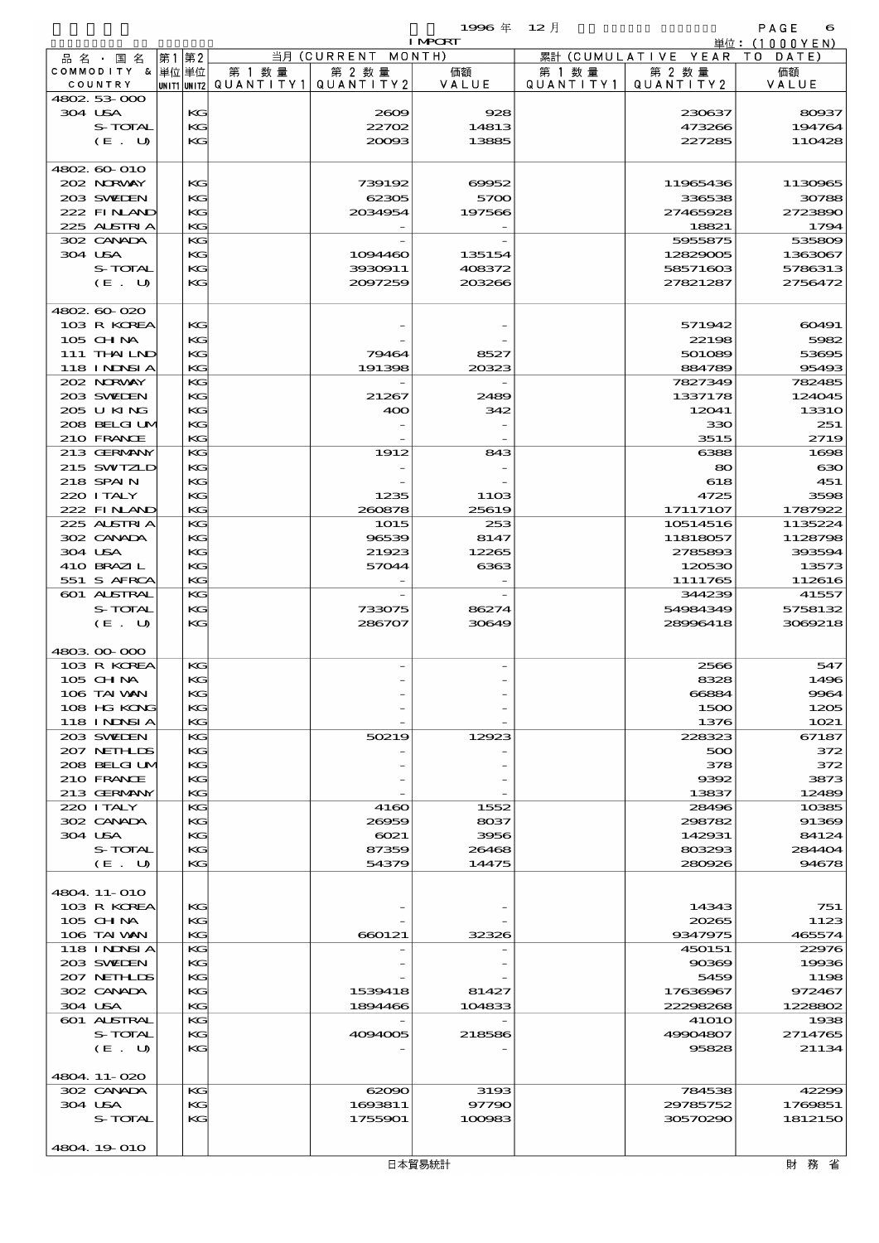|                                  |          |                                     |                      | 1996年<br><b>I MPORT</b> | $12$ 月                       |                              | PAGE<br>6<br>単位:(1000YEN) |
|----------------------------------|----------|-------------------------------------|----------------------|-------------------------|------------------------------|------------------------------|---------------------------|
| 品 名 ・ 国 名                        | 第1 第2    |                                     | 当月 (CURRENT MONTH)   |                         |                              | 累計 (CUMULATIVE YEAR TO DATE) |                           |
| COMMODITY & 単位単位<br>COUNTRY      |          | 第 1 数量<br> unit1 unit2  Q∪ANT   TY1 | 第 2 数量<br>QUANTITY 2 | 価額<br>VALUE             | 第 1 数 量<br>Q U A N T I T Y 1 | 第 2 数量<br>QUANTITY 2         | 価額<br>VALUE               |
| 4802.53.000                      |          |                                     |                      |                         |                              |                              |                           |
| 304 USA                          | KG       |                                     | 2009                 | 928                     |                              | 230637                       | 80937                     |
| S-TOTAL                          | KG       |                                     | 22702                | 14813                   |                              | 473266                       | 194764                    |
| (E. U)                           | KG       |                                     | 20093                | 13885                   |                              | 227285                       | 110428                    |
| 4802.60-010                      |          |                                     |                      |                         |                              |                              |                           |
| 202 NORWAY                       | KG       |                                     | 739192               | 69952                   |                              | 11965436                     | 1130965                   |
| 203 SWIDEN                       | KG       |                                     | 62305                | 5700                    |                              | 336538                       | 30788                     |
| 222 FINAND<br>225 ALSTRIA        | КG<br>KG |                                     | 2034954              | 197566                  |                              | 27465928<br>18821            | 2723890<br>1794           |
| 302 CANADA                       | KG       |                                     |                      |                         |                              | 5955875                      | 53580 <sub>€</sub>        |
| 304 USA                          | KG       |                                     | 1094460              | 135154                  |                              | 12829005                     | 1363067                   |
| S-TOTAL                          | KG       |                                     | 3930911              | 408372                  |                              | 58571603                     | 5786313                   |
| $(E_U U)$                        | KG       |                                     | 2097259              | 203266                  |                              | 27821287                     | 2756472                   |
| 4802.60-020                      |          |                                     |                      |                         |                              |                              |                           |
| 103 R KOREA                      | KG       |                                     |                      |                         |                              | 571942                       | 60491                     |
| 105 CH NA                        | KG       |                                     |                      |                         |                              | 22198                        | 5982                      |
| 111 THAILND<br><b>118 INDSIA</b> | KG<br>KG |                                     | 79464<br>191398      | 8527<br>20323           |                              | 501089<br>884789             | 53695<br>95493            |
| 202 NORWAY                       | KG       |                                     |                      |                         |                              | 7827349                      | 782485                    |
| 203 SWIDEN                       | KG       |                                     | 21267                | 2489                    |                              | 1337178                      | 124045                    |
| 205 U KING                       | KG       |                                     | 400                  | 342                     |                              | 12041                        | 13310                     |
| 208 BELGI UM                     | КG       |                                     |                      |                         |                              | 330                          | 251                       |
| 210 FRANCE                       | KG       |                                     |                      |                         |                              | 3515                         | 2719                      |
| 213 GERMANY<br>215 SWIZLD        | KG<br>KG |                                     | 1912                 | 843                     |                              | 6388<br>80                   | 1606<br>$\mathbf{G}$      |
| 218 SPAIN                        | KG       |                                     |                      |                         |                              | 618                          | 451                       |
| 220 I TALY                       | KG       |                                     | 1235                 | <b>11OB</b>             |                              | 4725                         | 3596                      |
| 222 FINLAND                      | KG       |                                     | 260878               | 25619                   |                              | 17117107                     | 1787922                   |
| 225 ALSTRIA                      | KG       |                                     | <b>1015</b>          | 253                     |                              | 10514516                     | 1135224                   |
| 302 CANADA<br>304 USA            | KG<br>KG |                                     | 96539<br>21923       | 8147<br>12265           |                              | 11818057<br>2785893          | 1128796<br>393594         |
| 410 BRAZIL                       | KG       |                                     | 57044                | 6363                    |                              | 120530                       | 13573                     |
| 551 S AFRCA                      | KG       |                                     |                      |                         |                              | 1111765                      | 112616                    |
| 601 ALSTRAL                      | KG       |                                     |                      |                         |                              | 344239                       | 41557                     |
| S-TOTAL                          | KG       |                                     | 733075               | 86274                   |                              | 54984349                     | 5758132                   |
| (E. U)                           | KG       |                                     | 286707               | 30649                   |                              | 28996418                     | 3069218                   |
| 4803.00-000                      |          |                                     |                      |                         |                              |                              |                           |
| 103 R KOREA                      | KG       |                                     |                      |                         |                              | 2566                         | 547                       |
| 105 CH NA                        | KG       |                                     |                      |                         |                              | 8328                         | 1496                      |
| 106 TAI VAN<br>108 HG KONG       | KC<br>КG |                                     |                      |                         |                              | 66884<br>1500                | 9964<br>1205              |
| <b>118 INNSIA</b>                | KG       |                                     |                      |                         |                              | 1376                         | 1021                      |
| 203 SWIDEN                       | KG       |                                     | 50219                | 12923                   |                              | 228323                       | 67187                     |
| 207 NETHLIS                      | KG       |                                     |                      |                         |                              | 500                          | 372                       |
| 208 BELGI UM                     | KG       |                                     |                      |                         |                              | 378                          | 372                       |
| 210 FRANCE<br>213 GERMANY        | КG<br>KG |                                     |                      |                         |                              | 9392<br>13837                | 3873<br>12489             |
| 220 I TALY                       | KG       |                                     | 4160                 | 1552                    |                              | 28496                        | 10385                     |
| 302 CANADA                       | KG       |                                     | 26959                | 8037                    |                              | 298782                       | 91365                     |
| 304 USA                          | KG       |                                     | 6021                 | 3956                    |                              | 142931                       | 84124                     |
| S-TOTAL                          | КG       |                                     | 87359                | 26468                   |                              | 803293                       | 284404                    |
| (E. U)                           | KC       |                                     | 54379                | 14475                   |                              | 280926                       | 94678                     |
| 4804.11-010                      |          |                                     |                      |                         |                              |                              |                           |
| 103 R KOREA                      | KG       |                                     |                      |                         |                              | 14343                        | 751                       |
| $105$ CHNA                       | КG       |                                     |                      |                         |                              | 20265                        | 1123                      |
| 106 TAI VAN                      | KG       |                                     | 660121               | 32326                   |                              | 9347975                      | 465574                    |
| <b>118 INNSIA</b>                | KG       |                                     |                      |                         |                              | 450151                       | 22970                     |
| 203 SWIDEN<br>207 NETHLIS        | KG<br>KG |                                     |                      |                         |                              | 90369<br>5459                | 19936<br>1196             |
| 302 CANADA                       | КG       |                                     | 1539418              | 81427                   |                              | 17636967                     | 972467                    |
| 304 USA                          | KG       |                                     | 1894466              | 104833                  |                              | 22298268                     | 1228802                   |
| 601 ALSTRAL                      | KG       |                                     |                      |                         |                              | <b>41010</b>                 | 1935                      |
| S-TOTAL                          | KG       |                                     | 4094005              | 218586                  |                              | 49904807                     | 2714765                   |
| (E. U)                           | KG       |                                     |                      |                         |                              | 95828                        | 21134                     |
| 4804.11-020                      |          |                                     |                      |                         |                              |                              |                           |

4804.19-010

 302 CANADA KG 62090 3193 784538 42299 304 USA KG 1693811 97790 29785752 1769851  $S$ -TOTAL KG 1755901 100083 30570290 1812150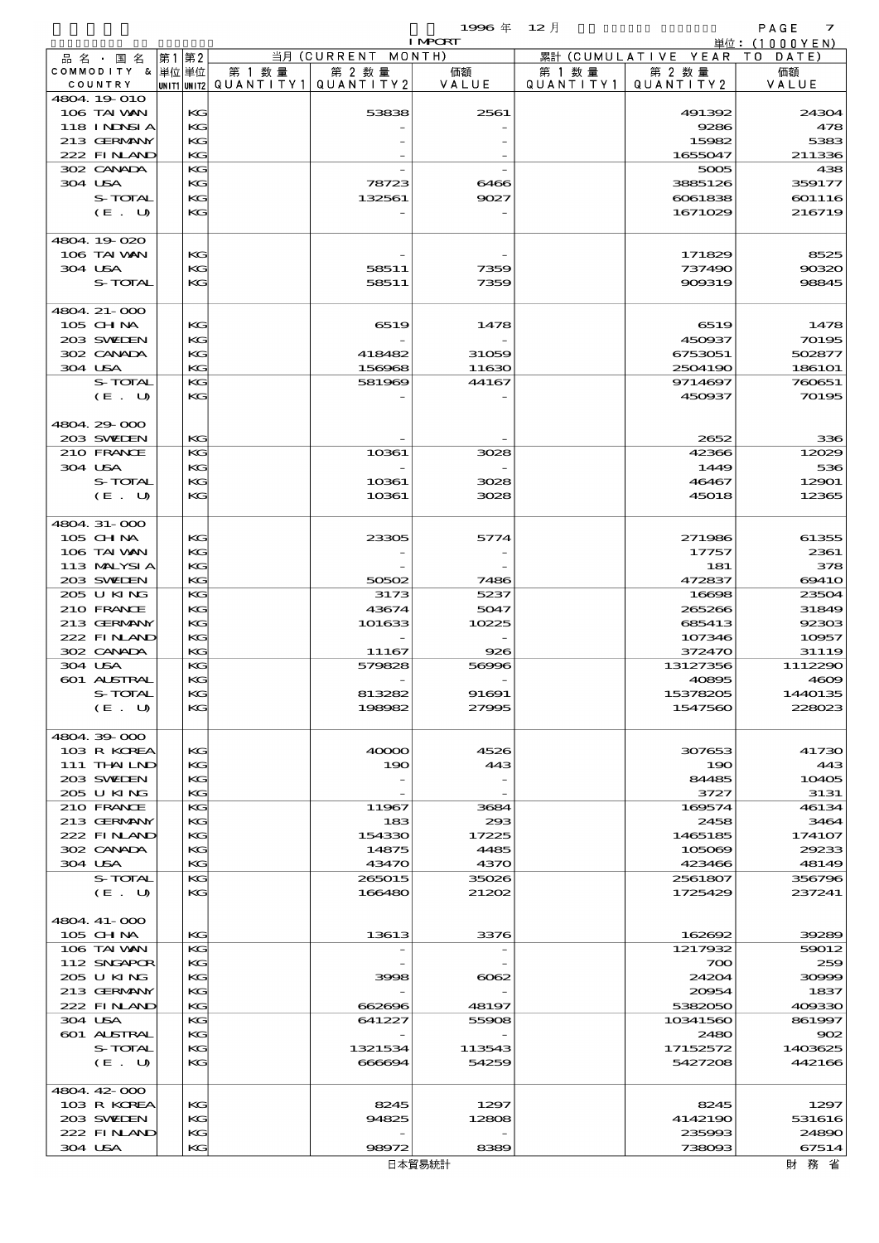$1$ 996 年  $12 \text{ }\overline{)}$  PAGE 2

|                            |          |        |                                       | <b>I MPCRT</b> |           |                              | 単位: (1000YEN) |
|----------------------------|----------|--------|---------------------------------------|----------------|-----------|------------------------------|---------------|
| 品名・国名                      | 第1第2     |        | 当月 (CURRENT MONTH)                    |                |           | 累計 (CUMULATIVE YEAR TO DATE) |               |
| COMMODITY & 単位単位           |          | 第 1 数量 | 第 2 数量                                | 価額             | 第 1 数 量   | 第 2 数量                       | 価額            |
| COUNTRY                    |          |        | UNIT1 UNIT2  QUANT   TY1  QUANT   TY2 | VALUE          | QUANTITY1 | QUANTITY 2                   | VALUE         |
| 4804.19-010<br>106 TAI VAN | KG       |        | 53838                                 | 2561           |           | 491392                       | 24304         |
| 118 INNSI A                | KG       |        |                                       |                |           | 9286                         | 478           |
| 213 GERMANY                | KG       |        |                                       |                |           | 15982                        | 5383          |
| 222 FINAND                 | KG       |        |                                       |                |           | 1655047                      | 211336        |
| 302 CANADA                 | KG       |        |                                       |                |           | 5005                         | 438           |
| 304 USA                    | KG       |        | 78723                                 | 6466           |           | 3885126                      | 359177        |
| S-TOTAL                    | KG       |        | 132561                                | 9027           |           | 6061838                      | 601116        |
| (E. U)                     | KG       |        |                                       |                |           | 1671029                      | 216719        |
|                            |          |        |                                       |                |           |                              |               |
| 4804.19-020                |          |        |                                       |                |           |                              |               |
| 106 TAI VAN                | KG       |        |                                       |                |           | 171829                       | 8525          |
| 304 USA                    | KG       |        | 58511                                 | 7359           |           | 737490                       | 90320         |
| <b>S-TOTAL</b>             | KG       |        | 58511                                 | 7359           |           | 909319                       | 98845         |
| 4804. 21-000               |          |        |                                       |                |           |                              |               |
| 105 CH NA                  | KG       |        | 6519                                  | 1478           |           | 6519                         | 1478          |
| 203 SWIEN                  | KC       |        |                                       |                |           | 450937                       | 70195         |
| 302 CANADA                 | KG       |        | 418482                                | 31059          |           | 6753051                      | 502877        |
| 304 USA                    | KG       |        | 156968                                | 11630          |           | 2504190                      | 186101        |
| S-TOTAL                    | KG       |        | 581969                                | 44167          |           | 9714697                      | 760651        |
| (E. U)                     | KG       |        |                                       |                |           | 450937                       | 70195         |
|                            |          |        |                                       |                |           |                              |               |
| 4804.29.000                |          |        |                                       |                |           |                              |               |
| 203 SWIEN                  | KG       |        |                                       |                |           | 2652                         | 336           |
| 210 FRANCE                 | KG       |        | 10361                                 | 3028           |           | 42366                        | 12029         |
| 304 USA                    | KG       |        |                                       |                |           | 1449                         | 536           |
| S-TOTAL                    | KG       |        | 10361                                 | 3028           |           | 46467                        | 12901         |
| (E. U)                     | KG       |        | 10361                                 | 3028           |           | 45018                        | 12365         |
|                            |          |        |                                       |                |           |                              |               |
| 4804.31-000<br>105 CH NA   | KG       |        | 23305                                 | 5774           |           | 271986                       | 61355         |
| 106 TAI VAN                | KG       |        |                                       |                |           | 17757                        | 2361          |
| 113 MALYSIA                | KG       |        |                                       |                |           | 181                          | 378           |
| 203 SWIEN                  | KG       |        | 50502                                 | 7486           |           | 472837                       | 6941O         |
| 205 U KING                 | KG       |        | 3173                                  | 5237           |           | 16698                        | 23504         |
| 210 FRANCE                 | KG       |        | 43674                                 | 5047           |           | 265266                       | 31849         |
| 213 GERMANY                | KG       |        | 101633                                | 10225          |           | 685413                       | 92303         |
| 222 FINAND                 | KG       |        |                                       |                |           | 107346                       | 10957         |
| 302 CANADA                 | KG       |        | 11167                                 | 926            |           | 372470                       | 31119         |
| 304 USA                    | KG       |        | 579828                                | 56996          |           | 13127356                     | 1112290       |
| 601 ALSTRAL                | KG       |        |                                       |                |           | 40895                        | 4609          |
| S-TOTAL                    | KG       |        | 813282                                | 91691          |           | 15378205                     | 1440135       |
| $(E_U U)$                  | KG       |        | 198982                                | 27995          |           | 1547560                      | 228023        |
|                            |          |        |                                       |                |           |                              |               |
| 4804.39.000                |          |        |                                       | 4526           |           |                              |               |
| 103 R KOREA<br>111 THAILND | KG<br>KC |        | 40000<br>190                          | 443            |           | 307653<br>190                | 41730<br>443  |
| 203 SWIDEN                 | KG       |        |                                       |                |           | 84485                        | 10405         |
| 205 U KING                 | KC       |        |                                       |                |           | 3727                         | 3131          |
| 210 FRANCE                 | KG       |        | 11967                                 | 3684           |           | 169574                       | 46134         |
| 213 GERMANY                | KG       |        | 183                                   | 293            |           | 2458                         | 3464          |
| 222 FINAND                 | KC       |        | 154330                                | 17225          |           | 1465185                      | 174107        |
| 302 CANADA                 | KG       |        | 14875                                 | 4485           |           | 105069                       | 29233         |
| 304 USA                    | KC       |        | 43470                                 | 4370           |           | 423466                       | 48149         |
| S-TOTAL                    | KG       |        | 265015                                | 35026          |           | 2561807                      | 356796        |
| (E. U)                     | KG       |        | 166480                                | 21202          |           | 1725429                      | 237241        |
|                            |          |        |                                       |                |           |                              |               |
| 4804.41-000                |          |        |                                       |                |           |                              |               |
| 105 CH NA                  | KC       |        | 13613                                 | 3376           |           | 162692                       | 39289         |
| 106 TAI VAN                | KG       |        |                                       |                |           | 1217932                      | 59012         |
| 112 SNGAPOR<br>205 U KING  | KG<br>KC |        | 3998                                  | 6062           |           | 700<br>24204                 | 259<br>30999  |
| 213 GERMANY                | KG       |        |                                       |                |           | 20054                        | 1837          |
| 222 FINAND                 | KC       |        | 662696                                | 48197          |           | 5382050                      | 409330        |
| 304 USA                    | KG       |        | 641227                                | 55908          |           | 10341560                     | 861997        |
| <b>601 ALSTRAL</b>         | KG       |        |                                       |                |           | 2480                         | 902           |
| S-TOTAL                    | KC       |        | 1321534                               | 113543         |           | 17152572                     | 1403625       |
| (E. U)                     | KG       |        | 666694                                | 54259          |           | 5427208                      | 442166        |
|                            |          |        |                                       |                |           |                              |               |
| 4804.42-000                |          |        |                                       |                |           |                              |               |
| 103 R KOREA                | KG       |        | 8245                                  | 1297           |           | 8245                         | 1297          |
| 203 SWIEN                  | KC       |        | 94825                                 | 12808          |           | 4142190                      | 531616        |
| 222 FINAND                 | KC       |        |                                       |                |           | 235993                       | 24890         |
| 304 USA                    | KG       |        | 98972                                 | 8389           |           | 738093                       | 67514         |
|                            |          |        | 日本貿易統計                                |                |           |                              | 財 務 省         |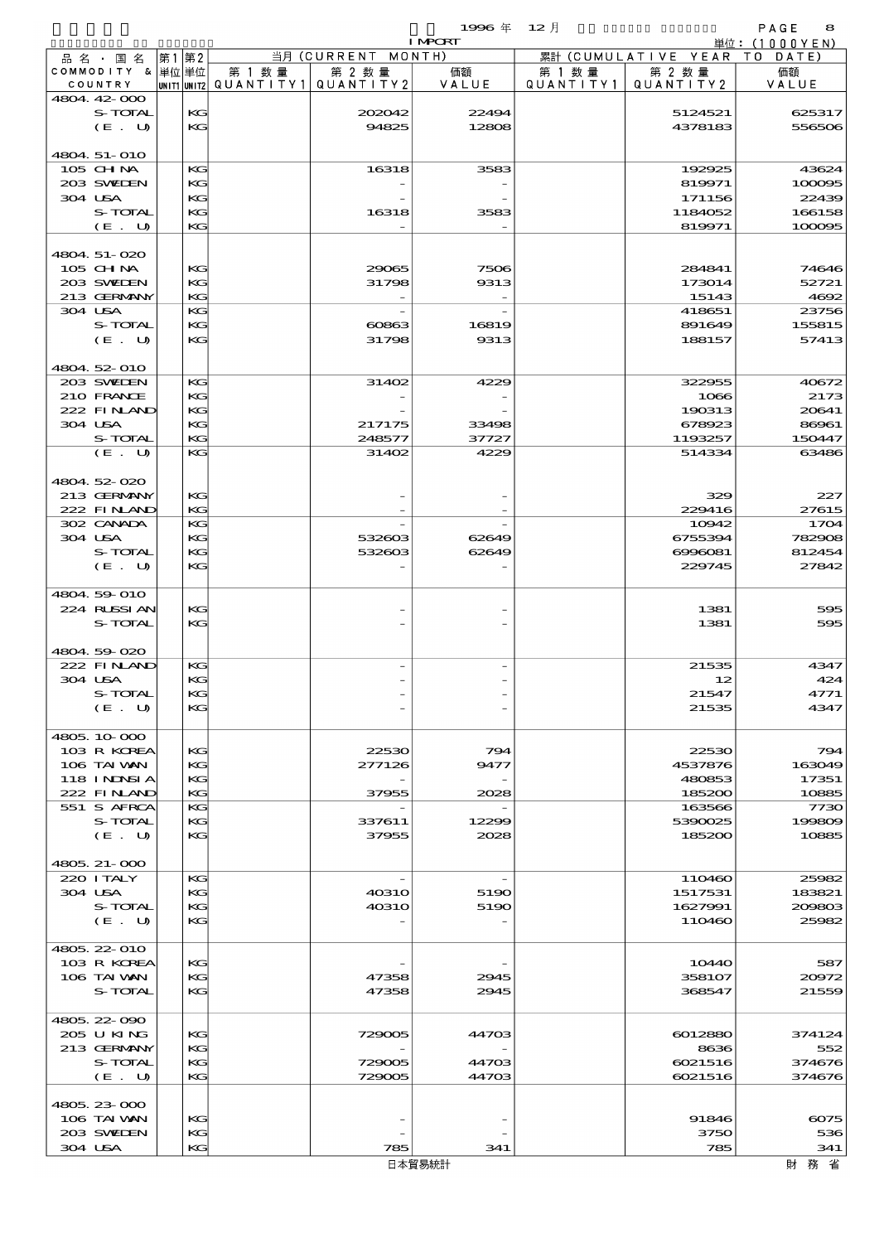|                                  |      |          |                                       |                    | 1996年 12月                |           |                              | PAGE<br>8       |
|----------------------------------|------|----------|---------------------------------------|--------------------|--------------------------|-----------|------------------------------|-----------------|
| 品 名 ・ 国 名                        | 第1第2 |          |                                       | 当月 (CURRENT MONTH) | <b>I MPCRT</b>           |           | 累計 (CUMULATIVE YEAR TO DATE) | 単位: (1000YEN)   |
| COMMODITY & 単位単位                 |      |          | 第 1 数 量                               | 第 2 数量             | 価額                       | 第 1 数 量   | 第 2 数量                       | 価額              |
| COUNTRY                          |      |          | unit1 unit2  QUANT   TY1  QUANT   TY2 |                    | VALUE                    | QUANTITY1 | QUANTITY2                    | VALUE           |
| 4804 42 000                      |      |          |                                       |                    |                          |           |                              |                 |
| S-TOTAL                          |      | KG<br>KG |                                       | 202042             | 22494                    |           | 5124521                      | 625317          |
| (E. U)                           |      |          |                                       | 94825              | 12808                    |           | 4378183                      | 556506          |
| 4804 51-010                      |      |          |                                       |                    |                          |           |                              |                 |
| 105 CHNA                         |      | KG       |                                       | 16318              | 3583                     |           | 192925                       | 43624           |
| 203 SWIEN                        |      | KG       |                                       |                    |                          |           | 819971                       | 1000005         |
| 304 USA                          |      | KG       |                                       |                    |                          |           | 171156                       | 22439           |
| S-TOTAL                          |      | KG       |                                       | 16318              | 3583                     |           | 1184052                      | 166158          |
| (E. U)                           |      | KG       |                                       |                    |                          |           | 819971                       | 100005          |
|                                  |      |          |                                       |                    |                          |           |                              |                 |
| 4804 51-020<br>105 CH NA         |      | KG       |                                       | 29065              | 7506                     |           | 284841                       | 74646           |
| 203 SWIEN                        |      | KG       |                                       | 31798              | 9313                     |           | 173014                       | 52721           |
| 213 GERMANY                      |      | KG       |                                       |                    | $\overline{\phantom{a}}$ |           | 15143                        | 4692            |
| 304 USA                          |      | KG       |                                       |                    |                          |           | 418651                       | 23756           |
| S-TOTAL                          |      | KG       |                                       | 60863              | 16819                    |           | 891649                       | 155815          |
| (E. U)                           |      | KG       |                                       | 31798              | 9313                     |           | 188157                       | 57413           |
|                                  |      |          |                                       |                    |                          |           |                              |                 |
| 4804 52 010                      |      |          |                                       |                    |                          |           |                              |                 |
| 203 SWIEN                        |      | KG       |                                       | 31402              | 4229                     |           | 322955                       | 40672           |
| 210 FRANCE                       |      | KG       |                                       |                    |                          |           | 1066                         | 2173            |
| 222 FINAND                       |      | KG       |                                       |                    |                          |           | 190313                       | 20641           |
| 304 USA<br>S-TOTAL               |      | KG<br>KG |                                       | 217175<br>248577   | 33498<br>37727           |           | 678923<br>1193257            | 86961<br>150447 |
| (E. U)                           |      | KG       |                                       | 31402              | 4229                     |           | 514334                       | 63486           |
|                                  |      |          |                                       |                    |                          |           |                              |                 |
| 4804 52 020                      |      |          |                                       |                    |                          |           |                              |                 |
| 213 GERMANY                      |      | KG       |                                       |                    |                          |           | 329                          | 227             |
| 222 FINLAND                      |      | KG       |                                       |                    |                          |           | 229416                       | 27615           |
| 302 CANADA                       |      | KG       |                                       |                    |                          |           | 10942                        | 1704            |
| 304 USA                          |      | KG       |                                       | 532603             | 62649                    |           | 6755394                      | 782906          |
| S-TOTAL                          |      | KG       |                                       | 532603             | 62649                    |           | 6996081                      | 812454          |
| (E. U)                           |      | KG       |                                       |                    |                          |           | 229745                       | 27842           |
|                                  |      |          |                                       |                    |                          |           |                              |                 |
| 4804 59 010                      |      |          |                                       |                    |                          |           |                              |                 |
| 224 RUSSIAN<br>S-TOTAL           |      | KG<br>KG |                                       |                    |                          |           | 1381<br>1381                 | 59£<br>500      |
|                                  |      |          |                                       |                    |                          |           |                              |                 |
| 4804 59 020                      |      |          |                                       |                    |                          |           |                              |                 |
| 222 FINAND                       |      | KG       |                                       |                    |                          |           | 21535                        | 4347            |
| 304 USA                          |      | KG       |                                       |                    |                          |           | 12                           | 424             |
| S-TOTAL                          |      | KG       |                                       |                    |                          |           | 21547                        | 4771            |
| (E. U)                           |      | KG       |                                       |                    |                          |           | 21535                        | 4347            |
|                                  |      |          |                                       |                    |                          |           |                              |                 |
| 4805 10 000                      |      |          |                                       |                    |                          |           |                              |                 |
| 103 R KOREA                      |      | KG       |                                       | 22530              | 794                      |           | 22530                        | 794             |
| 106 TAI VAN<br><b>118 INNSIA</b> |      | KG<br>KG |                                       | 277126             | 9477                     |           | 4537876<br>480853            | 163049<br>17351 |
| 222 FINAND                       |      | KG       |                                       | 37955              | 2028                     |           | 185200                       | 10885           |
| 551 S AFRCA                      |      | KG       |                                       |                    |                          |           | 163566                       | 773             |
| S-TOTAL                          |      | KG       |                                       | 337611             | 12299                    |           | 5390025                      | 199809          |
| (E. U)                           |      | KG       |                                       | 37955              | 2028                     |           | 185200                       | 10885           |
|                                  |      |          |                                       |                    |                          |           |                              |                 |
| 4805, 21-000                     |      |          |                                       |                    |                          |           |                              |                 |
| 220 I TALY                       |      | KG       |                                       |                    |                          |           | 110460                       | 25982           |
| 304 USA                          |      | KG       |                                       | 4031O              | 5190                     |           | 1517531                      | 183821          |
| S-TOTAL                          |      | KG       |                                       | <b>40310</b>       | 5190                     |           | 1627991                      | 200803          |
| (E. U)                           |      | KG       |                                       |                    |                          |           | 110460                       | 25982           |
|                                  |      |          |                                       |                    |                          |           |                              |                 |
| 4805 22 010<br>103 R KOREA       |      | KС       |                                       |                    |                          |           | 10440                        | 587             |
| 106 TAI VAN                      |      | KG       |                                       | 47358              | 2945                     |           | 358107                       | 20972           |
| S-TOTAL                          |      | KG       |                                       | 47358              | 2945                     |           | 368547                       | 21559           |
|                                  |      |          |                                       |                    |                          |           |                              |                 |
| 4805 22 090                      |      |          |                                       |                    |                          |           |                              |                 |
| 205 U KING                       |      | KС       |                                       | 729005             | 44703                    |           | 6012880                      | 374124          |
| 213 GERMANY                      |      | KG       |                                       |                    |                          |           | 8636                         | 552             |
| S-TOTAL                          |      | KG       |                                       | 729005             | 44703                    |           | 6021516                      | 374676          |
| (E. U)                           |      | KG       |                                       | 729005             | 44703                    |           | 6021516                      | 374676          |
|                                  |      |          |                                       |                    |                          |           |                              |                 |
| 4805 23 000                      |      |          |                                       |                    |                          |           |                              |                 |

 $106$  TAI WAN KG  $\left| \begin{array}{ccc} 1 & - & - & - \ 1 & - & - & - \end{array} \right|$  91846 6075 106 TAIWAN KG - - - - 91846 6075<br>203 SWEDEN KG - - - - - - - 3750 536  $304 \text{ USA}$   $| \text{KG} |$  785  $341$  785 785 341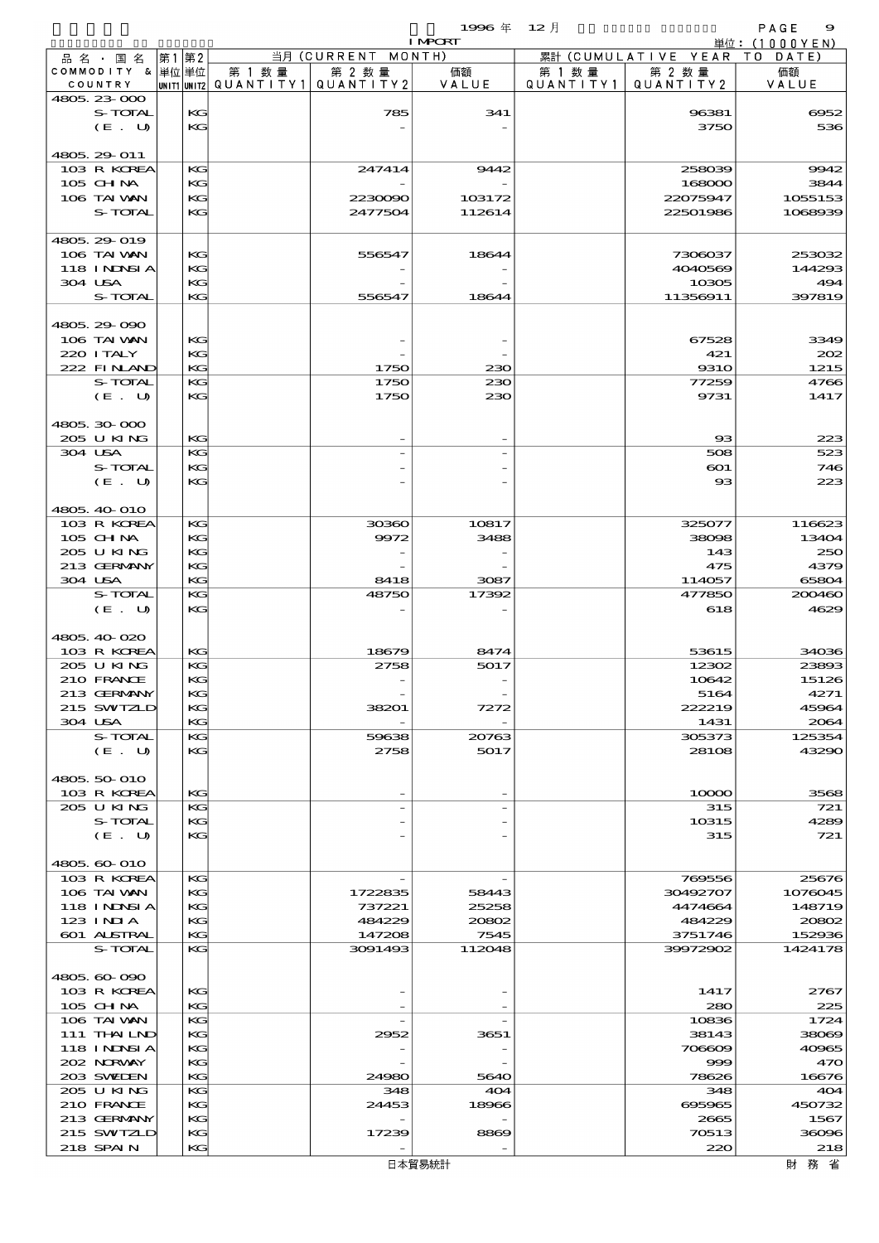$\begin{array}{ccccccccc}\n 1996 & \# & 12 & \end{array}$ 

| <b>I MPORT</b>              |               |        |                                       |                |           |                              | 単位: (1000YEN)     |
|-----------------------------|---------------|--------|---------------------------------------|----------------|-----------|------------------------------|-------------------|
| 品名・国名                       | 第2<br> 第1     |        | 当月 (CURRENT MONTH)                    |                |           | 累計 (CUMULATIVE YEAR TO DATE) |                   |
| COMMODITY & 単位単位            |               | 第 1 数量 | 第 2 数量                                | 価額<br>VALUE    | 第 1 数 量   | 第 2 数量                       | 価額<br>VALUE       |
| COUNTRY<br>4805 23 000      |               |        | UNIT1 UNIT2  QUANT   TY1  QUANT   TY2 |                | QUANTITY1 | QUANTITY 2                   |                   |
| S-TOTAL                     | KG            |        | 785                                   | 341            |           | 96381                        | 6952              |
| (E. U)                      | KG            |        |                                       |                |           | 3750                         | 536               |
|                             |               |        |                                       |                |           |                              |                   |
| 4805 29 011                 |               |        |                                       |                |           |                              |                   |
| 103 R KOREA<br>105 CH NA    | KG<br>KG      |        | 247414                                | 9442           |           | 258039<br>168000             | 9942<br>3844      |
| 106 TAI VAN                 | KG            |        | 2230090                               | 103172         |           | 22075947                     | 1055153           |
| <b>S-TOTAL</b>              | KG            |        | 2477504                               | 112614         |           | 22501986                     | 1068939           |
|                             |               |        |                                       |                |           |                              |                   |
| 4805.29-019                 |               |        |                                       |                |           |                              |                   |
| 106 TAI VAN                 | KG            |        | 556547                                | 18644          |           | 7306037                      | 253032            |
| 118 I NDSI A                | KG            |        |                                       |                |           | 4040569                      | 144293            |
| 304 USA                     | KG<br>KG.     |        |                                       |                |           | 10305                        | 494               |
| S-TOTAL                     |               |        | 556547                                | 18644          |           | 11356911                     | 397819            |
| 4805.29.090                 |               |        |                                       |                |           |                              |                   |
| 106 TAI VAN                 | KG            |        |                                       |                |           | 67528                        | 3349              |
| 220 I TALY                  | KG            |        |                                       |                |           | 421                          | 202               |
| 222 FINAND                  | KG.           |        | 1750                                  | 230            |           | 9310                         | 1215              |
| S-TOTAL                     | KG            |        | 1750                                  | 230            |           | 77259                        | 4766              |
| (E. U)                      | KG            |        | 1750                                  | 230            |           | 9731                         | 1417              |
|                             |               |        |                                       |                |           |                              |                   |
| 4805, 30, 000<br>205 U KING | $K$ $G$       |        |                                       |                |           | $_{\rm \bf 33}$              | 223               |
| 304 USA                     | KG            |        |                                       |                |           | 508                          | 523               |
| S-TOTAL                     | $K$ $G$       |        |                                       |                |           | $_{\rm CO1}$                 | 746               |
| (E. U)                      | KG            |        |                                       |                |           | $_{\rm \alpha}$              | 223               |
|                             |               |        |                                       |                |           |                              |                   |
| 4805, 40 010                |               |        |                                       |                |           |                              |                   |
| 103 R KOREA                 | KG            |        | 30360                                 | 10817          |           | 325077                       | 116623            |
| 105 CH NA<br>205 U KING     | $K$ $G$<br>KG |        | 9972                                  | 3488           |           | 38098<br>143                 | 13404<br>250      |
| 213 GERMANY                 | KG            |        |                                       |                |           | 475                          | 4379              |
| 304 USA                     | KG.           |        | 8418                                  | 3087           |           | 114057                       | 65804             |
| S-TOTAL                     | KG            |        | 48750                                 | 17392          |           | 477850                       | 200460            |
| (E. U)                      | $K$ $G$       |        |                                       |                |           | 618                          | 4629              |
|                             |               |        |                                       |                |           |                              |                   |
| 4805 40 020                 |               |        |                                       |                |           |                              |                   |
| 103 R KOREA                 | KG<br>KG      |        | 18679                                 | 8474           |           | 53615                        | 34036<br>23893    |
| 205 U KING<br>210 FRANCE    | KG            |        | 2758                                  | 5017           |           | 12302<br>10642               | 15126             |
| 213 GERMANY                 | KG            |        |                                       |                |           | 5164                         | 4271              |
| 215 SWTZLD                  | КG            |        | 38201                                 | 7272           |           | 222219                       | 45964             |
| 304 USA                     | KG            |        |                                       |                |           | 1431                         | 2064              |
| S-TOTAL                     | KG            |        | 59638                                 | 20763          |           | 305373                       | 125354            |
| (E. U)                      | KG            |        | 2758                                  | 5017           |           | 28108                        | 43290             |
|                             |               |        |                                       |                |           |                              |                   |
| 4805, 50 010<br>103 R KOREA | KG            |        |                                       |                |           | 10000                        | 3568              |
| 205 U KING                  | KG            |        |                                       |                |           | 315                          | 721               |
| S-TOTAL                     | KG            |        |                                       |                |           | 10315                        | 4289              |
| (E U)                       | KG            |        |                                       |                |           | 315                          | 721               |
|                             |               |        |                                       |                |           |                              |                   |
| 4805, 60-010                |               |        |                                       |                |           |                              |                   |
| 103 R KOREA                 | KG            |        |                                       |                |           | 769556                       | 25676             |
| 106 TAI VAN<br>118 I NDSI A | KG<br>KG      |        | 1722835<br>737221                     | 58443<br>25258 |           | 30492707<br>4474664          | 1076045<br>148719 |
| 123 INIA                    | KG            |        | 484229                                | 20802          |           | 484229                       | 20802             |
| 601 ALSTRAL                 | KG            |        | 147208                                | 7545           |           | 3751746                      | 152936            |
| S-TOTAL                     | KG            |        | 3091493                               | 112048         |           | 39972902                     | 1424178           |
|                             |               |        |                                       |                |           |                              |                   |
| 4805.60-090                 |               |        |                                       |                |           |                              |                   |
| 103 R KOREA                 | КG            |        |                                       |                |           | 1417                         | 2767              |
| $105$ CHNA<br>106 TAI VAN   | KG<br>KG      |        |                                       |                |           | 280<br>10836                 | 225<br>1724       |
| 111 THAILND                 | KG            |        | 2952                                  | 3651           |           | 38143                        | 38069             |
| 118 INNSI A                 | KG            |        |                                       |                |           | 706609                       | 40965             |
| 202 NRWAY                   | KG            |        |                                       |                |           | 999                          | 470               |
| 203 SWIDEN                  | KG            |        | 24980                                 | 5640           |           | 78626                        | 16676             |
| 205 U KING                  | KG            |        | 348                                   | 404            |           | 348                          | 404               |
| 210 FRANCE                  | KG            |        | 24453                                 | 18966          |           | 695965                       | 450732            |
| 213 GERMANY<br>215 SWIZLD   | KG<br>КG      |        | 17239                                 | 8869           |           | 2665<br>70513                | 1567<br>36096     |
| 218 SPAIN                   | KG            |        |                                       |                |           | 220                          | 218               |
|                             |               |        |                                       |                |           |                              |                   |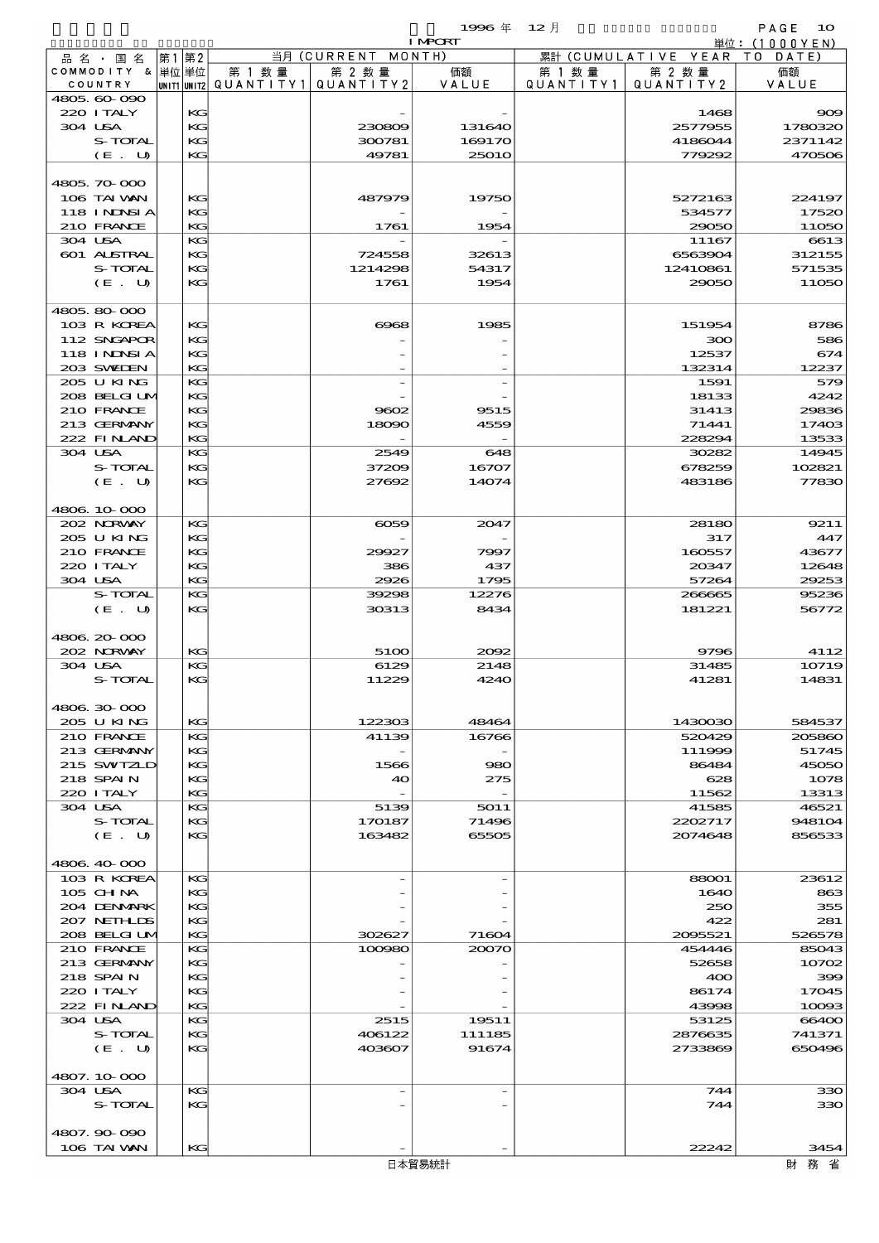|         |                               |       |             |           |                    | 1996 $#$       | $12$ 月               |                                | PAGE<br>10     |
|---------|-------------------------------|-------|-------------|-----------|--------------------|----------------|----------------------|--------------------------------|----------------|
|         |                               |       |             |           | 当月 (CURRENT MONTH) | <b>I MPORT</b> |                      |                                | 単位: (1000YEN)  |
|         | 品 名 ・ 国 名<br>COMMODITY & 単位単位 | 第1 第2 |             | 第 1 数 量   | 第 2 数量             | 価額             |                      | 累計 (CUMULATIVE YEAR)<br>第 2 数量 | TO DATE)<br>価額 |
|         | COUNTRY                       |       | UNIT1 UNIT2 | QUANTITY1 | QUANTITY 2         | VALUE          | 第 1 数 量<br>QUANTITY1 | QUANTITY2                      | VALUE          |
|         | 4805.60-090                   |       |             |           |                    |                |                      |                                |                |
|         | 220 I TALY                    |       | KG          |           |                    |                |                      | 1468                           | 909            |
| 304 USA |                               |       | KG          |           | 230809             | 131640         |                      | 2577955                        | 1780320        |
|         | S-TOTAL                       |       | KG          |           | 300781             | 169170         |                      | 4186044                        | 2371142        |
|         | (E. U)                        |       | KG          |           | 49781              | <b>25010</b>   |                      | 779292                         | 470506         |
|         | 4805, 70, 000                 |       |             |           |                    |                |                      |                                |                |
|         | 106 TAI VAN                   |       | KG          |           | 487979             | 19750          |                      | 5272163                        | 224197         |
|         | 118 INNSI A                   |       | KG          |           |                    |                |                      | 534577                         | 17520          |
|         | 210 FRANCE                    |       | KG          |           | 1761               | 1954           |                      | 29050                          | 11050          |
| 304 USA |                               |       | KG          |           |                    |                |                      | 11167                          | 6613           |
|         | 601 ALSTRAL                   |       | KG          |           | 724558             | 32613          |                      | 6563904                        | 312155         |
|         | S-TOTAL                       |       | KG          |           | 1214298            | 54317          |                      | 12410861                       | 571535         |
|         | (E. U)                        |       | KG          |           | 1761               | 1954           |                      | 29050                          | 11050          |
|         |                               |       |             |           |                    |                |                      |                                |                |
|         | 4805,80000                    |       |             |           |                    |                |                      |                                |                |
|         | 103 R KOREA                   |       | KG          |           | $\cos$             | 1985           |                      | 151954                         | 8786           |
|         | 112 SNGAPOR                   |       | KG<br>KG    |           |                    |                |                      | ဆာ<br>12537                    | 586<br>674     |
|         | 118 INNSI A<br>203 SWIEN      |       | KG          |           |                    |                |                      | 132314                         | 12237          |
|         | 205 U KING                    |       | KG          |           |                    |                |                      | 1591                           | 579            |
|         | 208 BELGI UM                  |       | KG          |           |                    |                |                      | 18133                          | 4242           |
|         | 210 FRANCE                    |       | KG          |           | 9602               | 9515           |                      | 31413                          | 29836          |
|         | 213 GERMANY                   |       | KG          |           | 18090              | 4559           |                      | 71441                          | 17403          |
|         | 222 FINAND                    |       | KG          |           |                    |                |                      | 228294                         | 13533          |
|         | 304 USA                       |       | KG          |           | 2549               | 648            |                      | 30282                          | 14945          |
|         | S-TOTAL                       |       | KG          |           | 37209              | 16707          |                      | 678259                         | 102821         |
|         | (E. U)                        |       | KG          |           | 27692              | 14074          |                      | 483186                         | 77830          |
|         |                               |       |             |           |                    |                |                      |                                |                |
|         | 4806.10-000                   |       |             |           |                    |                |                      |                                |                |
|         | 202 NORWAY<br>205 U KING      |       | KG<br>KG    |           | $\infty$           | 2047           |                      | 28180<br>317                   | 9211<br>447    |
|         | 210 FRANCE                    |       | KG          |           | 29927              | 7997           |                      | 160557                         | 43677          |
|         | 220 I TALY                    |       | KG          |           | 386                | 437            |                      | 20347                          | 12648          |
| 304 USA |                               |       | KG          |           | 2926               | 1795           |                      | 57264                          | 29253          |
|         | S-TOTAL                       |       | KG          |           | 39298              | 12276          |                      | 266665                         | 95236          |
|         | (E. U)                        |       | KG          |           | 30313              | 8434           |                      | 181221                         | 56772          |
|         |                               |       |             |           |                    |                |                      |                                |                |
|         | 4806 20 000                   |       |             |           |                    |                |                      |                                |                |
|         | 202 NORWAY                    |       | KG          |           | 5100               | 2002           |                      | 9796                           | 4112           |
|         | 304 USA                       |       | KG          |           | 6129               | 2148           |                      | 31485                          | 10719          |
|         | S-TOTAL                       |       | KG          |           | 11229              | 4240           |                      | 41281                          | 14831          |
|         | 4806 30 000                   |       |             |           |                    |                |                      |                                |                |
|         | 205 U KING                    |       | KG          |           | 122303             | 48464          |                      | 1430030                        | 584537         |
|         | 210 FRANCE                    |       | KG          |           | 41139              | 16766          |                      | 520429                         | 205860         |
|         | 213 GERMANY                   |       | KG          |           |                    |                |                      | 111999                         | 51745          |
|         | 215 SWIZLD                    |       | KG          |           | 1566               | 980            |                      | 86484                          | 45050          |
|         | 218 SPAIN                     |       | KG          |           | 40                 | 275            |                      | 628                            | 1078           |
|         | 220 I TALY                    |       | KG          |           |                    |                |                      | 11562                          | 13313          |
|         | 304 USA                       |       | KG          |           | 5139               | 5011           |                      | 41585                          | 46521          |
|         | S-TOTAL                       |       | KG          |           | 170187             | 71496          |                      | 2202717                        | 948104         |
|         | (E. U)                        |       | KG          |           | 163482             | 65505          |                      | 2074648                        | 856533         |
|         | 4806.40-000                   |       |             |           |                    |                |                      |                                |                |
|         | 103 R KOREA                   |       | KG          |           |                    |                |                      | 88001                          | 23612          |
|         | $105$ CHNA                    |       | KG          |           |                    |                |                      | 1640                           | 863            |
|         | 204 DENMARK                   |       | KG          |           |                    |                |                      | 250                            | 355            |
|         | 207 NETHLIS                   |       | KG          |           |                    |                |                      | 422                            | 281            |
|         | 208 BELGI UM                  |       | KG          |           | 302627             | 71604          |                      | 2095521                        | 526578         |
|         | 210 FRANCE                    |       | KG          |           | 100980             | 20070          |                      | 454446                         | 85043          |
|         | 213 GERMANY                   |       | KG          |           |                    |                |                      | 52658                          | 10702          |
|         | 218 SPAIN                     |       | KG          |           |                    |                |                      | 400                            | 399            |
|         | 220 I TALY                    |       | KG          |           |                    |                |                      | 86174                          | 17045          |
|         | 222 FINAND<br>304 USA         |       | KG<br>KG    |           | 2515               | 19511          |                      | 43998<br>53125                 | 10093<br>66400 |
|         | S-TOTAL                       |       | KG          |           | 406122             | 111185         |                      | 2876635                        | 741371         |
|         | (E. U)                        |       | KG          |           | 403607             | 91674          |                      | 2733869                        | 650496         |
|         |                               |       |             |           |                    |                |                      |                                |                |
|         | 4807.10-000                   |       |             |           |                    |                |                      |                                |                |
| 304 USA |                               |       | KG          |           |                    |                |                      | 744                            | 330            |
|         | S-TOTAL                       |       | KG          |           |                    |                |                      | 744                            | 330            |
|         |                               |       |             |           |                    |                |                      |                                |                |
|         | 4807.90-090                   |       |             |           |                    |                |                      |                                |                |
|         | 106 TAI VAN                   |       | KG          |           |                    |                |                      | 22242                          | 3454           |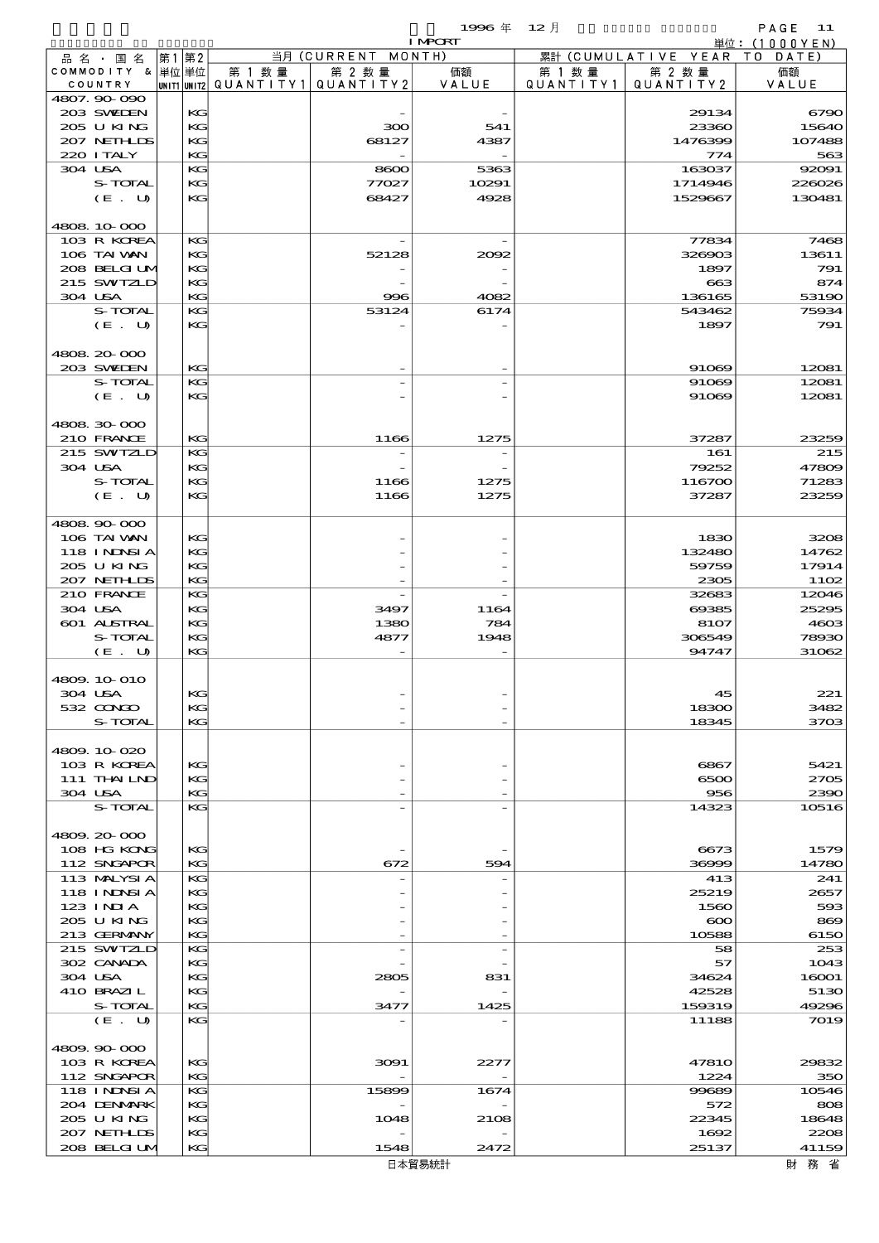$1$ 996 年  $12 \text{ }\overline{)}$  PAGE 11

|         |                            |          |        |                                       | <b>I MPORT</b> |                   |                              | 単位: (1000YEN)  |
|---------|----------------------------|----------|--------|---------------------------------------|----------------|-------------------|------------------------------|----------------|
|         | 品 名 ・ 国 名                  | 第1第2     |        | 当月 (CURRENT MONTH)                    |                |                   | 累計 (CUMULATIVE YEAR TO DATE) |                |
|         | COMMODITY & 単位単位           |          | 第 1 数量 | 第 2 数量                                | 価額             | 第 1 数量            | 第 2 数量                       | 価額             |
|         | COUNTRY                    |          |        | UNIT1 UNIT2  QUANT   TY1  QUANT   TY2 | VALUE          | Q U A N T I T Y 1 | QUANTITY 2                   | VALUE          |
|         | 4807.90-090<br>203 SWIEN   | KG       |        |                                       |                |                   | 29134                        | 6790           |
|         | 205 U KING                 | KG       |        | 300                                   | 541            |                   | 23360                        | 15640          |
|         | 207 NETHLIS                | KG       |        | 68127                                 | 4387           |                   | 1476399                      | 107488         |
|         | 220 I TALY                 | KG       |        |                                       |                |                   | 774                          | 563            |
| 304 USA |                            | KG       |        | 8600                                  | 5363           |                   | 163037                       | 92091          |
|         | S-TOTAL                    | KG       |        | 77027                                 | 10291          |                   | 1714946                      | 226026         |
|         | (E. U)                     | KG       |        | 68427                                 | 4928           |                   | 1529667                      | 130481         |
|         |                            |          |        |                                       |                |                   |                              |                |
|         | 4808 10 000<br>103 R KOREA | KG       |        |                                       |                |                   |                              | 7468           |
|         | 106 TAI VAN                | KG       |        | 52128                                 | 2002           |                   | 77834<br>326903              | 13611          |
|         | 208 BELGI UM               | KG       |        |                                       |                |                   | 1897                         | 791            |
|         | 215 SWIZLD                 | KG       |        |                                       |                |                   | $\boldsymbol{\alpha}$        | 874            |
| 304 USA |                            | KG       |        | 996                                   | 4082           |                   | 136165                       | 53190          |
|         | S-TOTAL                    | KG       |        | 53124                                 | 6174           |                   | 543462                       | 75934          |
|         | $(E_U U)$                  | KG       |        |                                       |                |                   | 1897                         | 791            |
|         |                            |          |        |                                       |                |                   |                              |                |
|         | 4808 20 000                |          |        |                                       |                |                   |                              |                |
|         | 203 SWIEN<br>S-TOTAL       | KG       |        |                                       |                |                   | 91069                        | 12081          |
|         | $(E_U U)$                  | KG<br>KG |        |                                       |                |                   | 91069<br>91069               | 12081<br>12081 |
|         |                            |          |        |                                       |                |                   |                              |                |
|         | 4808 30 000                |          |        |                                       |                |                   |                              |                |
|         | 210 FRANCE                 | KG       |        | 1166                                  | 1275           |                   | 37287                        | 23259          |
|         | 215 SWIZLD                 | KG       |        |                                       |                |                   | 161                          | 215            |
| 304 USA |                            | KG       |        |                                       |                |                   | 79252                        | 47809          |
|         | S-TOTAL                    | KG       |        | 1166                                  | 1275           |                   | 116700                       | 71283          |
|         | (E. U)                     | KG       |        | 1166                                  | 1275           |                   | 37287                        | 23259          |
|         |                            |          |        |                                       |                |                   |                              |                |
|         | 4808 90 000                |          |        |                                       |                |                   |                              |                |
|         | 106 TAI VAN<br>118 INNSI A | KG<br>KG |        |                                       |                |                   | 1830                         | 3208           |
|         | 205 U KING                 | KG       |        |                                       |                |                   | 132480<br>59759              | 14762<br>17914 |
|         | 207 NETHLIS                | KG       |        |                                       |                |                   | 2305                         | 1102           |
|         | 210 FRANCE                 | KG       |        |                                       |                |                   | 32683                        | 12046          |
| 304 USA |                            | KG       |        | 3497                                  | 1164           |                   | 69385                        | 25295          |
|         | 601 ALSTRAL                | KG       |        | 1380                                  | 784            |                   | 8107                         | 4603           |
|         | S-TOTAL                    | KG       |        | 4877                                  | 1948           |                   | 306549                       | 78930          |
|         | (E. U)                     | KG       |        |                                       |                |                   | 94747                        | 31062          |
|         |                            |          |        |                                       |                |                   |                              |                |
|         | 4809. 10 010               |          |        |                                       |                |                   |                              |                |
| 304 USA | $532$ $\alpha$ N $\alpha$  | КG<br>KG |        |                                       |                |                   | 45                           | 221<br>3482    |
|         | S-TOTAL                    | KG       |        |                                       |                |                   | 18300<br>18345               | 3703           |
|         |                            |          |        |                                       |                |                   |                              |                |
|         | 4809.10.020                |          |        |                                       |                |                   |                              |                |
|         | 103 R KOREA                | KG       |        |                                       |                |                   | 6867                         | 5421           |
|         | 111 THAILND                | KG       |        |                                       |                |                   | 6500                         | 2705           |
| 304 USA |                            | KG       |        |                                       |                |                   | 956                          | 2390           |
|         | S-TOTAL                    | KG       |        |                                       |                |                   | 14323                        | 10516          |
|         |                            |          |        |                                       |                |                   |                              |                |
|         | 4809.20-000<br>108 HG KONG | KG       |        |                                       |                |                   | 6673                         | 1579           |
|         | 112 SNGAPOR                | KG       |        | 672                                   | 594            |                   | 36999                        | 14780          |
|         | 113 MALYSIA                | KG       |        |                                       |                |                   | 413                          | 241            |
|         | 118 I NDSI A               | KG       |        |                                       |                |                   | 25219                        | 2657           |
|         | 123 INIA                   | KG       |        |                                       |                |                   | 1560                         | 593            |
|         | 205 U KING                 | KG       |        |                                       |                |                   | $\infty$                     | 869            |
|         | 213 GERMANY                | KG       |        |                                       |                |                   | 10588                        | 6150           |
|         | 215 SWIZLD                 | KG       |        |                                       |                |                   | 58                           | 253            |
|         | 302 CANADA                 | KG       |        |                                       |                |                   | 57                           | 1043           |
| 304 USA |                            | KG       |        | 2805                                  | 831            |                   | 34624                        | 16001          |
|         | 410 BRAZIL<br>S-TOTAL      | KG<br>KG |        | 3477                                  | 1425           |                   | 42528<br>159319              | 5130<br>49296  |
|         | (E. U)                     | KG       |        |                                       |                |                   | 11188                        | 7019           |
|         |                            |          |        |                                       |                |                   |                              |                |
|         | 4809.90-000                |          |        |                                       |                |                   |                              |                |
|         | 103 R KOREA                | KG       |        | 3091                                  | 2277           |                   | <b>47810</b>                 | 29832          |
|         | 112 SNGAPOR                | KG       |        |                                       |                |                   | 1224                         | 350            |
|         | <b>118 INNSIA</b>          | KG       |        | 15899                                 | 1674           |                   | 99689                        | 10546          |
|         | 204 DENMARK                | KG       |        |                                       |                |                   | 572                          | 808            |
|         | 205 U KING                 | KG       |        | 1048                                  | 2108           |                   | 22345                        | 18648          |
|         | 207 NETHLIS                | KG       |        |                                       |                |                   | 1692                         | 2208           |
|         | 208 BELGI UM               | KС       |        | 1548                                  | 2472           |                   | 25137                        | 41159          |

財務省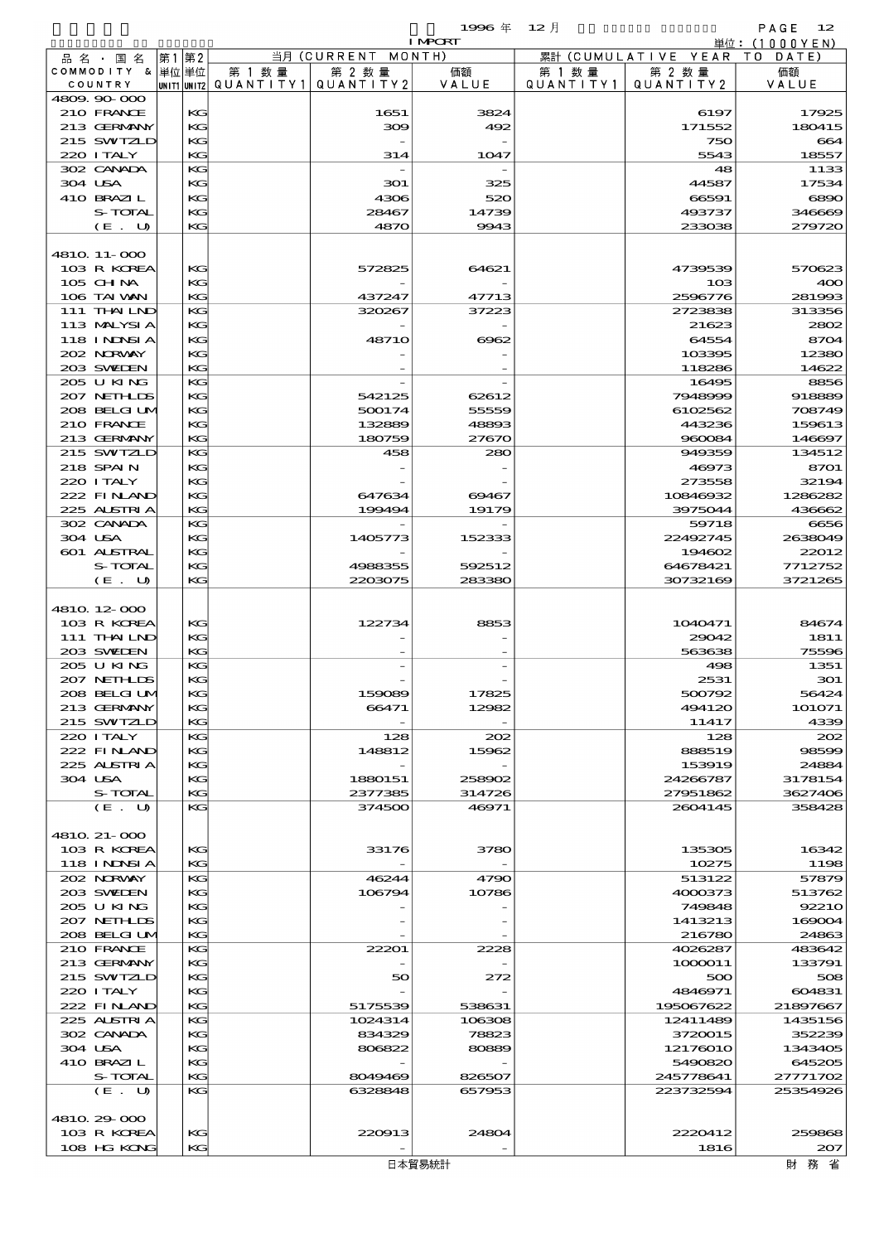$1996 \text{ } \# \quad 12 \text{ } \frac{1}{2}$  INPORT

|                   |       |                                       |                    | I MPORT       |           |                              | 単位: (1000 Y E N) |
|-------------------|-------|---------------------------------------|--------------------|---------------|-----------|------------------------------|------------------|
| 品 名 ・ 国 名         | 第1 第2 |                                       | 当月 (CURRENT MONTH) |               |           | 累計 (CUMULATIVE YEAR TO DATE) |                  |
| COMMODITY & 単位単位  |       | 第 1 数量                                | 第 2 数量             | 価額            | 第 1 数 量   | 第 2 数量                       | 価額               |
| COUNTRY           |       | UNIT1 UNIT2  QUANT   TY1  QUANT   TY2 |                    | VALUE         | QUANTITY1 | QUANTITY 2                   | VALUE            |
|                   |       |                                       |                    |               |           |                              |                  |
| 4809.90.000       |       |                                       |                    |               |           |                              |                  |
| 210 FRANCE        | KG    |                                       | 1651               | 3824          |           | 6197                         | 17925            |
| 213 GERMANY       | KG    |                                       | 309                | 492           |           | 171552                       | 180415           |
|                   |       |                                       |                    |               |           |                              |                  |
| 215 SWIZLD        | KG    |                                       |                    |               |           | 750                          | 664              |
| 220 I TALY        | KG    |                                       | 314                | 1047          |           | 5543                         | 18557            |
| 302 CANADA        | KG    |                                       |                    |               |           |                              | 1133             |
|                   |       |                                       |                    |               |           | 48                           |                  |
| 304 USA           | KG    |                                       | 301                | 325           |           | 44587                        | 17534            |
| 410 BRAZIL        | KG    |                                       | 4306               | 520           |           | 66591                        | 6890             |
|                   |       |                                       |                    |               |           |                              |                  |
| S-TOTAL           | KG    |                                       | 28467              | 14739         |           | 493737                       | 346669           |
| (E. U)            | KG    |                                       | 4870               | 9943          |           | 233038                       | 279720           |
|                   |       |                                       |                    |               |           |                              |                  |
|                   |       |                                       |                    |               |           |                              |                  |
| 4810 11-000       |       |                                       |                    |               |           |                              |                  |
| 103 R KOREA       | KG    |                                       |                    | 64621         |           | 4739539                      | 570623           |
|                   |       |                                       | 572825             |               |           |                              |                  |
| $105$ CHNA        | KG    |                                       |                    |               |           | 10 <sub>3</sub>              | 400              |
| 106 TAI VAN       | KG    |                                       | 437247             | 47713         |           | 2596776                      | 281993           |
|                   |       |                                       |                    |               |           |                              |                  |
| 111 THAILND       | КG    |                                       | 320267             | 37223         |           | 2723838                      | 313356           |
| 113 MALYSIA       | KG    |                                       |                    |               |           | 21623                        | 2802             |
|                   |       |                                       |                    |               |           |                              |                  |
| 118 INNSI A       | KG    |                                       | <b>48710</b>       | $\,\rm{6062}$ |           | 64554                        | 8704             |
| 202 NRWAY         | KG    |                                       |                    |               |           | 103395                       | 12380            |
| 203 SWIEN         | KG    |                                       |                    |               |           |                              | 14622            |
|                   |       |                                       |                    |               |           | 118286                       |                  |
| 205 U KING        | KG    |                                       |                    |               |           | 16495                        | 8856             |
| 207 NETHLIS       | KG    |                                       | 542125             | 62612         |           | 7948999                      | 918889           |
|                   |       |                                       |                    |               |           |                              |                  |
| 208 BELGI UM      | KG    |                                       | 500174             | 55559         |           | 6102562                      | 708749           |
| 210 FRANCE        | KG    |                                       | 132889             | 48893         |           | 443236                       | 159613           |
|                   |       |                                       |                    |               |           |                              |                  |
| 213 GERMANY       | KG    |                                       | 180759             | 27670         |           | 960084                       | 146697           |
| 215 SWIZLD        | KG    |                                       | 458                | 280           |           | 949359                       | 134512           |
| 218 SPAIN         | KG    |                                       |                    |               |           |                              | 8701             |
|                   |       |                                       |                    |               |           | 46973                        |                  |
| 220 I TALY        | KG    |                                       |                    |               |           | 273558                       | 32194            |
| 222 FINAND        | KG    |                                       | 647634             | 69467         |           | 10846932                     | 1286282          |
|                   |       |                                       |                    |               |           |                              |                  |
| 225 ALSTRIA       | KG    |                                       | 199494             | 19179         |           | 3975044                      | 436662           |
| 302 CANADA        | KG    |                                       |                    |               |           | 59718                        | 6656             |
|                   |       |                                       |                    |               |           |                              |                  |
| 304 USA           | KG    |                                       | 1405773            | 152333        |           | 22492745                     | 2638049          |
| 601 ALSTRAL       | KG    |                                       |                    |               |           | 194602                       | 22012            |
|                   |       |                                       |                    |               |           |                              |                  |
| S-TOTAL           | KG    |                                       | 4988355            | 592512        |           | 64678421                     | 7712752          |
| (E. U)            | KG    |                                       | 2203075            | 283380        |           | 30732169                     | 3721265          |
|                   |       |                                       |                    |               |           |                              |                  |
|                   |       |                                       |                    |               |           |                              |                  |
| 4810 12 000       |       |                                       |                    |               |           |                              |                  |
| 103 R KOREA       | KG    |                                       | 122734             | 8853          |           | 1040471                      | 84674            |
|                   |       |                                       |                    |               |           |                              |                  |
| 111 THAILND       | KG    |                                       |                    |               |           | 29042                        | 1811             |
| 203 SWIDEN        | KG    |                                       |                    |               |           | 563638                       | 75596            |
|                   |       |                                       |                    |               |           |                              |                  |
| 205 U KING        | KС    |                                       |                    |               |           | 498                          | 1351             |
| 207 NETHLIS       | KG    |                                       |                    |               |           | 2531                         | 301              |
| 208 BELGI UM      | KG    |                                       | 159089             | 17825         |           | 500792                       | 56424            |
|                   |       |                                       |                    |               |           |                              |                  |
| 213 GERMANY       | KG    |                                       | 66471              | 12982         |           | 494120                       | 101071           |
| 215 SWIZLD        | KС    |                                       |                    |               |           | 11417                        | 4339             |
|                   |       |                                       |                    |               |           |                              |                  |
| 220 I TALY        | KG    |                                       | 128                | 202           |           | 128                          | 202              |
| 222 FINAND        | KG    |                                       | 148812             | 15962         |           | 888519                       | 98599            |
| 225 ALSTRIA       | KG    |                                       |                    |               |           | 153919                       | 24884            |
|                   |       |                                       |                    |               |           |                              |                  |
| 304 USA           | KG    |                                       | 1880151            | 258902        |           | 24266787                     | 3178154          |
| S-TOTAL           | KG    |                                       | 2377385            | 314726        |           | 27951862                     | 3627406          |
|                   |       |                                       |                    |               |           |                              |                  |
| $(E_U U)$         | KG    |                                       | 374500             | 46971         |           | 2604145                      | 358428           |
|                   |       |                                       |                    |               |           |                              |                  |
| 4810 21-000       |       |                                       |                    |               |           |                              |                  |
|                   |       |                                       |                    |               |           |                              |                  |
| 103 R KOREA       | KG    |                                       | 33176              | 3780          |           | 135305                       | 16342            |
| <b>118 INNSIA</b> | КG    |                                       |                    |               |           | 10275                        | 1198             |
| 202 N.R.WAY       | KG    |                                       |                    |               |           | 513122                       |                  |
|                   |       |                                       | 46244              | 4790          |           |                              | 57879            |
| 203 SWIDEN        | KG    |                                       | 106794             | 10786         |           | 4000373                      | 513762           |
| 205 U KING        | KG    |                                       |                    |               |           | 749848                       | 92210            |
|                   |       |                                       |                    |               |           |                              |                  |
| 207 NETHLIS       | KG    |                                       |                    |               |           | 1413213                      | 169004           |
| 208 BELGI UM      | КG    |                                       |                    |               |           | 216780                       | 24863            |
| 210 FRANCE        | KG    |                                       | 22201              |               |           |                              |                  |
|                   |       |                                       |                    | 2228          |           | 4026287                      | 483642           |
| 213 GERMANY       | KG    |                                       |                    |               |           | 1000011                      | 133791           |
| 215 SWTZLD        | КG    |                                       | 50                 | 272           |           | 500                          | 508              |
|                   |       |                                       |                    |               |           |                              |                  |
| 220 I TALY        | KG    |                                       |                    |               |           | 4846971                      | 604831           |
| 222 FINAND        | KG    |                                       | 5175539            | 538631        |           | 195067622                    | 21897667         |
|                   |       |                                       |                    |               |           |                              |                  |
| 225 ALSTRIA       | КG    |                                       | 1024314            | 106308        |           | 12411489                     | 1435156          |
| 302 CANADA        | KG    |                                       | 834329             | 78823         |           | 3720015                      | 352239           |
| 304 USA           | КG    |                                       | 806822             | 80889         |           | 12176010                     | 1343405          |
|                   |       |                                       |                    |               |           |                              |                  |
| 410 BRAZIL        | KG    |                                       |                    |               |           | 5490820                      | 645205           |
| S-TOTAL           | КG    |                                       | 8049469            | 826507        |           | 245778641                    | 27771702         |
| (E. U)            | KG    |                                       | 6328848            | 657953        |           | 223732594                    | 25354926         |
|                   |       |                                       |                    |               |           |                              |                  |
|                   |       |                                       |                    |               |           |                              |                  |
| 4810 29 000       |       |                                       |                    |               |           |                              |                  |
|                   |       |                                       |                    |               |           |                              |                  |
| 103 R KOREA       | KG    |                                       | 220913             | 24804         |           | 2220412                      | 259868           |
| 108 HG KONG       | KG    |                                       |                    |               |           | 1816                         | 207              |
|                   |       |                                       |                    |               |           |                              |                  |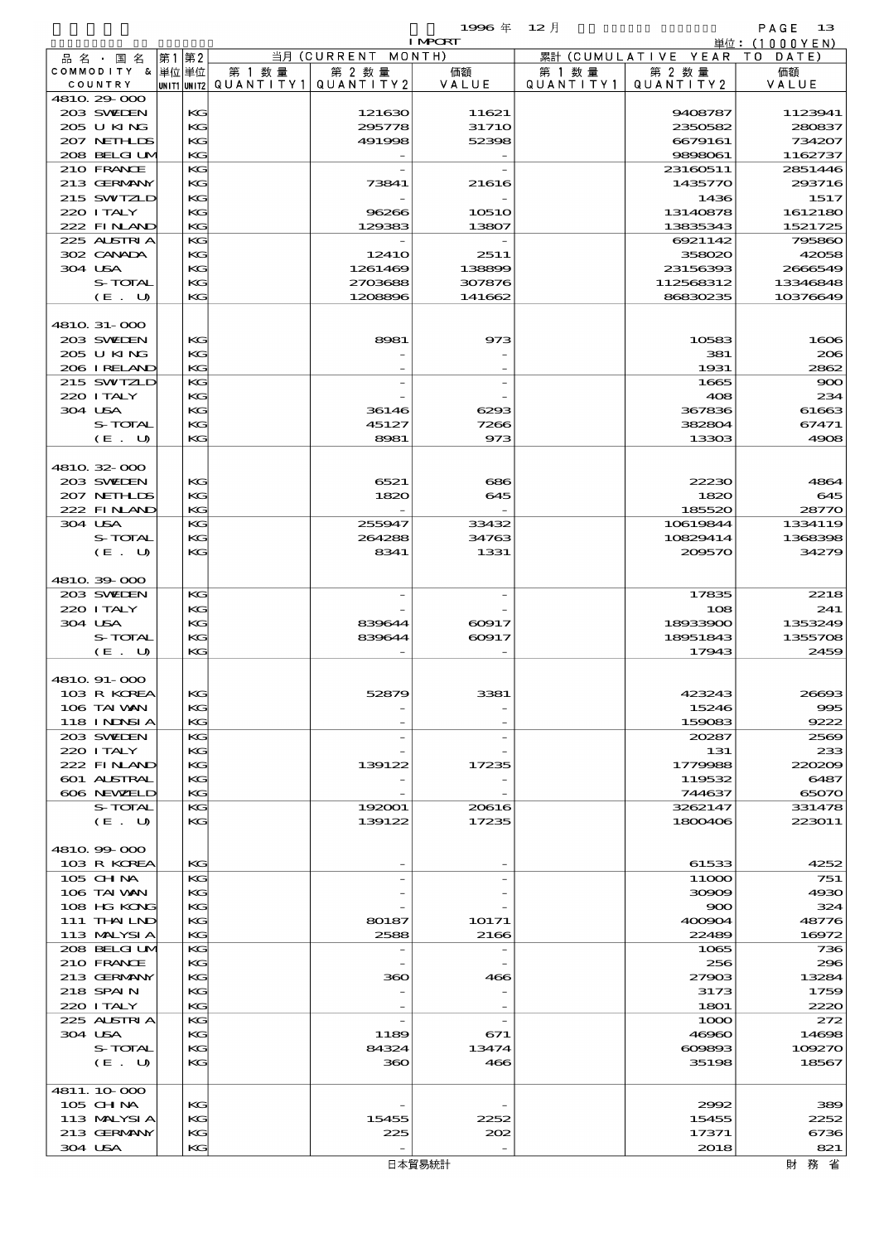|                            |       |          |                                             |                    | 1996年            | $12$ 月  |                              | PAGE<br>- 13         |
|----------------------------|-------|----------|---------------------------------------------|--------------------|------------------|---------|------------------------------|----------------------|
|                            |       |          |                                             |                    | <b>I MPORT</b>   |         |                              | 単位:(1000YEN)         |
| 品名・国名                      | 第1 第2 |          |                                             | 当月 (CURRENT MONTH) |                  |         | 累計 (CUMULATIVE YEAR TO DATE) |                      |
| COMMODITY & 単位単位           |       |          | 第 1 数量<br>UNIT1 UNIT2 QUANTITY 1 QUANTITY 2 | 第 2 数量             | 価額               | 第 1 数 量 | 第 2 数量                       | 価額                   |
| COUNTRY<br>4810.29-000     |       |          |                                             |                    | VALUE            |         | QUANTITY1   QUANTITY2        | VALUE                |
| 203 SWIDEN                 |       | KG       |                                             | 121630             | 11621            |         | 9408787                      | 1123941              |
| 205 U KING                 |       | KG       |                                             | 295778             | 3171O            |         | 2350582                      | 280837               |
| 207 NETHLIS                |       | KG       |                                             | 491998             | 52398            |         | 6679161                      | 734207               |
| 208 BELGI UM               |       | KG       |                                             |                    |                  |         | 9898061                      | 1162737              |
| 210 FRANCE                 |       | KG       |                                             |                    |                  |         | 23160511                     | 2851446<br>293716    |
| 213 GERMANY<br>215 SWIZLD  |       | KG<br>KG |                                             | 73841              | 21616            |         | 1435770<br>1436              | 1517                 |
| 220 I TALY                 |       | KG       |                                             | 96266              | 10510            |         | 13140878                     | 1612180              |
| 222 FINAND                 |       | KG       |                                             | 129383             | 13807            |         | 13835343                     | 1521725              |
| 225 ALSTRIA                |       | KG       |                                             |                    |                  |         | 6921142                      | 795860               |
| 302 CANADA                 |       | KG       |                                             | 1241O              | 2511             |         | 358020                       | 42058                |
| 304 USA                    |       | KG       |                                             | 1261469            | 138899           |         | 23156393                     | 2666549              |
| S-TOTAL<br>$(E_U U)$       |       | KG<br>KG |                                             | 2703688<br>1208896 | 307876<br>141662 |         | 112568312<br>86830235        | 13346848<br>10376649 |
|                            |       |          |                                             |                    |                  |         |                              |                      |
| 4810 31-000                |       |          |                                             |                    |                  |         |                              |                      |
| 203 SWIDEN                 |       | KG       |                                             | 8981               | 973              |         | 10583                        | 1600                 |
| 205 U KING                 |       | KG       |                                             |                    |                  |         | 381                          | 200                  |
| 206 I RELAND               |       | KG       |                                             |                    |                  |         | 1931                         | 2862                 |
| 215 SWIZLD<br>220 I TALY   |       | KG<br>KG |                                             |                    |                  |         | 1665<br>408                  | $\infty$<br>234      |
| 304 USA                    |       | KG       |                                             | 36146              | 6293             |         | 367836                       | 61663                |
| S-TOTAL                    |       | KG       |                                             | 45127              | 7266             |         | 382804                       | 67471                |
| (E. U)                     |       | KG       |                                             | 8981               | 973              |         | 13303                        | 4906                 |
|                            |       |          |                                             |                    |                  |         |                              |                      |
| 4810.32-000                |       |          |                                             |                    |                  |         |                              |                      |
| 203 SWIDEN                 |       | KG       |                                             | 6521               | 686              |         | 22230                        | 4864                 |
| 207 NEIHLIS<br>222 FINAND  |       | KG<br>KG |                                             | 1820               | 645              |         | 1820<br>185520               | 645<br>2877C         |
| 304 USA                    |       | KG       |                                             | 255947             | 33432            |         | 10619844                     | 1334119              |
| S-TOTAL                    |       | KG       |                                             | 264288             | 34763            |         | 10829414                     | 1368396              |
| (E. U)                     |       | KG       |                                             | 8341               | 1331             |         | 209570                       | 34279                |
|                            |       |          |                                             |                    |                  |         |                              |                      |
| 4810.39-000                |       |          |                                             |                    |                  |         |                              |                      |
| 203 SWIDEN<br>220 I TALY   |       | KG<br>KG |                                             |                    |                  |         | 17835<br>108                 | 2218<br>241          |
| 304 USA                    |       | KG       |                                             | 839644             | 60917            |         | 18933900                     | 1353249              |
| S-TOTAL                    |       | KG       |                                             | 839644             | 60917            |         | 18951843                     | 1355706              |
| (E. U)                     |       | KG       |                                             |                    |                  |         | 17943                        | 2459                 |
|                            |       |          |                                             |                    |                  |         |                              |                      |
| 4810. 91-000               |       |          |                                             |                    |                  |         |                              |                      |
| 103 R KOREA<br>106 TAI VAN |       | KC<br>KC |                                             | 52879              | 3381             |         | 423243<br>15246              | 26693<br>$\infty$    |
| <b>118 INNSIA</b>          |       | KG       |                                             |                    |                  |         | 159083                       | 9222                 |
| 203 SWIDEN                 |       | KG       |                                             |                    |                  |         | 20287                        | 2565                 |
| 220 I TALY                 |       | KG       |                                             |                    |                  |         | 131                          | 233                  |
| 222 FINLAND                |       | KG       |                                             | 139122             | 17235            |         | 1779988                      | <b>22020</b>         |
| 601 ALSTRAL<br>606 NEWELD  |       | KG       |                                             |                    |                  |         | 119532                       | 6487                 |
| S-TOTAL                    |       | КG<br>KG |                                             | 192001             | 20616            |         | 744637<br>3262147            | 65070<br>331478      |
| (E,U)                      |       | KC       |                                             | 139122             | 17235            |         | 1800406                      | 223011               |
|                            |       |          |                                             |                    |                  |         |                              |                      |
| 4810.99-000                |       |          |                                             |                    |                  |         |                              |                      |
| 103 R KOREA                |       | KG       |                                             |                    |                  |         | 61533                        | 4252                 |
| $105$ CHNA                 |       | КG       |                                             |                    |                  |         | 11000                        | 751                  |
| 106 TAI VAN<br>108 HG KONG |       | KG<br>KG |                                             |                    |                  |         | 30909<br>900                 | 4930<br>324          |
| 111 THAILND                |       | KG       |                                             | 80187              | 10171            |         | 400904                       | 48776                |
| 113 MALYSIA                |       | КG       |                                             | 2588               | 2166             |         | 22489                        | 16972                |
| 208 BELGI UM               |       | KG       |                                             |                    |                  |         | 1065                         | 736                  |
| 210 FRANCE                 |       | KG       |                                             |                    |                  |         | 256                          | 296                  |
| 213 GERMANY                |       | KG       |                                             | 360                | 466              |         | 27903                        | 13284                |
| 218 SPAIN<br>220 I TALY    |       | KG<br>KG |                                             |                    |                  |         | 3173<br>1801                 | 1756<br>2220         |
| 225 ALSTRIA                |       | КG       |                                             |                    |                  |         | 1000                         | 272                  |
| 304 USA                    |       | KG       |                                             | 1189               | 671              |         | 46960                        | 14696                |
| <b>S-TOTAL</b>             |       | KG       |                                             | 84324              | 13474            |         | 609893                       | 109270               |
| (E. U)                     |       | KC       |                                             | 360                | 466              |         | 35198                        | 18567                |

 105 CHINA KG - - 2992 389 105 CHM KG 15455 2252<br>113 MALYSIA KG 15455 2252<br>213 GERMANY KG 225 2252 2262 17371 6736 213 GERMANY KG 225  $203$   $202$   $17371$  304 USA KG - - 2018 821財務省

4811.10 $000$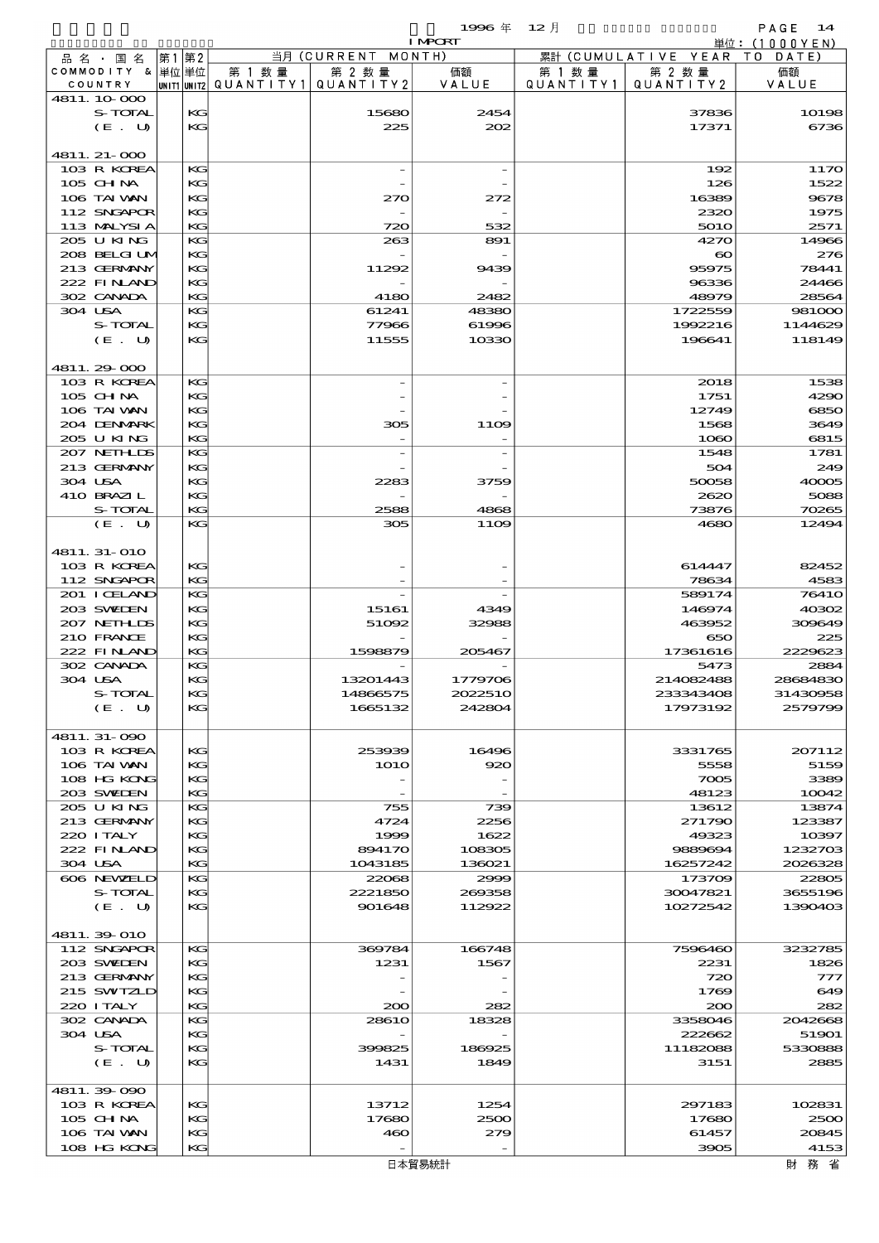$1996 \nexists$   $12 \nexists$ 

|                            |               |                                       | 単位:(1000YEN)        |                    |           |                              |                      |
|----------------------------|---------------|---------------------------------------|---------------------|--------------------|-----------|------------------------------|----------------------|
| 品 名 ・ 国 名                  | 第2<br> 第1     |                                       | 当月 (CURRENT MONTH)  |                    |           | 累計 (CUMULATIVE YEAR TO DATE) |                      |
| COMMODITY & 単位単位           |               | 第 1 数量                                | 第 2 数量              | 価額                 | 第 1 数 量   | 第 2 数量                       | 価額                   |
| COUNTRY                    |               | unit1 unit2  QUANT   TY1  QUANT   TY2 |                     | VALUE              | QUANTITY1 | QUANTITY 2                   | VALUE                |
| 4811.10.000<br>S-TOTAL     | KG            |                                       | 15680               | 2454               |           | 37836                        | 10198                |
| (E. U)                     | KG            |                                       | 225                 | 202                |           | 17371                        | 6736                 |
|                            |               |                                       |                     |                    |           |                              |                      |
| 4811. 21-000               |               |                                       |                     |                    |           |                              |                      |
| 103 R KOREA                | KG            |                                       |                     |                    |           | 192                          | 1170                 |
| 105 CH NA                  | KG            |                                       |                     |                    |           | 126                          | 1522                 |
| 106 TAI VAN                | KG            |                                       | 270                 | 272                |           | 16389                        | 9678                 |
| 112 SNGAPOR                | KG<br>KG.     |                                       |                     |                    |           | 2320                         | 1975                 |
| 113 MALYSIA<br>205 U KING  | KG            |                                       | 720<br>263          | 532<br>891         |           | <b>5010</b><br>4270          | 2571<br>14966        |
| 208 BELGI UM               | KG            |                                       |                     |                    |           | $\boldsymbol{\infty}$        | 276                  |
| 213 GERMANY                | KG            |                                       | 11292               | 9439               |           | 95975                        | 78441                |
| 222 FINAND                 | KG            |                                       |                     |                    |           | 96336                        | 24466                |
| 302 CANADA                 | KG.           |                                       | 4180                | 2482               |           | 48979                        | 28564                |
| 304 USA                    | KG            |                                       | 61241               | 48380              |           | 1722559                      | 981000               |
| S-TOTAL                    | КG            |                                       | 77966               | 61996              |           | 1992216                      | 1144629              |
| (E. U)                     | KG            |                                       | 11555               | 10330              |           | 196641                       | 118149               |
| 4811.29-000                |               |                                       |                     |                    |           |                              |                      |
| 103 R KOREA                | KG            |                                       |                     |                    |           | 2018                         | 1538                 |
| 105 CH NA                  | KG            |                                       |                     |                    |           | 1751                         | 4290                 |
| 106 TAI VAN                | KG            |                                       |                     |                    |           | 12749                        | 6850                 |
| 204 DENMARK                | KG            |                                       | 305                 | 11O <sub>2</sub>   |           | 1568                         | 3649                 |
| 205 U KING                 | KG.           |                                       |                     |                    |           | 1080                         | 6815                 |
| 207 NETHLIS<br>213 GERMANY | KG<br>$K$ $G$ |                                       |                     |                    |           | 1548                         | 1781<br>249          |
| 304 USA                    | KG            |                                       | 2283                | 3759               |           | 504<br>50058                 | 40005                |
| 410 BRAZIL                 | KG            |                                       |                     |                    |           | 2620                         | 5088                 |
| S-TOTAL                    | KG.           |                                       | 2588                | 4868               |           | 73876                        | 70265                |
| (E. U)                     | KG            |                                       | 305                 | 1109               |           | 4680                         | 12494                |
|                            |               |                                       |                     |                    |           |                              |                      |
| 4811. 31-010               |               |                                       |                     |                    |           |                              |                      |
| 103 R KOREA<br>112 SNGAPOR | KG<br>KG.     |                                       |                     |                    |           | 614447<br>78634              | 82452<br>4583        |
| 201 I CELAND               | KG            |                                       |                     |                    |           | 589174                       | <b>76410</b>         |
| 203 SVELEN                 | $K$ $G$       |                                       | 15161               | 4349               |           | 146974                       | 40302                |
| 207 NETHLIS                | KG            |                                       | 51092               | 32988              |           | 463952                       | 309649               |
| 210 FRANCE                 | KG            |                                       |                     |                    |           | 650                          | 225                  |
| 222 FINAND                 | KG            |                                       | 1598879             | 205467             |           | 17361616                     | 2229623              |
| 302 CANADA                 | KG            |                                       |                     |                    |           | 5473                         | 2884                 |
| 304 USA<br>S-TOTAL         | KG<br>KG      |                                       | 13201443            | 1779706<br>2022510 |           | 214082488<br>233343408       | 28684830<br>31430958 |
| (E. U)                     | КG            |                                       | 14866575<br>1665132 | 242804             |           | 17973192                     | 2579799              |
|                            |               |                                       |                     |                    |           |                              |                      |
| 4811.31-090                |               |                                       |                     |                    |           |                              |                      |
| 103 R KOREA                | KG            |                                       | 253939              | 16496              |           | 3331765                      | 207112               |
| 106 TAI VAN                | KG            |                                       | <b>1O1O</b>         | 920                |           | 5558                         | 5159                 |
| 108 HG KONG                | KG            |                                       |                     |                    |           | 7005                         | 3389                 |
| 203 SWIEN                  | KG<br>KG      |                                       |                     |                    |           | 48123                        | 10042<br>13874       |
| 205 U KING<br>213 GERMANY  | KG            |                                       | 755<br>4724         | 739<br>2256        |           | 13612<br>271790              | 123387               |
| 220 I TALY                 | KG            |                                       | 1999                | 1622               |           | 49323                        | 10397                |
| 222 FINLAND                | KG            |                                       | 894170              | 108305             |           | 9889694                      | 1232703              |
| 304 USA                    | KG            |                                       | 1043185             | 136021             |           | 16257242                     | 2026328              |
| 606 NEWELD                 | KG            |                                       | 22068               | 2999               |           | 173709                       | 22805                |
| S-TOTAL                    | KG            |                                       | 2221850             | 269358             |           | 30047821                     | 3655196              |
| (E. U)                     | KG            |                                       | 901648              | 112922             |           | 10272542                     | 1390403              |
| 4811.39-010                |               |                                       |                     |                    |           |                              |                      |
| 112 SNGAPOR                | KG            |                                       | 369784              | 166748             |           | 7596460                      | 3232785              |
| 203 SWIDEN                 | KG            |                                       | 1231                | 1567               |           | 2231                         | 1826                 |
| 213 GERMANY                | KG            |                                       |                     |                    |           | 720                          | 777                  |
| 215 SWIZLD                 | КG            |                                       |                     |                    |           | 1769                         | 649                  |
| 220 I TALY                 | KG            |                                       | 200                 | 282                |           | 200                          | 282                  |
| 302 CANADA                 | KG            |                                       | 2861O               | 18328              |           | 3358046                      | 2042668              |
| 304 USA<br>S-TOTAL         | KG<br>KG      |                                       | 399825              | 186925             |           | 222662<br>11182088           | 51901<br>5330888     |
| (E. U)                     | KG            |                                       | 1431                | 1849               |           | 3151                         | 2885                 |
|                            |               |                                       |                     |                    |           |                              |                      |
| 4811.39-090                |               |                                       |                     |                    |           |                              |                      |
| 103 R KOREA                | КG            |                                       | 13712               | 1254               |           | 297183                       | 102831               |
| 105 CH NA                  | KG            |                                       | 17680               | 2500               |           | 17680                        | 2500                 |
| 106 TAI VAN                | KG            |                                       | 460                 | 279                |           | 61457                        | 20845                |

財務省

108 HG KONG KG - - - - - 3905 4153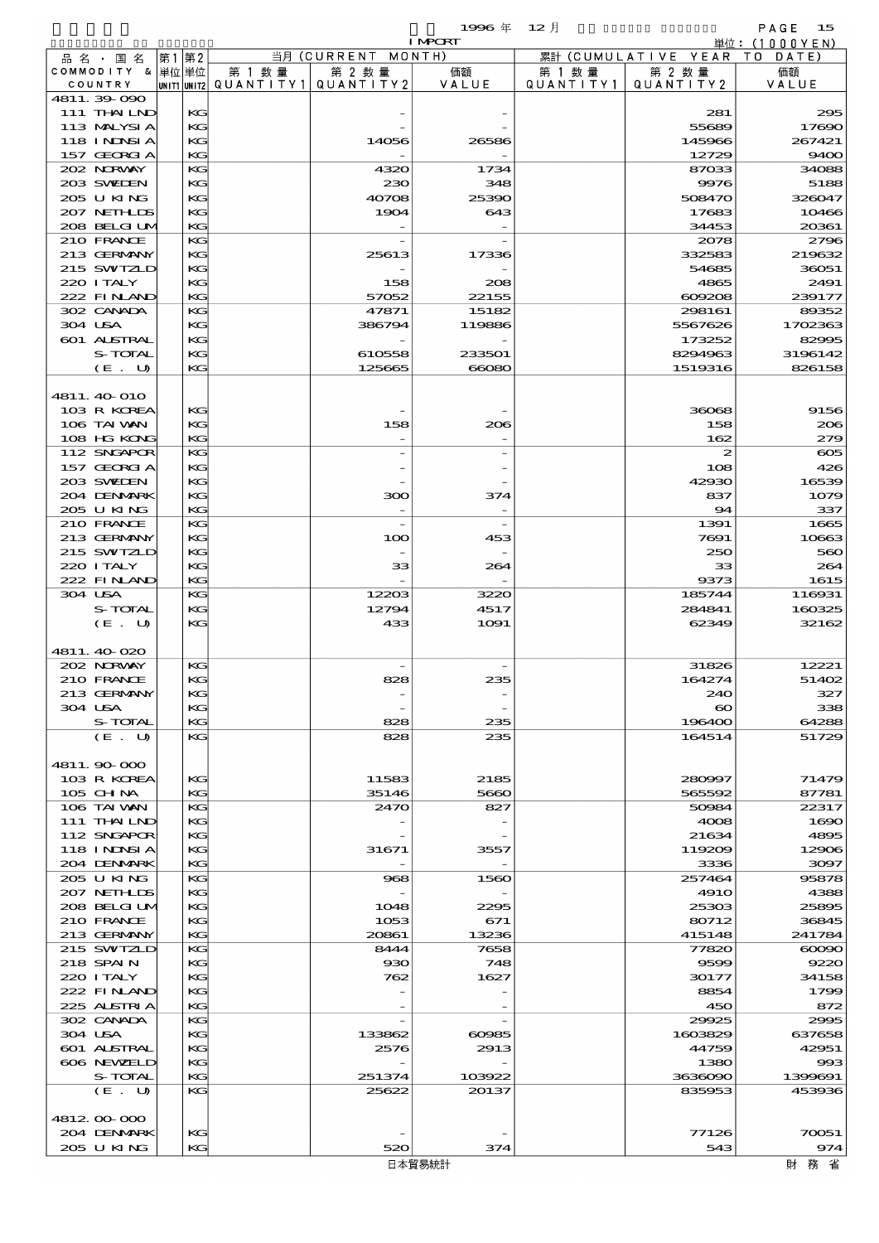|                             |          |                                      |                      | 1996 $#$       | $12$ 月               |                      | PAGE<br>15     |
|-----------------------------|----------|--------------------------------------|----------------------|----------------|----------------------|----------------------|----------------|
|                             |          |                                      |                      | <b>I MPORT</b> |                      |                      | 単位:(1000YEN)   |
| 品名・国名                       | 第1 第2    |                                      | 当月 (CURRENT MONTH)   |                |                      | 累計 (CUMULATIVE YEAR) | T O<br>DATE    |
| COMMODITY & 単位単位<br>COUNTRY |          | 第 1 数 量<br> unit1 unit2  Q∪ANT   TY1 | 第 2 数量<br>QUANTITY 2 | 価額<br>VALUE    | 第 1 数 量<br>QUANTITY1 | 第 2 数量<br>QUANTITY2  | 価額<br>VALUE    |
| 4811.39-090                 |          |                                      |                      |                |                      |                      |                |
| 111 THAILND                 | KG       |                                      |                      |                |                      | 281                  | 295            |
| 113 MALYSIA                 | KG       |                                      |                      |                |                      | 55689                | 17690          |
| 118 INNSI A                 | KG       |                                      | 14056                | 26586          |                      | 145966               | 267421         |
| 157 GEORGIA                 | KG       |                                      |                      |                |                      | 12729                | 9400           |
| 202 NRWAY                   | $K$ $G$  |                                      | 4320                 | 1734           |                      | 87033                | 34088          |
| 203 SWIEN                   | KG       |                                      | 230                  | 348            |                      | 9976                 | 5188           |
| 205 U KING                  | KG       |                                      | 40708                | 25390          |                      | 508470               | 326047         |
| 207 NETH DS                 | KG       |                                      | 1904                 | 643            |                      | 17683                | 10466          |
| 208 BELGI UM                | KG       |                                      |                      |                |                      | 34453                | 20361          |
| 210 FRANCE<br>213 GERMANY   | KG<br>KG |                                      | 25613                | 17336          |                      | 2078<br>332583       | 2796<br>219632 |
| 215 SWIZLD                  | KG       |                                      |                      |                |                      | 54685                | 36051          |
| 220 I TALY                  | KG       |                                      | 158                  | 208            |                      | 4865                 | 2491           |
| 222 FINAND                  | KG       |                                      | 57052                | 22155          |                      | 609208               | 239177         |
| 302 CANADA                  | $K$ $G$  |                                      | 47871                | 15182          |                      | 298161               | 89352          |
| 304 USA                     | KG       |                                      | 386794               | 119886         |                      | 5567626              | 1702363        |
| 601 ALSTRAL                 | KG       |                                      |                      |                |                      | 173252               | 82995          |
| S-TOTAL                     | KG       |                                      | 610558               | 233501         |                      | 8294963              | 3196142        |
| (E. U)                      | KG       |                                      | 125665               | 66080          |                      | 1519316              | 826158         |
|                             |          |                                      |                      |                |                      |                      |                |
| 4811. 40 O10                |          |                                      |                      |                |                      |                      |                |
| 103 R KOREA                 | KG       |                                      |                      |                |                      | 36068                | 9156           |
| 106 TAI VAN                 | KG       |                                      | 158                  | 206            |                      | 158                  | 206            |
| 108 HG KONG                 | KG       |                                      |                      |                |                      | 162                  | 279            |
| 112 SNGAPOR                 | KG       |                                      |                      |                |                      | $\boldsymbol{z}$     | $\infty$       |
| 157 GEORGIA                 | KG       |                                      |                      |                |                      | 108                  | 426            |
| 203 SWIEN                   | KG       |                                      |                      |                |                      | 42930                | 16539          |
| 204 DENMARK<br>205 U KING   | KG<br>KG |                                      | 300                  | 374            |                      | 837<br>94            | 1079<br>337    |
| 210 FRANCE                  | $K$ $G$  |                                      |                      |                |                      | 1391                 | 1665           |
| 213 GERMANY                 | KG       |                                      | 100                  | 453            |                      | 7691                 | 10663          |
| 215 SWIZLD                  | KG       |                                      |                      |                |                      | 250                  | 560            |
| 220 I TALY                  | KG       |                                      | 33                   | 264            |                      | 33                   | 264            |
| 222 FINAND                  | KG       |                                      |                      |                |                      | 9373                 | 1615           |
| 304 USA                     | $K$ $G$  |                                      | 12203                | 3220           |                      | 185744               | 116931         |
| S-TOTAL                     | KG       |                                      | 12794                | 4517           |                      | 284841               | 160325         |
| (E. U)                      | KG       |                                      | 433                  | 1091           |                      | 62349                | 32162          |
|                             |          |                                      |                      |                |                      |                      |                |
| 4811.40 020                 |          |                                      |                      |                |                      |                      |                |
| 202 NORWAY                  | KG       |                                      |                      |                |                      | 31826                | 12221          |
| 210 FRANCE                  | KG       |                                      |                      | 235            |                      | 164274               | 51402          |
| 213 GERMANY                 | КG       |                                      |                      |                |                      | 240                  | 327            |
| 304 USA                     | KG       |                                      |                      |                |                      | $\infty$             | 338            |
| S-TOTAL                     | KG<br>KG |                                      | 828<br>828           | 235<br>235     |                      | 196400<br>164514     | 64288<br>51729 |
| (E. U)                      |          |                                      |                      |                |                      |                      |                |
| 4811.90 000                 |          |                                      |                      |                |                      |                      |                |
| 103 R KOREA                 | KG       |                                      | 11583                | 2185           |                      | 280997               | 71479          |
| 105 CHNA                    | KG       |                                      | 35146                | 5660           |                      | 565592               | 87781          |
| 106 TAI VAN                 | KG       |                                      | 2470                 | 827            |                      | 50984                | 22317          |
| 111 THAILND                 | KG       |                                      |                      |                |                      | 4008                 | 1690           |
| 112 SNGAPOR                 | KG       |                                      |                      |                |                      | 21634                | 4895           |
| 118 INNSI A                 | KG       |                                      | 31671                | 3557           |                      | 119209               | 12906          |
| 204 DENMARK                 | KG       |                                      |                      |                |                      | 3336                 | 3097           |
| 205 U KING                  | KG       |                                      | 968                  | 1560           |                      | 257464               | 95878          |
| 207 NETHLIS                 | KG       |                                      |                      |                |                      | <b>4910</b>          | 4388           |
| 208 BELGI UM                | KG       |                                      | 1048                 | 2295           |                      | 25303                | 25895          |
| 210 FRANCE                  | KG       |                                      | 1053                 | 671            |                      | 80712                | 36845          |
| 213 GERMANY                 | KG       |                                      | 20861                | 13236          |                      | 415148               | 241784         |
| 215 SWIZLD                  | KG<br>KG |                                      | 8444                 | 7658           |                      | 77820                | $\infty$       |
| 218 SPAIN<br>220 I TALY     | KG       |                                      | $_{\rm 930}$<br>762  | 748<br>1627    |                      | 9599<br>30177        | 9220<br>34158  |
| 222 FINAND                  | KG       |                                      |                      |                |                      | 8854                 | 1799           |
| 225 ALSTRIA                 | KG       |                                      |                      |                |                      | 450                  | 872            |
| 302 CANADA                  | KG       |                                      |                      |                |                      | 29925                | 2995           |
| 304 USA                     | KG       |                                      | 133862               | 60985          |                      | 1603829              | 637658         |
| 601 ALSTRAL                 | KG       |                                      | 2576                 | 2913           |                      | 44759                | 42951          |
| 606 NEWELD                  | KG       |                                      |                      |                |                      | 1380                 | 993            |
| S-TOTAL                     | KG       |                                      | 251374               | 103922         |                      | 3636090              | 1399691        |
| (E. U)                      | KG       |                                      | 25622                | 20137          |                      | 835953               | 453936         |
|                             |          |                                      |                      |                |                      |                      |                |
| 4812 00 000                 |          |                                      |                      |                |                      |                      |                |

204 DENMARK KG -  $\begin{vmatrix} 1 & 0 & 0 \\ 0 & 0 & 0 \\ 0 & 0 & 0 \end{vmatrix}$  -  $\begin{vmatrix} 1 & 0 & 0 \\ 0 & 0 & 0 \\ 0 & 0 & 0 \end{vmatrix}$  77126 70051 205 U KING KG 520 374 543 543 974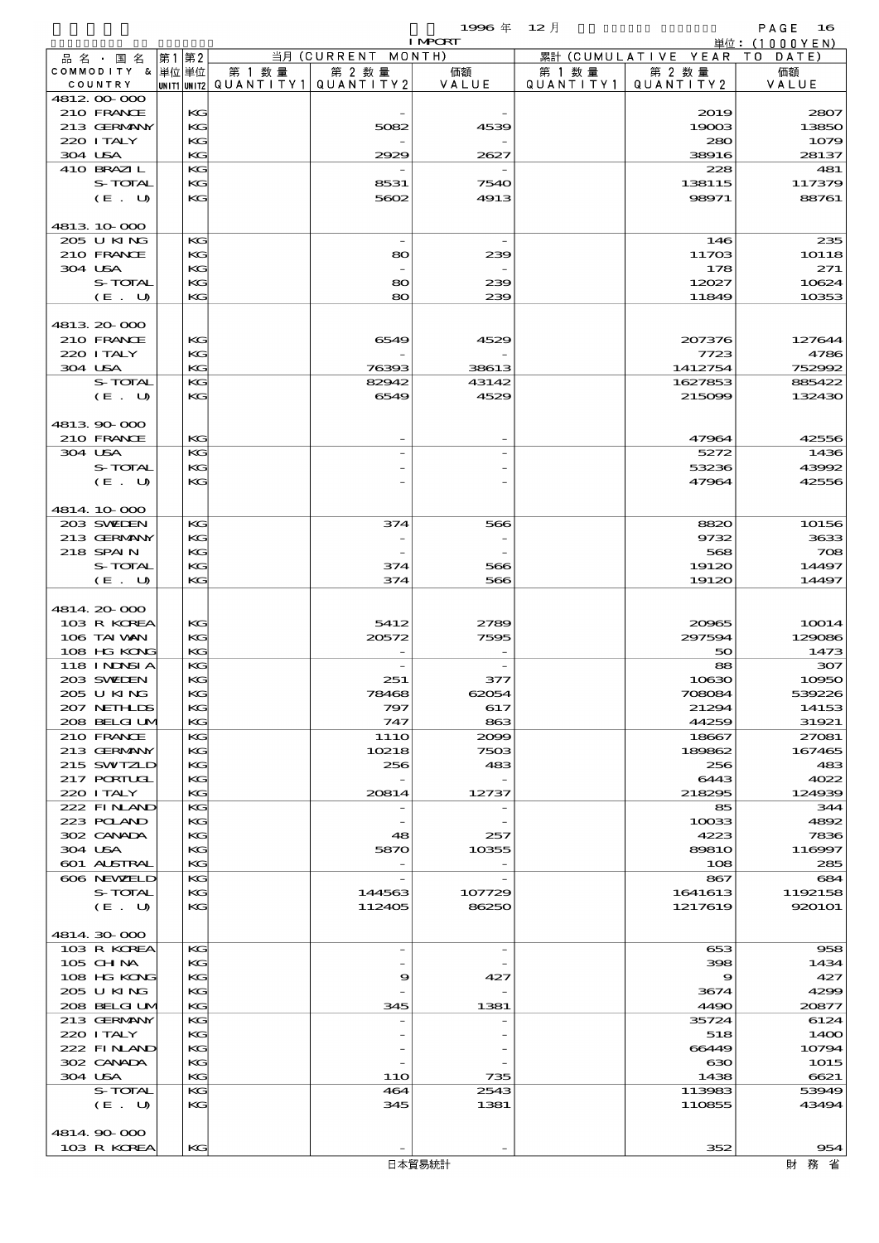$1996 \# 12 \nparallel$  PAGE 16

|                            |       |          |        |                                       | <b>I MPORT</b> |         |                              | 単位: $(1000YEN)$ |
|----------------------------|-------|----------|--------|---------------------------------------|----------------|---------|------------------------------|-----------------|
| 品 名 ・ 国 名                  | 第1 第2 |          |        | 当月 (CURRENT MONTH)                    |                |         | 累計 (CUMULATIVE YEAR TO DATE) |                 |
| COMMODITY & 単位単位           |       |          | 第 1 数量 | 第 2 数量                                | 価額<br>VALUE    | 第 1 数 量 | 第 2 数量                       | 価額              |
| COUNTRY<br>4812.00-000     |       |          |        | UNIT1 UNIT2  QUANT   TY1  QUANT   TY2 |                |         | QUANTITY1   QUANTITY2        | VALUE           |
| 210 FRANCE                 |       | KG       |        |                                       |                |         | 2019                         | 2807            |
| 213 GERMANY                |       | KG       |        | 5082                                  | 4539           |         | 19003                        | 13850           |
| 220 I TALY                 |       | KG       |        |                                       |                |         | 280                          | 1079            |
| 304 USA                    |       | KG       |        | 2929                                  | 2627           |         | 38916                        | 28137           |
| 410 BRAZIL                 |       | KG       |        |                                       |                |         | 228                          | 481             |
| S-TOTAL                    |       | КC       |        | 8531                                  | 7540           |         | 138115                       | 117379          |
| (E. U)                     |       | KG       |        | 5602                                  | 4913           |         | 98971                        | 88761           |
|                            |       |          |        |                                       |                |         |                              |                 |
| 4813 10 000<br>205 U KING  |       | KG       |        | $\overline{\phantom{a}}$              |                |         | 146                          | 235             |
| 210 FRANCE                 |       | KG       |        | 80                                    | 239            |         | 11703                        | <b>10118</b>    |
| 304 USA                    |       | KG       |        |                                       |                |         | 178                          | 271             |
| S-TOTAL                    |       | КC       |        | 80                                    | 239            |         | 12027                        | 10624           |
| (E. U)                     |       | KG       |        | 80                                    | 239            |         | 11849                        | 10353           |
|                            |       |          |        |                                       |                |         |                              |                 |
| 4813.20000                 |       |          |        |                                       |                |         |                              |                 |
| 210 FRANCE                 |       | KG       |        | 6549                                  | 4529           |         | 207376                       | 127644          |
| 220 I TALY                 |       | КC       |        |                                       |                |         | 7723                         | 4786            |
| 304 USA                    |       | KG       |        | 76393                                 | 38613          |         | 1412754                      | 752992          |
| S-TOTAL                    |       | KG       |        | 82942                                 | 43142          |         | 1627853                      | 885422          |
| (E. U)                     |       | KG       |        | 6549                                  | 4529           |         | 215099                       | 132430          |
|                            |       |          |        |                                       |                |         |                              |                 |
| 4813.90-000<br>210 FRANCE  |       | KG       |        |                                       |                |         | 47964                        | 42556           |
| 304 USA                    |       | KG       |        |                                       |                |         | 5272                         | 1436            |
| S-TOTAL                    |       | KG       |        |                                       |                |         | 53236                        | 43992           |
| (E. U)                     |       | KG       |        |                                       |                |         | 47964                        | 42556           |
|                            |       |          |        |                                       |                |         |                              |                 |
| 4814 10 000                |       |          |        |                                       |                |         |                              |                 |
| 203 SWIDEN                 |       | KG       |        | 374                                   | 566            |         | 8820                         | 10156           |
| 213 GERMANY                |       | KG       |        |                                       |                |         | 9732                         | 3633            |
| 218 SPAIN                  |       | KG       |        |                                       |                |         | 568                          | 708             |
| S-TOTAL                    |       | КC       |        | 374                                   | 566            |         | 19120                        | 14497           |
| (E. U)                     |       | KG       |        | 374                                   | 566            |         | 19120                        | 14497           |
|                            |       |          |        |                                       |                |         |                              |                 |
| 4814.20-000                |       |          |        |                                       |                |         |                              |                 |
| 103 R KOREA<br>106 TAI VAN |       | KG       |        | 5412                                  | 2789           |         | 20965                        | 10014           |
| 108 HG KONG                |       | КC<br>KG |        | 20572                                 | 7595           |         | 297594<br>50                 | 129086<br>1473  |
| 118 I NJNSI A              |       | KG       |        |                                       |                |         | 88                           | 307             |
| 203 SVELEN                 |       | KG       |        | 251                                   | 377            |         | 10630                        | 10950           |
| 2005 U KING                |       | KG       |        | 78468                                 | 62054          |         | 708084                       | 539226          |
| 207 NETHLIS                |       | КC       |        | 797                                   | 617            |         | 21294                        | 14153           |
| 208 BELGI UM               |       | KG       |        | 747                                   | 863            |         | 44259                        | 31921           |
| 210 FRANCE                 |       | KG       |        | 111O                                  | 2009           |         | 18667                        | 27081           |
| 213 GERMANY                |       | KG       |        | 10218                                 | 7503           |         | 189862                       | 167465          |
| 215 SWIZLD                 |       | KG       |        | 256                                   | 483            |         | 256                          | 483             |
| 217 PORTUGL                |       | КC       |        |                                       |                |         | 6443                         | 4022            |
| 220 I TALY                 |       | KG       |        | 20814                                 | 12737          |         | 218295                       | 124939          |
| 222 FINAND<br>223 POLAND   |       | KG<br>KG |        |                                       |                |         | 85<br>10033                  | 344<br>4892     |
| 302 CANADA                 |       | KG       |        | 48                                    | 257            |         | 4223                         | 7836            |
| 304 USA                    |       | КC       |        | 5870                                  | 10355          |         | 8981O                        | 116997          |
| 601 ALSTRAL                |       | KG       |        |                                       |                |         | 108                          | 285             |
| 606 NEWELD                 |       | KG       |        | $\overline{\phantom{a}}$              |                |         | 867                          | 684             |
| S-TOTAL                    |       | KG       |        | 144563                                | 107729         |         | 1641613                      | 1192158         |
| (E. U)                     |       | KG       |        | 112405                                | 86250          |         | 1217619                      | 920101          |
|                            |       |          |        |                                       |                |         |                              |                 |
| 4814.30.000                |       |          |        |                                       |                |         |                              |                 |
| 103 R KOREA                |       | KG       |        | $\overline{\phantom{a}}$              |                |         | 653                          | 958             |
| $105$ CHNA                 |       | KG       |        |                                       |                |         | 398                          | 1434            |
| 108 HG KONG                |       | KG       |        | 9                                     | 427            |         | 9                            | 427             |
| 205 U KING<br>208 BELGI UM |       | КC<br>KG |        | 345                                   | 1381           |         | 3674<br>4490                 | 4299<br>20877   |
| 213 GERMANY                |       | KG       |        |                                       |                |         | 35724                        | 6124            |
| 220 I TALY                 |       | KG       |        |                                       |                |         | 518                          | 1400            |
| 222 FINAND                 |       | KG       |        |                                       |                |         | 66449                        | 10794           |
| 302 CANADA                 |       | КC       |        |                                       |                |         | ഓ                            | 1015            |
| 304 USA                    |       | KG       |        | <b>11O</b>                            | 735            |         | 1438                         | 6621            |
| S-TOTAL                    |       | KG       |        | 464                                   | 2543           |         | 113983                       | 53949           |
| (E. U)                     |       | KG       |        | 345                                   | 1381           |         | 110855                       | 43494           |
|                            |       |          |        |                                       |                |         |                              |                 |
| 4814.90-000                |       |          |        |                                       |                |         |                              |                 |
| 103 R KOREA                |       | KG       |        |                                       |                |         | 352                          | 954             |
|                            |       |          |        |                                       | 日本貿易統計         |         |                              | 財 務 省           |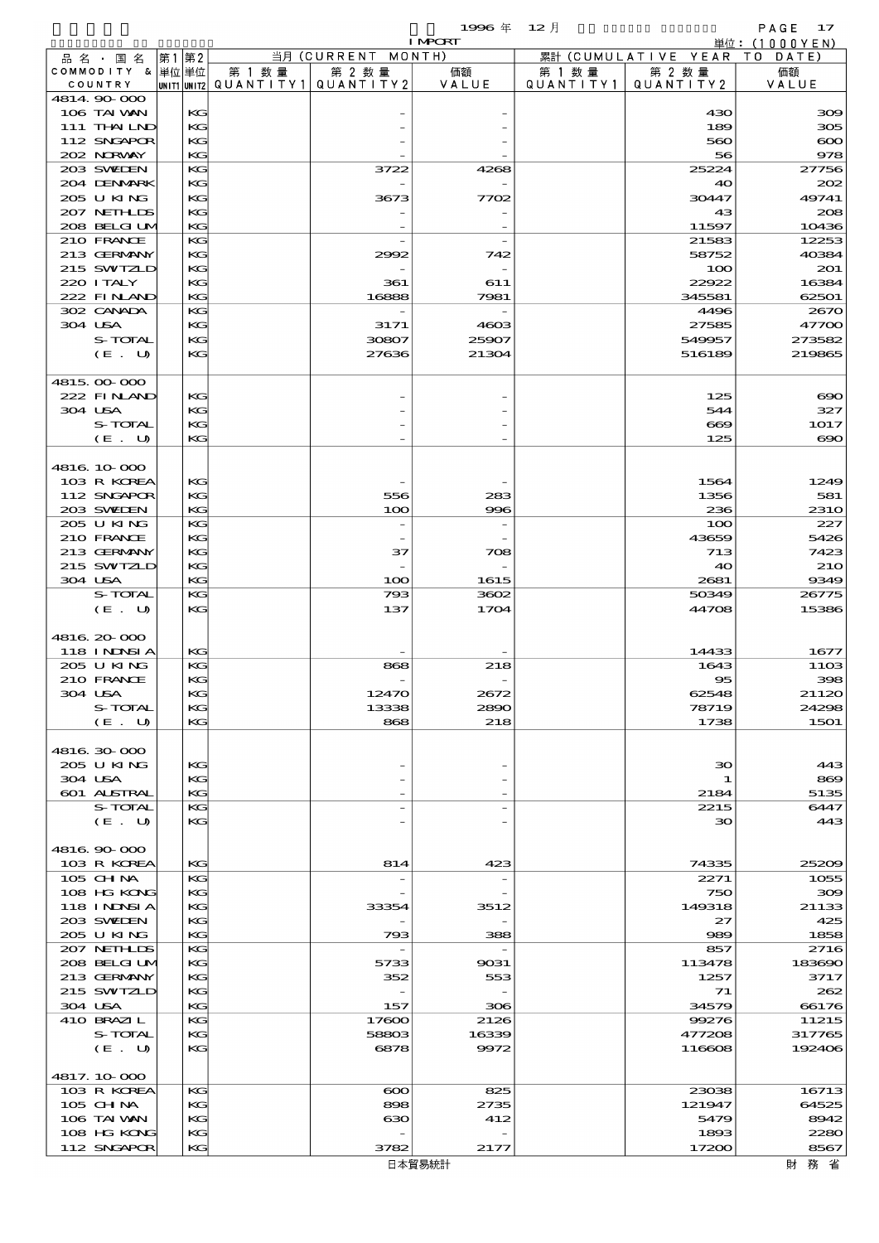$1996 \& 12 \rightarrow$ 

|         |                             |      |          |        |                                       | <b>I MPORT</b> |           |                              | 単位: (1000YEN)       |
|---------|-----------------------------|------|----------|--------|---------------------------------------|----------------|-----------|------------------------------|---------------------|
|         | 品名・国名                       | 第1第2 |          |        | 当月 (CURRENT MONTH)                    |                |           | 累計 (CUMULATIVE YEAR TO DATE) |                     |
|         | COMMODITY & 単位単位            |      |          | 第 1 数量 | 第 2 数量                                | 価額             | 第 1 数量    | 第 2 数量                       | 価額                  |
|         | COUNTRY                     |      |          |        | UNIT1 UNIT2  QUANT   TY1  QUANT   TY2 | VALUE          | QUANTITY1 | QUANTITY 2                   | VALUE               |
|         | 4814.90-000<br>106 TAI VAN  |      | KG       |        |                                       |                |           | 430                          | 300                 |
|         | 111 THAILND                 |      | KG       |        |                                       |                |           | 189                          | 305                 |
|         | 112 SNGAPOR                 |      | KG       |        |                                       |                |           | 560                          | $\infty$            |
|         | 202 NRWAY                   |      | KG       |        |                                       |                |           | 56                           | 978                 |
|         | 203 SWIEN                   |      | KG       |        | 3722                                  | 4268           |           | 25224                        | 27756               |
|         | 204 DENMARK                 |      | KG       |        |                                       |                |           | 40                           | 202                 |
|         | 205 U KING                  |      | KG       |        | 3673                                  | 7702           |           | 30447                        | 49741               |
|         | 207 NETHLIS                 |      | KG       |        |                                       |                |           | 43                           | 208                 |
|         | 208 BELGI UM<br>210 FRANCE  |      | KG<br>KG |        |                                       |                |           | 11597<br>21583               | 10436<br>12253      |
|         | 213 GERMANY                 |      | KG       |        | 2992                                  | 742            |           | 58752                        | 40384               |
|         | 215 SWIZLD                  |      | KG       |        |                                       |                |           | 100                          | 201                 |
|         | 220 I TALY                  |      | KG       |        | 361                                   | 611            |           | 22922                        | 16384               |
|         | 222 FINAND                  |      | KG       |        | 16888                                 | 7981           |           | 345581                       | 62501               |
|         | 302 CANADA                  |      | KG       |        |                                       |                |           | 4496                         | 2670                |
|         | 304 USA                     |      | KG       |        | 3171                                  | 4603           |           | 27585                        | 47700               |
|         | S-TOTAL                     |      | KG       |        | 30807                                 | 25907          |           | 549957                       | 273582              |
|         | (E. U)                      |      | KG       |        | 27636                                 | 21304          |           | 516189                       | 219865              |
|         | 4815.00-000                 |      |          |        |                                       |                |           |                              |                     |
|         | 222 FINAND                  |      | KG       |        |                                       |                |           | 125                          | $\infty$            |
| 304 USA |                             |      | KG       |        |                                       |                |           | 544                          | 327                 |
|         | S-TOTAL                     |      | KG       |        |                                       |                |           | $\bf{609}$                   | 1017                |
|         | $(E_U U)$                   |      | KG       |        |                                       |                |           | 125                          | $\infty$            |
|         |                             |      |          |        |                                       |                |           |                              |                     |
|         | 4816.10.000                 |      |          |        |                                       |                |           |                              |                     |
|         | 103 R KOREA                 |      | KG       |        |                                       |                |           | 1564                         | 1249                |
|         | 112 SNGAPOR                 |      | KG       |        | 556                                   | 283            |           | 1356                         | 581                 |
|         | 203 SWIEN<br>205 U KING     |      | KG<br>KG |        | 100<br>$\overline{a}$                 | 996            |           | 236<br>100                   | <b>2310</b><br>227  |
|         | 210 FRANCE                  |      | KG       |        |                                       |                |           | 43659                        | 5426                |
|         | 213 GERMANY                 |      | KG       |        | 37                                    | 708            |           | 713                          | 7423                |
|         | 215 SWIZLD                  |      | KG       |        |                                       |                |           | 40                           | <b>21O</b>          |
| 304 USA |                             |      | KG       |        | 100                                   | 1615           |           | 2681                         | 9349                |
|         | S-TOTAL                     |      | KG       |        | 793                                   | 3602           |           | 50349                        | 26775               |
|         | (E. U)                      |      | KG       |        | 137                                   | 1704           |           | 44708                        | 15386               |
|         |                             |      |          |        |                                       |                |           |                              |                     |
|         | 4816, 20-000                |      | KG       |        |                                       |                |           |                              |                     |
|         | 118 I NJNSI A<br>205 U KING |      | KG       |        | 868                                   | 218            |           | 14433<br>1643                | 1677<br><b>11O3</b> |
|         | 210 FRANCE                  |      | KG       |        |                                       |                |           | $\overline{\textbf{5}}$      | 398                 |
|         | 304 USA                     |      | KG.      |        | 12470                                 | 2672           |           | 62548                        | 21120               |
|         | S-TOTAL                     |      | KG       |        | 13338                                 | 2890           |           | 78719                        | 24298               |
|         | (E. U)                      |      | KG       |        | 868                                   | 218            |           | 1738                         | 1501                |
|         |                             |      |          |        |                                       |                |           |                              |                     |
|         | 4816.30.000                 |      |          |        |                                       |                |           |                              |                     |
|         | 205 U KING                  |      | KG       |        |                                       |                |           | 30                           | 443                 |
|         | 304 USA<br>601 ALSTRAL      |      | КC<br>KG |        |                                       |                |           | 1<br>2184                    | 869<br>5135         |
|         | S-TOTAL                     |      | KG       |        |                                       |                |           | 2215                         | 6447                |
|         | (E. U)                      |      | KG       |        |                                       |                |           | 30                           | 443                 |
|         |                             |      |          |        |                                       |                |           |                              |                     |
|         | 4816.90-000                 |      |          |        |                                       |                |           |                              |                     |
|         | 103 R KOREA                 |      | KG       |        | 814                                   | 423            |           | 74335                        | 25209               |
|         | 105 CH NA                   |      | KG       |        |                                       |                |           | 2271                         | 1055                |
|         | 108 HG KONG                 |      | KG       |        |                                       |                |           | 750                          | 300                 |
|         | 118 INNSI A                 |      | KG       |        | 33354                                 | 3512           |           | 149318                       | 21133               |
|         | 203 SWIDEN<br>205 U KING    |      | КC<br>KG |        | 793                                   | 388            |           | 27<br>989                    | 425<br>1858         |
|         | 207 NETHLIS                 |      | KG       |        |                                       |                |           | 857                          | 2716                |
|         | 208 BELGI UM                |      | KG       |        | 5733                                  | 9031           |           | 113478                       | 183690              |
|         | 213 GERMANY                 |      | KG       |        | 352                                   | 553            |           | 1257                         | 3717                |
|         | 215 SWIZLD                  |      | KG       |        |                                       |                |           | 71                           | 262                 |
|         | 304 USA                     |      | KG       |        | 157                                   | 306            |           | 34579                        | 66176               |
|         | 410 BRAZIL                  |      | KG       |        | 17600                                 | 2126           |           | 99276                        | 11215               |
|         | S-TOTAL                     |      | KG       |        | 58803                                 | 16339          |           | 477208                       | 317765              |
|         | (E. U)                      |      | KG       |        | 6878                                  | 9972           |           | 116608                       | 192406              |
|         | 4817.10-000                 |      |          |        |                                       |                |           |                              |                     |
|         | 103 R KOREA                 |      | KG       |        | $\infty$                              | 825            |           | 23038                        | 16713               |
|         | $105$ CHNA                  |      | KG       |        | 898                                   | 2735           |           | 121947                       | 64525               |
|         | 106 TAI VAN                 |      | KG       |        | ഓ                                     | 412            |           | 5479                         | 8942                |
|         | 108 HG KONG                 |      | KG       |        |                                       |                |           | 1893                         | 2280                |
|         | 112 SNGAPOR                 |      | KG       |        | 3782                                  | 2177           |           | 17200                        | 8567                |

財務省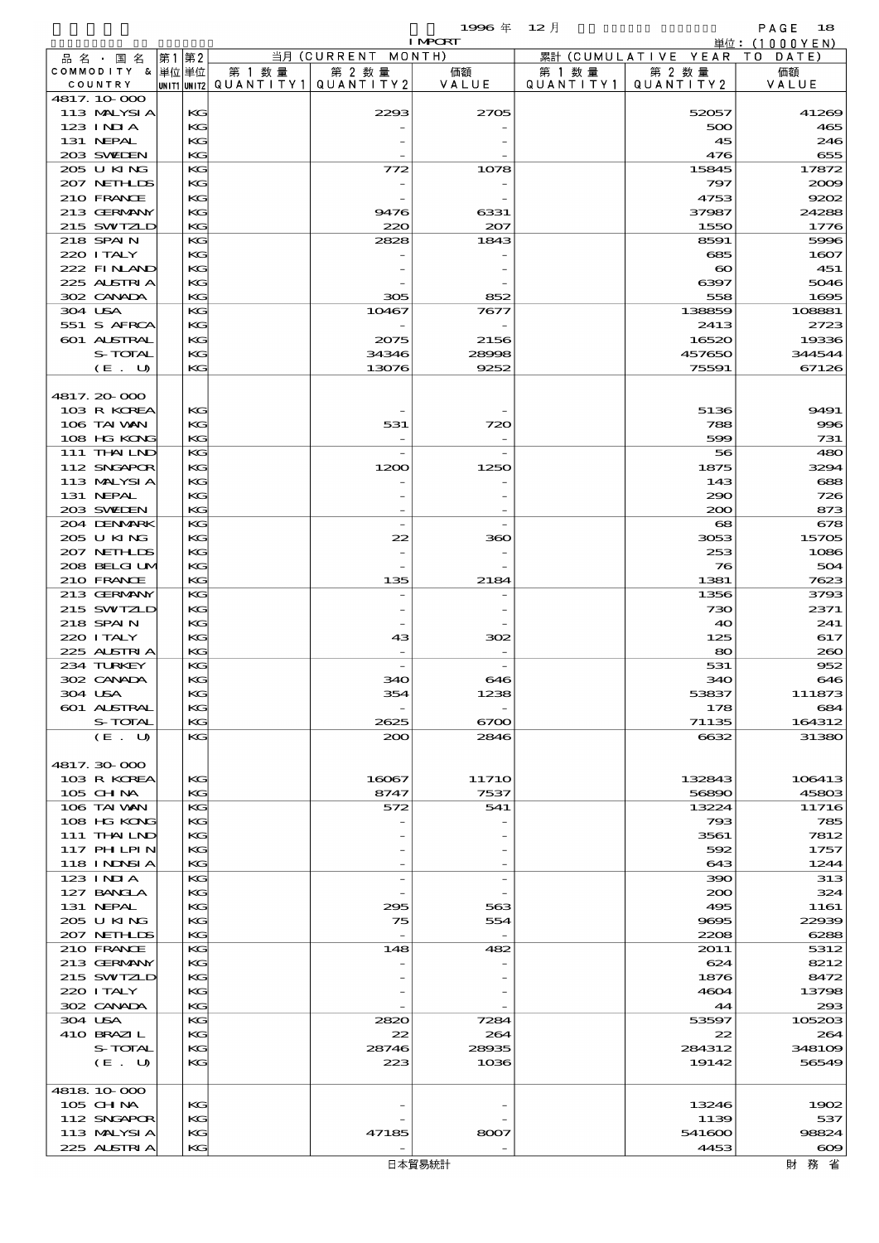$\begin{array}{lll} \textbf{1996} & \textbf{4} & \textbf{12} \end{array} \begin{array}{llll} \textbf{12} & \textbf{13} & \textbf{14} & \textbf{15} \ \textbf{16} & \textbf{17} & \textbf{18} & \textbf{18} \ \textbf{18} & \textbf{19} & \textbf{19} & \textbf{19} & \textbf{18} \ \textbf{19} & \textbf{19} & \textbf{19} & \textbf{19} & \textbf{18} \ \textbf{19} & \textbf{19} & \textbf{19} & \textbf{19$ 

|                           |              |                                         |                          | <b>I MPORT</b> |           |                        | 単位:(1000YEN)    |
|---------------------------|--------------|-----------------------------------------|--------------------------|----------------|-----------|------------------------|-----------------|
| 品名・国名                     | 第1 第2        |                                         | 当月 (CURRENT              | MONTH)         |           | 累計 (CUMULATIVE YEAR TO | DATE            |
| COMMODITY & 単位単位          |              | 第 1 数 量                                 | 第 2 数量                   | 価額             | 第 1 数 量   | 第 2 数量                 | 価額              |
| COUNTRY                   |              | UNIT1 UNIT2   QUANT   TY1   QUANT   TY2 |                          | VALUE          | QUANTITY1 | QUANTITY 2             | VALUE           |
| 4817.10.000               |              |                                         |                          |                |           |                        |                 |
| 113 MALYSIA<br>$123$ INIA | KG<br>KG     |                                         | 2293                     | 2705           |           | 52057<br>500           | 41269<br>465    |
| 131 NEPAL                 | KG           |                                         |                          |                |           | 45                     | 246             |
| 203 SWIDEN                | KG           |                                         |                          |                |           | 476                    | 655             |
| 205 U KING                | KG           |                                         | 772                      | 1078           |           | 15845                  | 17872           |
| 207 NETHLIS               | KG           |                                         |                          |                |           | 797                    | 2009            |
| 210 FRANCE                | KG           |                                         |                          |                |           | 4753                   | 9202            |
| 213 GERMANY               | KG           |                                         | 9476                     | 6331           |           | 37987                  | 24288           |
| 215 SWIZLD                | KG           |                                         | 220                      | 207            |           | 1550                   | 1776            |
| 218 SPAIN                 | KG           |                                         | 2828                     | 1843           |           | 8591                   | 5996            |
| 220 I TALY                | KG           |                                         |                          |                |           | 685                    | 1607            |
| 222 FINAND                | KG           |                                         |                          |                |           | $\boldsymbol{\infty}$  | $-451$          |
| 225 ALSTRIA               | KG           |                                         |                          |                |           | 6397                   | 5046            |
| 302 CANADA                | KG           |                                         | 305                      | 852            |           | 558                    | 1695            |
| 304 USA                   | KG           |                                         | 10467                    | 7677           |           | 138859                 | 108881          |
| 551 S AFRCA               | KG           |                                         |                          |                |           | 2413                   | 2723            |
| 601 ALSTRAL               | KG           |                                         | 2075                     | 2156           |           | 16520                  | 19336           |
| S-TOTAL<br>(E. U)         | KG<br>KG     |                                         | 34346<br>13076           | 28998<br>9252  |           | 457650<br>75591        | 344544<br>67126 |
|                           |              |                                         |                          |                |           |                        |                 |
| 4817.20000                |              |                                         |                          |                |           |                        |                 |
| 103 R KOREA               | KG           |                                         |                          |                |           | 5136                   | 9491            |
| 106 TAI VAN               | KG           |                                         | 531                      | 720            |           | 788                    | 996             |
| 108 HG KONG               | KG           |                                         |                          |                |           | 599                    | 731             |
| 111 THAILND               | KG           |                                         | $\overline{\phantom{a}}$ |                |           | 56                     | 480             |
| 112 SNGAPOR               | КG           |                                         | 1200                     | 1250           |           | 1875                   | 3294            |
| 113 MALYSIA               | KG           |                                         |                          |                |           | 143                    | 688             |
| 131 NEPAL                 | KG           |                                         |                          |                |           | 290                    | 726             |
| 203 SWIDEN                | KG           |                                         |                          |                |           | 200                    | 873             |
| 204 DENMARK               | KG           |                                         | $\overline{\phantom{a}}$ |                |           | 68                     | 678             |
| 205 U KING                | КG           |                                         | 22                       | 360            |           | 3053                   | 15705           |
| 207 NETHLIS               | KG           |                                         |                          |                |           | 253                    | 1086            |
| 208 BELGI UM              | KG           |                                         |                          |                |           | 76                     | 504             |
| 210 FRANCE                | KG           |                                         | 135                      | 2184           |           | 1381                   | 7623            |
| 213 GERMANY               | KG           |                                         |                          |                |           | 1356                   | 3793            |
| 215 SWIZLD                | КG           |                                         |                          |                |           | 730                    | 2371            |
| 218 SPAIN                 | KG           |                                         |                          |                |           | 40                     | 241             |
| 220 I TALY                | KG           |                                         | 43                       | 302            |           | 125                    | 617             |
| 225 ALSTRIA               | KG           |                                         |                          |                |           | 80                     | 200             |
| 234 TURKEY<br>302 CANADA  | KG<br>КG     |                                         | 340                      | 646            |           | 531<br>340             | 952<br>646      |
| 304 USA                   | $\mathbf{K}$ |                                         | 354                      | 1238           |           | 53837                  | 111873          |
| 601 ALSTRAL               | KG           |                                         |                          |                |           | 178                    | 684             |
| S-TOTAL                   | KG           |                                         | 2625                     | 6700           |           | 71135                  | 164312          |
| (E. U)                    | KG           |                                         | 200                      | 2846           |           | 6632                   | 31380           |
|                           |              |                                         |                          |                |           |                        |                 |
| 4817.30000                |              |                                         |                          |                |           |                        |                 |
| 103 R KOREA               | KG           |                                         | 16067                    | <b>11710</b>   |           | 132843                 | 106413          |
| 105 CH NA                 | KG           |                                         | 8747                     | 7537           |           | 56890                  | 45803           |
| 106 TAI VAN               | KG           |                                         | 572                      | 541            |           | 13224                  | 11716           |
| 108 HG KONG               | КG           |                                         |                          |                |           | 793                    | 785             |
| 111 THAILND               | KG           |                                         |                          |                |           | 3561                   | 7812            |
| <b>117 PHLPIN</b>         | KG           |                                         |                          |                |           | 592                    | 1757            |
| <b>118 INNSIA</b>         | KG           |                                         |                          |                |           | 643                    | 1244            |
| 123 INIA                  | KG           |                                         |                          |                |           | 390                    | 313             |
| 127 BANCLA                | KG           |                                         |                          |                |           | 200                    | 324             |
| 131 NEPAL                 | KG           |                                         | 295                      | 563            |           | 495                    | 1161            |
| 2005 U KING               | KG           |                                         | 75                       | 554            |           | 9695                   | 22939           |
| 207 NETHLIS<br>210 FRANCE | KG<br>KG     |                                         | 148                      | 482            |           | 2208<br>2011           | 6288<br>5312    |
| 213 GERMANY               | KG           |                                         |                          |                |           | 624                    | 8212            |
| 215 SWIZLD                | KG           |                                         |                          |                |           | 1876                   | 8472            |
| 220 I TALY                | KG           |                                         |                          |                |           | 4604                   | 13798           |
| 302 CANADA                | KG           |                                         |                          |                |           | 44                     | 293             |
| 304 USA                   | KG           |                                         | 2820                     | 7284           |           | 53597                  | 105203          |
| 410 BRAZIL                | КG           |                                         | 22                       | 264            |           | 22                     | 264             |
| S-TOTAL                   | KG           |                                         | 28746                    | 28935          |           | 284312                 | 348109          |
| (E. U)                    | KG           |                                         | 223                      | 1036           |           | 19142                  | 56549           |
|                           |              |                                         |                          |                |           |                        |                 |
| 4818 10 000               |              |                                         |                          |                |           |                        |                 |
| 105 CHNA                  | KG           |                                         |                          |                |           | 13246                  | 1902            |
| 112 SNGAPOR               | KG           |                                         |                          |                |           | 1139                   | 537             |
| 113 MALYSIA               | KG           |                                         | 47185                    | 8007           |           | 541600                 | 98824           |
| 225 ALSTRIA               | KG           |                                         |                          |                |           | 4453                   | $\infty$        |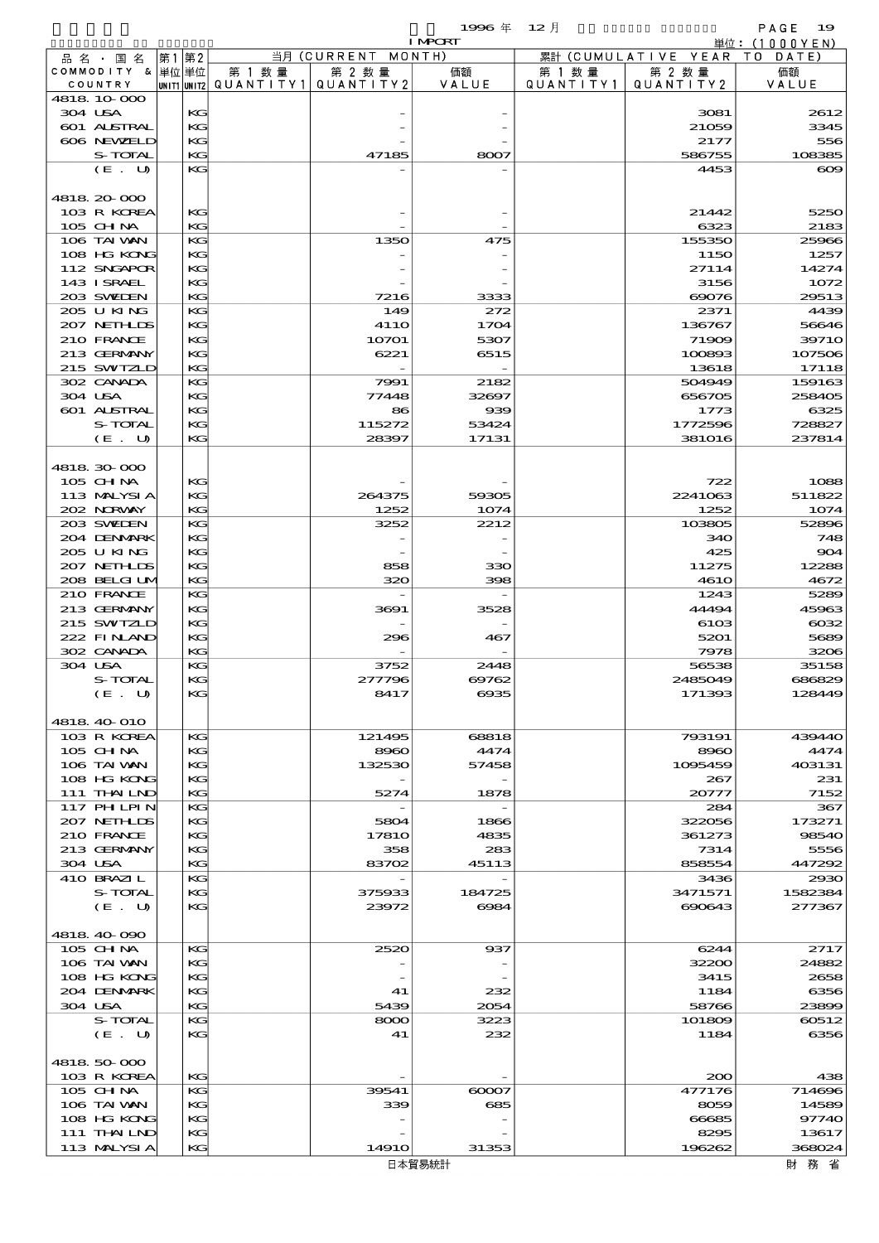$1996 \nleftrightarrow 12 \nparallel$  PAGE 19

|         |                           |    |          |        |                                               | <b>I MPORT</b> |           |                              | 単位: (1000YEN) |
|---------|---------------------------|----|----------|--------|-----------------------------------------------|----------------|-----------|------------------------------|---------------|
|         | 品名・国名                     | 第1 | 第2       |        | 当月 (CURRENT MONTH)                            |                |           | 累計 (CUMULATIVE YEAR TO DATE) |               |
|         | COMMODITY & 単位単位          |    |          | 第 1 数量 | 第 2 数量                                        | 価額             | 第 1 数 量   | 第 2 数量                       | 価額            |
|         | COUNTRY                   |    |          |        | $ $ UNIT1 $ $ UNIT2 $ $ QUANTITY1   QUANTITY2 | VALUE          | QUANTITY1 | QUANTITY 2                   | VALUE         |
| 304 USA | 4818 10 000               |    | KG       |        |                                               |                |           | 3081                         | 2612          |
|         | 601 ALSTRAL               |    | KG       |        |                                               |                |           | 21059                        | 3345          |
|         | 606 NEWELD                |    | KG       |        |                                               |                |           | 2177                         | 556           |
|         | S-TOTAL                   |    | KG       |        | 47185                                         | 8007           |           | 586755                       | 108385        |
|         | (E. U)                    |    | KG       |        |                                               |                |           | 4453                         | $\infty$      |
|         |                           |    |          |        |                                               |                |           |                              |               |
|         | 4818 20 000               |    |          |        |                                               |                |           |                              |               |
|         | 103 R KOREA               |    | KG       |        |                                               |                |           | 21442                        | 5250          |
|         | 105 CH NA                 |    | KG       |        |                                               |                |           | 6323                         | 2183          |
|         | 106 TAI VAN               |    | KG       |        | 1350                                          | 475            |           | 155350                       | 25966         |
|         | 108 HG KONG               |    | KG       |        |                                               |                |           | 1150                         | 1257          |
|         | 112 SNGAPOR               |    | KG       |        |                                               |                |           | 27114                        | 14274         |
|         | 143 I SRAEL<br>203 SWIEN  |    | KG<br>KG |        |                                               | 3333           |           | 3156<br>69076                | 1072<br>29513 |
|         | 205 U KING                |    | KG       |        | 7216<br>149                                   | 272            |           | 2371                         | 4439          |
|         | 207 NETHLIS               |    | KG       |        | <b>4110</b>                                   | 1704           |           | 136767                       | 56646         |
|         | 210 FRANCE                |    | KG       |        | 10701                                         | 5307           |           | 71909                        | 3971O         |
|         | 213 GERMANY               |    | KG       |        | 6221                                          | 6515           |           | 100893                       | 107506        |
|         | 215 SWIZLD                |    | KG       |        |                                               |                |           | 13618                        | 17118         |
|         | 302 CANADA                |    | KG       |        | 7991                                          | 2182           |           | 504949                       | 159163        |
| 304 USA |                           |    | KG       |        | 77448                                         | 32697          |           | 656705                       | 258405        |
|         | 601 ALSTRAL               |    | KG       |        | 86                                            | 939            |           | 1773                         | 6325          |
|         | S-TOTAL                   |    | KG       |        | 115272                                        | 53424          |           | 1772596                      | 728827        |
|         | (E. U)                    |    | KG       |        | 28397                                         | 17131          |           | <b>381016</b>                | 237814        |
|         |                           |    |          |        |                                               |                |           |                              |               |
|         | 4818 30 000               |    |          |        |                                               |                |           |                              |               |
|         | 105 CH NA                 |    | KG       |        |                                               |                |           | 722                          | 1088          |
|         | 113 MALYSIA               |    | KG       |        | 264375                                        | 59305          |           | 2241063                      | 511822        |
|         | 202 NORWAY                |    | KG<br>KG |        | 1252<br>3252                                  | 1074           |           | 1252                         | 1074          |
|         | 203 SWIEN<br>204 DENMARK  |    | KG       |        |                                               | 2212           |           | 103805<br>340                | 52896<br>748  |
|         | 205 U KING                |    | KG       |        |                                               |                |           | 425                          | 904           |
|         | 207 NETHLIS               |    | KG       |        | 858                                           | 330            |           | 11275                        | 12288         |
|         | 208 BELGI UM              |    | KG       |        | 320                                           | 398            |           | <b>4610</b>                  | 4672          |
|         | 210 FRANCE                |    | KG       |        |                                               |                |           | 1243                         | 5289          |
|         | 213 GERMANY               |    | KG       |        | 3691                                          | 3528           |           | 44494                        | 45963         |
|         | 215 SWIZLD                |    | KG       |        |                                               |                |           | 6103                         | $\cos\!2$     |
|         | 222 FINAND                |    | KG       |        | 296                                           | 467            |           | 5201                         | 5689          |
|         | 302 CANADA                |    | KG       |        |                                               |                |           | 7978                         | 3206          |
| 304 USA |                           |    | KG       |        | 3752                                          | 2448           |           | 56538                        | 35158         |
|         | S-TOTAL                   |    | KG       |        | 277796                                        | 69762          |           | 2485049                      | 686829        |
|         | (E. U)                    |    | КC       |        | 8417                                          | 6935           |           | 171393                       | 128449        |
|         |                           |    |          |        |                                               |                |           |                              |               |
|         | 4818 40 010               |    | KG       |        | 121495                                        |                |           |                              | 439440        |
|         | 103 R KOREA<br>$105$ CHNA |    | KG       |        | 8960                                          | 68818<br>4474  |           | 793191                       | 4474          |
|         | 106 TAI VAN               |    | KG       |        | 132530                                        | 57458          |           | 8960<br>1095459              | 403131        |
|         | 108 HG KONG               |    | KG       |        |                                               |                |           | 267                          | 231           |
|         | 111 THAILND               |    | KG       |        | 5274                                          | 1878           |           | 20777                        | 7152          |
|         | <b>117 PHLPIN</b>         |    | KG       |        |                                               |                |           | 284                          | 367           |
|         | 207 NETHLIS               |    | KG       |        | 5804                                          | 1866           |           | 322056                       | 173271        |
|         | 210 FRANCE                |    | KG       |        | 1781O                                         | 4835           |           | 361273                       | 98540         |
|         | 213 GERMANY               |    | KG       |        | 358                                           | 283            |           | 7314                         | 5556          |
|         | 304 USA                   |    | KG       |        | 83702                                         | 45113          |           | 858554                       | 447292        |
|         | 410 BRAZIL                |    | KG       |        |                                               |                |           | 3436                         | 2930          |
|         | S-TOTAL                   |    | KG       |        | 375933                                        | 184725         |           | 3471571                      | 1582384       |
|         | (E. U)                    |    | KG       |        | 23972                                         | $-6084$        |           | 690643                       | 277367        |
|         |                           |    |          |        |                                               |                |           |                              |               |
|         | 4818 40 090<br>105 CH NA  |    | KС       |        | 2520                                          | 937            |           |                              | 2717          |
|         | 106 TAI WAN               |    | KG       |        |                                               |                |           | 6244<br>32200                | 24882         |
|         | 108 HG KONG               |    | KG       |        |                                               |                |           | 3415                         | 2658          |
|         | 204 DENMARK               |    | KG       |        | 41                                            | 232            |           | 1184                         | 6356          |
| 304 USA |                           |    | KG       |        | 5439                                          | 2054           |           | 58766                        | 23899         |
|         | S-TOTAL                   |    | KG       |        | 8000                                          | 3223           |           | 101809                       | 60512         |
|         | (E. U)                    |    | KG       |        | 41                                            | 232            |           | 1184                         | 6356          |
|         |                           |    |          |        |                                               |                |           |                              |               |
|         | 4818 50 000               |    |          |        |                                               |                |           |                              |               |
|         | 103 R KOREA               |    | KG       |        |                                               |                |           | 200                          | 438           |
|         | 105 CH NA                 |    | KG       |        | 39541                                         | $\infty$       |           | 477176                       | 714696        |
|         | 106 TAI WAN               |    | KG       |        | 339                                           | 685            |           | 8059                         | 14589         |
|         | 108 HG KONG               |    | KG       |        |                                               |                |           | 66685                        | 97740         |
|         | 111 THAILND               |    | KG       |        |                                               |                |           | 8295                         | 13617         |
|         | 113 MALYSIA               |    | KG       |        | 1491O                                         | 31353          |           | 196262                       | 368024        |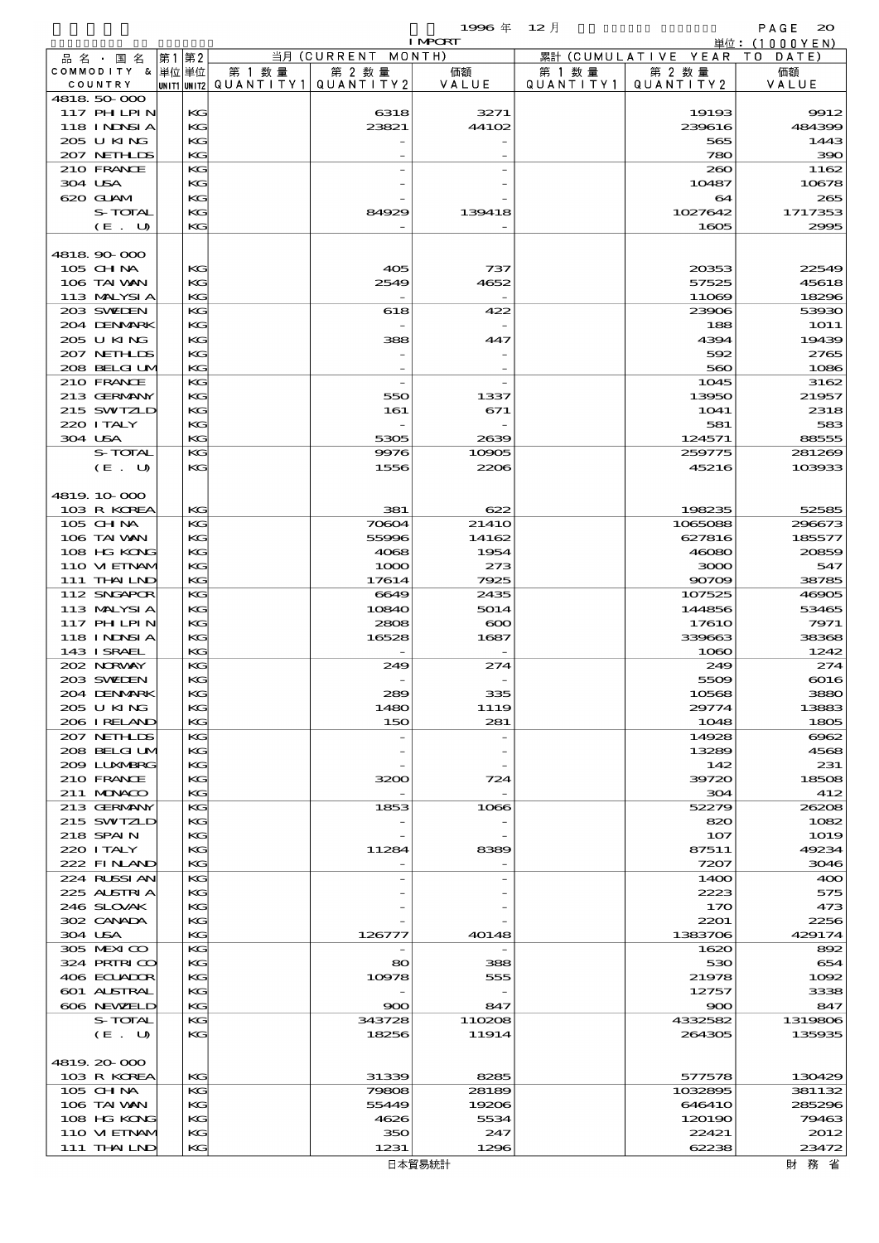$1996 \nleftrightarrow \n\begin{array}{ccc}\n12 & \rightarrow & \n\end{array}$  PAGE 20

|                             |    |          |                                                  |               | <b>I MPORT</b>   |                     |                              | 単位: (1000 Y E N)     |
|-----------------------------|----|----------|--------------------------------------------------|---------------|------------------|---------------------|------------------------------|----------------------|
| 品 名 ・ 国 名                   | 第1 | 第2       |                                                  | 当月(CURRENT    | MONTH)           |                     | 累計 (CUMULATIVE YEAR TO DATE) |                      |
| COMMODITY & 単位単位<br>COUNTRY |    |          | 第 1 数量<br> unit1 unit2  QUANT   TY1  QUANT   TY2 | 第 2 数量        | 価額<br>VALUE      | 第 1 数量<br>QUANTITY1 | 第 2 数量<br>QUANTITY 2         | 価額<br>VALUE          |
| 4818 50 000                 |    |          |                                                  |               |                  |                     |                              |                      |
| 117 PHLPIN                  |    | KG       |                                                  | 6318          | 3271             |                     | 19193                        | 9912                 |
| <b>118 INNSIA</b>           |    | KG       |                                                  | 23821         | 44102            |                     | 239616                       | 484399               |
| 205 U KING                  |    | KG       |                                                  |               |                  |                     | 565                          | 1443                 |
| 207 NETHLIS                 |    | KG       |                                                  |               |                  |                     | 780                          | 390                  |
| 210 FRANCE<br>304 USA       |    | KG<br>KG |                                                  |               |                  |                     | 200<br>10487                 | 1162<br>10678        |
| 620 GUAM                    |    | KG       |                                                  |               |                  |                     | 64                           | 265                  |
| S-TOTAL                     |    | KG       |                                                  | 84929         | 139418           |                     | 1027642                      | 1717353              |
| (E. U)                      |    | KG       |                                                  |               |                  |                     | 1605                         | 2995                 |
|                             |    |          |                                                  |               |                  |                     |                              |                      |
| 4818.90-000                 |    |          |                                                  |               |                  |                     |                              |                      |
| 105 CH NA                   |    | KG       |                                                  | 405           | 737              |                     | 20353                        | 22549                |
| 106 TAI WAN<br>113 MALYSIA  |    | KG<br>KG |                                                  | 2549          | 4652             |                     | 57525<br>11069               | 45618<br>18296       |
| 203 SWIEN                   |    | KG       |                                                  | 618           | 422              |                     | 23906                        | 53930                |
| 204 DENMARK                 |    | KG       |                                                  |               |                  |                     | 188                          | 1O1 1                |
| 205 U KING                  |    | KG       |                                                  | 388           | 447              |                     | 4394                         | 19439                |
| 207 NEIHLIS                 |    | KG       |                                                  |               |                  |                     | 592                          | 2765                 |
| 208 BELGI UM                |    | KG       |                                                  |               |                  |                     | 560                          | 1086                 |
| 210 FRANCE                  |    | KG       |                                                  |               |                  |                     | 1045                         | 3162                 |
| 213 GERMANY<br>215 SWIZLD   |    | KG<br>KG |                                                  | 550<br>161    | 1337<br>671      |                     | 13950<br>1041                | 21957<br>2318        |
| 220 I TALY                  |    | KG       |                                                  |               |                  |                     | 581                          | 583                  |
| 304 USA                     |    | KG       |                                                  | 5305          | 2639             |                     | 124571                       | 88555                |
| S-TOTAL                     |    | KG       |                                                  | 9976          | 10905            |                     | 259775                       | 281269               |
| (E. U)                      |    | KG       |                                                  | 1556          | 2206             |                     | 45216                        | 103933               |
|                             |    |          |                                                  |               |                  |                     |                              |                      |
| 4819 10 000                 |    |          |                                                  |               |                  |                     |                              |                      |
| 103 R KOREA<br>105 CH NA    |    | KG<br>KG |                                                  | 381<br>70604  | 622<br>2141O     |                     | 198235<br>1065088            | 52585<br>296673      |
| 106 TAI VAN                 |    | KG       |                                                  | 55996         | 14162            |                     | 627816                       | 185577               |
| 108 HG KONG                 |    | KG       |                                                  | 4068          | 1954             |                     | 46080                        | 20859                |
| 110 VI EINAV                |    | KG       |                                                  | 1000          | 273              |                     | 3000                         | 547                  |
| 111 THAILND                 |    | KG       |                                                  | 17614         | 7925             |                     | 90709                        | 38785                |
| 112 SNGAPOR                 |    | KG       |                                                  | 6649          | 2435             |                     | 107525                       | 46905                |
| 113 MALYSIA                 |    | KG       |                                                  | 10840         | 5014             |                     | 144856                       | 53465                |
| 117 PHLPIN<br>118 I NINSI A |    | KG<br>KG |                                                  | 2808<br>16528 | $\infty$<br>1687 |                     | 1761O<br>339663              | 7971<br>38368        |
| 143 ISRAEL                  |    | KG       |                                                  |               |                  |                     | 1060                         | 1242                 |
| 202 NORWAY                  |    | KG       |                                                  | 249           | 274              |                     | 249                          | 274                  |
| 203 SWIEN                   |    | KG       |                                                  |               |                  |                     | 5509                         | 6016                 |
| 204 DENMARK                 |    | KG       |                                                  | 289           | 335              |                     | 10568                        | 3880                 |
| 205 U KING                  |    | KG       |                                                  | 1480          | 1119             |                     | 29774                        | 13883                |
| 206 IRELAND                 |    | KG       |                                                  | 150           | 281              |                     | 1048                         | 1805                 |
| 207 NETHLIS<br>208 BELGI UM |    | KG<br>KG |                                                  |               |                  |                     | 14928<br>13289               | 6062<br>4568         |
| 2009 LUNABRG                |    | KG       |                                                  |               |                  |                     | 142                          | 231                  |
| 210 FRANCE                  |    | KG       |                                                  | 3200          | 724              |                     | 39720                        | 18508                |
| 211 MUNACO                  |    | KG       |                                                  |               |                  |                     | 304                          | 412                  |
| 213 GERMANY                 |    | KG       |                                                  | 1853          | 1066             |                     | 52279                        | 26208                |
| 215 SWIZLD<br>218 SPAIN     |    | KG       |                                                  |               |                  |                     | 820                          | 1082                 |
| 220 I TALY                  |    | KG<br>KG |                                                  | 11284         | 8389             |                     | 107<br>87511                 | <b>1019</b><br>49234 |
| 222 FINAND                  |    | KG       |                                                  |               |                  |                     | 7207                         | 3046                 |
| 224 RUSSI AN                |    | KG       |                                                  |               |                  |                     | 14OO                         | 400                  |
| 225 ALSTRIA                 |    | KG       |                                                  |               |                  |                     | 2223                         | 575                  |
| 246 SLOVAK                  |    | KG       |                                                  |               |                  |                     | 170                          | 473                  |
| 302 CANADA                  |    | KG       |                                                  |               |                  |                     | 2201                         | 2256                 |
| 304 USA<br>305 MEXICO       |    | KG<br>KG |                                                  | 126777        | 40148            |                     | 1383706<br>1620              | 429174<br>892        |
| 324 PRINICO                 |    | KG       |                                                  | 80            | 388              |                     | 530                          | 654                  |
| 406 ECUADOR                 |    | KG       |                                                  | 10978         | 555              |                     | 21978                        | 1002                 |
| 601 ALSTRAL                 |    | KG       |                                                  |               |                  |                     | 12757                        | 3338                 |
| 606 NEWELD                  |    | KG       |                                                  | 900           | 847              |                     | 900                          | 847                  |
| S-TOTAL                     |    | KG       |                                                  | 343728        | 110208           |                     | 4332582                      | 1319806              |
| (E. U)                      |    | KG       |                                                  | 18256         | 11914            |                     | 264305                       | 135935               |
| 4819.20-000                 |    |          |                                                  |               |                  |                     |                              |                      |
| 103 R KOREA                 |    | KG       |                                                  | 31339         | 8285             |                     | 577578                       | 130429               |
| 105 CH NA                   |    | KG       |                                                  | 79808         | 28189            |                     | 1032895                      | 381132               |
| 106 TAI VAN                 |    | KG       |                                                  | 55449         | 19206            |                     | 646410                       | 285296               |
| 108 HG KONG                 |    | KG       |                                                  | 4626          | 5534             |                     | 120190                       | 79463                |
| 110 VIEINAM<br>111 THAILND  |    | KG<br>KG |                                                  | 350<br>1231   | 247<br>1296      |                     | 22421<br>62238               | 2012<br>23472        |
|                             |    |          |                                                  |               |                  |                     |                              |                      |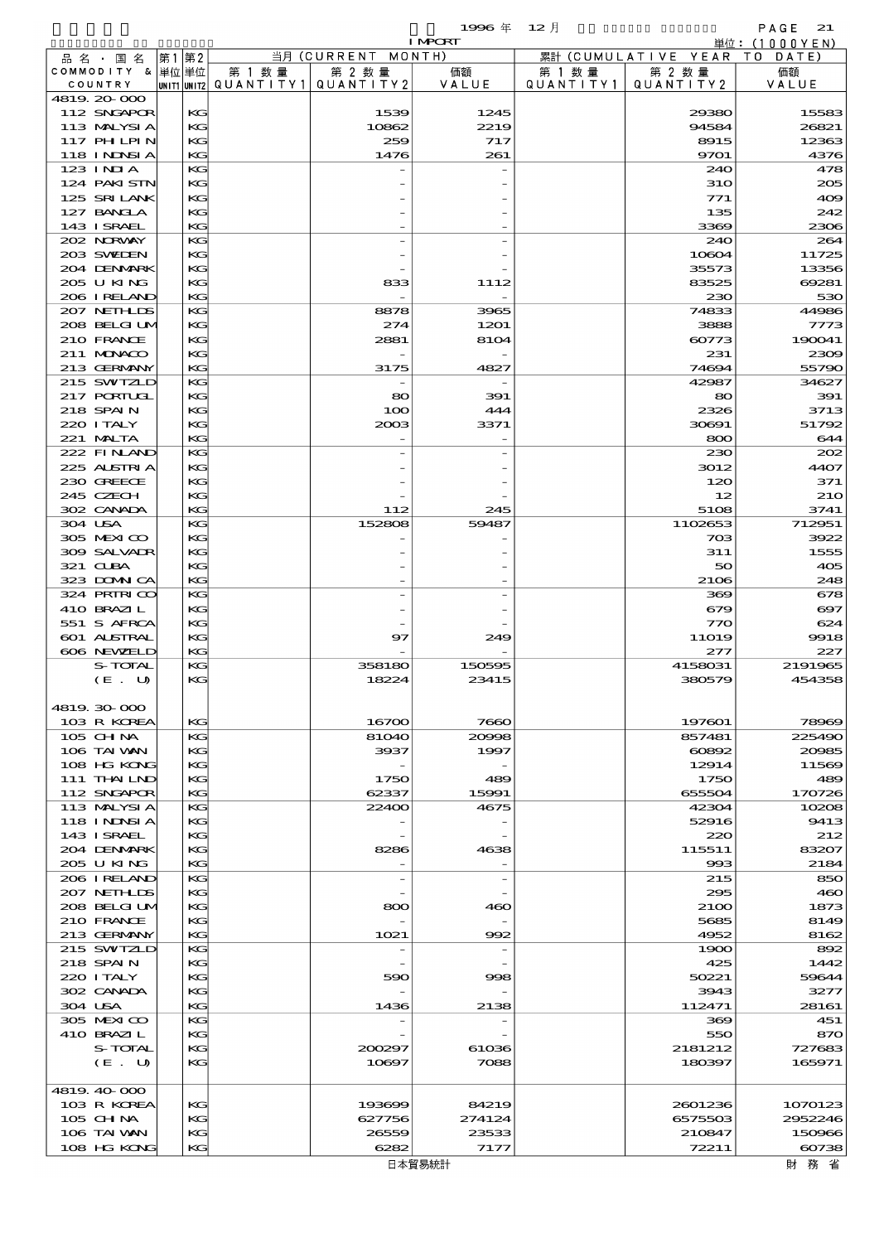|                               |             |           |                              | 1996年          | $12$ 月    |                               | PAGE<br>21                   |
|-------------------------------|-------------|-----------|------------------------------|----------------|-----------|-------------------------------|------------------------------|
|                               |             |           |                              | <b>I MPCRT</b> |           |                               | 単位: (1000YEN)                |
| 品 名 ・ 国 名<br>COMMODITY & 単位単位 | 第1 第2       | 第 1 数量    | 当月 (CURRENT MONTH)<br>第 2 数量 | 価額             | 第 1 数 量   | 累計 (CUMULATIVE YEAR<br>第 2 数量 | TO DATE)<br>価額               |
| COUNTRY                       | UNIT1 UNIT2 | QUANTITY1 | QUANTITY 2                   | VALUE          | QUANTITY1 | QUANTITY 2                    | VALUE                        |
| 4819 20 000                   |             |           |                              |                |           |                               |                              |
| 112 SNGAPOR                   | KG          |           | 1539                         | 1245           |           | 29380                         | 15583                        |
| 113 MALYSIA                   | KG          |           | 10862                        | 2219           |           | 94584                         | 26821                        |
| 117 PHLPIN<br>118 INNSI A     | KG<br>KG    |           | 259<br>1476                  | 717<br>261     |           | 8915<br>9701                  | 12363<br>4376                |
| $123$ INJA                    | KG          |           |                              |                |           | 240                           | 478                          |
| 124 PAKISTN                   | KG          |           |                              |                |           | <b>31O</b>                    | 205                          |
| 125 SRILANK                   | KG          |           |                              |                |           | 771                           | 409                          |
| 127 BANCLA                    | KG          |           |                              |                |           | 135                           | 242                          |
| 143 I SRAEL                   | KG          |           |                              |                |           | 3369                          | 2306                         |
| 202 NORWAY<br>203 SWIDEN      | KG<br>KG    |           |                              |                |           | 240<br>10604                  | 264<br>11725                 |
| 204 DENMARK                   | KG          |           |                              |                |           | 35573                         | 13356                        |
| 205 U KING                    | KG          |           | 833                          | 1112           |           | 83525                         | 69281                        |
| 206 IRELAND                   | KG          |           |                              |                |           | 230                           | 530                          |
| 207 NETHLIS                   | KG          |           | 8878                         | 3965           |           | 74833                         | 44986                        |
| 208 BELGI UM<br>210 FRANCE    | KG<br>KG    |           | 274<br>2881                  | 1201<br>8104   |           | 3888<br>60773                 | 7773<br>190041               |
| 211 MUNKOO                    | KG          |           |                              |                |           | 231                           | 2309                         |
| 213 GERMANY                   | KG          |           | 3175                         | 4827           |           | 74694                         | 55790                        |
| 215 SWIZLD                    | KG          |           |                              |                |           | 42987                         | 34627                        |
| 217 PORIUGI                   | KG          |           | 80                           | 391            |           | 80                            | 391                          |
| 218 SPAIN                     | KG          |           | 100                          | 444            |           | 2326                          | 3713                         |
| 220 I TALY<br>221 MALTA       | KG<br>KG    |           | 2003                         | 3371           |           | 30691<br>800                  | 51792<br>644                 |
| 222 FINLAND                   | KG          |           |                              |                |           | 230                           | 202                          |
| 225 ALSTRIA                   | KG          |           |                              |                |           | 3012                          | 4407                         |
| 230 GREECE                    | KG          |           |                              |                |           | 120                           | 371                          |
| 245 CZECH                     | KG          |           |                              |                |           | 12                            | <b>210</b>                   |
| 302 CANADA                    | KG          |           | 112                          | 245            |           | 5108                          | 3741                         |
| 304 USA                       | KG          |           | 152808                       | 59487          |           | 1102653                       | 712951                       |
| 305 MEXICO<br>309 SALVADR     | KG<br>KG    |           |                              |                |           | 703<br>311                    | 3922<br>1555                 |
| 321 CUBA                      | KG          |           |                              |                |           | 50                            | 405                          |
| 323 DOMNICA                   | KG          |           |                              |                |           | 2106                          | 248                          |
| 324 PRIRICO                   | KG          |           |                              |                |           | 369                           | 678                          |
| 410 BRAZIL                    | KG          |           |                              |                |           | 679                           | $\boldsymbol{\mathrm{e}}$ 97 |
| 551 S AFRCA<br>601 ALSTRAL    | KG<br>KG    |           | 97                           | 249            |           | 770                           | 624                          |
| 606 NEWELD                    | KG          |           |                              |                |           | <b>11O19</b><br>277           | 9918<br>227                  |
| S-TOTAL                       | KG          |           | 358180                       | 150595         |           | 4158031                       | 2191965                      |
| (E. U)                        | KG          |           | 18224                        | 23415          |           | 380579                        | 454358                       |
|                               |             |           |                              |                |           |                               |                              |
| 4819 30 000<br>103 R KOREA    | KG          |           | 16700                        | 7660           |           | 197601                        | 78969                        |
| $105$ CHNA                    | KG          |           | 81040                        | 20998          |           | 857481                        | 225490                       |
| 106 TAI VAN                   | KG          |           | 3937                         | 1997           |           | 60892                         | 20985                        |
| 108 HG KONG                   | KG          |           |                              |                |           | 12914                         | 11569                        |
| 111 THAILND                   | KG          |           | 1750                         | 489            |           | 1750                          | 489                          |
| 112 SNGAPOR                   | KG          |           | 62337                        | 15991          |           | 655504                        | 170726                       |
| 113 MALYSIA<br>118 INNSI A    | KG<br>KG    |           | 22400                        | 4675           |           | 42304<br>52916                | 10208<br>9413                |
| 143 ISRAEL                    | KG          |           |                              |                |           | 220                           | 212                          |
| 204 DENMARK                   | KG          |           | 8286                         | 4638           |           | 115511                        | 83207                        |
| 205 U KING                    | KG          |           |                              |                |           | 993                           | 2184                         |
| 206 IRELAND                   | KG          |           | $\overline{\phantom{m}}$     |                |           | 215                           | 850                          |
| 207 NETHLIDS<br>208 BELGI UM  | KG<br>KG    |           | 800                          | 460            |           | 295<br>2100                   | 460<br>1873                  |
| 210 FRANCE                    | KG          |           |                              |                |           | 5685                          | 8149                         |
| 213 GERMANY                   | KG          |           | 1021                         | 992            |           | 4952                          | 8162                         |
| 215 SWIZLD                    | KG          |           |                              |                |           | 1900                          | 892                          |
| 218 SPAIN                     | KG          |           |                              |                |           | 425                           | 1442                         |
| 220 I TALY                    | KG          |           | 590                          | 998            |           | 50221                         | 59644                        |
| 302 CANADA<br>304 USA         | KG<br>KG    |           | 1436                         | 2138           |           | 3943<br>112471                | 3277<br>28161                |
| 305 MEXICO                    | KG          |           |                              |                |           | 369                           | 451                          |
| 410 BRAZIL                    | KG          |           |                              |                |           | 550                           | 870                          |
| S-TOTAL                       | KG          |           | 200297                       | 61036          |           | 2181212                       | 727683                       |
| (E. U)                        | KG          |           | 10897                        | 7088           |           | 180397                        | 165971                       |
| 4819 40 000                   |             |           |                              |                |           |                               |                              |
| 103 R KOREA                   | KG          |           | 193699                       | 84219          |           | 2601236                       | 1070123                      |
| $105$ CHNA                    | KG          |           | 627756                       | 274124         |           | 6575503                       | 2952246                      |
| 106 TAI WAN                   | KG          |           | 26559                        | 23533          |           | 210847                        | 150966                       |
| 108 HG KONG                   | KG          |           | 6282                         | 7177           |           | 72211                         | 60738                        |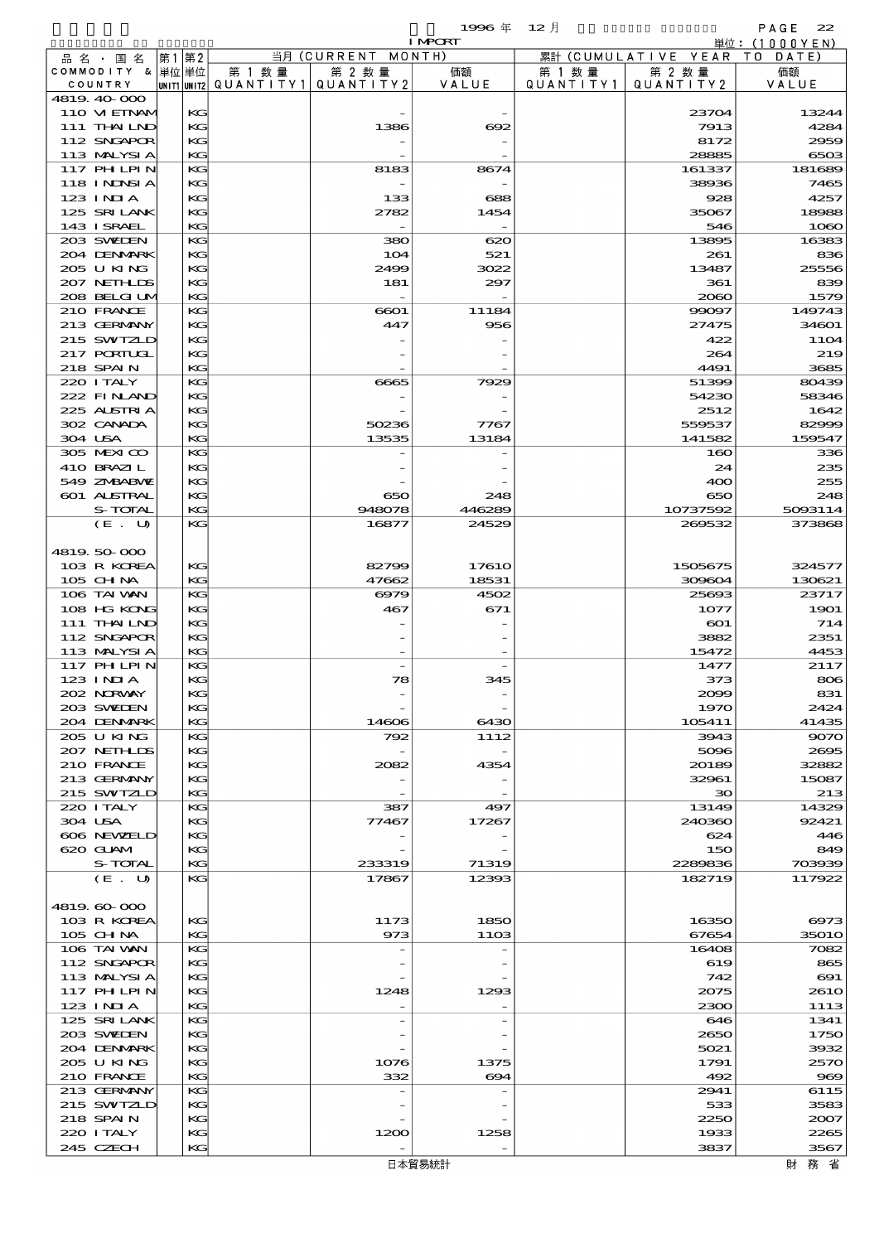|                            |             |           |                          | 1996年                    | $12$ 月    |                      | PAGE<br>22      |
|----------------------------|-------------|-----------|--------------------------|--------------------------|-----------|----------------------|-----------------|
|                            |             |           |                          | <b>I MPORT</b>           |           |                      | 単位: $(1000YEN)$ |
| 品 名 ・ 国 名                  | 第1 第2       |           | 当月 (CURRENT MONTH)       |                          |           | 累計 (CUMULATIVE YEAR) | T O<br>DATE)    |
| COMMODITY & 単位単位           |             | 第 1 数 量   | 第 2 数量                   | 価額                       | 第 1 数 量   | 第 2 数量               | 価額              |
| COUNTRY                    | UNIT1 UNIT2 | QUANTITY1 | QUANTITY 2               | VALUE                    | QUANTITY1 | QUANTITY 2           | VALUE           |
| 4819.40-000                |             |           |                          |                          |           |                      |                 |
| 110 VIEINAM                | KG          |           |                          | $\overline{\phantom{0}}$ |           | 23704                | 13244           |
| 111 THAILND<br>112 SNGAPOR | KG<br>KG    |           | 1386                     | 692                      |           | 7913<br>8172         | 4284<br>2959    |
| 113 MALYSIA                | KG          |           |                          |                          |           | 28885                | 6503            |
| $117$ PH LPIN              | KG          |           | 8183                     | 8674                     |           | 161337               | 181689          |
| 118 I NJNSI A              | KG          |           | $\overline{\phantom{0}}$ | $\overline{\phantom{0}}$ |           | 38936                | 7465            |
| $123$ INJA                 | КG          |           | 133                      | 688                      |           | 928                  | 4257            |
| 125 SRILANK                | KG          |           | 2782                     | 1454                     |           | 35067                | 18988           |
| 143 I SRAEL                | KG          |           |                          |                          |           | 546                  | 1060            |
| 203 SWEDEN                 | KG          |           | 380                      | 620                      |           | 13895                | 16383           |
| 204 DENMARK                | KG          |           | 104                      | 521                      |           | 261                  | 836             |
| 205 U KING                 | КG          |           | 2499                     | 3022                     |           | 13487                | 25556           |
| 207 NETH LIS               | KG          |           | 181                      | 297                      |           | 361                  | 839             |
| 208 BELGI UM               | KG          |           |                          |                          |           | 2060                 | 1579            |
| 210 FRANCE                 | KG          |           | 6601                     | 11184                    |           | 99097                | 149743          |
| 213 GERMANY                | KG          |           | 447                      | 956                      |           | 27475                | 34601           |
| 215 SWIZLD                 | КG          |           |                          |                          |           | 422                  | <b>11O4</b>     |
| 217 PORIUGI                | KG          |           |                          |                          |           | 264                  | 219             |
| 218 SPAIN                  | KG          |           |                          |                          |           | 4491                 | 3685            |
| 220 I TALY                 | KG          |           | 6665                     | 7929                     |           | 51399                | 80439           |
| 222 FINAND                 | KG          |           |                          | $\overline{\phantom{0}}$ |           | 54230                | 58346           |
| 225 ALSTRIA                | КG          |           |                          |                          |           | 2512                 | 1642            |
| 302 CANADA                 | KG          |           | 50236                    | 7767                     |           | 559537               | 82999           |
| 304 USA                    | KG<br>KG    |           | 13535                    | 13184                    |           | 141582               | 159547          |
| 305 MEXICO<br>410 BRAZIL   | КG          |           |                          |                          |           | 160<br>24            | 336<br>235      |
| 549 ZNBABVE                | КG          |           |                          |                          |           | 400                  | 255             |
| 601 ALSTRAL                | KG          |           | 650                      | 248                      |           | 650                  | 248             |
| <b>S-TOTAL</b>             | KG          |           | 948078                   | 446289                   |           | 10737592             | 5093114         |
| (E. U)                     | KG          |           | 16877                    | 24529                    |           | 269532               | 373868          |
|                            |             |           |                          |                          |           |                      |                 |
| 4819.50.000                |             |           |                          |                          |           |                      |                 |
| 103 R KOREA                | KG          |           | 82799                    | 1761O                    |           | 1505675              | 324577          |
| $105$ CHNA                 | KG          |           | 47662                    | 18531                    |           | 309604               | 130621          |
| 106 TAI WAN                | KG          |           | 6979                     | 4502                     |           | 25693                | 23717           |
| 108 HG KONG                | КG          |           | 467                      | 671                      |           | 1077                 | 1901            |
| 111 THAILND                | КG          |           |                          |                          |           | $_{\rm CO1}$         | 714             |
| 112 SNGAPOR                | KG          |           |                          |                          |           | 3882                 | 2351            |
| 113 MALYSIA                | KG          |           |                          | $\overline{\phantom{0}}$ |           | 15472                | 4453            |
| 117 PHLPIN                 | KG          |           |                          |                          |           | 1477                 | 2117            |
| 123 INIA                   | КG          |           | 78                       | 345                      |           | 373                  | 806             |
| 202 NRWAY                  | КG          |           |                          |                          |           | 2009                 | 831             |
| 203 SWIDEN                 | KG          |           |                          |                          |           | 1970                 | 2424            |
| 204 DENMARK<br>205 U KING  | KG<br>KG    |           | 14606<br>792             | 6430<br>1112             |           | 105411<br>3943       | 41435<br>9070   |
| 207 NETHLIS                | КG          |           |                          |                          |           | 5096                 | 2695            |
| 210 FRANCE                 | КG          |           | 2082                     | 4354                     |           | 20189                | 32882           |
| 213 GERMANY                | KG          |           |                          |                          |           | 32961                | 15087           |
| 215 SWIZLD                 | KG          |           |                          |                          |           | 30                   | 213             |
| 220 I TALY                 | KG          |           | 387                      | 497                      |           | 13149                | 14329           |
| 304 USA                    | КG          |           | 77467                    | 17267                    |           | 240360               | 92421           |
| 606 NEWELD                 | КG          |           |                          |                          |           | 624                  | 446             |
| 620 GUAM                   | KG          |           |                          |                          |           | 150                  | 849             |

| $\approx$ 200 $\approx$ 121.12 | n.      |        |        | 30      | 213                   |
|--------------------------------|---------|--------|--------|---------|-----------------------|
| 220 I TALY                     | KG.     | 387    | 497    | 13149   | 14329                 |
| 304 USA                        | KG      | 77467  | 17267  | 240360  | 92421                 |
| 606 NEWELD                     | KG.     |        |        | 624     | $-446$                |
| 620 GLAM                       | KG      |        |        | 150     | 849                   |
| S-TOTAL                        | KG      | 233319 | 71319  | 2289836 | 703933                |
| (E. U)                         | KG      | 17867  | 12393  | 182719  | 117922                |
|                                |         |        |        |         |                       |
| 4819, 60, 000                  |         |        |        |         |                       |
| 103 R KOREA                    | KG      | 1173   | 1850   | 16350   | 6975                  |
| 105 CH NA                      | KG.     | 973    | 1103   | 67654   | 35O10                 |
| 106 TAI WAN                    | KG.     |        |        | 16408   | 7082                  |
| 112 SNGAPOR                    | $K$ $G$ |        |        | 619     | 86£                   |
| 113 MALYSIA                    | KG      |        |        | 742     | $\Theta$ 1            |
| <b>117 PHLPIN</b>              | KG      | 1248   | 1293   | 2075    | 261 <sub>C</sub>      |
| $123$ INIA                     | KG      |        |        | 2300    | 1113                  |
| 125 SRILANK                    | KG      |        |        | 646     | 1341                  |
| 203 SWIEN                      | KG.     |        |        | 2650    | 1750                  |
| 204 DENMARK                    | KG      |        |        | 5021    | 3932                  |
| 205 U KING                     | KG      | 1076   | 1375   | 1791    | 257                   |
| 210 FRANCE                     | $K$ $G$ | 332    | 694    | 492     | $\overline{\text{S}}$ |
| 213 GERMANY                    | KG      |        |        | 2941    | 6115                  |
| 215 SWIZLD                     | KG      |        |        | 533     | 3583                  |
| 218 SPAIN                      | KG      |        |        | 2250    | 2007                  |
| 220 I TALY                     | KG      | 1200   | 1258   | 1933    | 2265                  |
| 245 CZECH                      | KG      |        |        | 3837    | 3567                  |
|                                |         |        | 日本貿易統計 |         | 務 省<br>財              |
|                                |         |        |        |         |                       |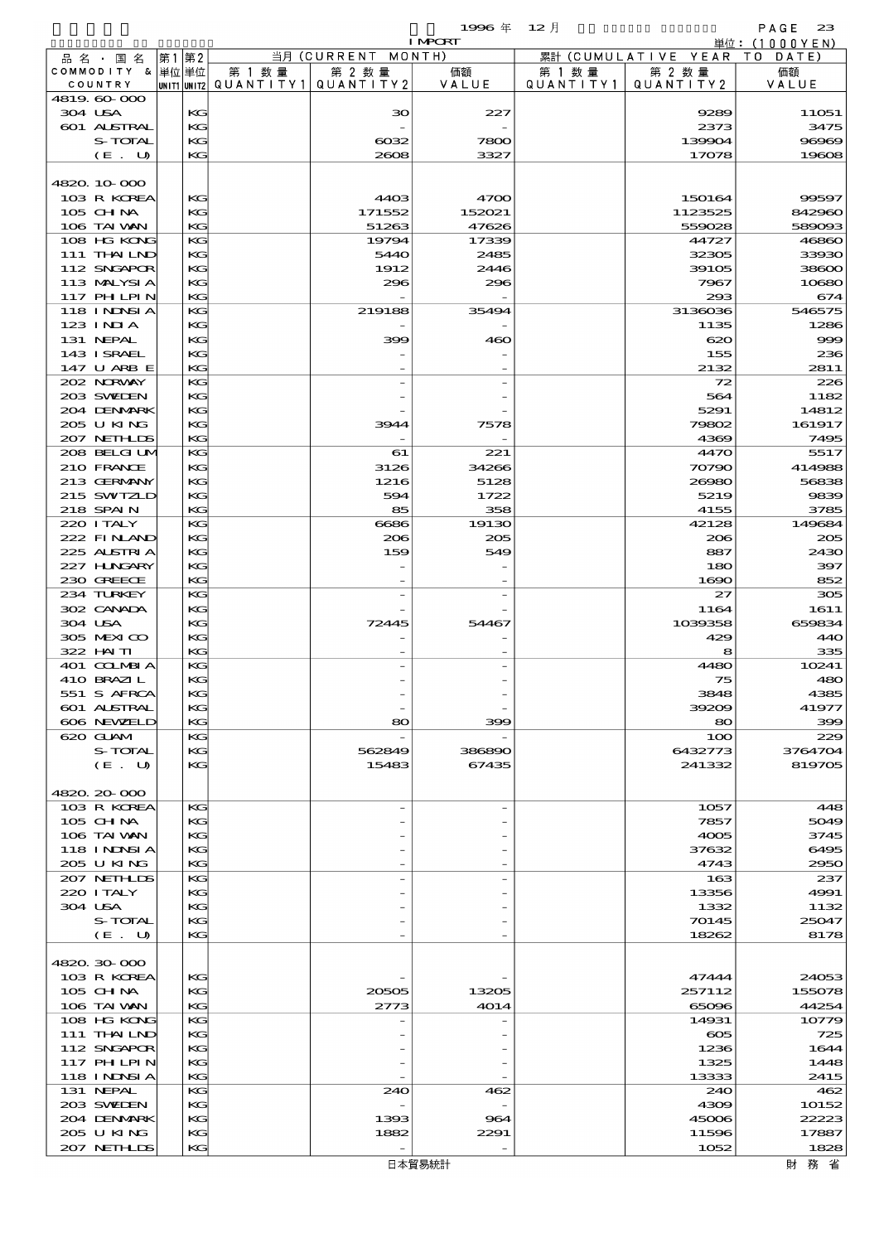$1996 \# 12 \# 12$ 

|         | 品 名 ・ 国 名                   |          |                                          |                    |                 |                   |                              |                  |
|---------|-----------------------------|----------|------------------------------------------|--------------------|-----------------|-------------------|------------------------------|------------------|
|         |                             | 第1 第2    |                                          | 当月 (CURRENT MONTH) |                 |                   | 累計 (CUMULATIVE YEAR TO DATE) |                  |
|         | COMMODITY & 単位単位<br>COUNTRY |          | 第 1 数量                                   | 第 2 数量             | 価額              | 第 1 数量            | 第 2 数量                       | 価額               |
|         | 4819.60-000                 |          | UNIT1 UNIT2  QUANT I TY 1   QUANT I TY 2 |                    | VALUE           | Q U A N T I T Y 1 | QUANTITY 2                   | VALUE            |
| 304 USA |                             | KG       |                                          | ЗО                 | 227             |                   | 9289                         | 11051            |
|         | 601 ALSTRAL                 | KG       |                                          |                    |                 |                   | 2373                         | 3475             |
|         | S-TOTAL                     | KG       |                                          | $\cos z$           | 7800            |                   | 139904                       | 96969            |
|         | (E. U)                      | KG       |                                          | 2608               | 3327            |                   | 17078                        | 19608            |
|         |                             |          |                                          |                    |                 |                   |                              |                  |
|         | 4820.10-000                 |          |                                          |                    |                 |                   |                              |                  |
|         | 103 R KOREA                 | KG       |                                          | 4403               | 4700            |                   | 150164                       | 99597            |
|         | 105 CH NA<br>106 TAI VAN    | KG<br>KG |                                          | 171552<br>51263    | 152021<br>47626 |                   | 1123525<br>559028            | 842960<br>589093 |
|         | 108 HG KONG                 | KG       |                                          | 19794              | 17339           |                   | 44727                        | 46860            |
|         | 111 THAILND                 | KG       |                                          | 5440               | 2485            |                   | 32305                        | 33930            |
|         | 112 SNGAPOR                 | KG       |                                          | 1912               | 2446            |                   | 39105                        | 38600            |
|         | 113 MALYSIA                 | KG       |                                          | 296                | 296             |                   | 7967                         | 10680            |
|         | 117 PHLPIN                  | KG       |                                          |                    |                 |                   | 293                          | 674              |
|         | 118 I NDSI A                | KG       |                                          | 219188             | 35494           |                   | 3136036                      | 546575           |
|         | $123$ INIA<br>131 NEPAL     | KG<br>KG |                                          | 399                | 460             |                   | 1135<br>620                  | 1286<br>999      |
|         | 143 ISRAEL                  | KG       |                                          |                    |                 |                   | 155                          | 236              |
|         | 147 U ARB E                 | KG       |                                          |                    |                 |                   | 2132                         | 2811             |
|         | 202 NORWAY                  | KG       |                                          |                    |                 |                   | 72                           | 226              |
|         | 203 SWIDEN                  | KG       |                                          |                    |                 |                   | 564                          | 1182             |
|         | 204 DENMARK                 | KG       |                                          |                    |                 |                   | 5291                         | 14812            |
|         | 205 U KING                  | KG       |                                          | 3944               | 7578            |                   | 79802                        | 161917           |
|         | 207 NETHLIS                 | KG       |                                          |                    |                 |                   | 4369                         | 7495             |
|         | 208 BELGI UM<br>210 FRANCE  | KG<br>KG |                                          | 61<br>3126         | 221<br>34266    |                   | 4470                         | 5517             |
|         | 213 GERMANY                 | KG       |                                          | 1216               | 5128            |                   | 70790<br>26980               | 414988<br>56838  |
|         | 215 SWIZLD                  | KG       |                                          | 594                | 1722            |                   | 5219                         | 9839             |
|         | 218 SPAIN                   | KG       |                                          | 85                 | 358             |                   | 4155                         | 3785             |
|         | 220 I TALY                  | KG       |                                          | 6686               | 19130           |                   | 42128                        | 149684           |
|         | 222 FINAND                  | KG       |                                          | 206                | 205             |                   | 206                          | 205              |
|         | 225 ALSTRIA                 | KG       |                                          | 159                | 549             |                   | 887                          | 2430             |
|         | 227 H.NGARY                 | KG       |                                          |                    |                 |                   | 180                          | 397              |
|         | 230 GREECE                  | KG       |                                          |                    |                 |                   | 1690                         | 852              |
|         | 234 TURKEY<br>302 CANADA    | KG<br>KG |                                          |                    |                 |                   | 27<br>1164                   | 305<br>1611      |
| 304 USA |                             | KG       |                                          | 72445              | 54467           |                   | 1039358                      | 659834           |
|         | 305 MEXICO                  | KG       |                                          |                    |                 |                   | 429                          | 440              |
|         | 322 HN TI                   | KG       |                                          |                    |                 |                   | 8                            | 335              |
|         | 401 COLMBI A                | KG       |                                          |                    |                 |                   | 4480                         | 10241            |
|         | 410 BRAZIL                  | KG       |                                          |                    |                 |                   | 75                           | 480              |
|         | 551 S AFRCA                 | KG       |                                          |                    |                 |                   | 3848                         | 4385             |
|         | 601 ALSTRAL<br>606 NEWELD   | KG       |                                          | 80                 |                 |                   | 39209                        | 41977            |
|         | 620 GLAM                    | KG<br>KG |                                          |                    | 399             |                   | 80<br>100                    | 399<br>229       |
|         | S-TOTAL                     | KG       |                                          | 562849             | 386890          |                   | 6432773                      | 3764704          |
|         | (E. U)                      | KG       |                                          | 15483              | 67435           |                   | 241332                       | 819705           |
|         |                             |          |                                          |                    |                 |                   |                              |                  |
|         | 4820.20-000                 |          |                                          |                    |                 |                   |                              |                  |
|         | 103 R KOREA                 | KG       |                                          |                    |                 |                   | 1057                         | 448              |
|         | $105$ CHNA                  | KG       |                                          |                    |                 |                   | 7857                         | 5049             |
|         | 106 TAI VAN<br>118 I NDSI A | KG<br>КG |                                          |                    |                 |                   | 4005<br>37632                | 3745<br>6495     |
|         | 205 U KING                  | KG       |                                          |                    |                 |                   | 4743                         | 2950             |
|         | 207 NETHLIS                 | KG       |                                          |                    |                 |                   | 163                          | 237              |
|         | 220 I TALY                  | KG       |                                          |                    |                 |                   | 13356                        | 4991             |
| 304 USA |                             | KG       |                                          |                    |                 |                   | 1332                         | 1132             |
|         | S-TOTAL                     | KG       |                                          |                    |                 |                   | 70145                        | 25047            |
|         | (E. U)                      | KG       |                                          |                    |                 |                   | 18262                        | 8178             |
|         |                             |          |                                          |                    |                 |                   |                              |                  |
|         | 4820.30-000<br>103 R KOREA  | KG       |                                          |                    |                 |                   | 47444                        | 24053            |
|         | 105 CH NA                   | КG       |                                          | 20505              | 13205           |                   | 257112                       | 155078           |
|         | 106 TAI WAN                 | KG       |                                          | 2773               | 4014            |                   | 65096                        | 44254            |
|         | 108 HG KONG                 | KG       |                                          |                    |                 |                   | 14931                        | 10779            |
|         | 111 THAILND                 | KG       |                                          |                    |                 |                   | $\infty$                     | 725              |
|         | 112 SNGAPOR                 | KG       |                                          |                    |                 |                   | 1236                         | 1644             |
|         | 117 PH LPIN                 | КG       |                                          |                    |                 |                   | 1325                         | 1448             |
|         | <b>118 INNSIA</b>           | KG       |                                          |                    |                 |                   | 13333                        | 2415             |
|         | 131 NEPAL<br>203 SWIDEN     | KG<br>KG |                                          | 240                | 462             |                   | 240<br>4309                  | 462<br>10152     |
|         | 204 DENMARK                 | KG       |                                          | 1393               | 964             |                   | 45006                        | 22223            |
|         | 205 U KING                  | КG       |                                          | 1882               | 2291            |                   | 11596                        | 17887            |
|         | 207 NETHLIS                 | KG       |                                          |                    |                 |                   | 1052                         | 1828             |
|         |                             |          |                                          |                    | 日本貿易統計          |                   |                              | 財務省              |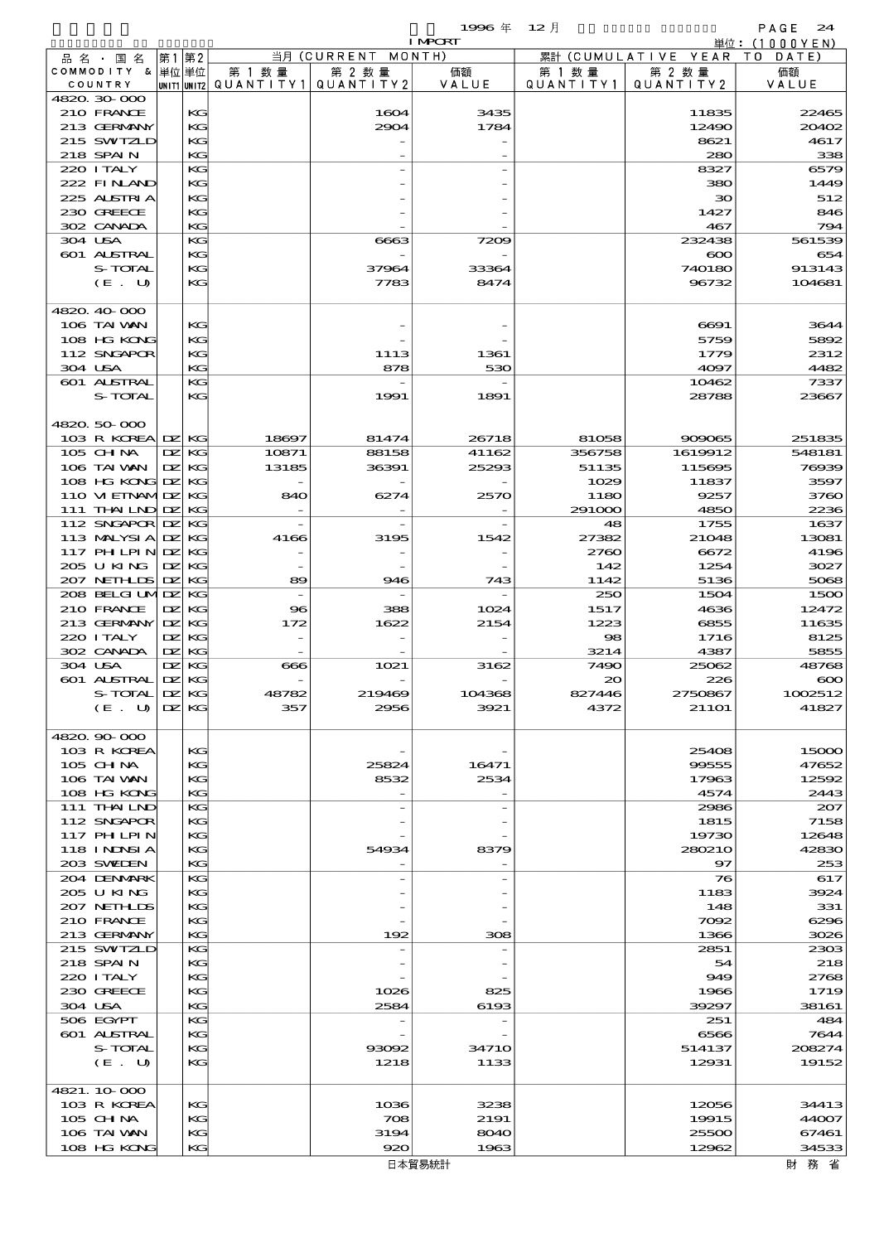|                                    |                     |                  |                          |                              | 1996 $#$       | 12月          |                               | PAGE<br>24                                                                                                            |
|------------------------------------|---------------------|------------------|--------------------------|------------------------------|----------------|--------------|-------------------------------|-----------------------------------------------------------------------------------------------------------------------|
|                                    |                     |                  |                          |                              | <b>I MPORT</b> |              |                               | 単位:(1000YEN)                                                                                                          |
| 品 名 ・ 国 名<br>COMMODITY & 単位単位      | 第1                  | 第2               | 第 1 数量                   | 当月 (CURRENT MONTH)<br>第 2 数量 | 価額             | 第 1 数 量      | 累計 (CUMULATIVE YEAR<br>第 2 数量 | TO DATE)<br>価額                                                                                                        |
| COUNTRY                            |                     |                  | unit1 unit2  Q∪ANT   TY1 | QUANTITY 2                   | VALUE          | QUANTITY1    | QUANTITY 2                    | VALUE                                                                                                                 |
| 4820.30-000                        |                     |                  |                          |                              |                |              |                               |                                                                                                                       |
| 210 FRANCE                         |                     | KG               |                          | 1604                         | 3435           |              | 11835                         | 22465                                                                                                                 |
| 213 GERMANY                        |                     | KG               |                          | 2904                         | 1784           |              | 12490                         | 20402                                                                                                                 |
| 215 SWIZLD<br>218 SPAIN            |                     | KG<br>KG         |                          |                              |                |              | 8621<br>280                   | 4617<br>338                                                                                                           |
| 220 I TALY                         |                     | KG               |                          |                              |                |              | 8327                          | 6579                                                                                                                  |
| 222 FINAND                         |                     | KG               |                          |                              |                |              | 380                           | 1449                                                                                                                  |
| 225 ALSTRIA                        |                     | KG               |                          |                              |                |              | 30                            | 512                                                                                                                   |
| 230 GREECE                         |                     | KG               |                          |                              |                |              | 1427                          | 846                                                                                                                   |
| 302 CANADA                         |                     | KG               |                          |                              |                |              | 467                           | 794                                                                                                                   |
| 304 USA                            |                     | KG               |                          | 6663                         | 7209           |              | 232438                        | 561539                                                                                                                |
| 601 ALSTRAL<br>S-TOTAL             |                     | KG<br>KG         |                          | 37964                        | 33364          |              | $\infty$<br>740180            | 654<br>913143                                                                                                         |
| (E. U)                             |                     | KG               |                          | 7783                         | 8474           |              | 96732                         | 104681                                                                                                                |
|                                    |                     |                  |                          |                              |                |              |                               |                                                                                                                       |
| 4820.40-000                        |                     |                  |                          |                              |                |              |                               |                                                                                                                       |
| 106 TAI VAN                        |                     | KG               |                          |                              |                |              | 6691                          | 3644                                                                                                                  |
| 108 HG KONG                        |                     | KG               |                          |                              |                |              | 5759                          | 5892                                                                                                                  |
| 112 SNGAPOR                        |                     | KG               |                          | 1113                         | 1361           |              | 1779                          | 2312                                                                                                                  |
| 304 USA                            |                     | KG               |                          | 878                          | 530            |              | 4097                          | 4482                                                                                                                  |
| 601 ALSTRAL<br>S-TOTAL             |                     | KG<br>KG         |                          | 1991                         | 1891           |              | 10462<br>28788                | 7337<br>23667                                                                                                         |
|                                    |                     |                  |                          |                              |                |              |                               |                                                                                                                       |
| 4820.50-000                        |                     |                  |                          |                              |                |              |                               |                                                                                                                       |
| 103 R KOREA DZ KG                  |                     |                  | 18697                    | 81474                        | 26718          | 81058        | 909065                        | 251835                                                                                                                |
| 105 CH NA                          | DZ.                 | KG               | 10871                    | 88158                        | 41162          | 356758       | 1619912                       | 548181                                                                                                                |
| 106 TAI VAN                        |                     | $EZ$ KG          | 13185                    | 36391                        | 25293          | 51135        | 115695                        | 76939                                                                                                                 |
| 108 HG KONG DZ                     |                     | KС               |                          |                              |                | 1029         | 11837                         | 3597                                                                                                                  |
| 110 VI EINAMIDZ                    |                     | KG               | 840                      | 6274                         | 2570           | 1180         | 9257                          | 3760                                                                                                                  |
| $111$ THN LND DZ<br>112 SNGAPOR DZ |                     | KG<br>KG         |                          |                              |                | 291000<br>48 | 4850<br>1755                  | 2236<br>1637                                                                                                          |
| 113 MALYSIA DZ                     |                     | KG               | 4166                     | 3195                         | 1542           | 27382        | 21048                         | 13081                                                                                                                 |
| $117$ PH LPIN DZ                   |                     | KG               |                          |                              |                | 2760         | 6672                          | 4196                                                                                                                  |
| 205 U KING                         | DZ.                 | KG               |                          |                              |                | 142          | 1254                          | 3027                                                                                                                  |
| 207 NETHLIS                        | $\mathbf{Z}$        | KG               | 89                       | 946                          | 743            | 1142         | 5136                          | 5068                                                                                                                  |
| 208 BELGI UMIDZ                    |                     | KG               |                          |                              |                | 250          | 1504                          | 1500                                                                                                                  |
| 210 FRANCE                         |                     | DZ KG            | $\bf{8}$                 | 388                          | 1024           | 1517         | 4636                          | 12472                                                                                                                 |
| 213 GERMANY                        | $\mathbf{DZ}$ KG    |                  | 172                      | 1622                         | 2154           | 1223         | 6855                          | 11635                                                                                                                 |
| 220 I TALY<br>302 CANADA           | DZ.<br>$\mathbf{Z}$ | KG<br>KG         |                          |                              |                | 98<br>3214   | 1716<br>4387                  | 8125<br>5855                                                                                                          |
| 304 USA                            |                     | $\Sigma$ KG      | 666                      | 1021                         | 3162           | 7490         | 25062                         | 48768                                                                                                                 |
| 601 ALSTRAL                        |                     | DZ KG            |                          |                              |                | $\infty$     | 226                           | $\infty$                                                                                                              |
| S-TOTAL                            |                     | $\mathbf{DZ}$ KG | 48782                    | 219469                       | 104368         | 827446       | 2750867                       | 1002512                                                                                                               |
| (E. U)                             |                     | DZ KG            | 357                      | 2956                         | 3921           | 4372         | <b>21101</b>                  | 41827                                                                                                                 |
|                                    |                     |                  |                          |                              |                |              |                               |                                                                                                                       |
|                                    |                     |                  |                          |                              |                |              |                               |                                                                                                                       |
| 4820.90-000                        |                     |                  |                          |                              |                |              |                               |                                                                                                                       |
| 103 R KOREA                        |                     | KG               |                          |                              |                |              | 25408                         |                                                                                                                       |
| 105 CH NA                          |                     | KG               |                          | 25824                        | 16471          |              | 99555                         |                                                                                                                       |
| 106 TAI VAN<br>108 HG KONG         |                     | KG<br>KG         |                          | 8532                         | 2534           |              | 17963<br>4574                 |                                                                                                                       |
| 111 THAILND                        |                     | KG               |                          |                              |                |              | 2986                          |                                                                                                                       |
| 112 SNGAPOR                        |                     | KG               |                          |                              |                |              | 1815                          |                                                                                                                       |
| 117 PHLPIN                         |                     | KG               |                          |                              |                |              | 19730                         |                                                                                                                       |
| 118 I NDSI A                       |                     | KG               |                          | 54934                        | 8379           |              | 280210                        |                                                                                                                       |
| 203 SWIJEN                         |                     | KG               |                          |                              |                |              | 97                            |                                                                                                                       |
| 204 DENMARK                        |                     | KG               |                          |                              |                |              | 76                            |                                                                                                                       |
| 2005 U KING<br>207 NETHLIS         |                     | KG<br>KG         |                          |                              |                |              | 1183<br>148                   | 331                                                                                                                   |
| 210 FRANCE                         |                     | KG               |                          |                              |                |              | 7092                          |                                                                                                                       |
| 213 GERMANY                        |                     | KG               |                          | 192                          | 308            |              | 1366                          |                                                                                                                       |
| 215 SWIZLD                         |                     | KG               |                          |                              |                |              | 2851                          |                                                                                                                       |
| 218 SPAIN                          |                     | KG               |                          |                              |                |              | 54                            | 15000<br>47652<br>12592<br>2443<br>207<br>7158<br>12648<br>42830<br>253<br>617<br>3924<br>6296<br>3026<br>2303<br>218 |
| 220 I TALY                         |                     | KG               |                          |                              |                |              | 949                           | 2768                                                                                                                  |
| 230 GREECE                         |                     | KG               |                          | 1026                         | 825            |              | 1966                          | 1719                                                                                                                  |
| 304 USA                            |                     | KG               |                          | 2584                         | 6193           |              | 39297                         | 38161                                                                                                                 |
| 506 EGYPT<br>601 ALSTRAL           |                     | KG<br>KG         |                          |                              |                |              | 251<br>6566                   | 484<br>7644                                                                                                           |
| S-TOTAL                            |                     | KG               |                          | 93092                        | <b>34710</b>   |              | 514137                        | 208274                                                                                                                |
| (E. U)                             |                     | KG               |                          | 1218                         | 1133           |              | 12931                         | 19152                                                                                                                 |
|                                    |                     |                  |                          |                              |                |              |                               |                                                                                                                       |
| 4821.10.000                        |                     |                  |                          |                              |                |              |                               |                                                                                                                       |
| 103 R KOREA                        |                     | KG               |                          | 1036                         | 3238           |              | 12056                         |                                                                                                                       |
| 105 CH NA<br>106 TAI VAN           |                     | KG<br>KG         |                          | 708<br>3194                  | 2191<br>8040   |              | 19915<br>25500                | 34413<br>44007<br>67461                                                                                               |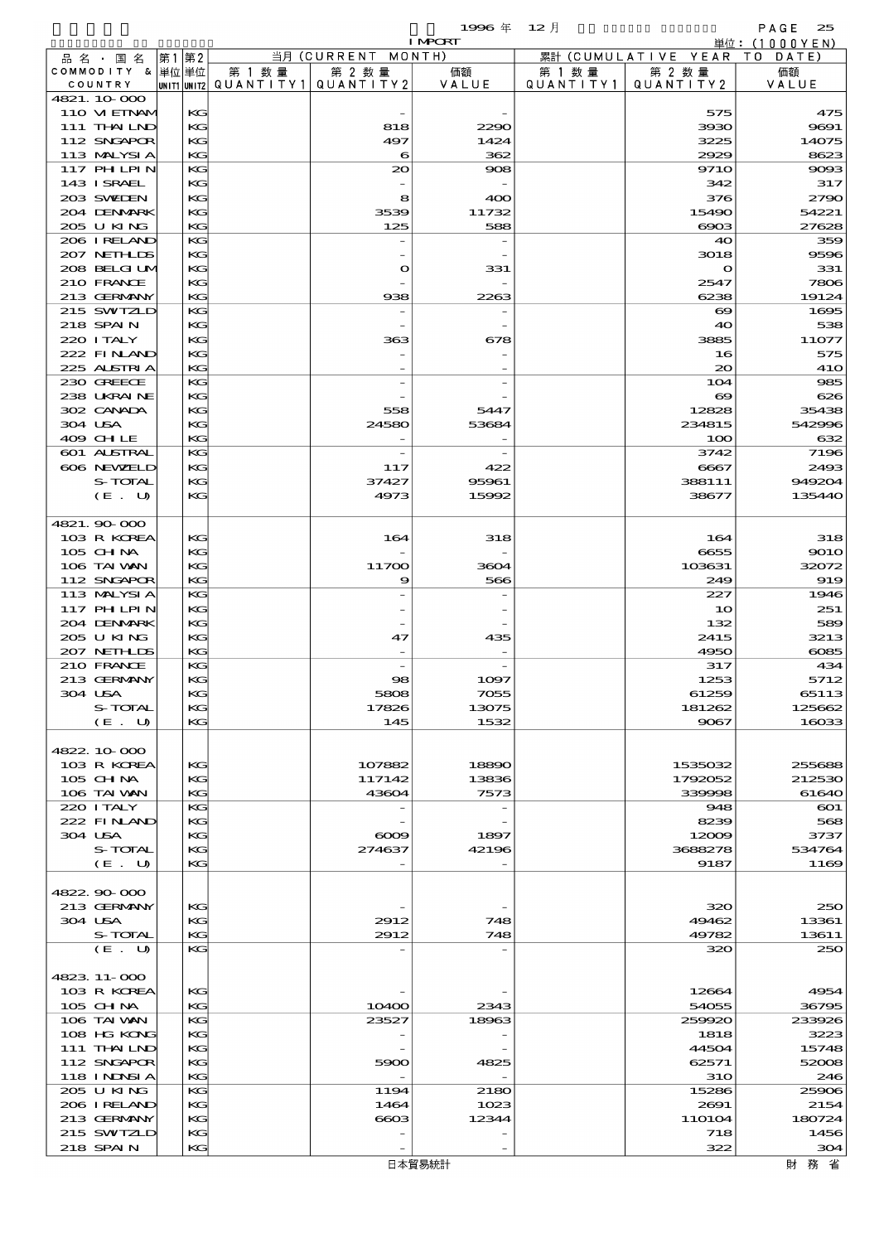|                           |          |                                       |                          | 1996年                    | - 12 月    |                              | PAGE<br>25      |
|---------------------------|----------|---------------------------------------|--------------------------|--------------------------|-----------|------------------------------|-----------------|
|                           |          |                                       |                          | <b>I MPORT</b>           |           |                              | 単位:(1000YEN)    |
| 品 名 ・ 国 名                 | 第1 第2    |                                       | 当月 (CURRENT MONTH)       |                          |           | 累計 (CUMULATIVE YEAR TO DATE) |                 |
| COMMODITY & 単位単位          |          | 第 1 数量                                | 第 2 数量                   | 価額                       | 第 1 数 量   | 第 2 数量                       | 価額              |
| COUNTRY<br>4821.10.000    |          | unit1 unit2  Q∪ANT   TY1  Q∪ANT   TY2 |                          | VALUE                    | QUANTITY1 | QUANTITY 2                   | VALUE           |
| 110 VIEINAM               | KG       |                                       |                          |                          |           | 575                          | 475             |
| 111 THAILND               | KG       |                                       | 818                      | 2290                     |           | 3930                         | 9691            |
| 112 SNGAPOR               | KG       |                                       | 497                      | 1424                     |           | 3225                         | 14075           |
| 113 MALYSIA               | KG       |                                       | 6                        | 362                      |           | 2929                         | 8623            |
| 117 PHLPIN                | KG       |                                       | $\infty$                 | 908                      |           | <b>9710</b>                  | 9093            |
| 143 ISRAEL                | KG       |                                       |                          |                          |           | 342                          | 317             |
| 203 SWIJEN                | KG       |                                       | 8                        | 400                      |           | 376                          | 2790            |
| 204 DENMARK               | KG       |                                       | 3539                     | 11732                    |           | 15490                        | 54221           |
| 205 U KING<br>206 IRELAND | KG       |                                       | 125                      | 588                      |           | $\cos$                       | 27628           |
| 207 NETHLIS               | КG<br>KG |                                       |                          |                          |           | 40<br>3018                   | 359<br>9596     |
| 208 BELGI UM              | KG       |                                       | $\mathbf{o}$             | 331                      |           | $\mathbf o$                  | 331             |
| 210 FRANCE                | KG       |                                       |                          |                          |           | 2547                         | 7806            |
| 213 GERMANY               | KG       |                                       | 938                      | 2263                     |           | 6238                         | 19124           |
| 215 SWIZLD                | КG       |                                       |                          |                          |           | $\infty$                     | 1695            |
| 218 SPAIN                 | KG       |                                       |                          |                          |           | 40                           | 538             |
| 220 I TALY                | KG       |                                       | 363                      | 678                      |           | 3885                         | 11077           |
| 222 FINAND                | KG       |                                       |                          |                          |           | 16                           | 575             |
| 225 ALSTRIA               | KG       |                                       |                          |                          |           | 20                           | <b>410</b>      |
| 230 GREECE                | KG       |                                       |                          |                          |           | 104                          | 985             |
| 238 UKRAINE               | KG       |                                       |                          |                          |           | $\infty$                     | 626             |
| 302 CANADA<br>304 USA     | KG<br>KG |                                       | 558<br>24580             | 5447<br>53684            |           | 12828<br>234815              | 35438<br>542996 |
| 409 CHLE                  | KG       |                                       | $\overline{\phantom{0}}$ | $\overline{\phantom{0}}$ |           | 100                          | 632             |
| 601 ALSTRAL               | KG       |                                       |                          |                          |           | 3742                         | 7196            |
| 606 NEWELD                | KG       |                                       | 117                      | 422                      |           | 6667                         | 2493            |
| S-TOTAL                   | KG       |                                       | 37427                    | 95961                    |           | 388111                       | 949204          |
| (E. U)                    | KG       |                                       | 4973                     | 15992                    |           | 38677                        | 135440          |
|                           |          |                                       |                          |                          |           |                              |                 |
| 4821.90000                |          |                                       |                          |                          |           |                              |                 |
| 103 R KOREA               | KG       |                                       | 164                      | 318                      |           | 164                          | 318             |
| 105 CH NA                 | KG       |                                       |                          |                          |           | 6655                         | 9010            |
| 106 TAI VAN               | KG       |                                       | 11700                    | 3604                     |           | 103631                       | 32072           |
| 112 SNGAPOR               | KG       |                                       | 9                        | 566                      |           | 249                          | 919             |
| 113 MALYSIA               | КG       |                                       |                          |                          |           | 227                          | 1946            |
| <b>117 PHLPIN</b>         | KG       |                                       |                          |                          |           | 10                           | 251             |
| 204 DENMARK<br>205 U KING | KG<br>KG |                                       | 47                       | 435                      |           | 132<br>2415                  | 589<br>3213     |
| 207 NETHLIS               | KG       |                                       |                          |                          |           | 4950                         | $\cos 5$        |
| 210 FRANCE                | KG       |                                       |                          |                          |           | 317                          | 434             |
| 213 GERMANY               | KG       |                                       | 98                       | 1097                     |           | 1253                         | 5712            |
| 304 USA                   | KG       |                                       | 5808                     | 7055                     |           | 61259                        | 65113           |
| S-TOTAL                   | KG       |                                       | 17826                    | 13075                    |           | 181262                       | 125662          |
| (E. U)                    | KG       |                                       | 145                      | 1532                     |           | 9067                         | 16033           |
|                           |          |                                       |                          |                          |           |                              |                 |
| 4822.10.000               |          |                                       |                          |                          |           |                              |                 |
| 103 R KOREA               | KG       |                                       | 107882                   | 18890                    |           | 1535032                      | 255688          |
| 105 CH NA                 | KG       |                                       | 117142                   | 13836                    |           | 1792052                      | 212530          |
| 106 TAI VAN               | KG       |                                       | 43604                    | 7573                     |           | 339998                       | 61640           |
| 220 I TALY<br>222 FINAND  | KG<br>KG |                                       |                          |                          |           | 948<br>8239                  | $\infty$<br>568 |
| 304 USA                   | KG       |                                       | $\infty$                 | 1897                     |           | 12009                        | 3737            |
| S-TOTAL                   | KG       |                                       | 274637                   | 42196                    |           | 3688278                      | 534764          |
| (E. U)                    | KG       |                                       |                          | $\overline{\phantom{m}}$ |           | 9187                         | 1169            |
|                           |          |                                       |                          |                          |           |                              |                 |
| 4822.90.000               |          |                                       |                          |                          |           |                              |                 |
| 213 GERMANY               | KG       |                                       |                          |                          |           | 320                          | 250             |
| 304 USA                   | KG       |                                       | 2912                     | 748                      |           | 49462                        | 13361           |
| S-TOTAL                   | KG       |                                       | 2912                     | 748                      |           | 49782                        | 13611           |
| (E. U)                    | KG       |                                       |                          |                          |           | 320                          | 250             |
|                           |          |                                       |                          |                          |           |                              |                 |
| 4823.11-000               |          |                                       |                          |                          |           |                              |                 |
| 103 R KOREA<br>105 CH NA  | KG       |                                       |                          |                          |           | 12664                        | 4954            |
| 106 TAI VAN               | KG<br>KG |                                       | 10400<br>23527           | 2343<br>18963            |           | 54055<br>259920              | 36795<br>233926 |
| 108 HG KONG               | KG       |                                       |                          |                          |           | 1818                         | 3223            |
| 111 THAILND               | KG       |                                       |                          |                          |           | 44504                        | 15748           |
| 112 SNGAPOR               | KG       |                                       | 5900                     | 4825                     |           | 62571                        | 52008           |
| 118 I NDSI A              | KG       |                                       |                          |                          |           | <b>31O</b>                   | 246             |
| 205 U KING                | KG       |                                       | 1194                     | 2180                     |           | 15286                        | 25906           |
| 206 I RELAND              | KG       |                                       | 1464                     | 1023                     |           | 2691                         | 2154            |
| 213 GERMANY               | KG       |                                       | 6603                     | 12344                    |           | 110104                       | 180724          |
| 215 SWIZLD                | KG       |                                       |                          |                          |           | 718                          | 1456            |
| 218 SPAIN                 | KG       |                                       |                          |                          |           | 322                          | 304             |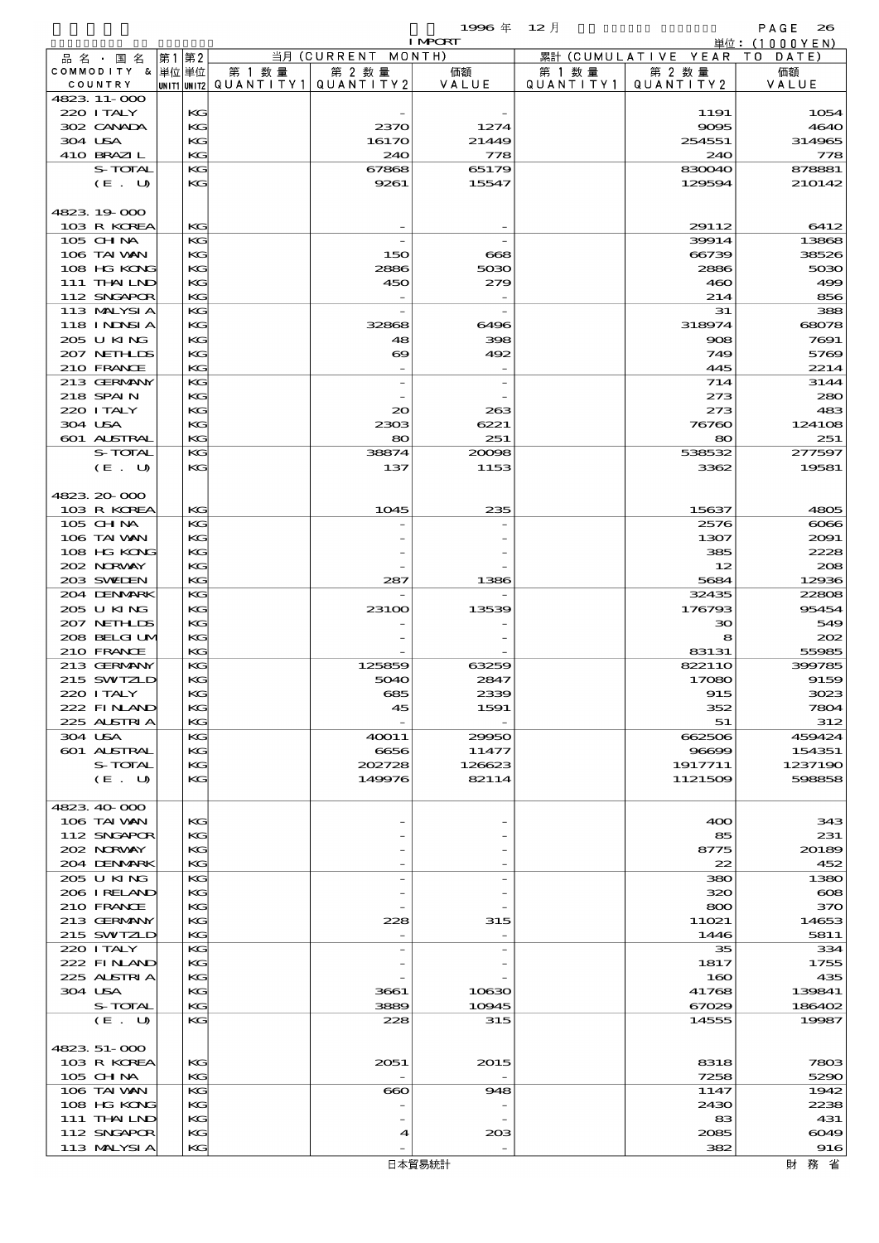$1996 \& 12 \cancel{1}$ 

|                            |          |                                       |                    | <b>I MPORT</b> |           |                              | 単位:(1000YEN)  |
|----------------------------|----------|---------------------------------------|--------------------|----------------|-----------|------------------------------|---------------|
| 品名・国名                      | 第1第2     |                                       | 当月 (CURRENT MONTH) |                |           | 累計 (CUMULATIVE YEAR TO DATE) |               |
| COMMODITY & 単位単位           |          | 第 1 数量                                | 第 2 数量             | 価額             | 第 1 数 量   | 第 2 数量                       | 価額            |
| COUNTRY                    |          | UNIT1 UNIT2  QUANT I TY1  QUANT I TY2 |                    | VALUE          | QUANTITY1 | QUANTITY2                    | VALUE         |
| 4823 11-000                |          |                                       |                    |                |           |                              |               |
| 220 I TALY<br>302 CANADA   | KG<br>KG |                                       | 2370               | 1274           |           | 1191<br>9095                 | 1054<br>464C  |
| 304 USA                    | KG       |                                       | 16170              | 21449          |           | 254551                       | 314965        |
| 410 BRAZIL                 | KG       |                                       | 240                | 778            |           | 240                          | 778           |
| S-TOTAL                    | KG       |                                       | 67868              | 65179          |           | 830040                       | 878881        |
| (E. U)                     | KG       |                                       | 9261               | 15547          |           | 129594                       | 210142        |
|                            |          |                                       |                    |                |           |                              |               |
| 4823 19 000                |          |                                       |                    |                |           |                              |               |
| 103 R KOREA                | KG       |                                       |                    |                |           | 29112                        | 6412          |
| 105 CHNA                   | KG       |                                       |                    |                |           | 39914                        | 13868         |
| 106 TAI VAN<br>108 HG KONG | KG<br>KG |                                       | 150                | 668            |           | 66739                        | 38526         |
| 111 THAILND                | KG       |                                       | 2886<br>450        | 5030<br>279    |           | 2886<br>460                  | 5030<br>490   |
| 112 SNGAPOR                | KG       |                                       |                    |                |           | 214                          | 856           |
| 113 MALYSIA                | KG       |                                       |                    |                |           | 31                           | 388           |
| 118 I NINSI A              | KG       |                                       | 32868              | 6496           |           | 318974                       | 68078         |
| 205 U KING                 | KG       |                                       | 48                 | 398            |           | 908                          | 7691          |
| 207 NETHLIS                | KG       |                                       | $\infty$           | 492            |           | 749                          | 5769          |
| 210 FRANCE                 | KG       |                                       |                    |                |           | 445                          | 2214          |
| 213 GERMANY                | KG       |                                       |                    |                |           | 714                          | 3144          |
| 218 SPAIN                  | KG       |                                       |                    |                |           | 273                          | 28C           |
| 220 I TALY<br>304 USA      | KG<br>KG |                                       | $\infty$<br>2303   | 263<br>6221    |           | 273<br>76760                 | 483<br>124108 |
| 601 ALSTRAL                | KG       |                                       | 80                 | 251            |           | 80                           | 251           |
| S-TOTAL                    | KG       |                                       | 38874              | 20098          |           | 538532                       | 277597        |
| (E. U)                     | KG       |                                       | 137                | 1153           |           | 3362                         | 19581         |
|                            |          |                                       |                    |                |           |                              |               |
| 4823 20 000                |          |                                       |                    |                |           |                              |               |
| 103 R KOREA                | KG       |                                       | 1045               | 235            |           | 15637                        | 4805          |
| 105 CHNA                   | KG       |                                       |                    |                |           | 2576                         | $\cos$        |
| 106 TAI VAN                | KG       |                                       |                    |                |           | 1307                         | 2091          |
| 108 HG KONG                | KG       |                                       |                    |                |           | 385                          | 2228          |
| 202 NRWAY<br>203 SWIEN     | KG<br>KG |                                       | 287                | 1386           |           | 12<br>5684                   | 208<br>12936  |
| 204 DENMARK                | KG       |                                       |                    |                |           | 32435                        | 22808         |
| 205 U KING                 | KG       |                                       | 23100              | 13539          |           | 176793                       | 95454         |
| 207 NETHLIS                | KG       |                                       |                    |                |           | 30                           | 549           |
| 208 BELGI UM               | KG       |                                       |                    |                |           | 8                            | 202           |
| 210 FRANCE                 | KG       |                                       |                    |                |           | 83131                        | 55985         |
| 213 GERMANY                | KG       |                                       | 125859             | 63259          |           | 822110                       | 399785        |
| 215 SWIZLD                 | KG       |                                       | 5040               | 2847           |           | 17080                        | 9159          |
| 220 I TALY<br>222 FINAND   | KG<br>KG |                                       | 685                | 2339           |           | 915                          | 3023          |
| 225 ALSTRIA                | KC       |                                       | 45                 | 1591           |           | 352<br>51                    | 7804<br>312   |
| 304 USA                    | KG       |                                       | 40011              | 29950          |           | 662506                       | 459424        |
| 601 ALSTRAL                | KG       |                                       | 6656               | 11477          |           | 96699                        | 154351        |
| S-TOTAL                    | KG       |                                       | 202728             | 126623         |           | 1917711                      | 123719C       |
| (E. U)                     | KC       |                                       | 149976             | 82114          |           | 1121509                      | 598858        |
|                            |          |                                       |                    |                |           |                              |               |
| 4823 40 000                |          |                                       |                    |                |           |                              |               |
| 106 TAI VAN                | KG       |                                       |                    |                |           | 400                          | 343           |
| 112 SNGAPOR                | KG       |                                       |                    |                |           | 85                           | 231           |
| 202 NORVAY<br>204 DENMARK  | KC<br>KG |                                       |                    |                |           | 8775<br>22                   | 20189<br>452  |
| 205 U KING                 | KG       |                                       |                    |                |           | 380                          | 138C          |
| 206 IRELAND                | KG       |                                       |                    |                |           | 320                          | $\infty$      |
| 210 FRANCE                 | KG       |                                       |                    |                |           | $\bf{800}$                   | 37C           |
| 213 GERMANY                | KG       |                                       | 228                | 315            |           | 11021                        | 14653         |
| 215 SWIZLD                 | KG       |                                       |                    |                |           | 1446                         | 5811          |
| 220 I TALY                 | KG       |                                       |                    |                |           | 35                           | 334           |
| 222 FINAND                 | KG       |                                       |                    |                |           | 1817                         | 1755          |
| 225 ALSTRIA<br>304 USA     | KG<br>KC |                                       |                    |                |           | 160<br>41768                 | 435<br>139841 |
| S-TOTAL                    | KG       |                                       | 3661<br>3889       | 10630<br>10945 |           | 67029                        | 186402        |
| (E. U)                     | KG       |                                       | 228                | 315            |           | 14555                        | 19987         |
|                            |          |                                       |                    |                |           |                              |               |
| 4823 51 000                |          |                                       |                    |                |           |                              |               |
| 103 R KOREA                | KG       |                                       | 2051               | 2015           |           | 8318                         | 7803          |
| 105 CH NA                  | KG       |                                       |                    |                |           | 7258                         | 5290          |
| 106 TAI VAN                | KG       |                                       | $\bf{60}$          | 948            |           | 1147                         | 1942          |
| 108 HG KONG                | KG       |                                       |                    |                |           | 2430                         | 2238          |
| 111 THAILND<br>112 SNGAPOR | KG<br>KC |                                       | 4                  | 20B            |           | 83<br>2085                   | 431<br>6049   |
|                            |          |                                       |                    |                |           |                              |               |

113 MALYSIA KG -  $\begin{vmatrix} 1 & 3 & 3 & 9 \end{vmatrix}$  916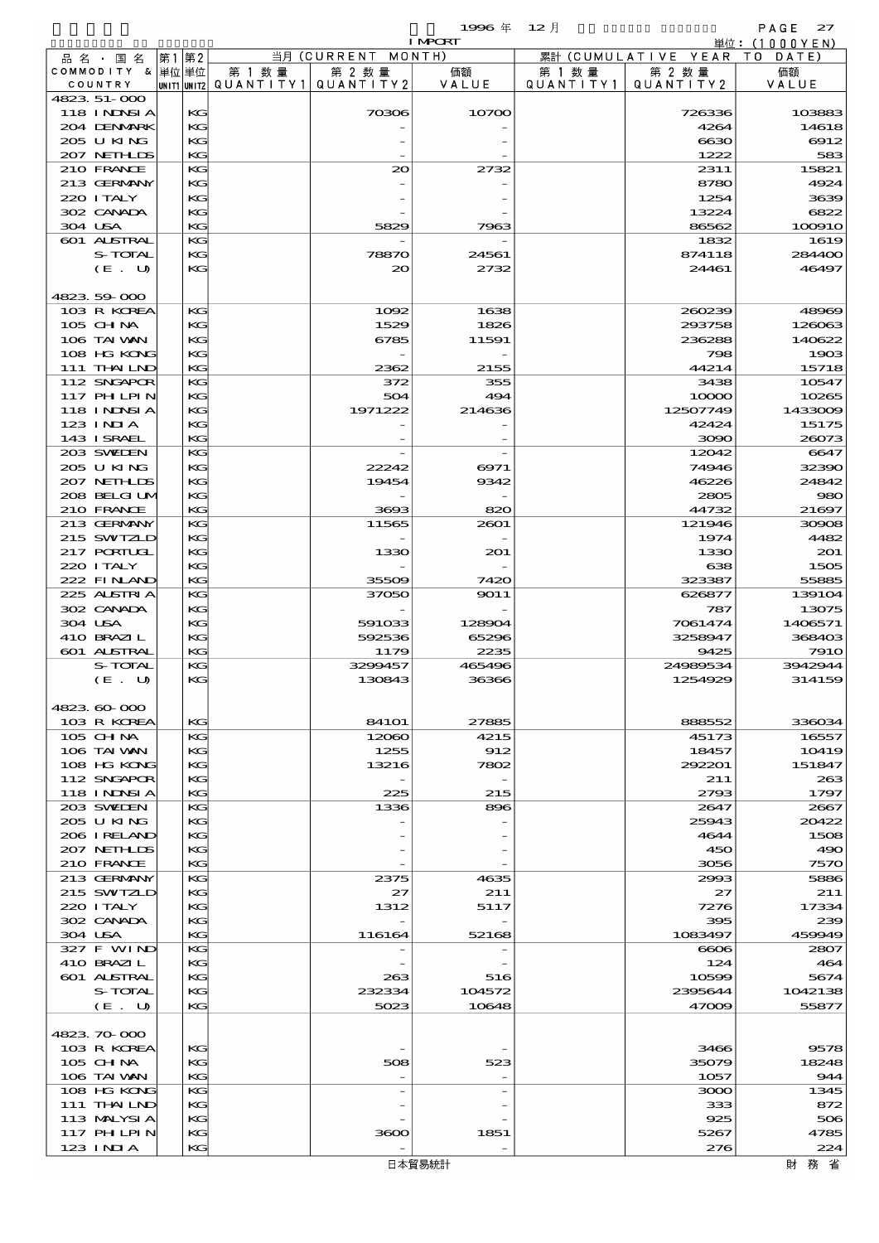|                             |          |                                      |                     | 1996 $#$       | $12$ 月               |                      | PAGE<br>27       |
|-----------------------------|----------|--------------------------------------|---------------------|----------------|----------------------|----------------------|------------------|
|                             |          |                                      |                     | <b>I MPORT</b> |                      |                      | 単位: (1000YEN)    |
| 品 名 ・ 国 名                   | 第1 第2    |                                      | 当月 (CURRENT         | MONTH)         |                      | 累計 (CUMULATIVE YEAR) | TO DATE)         |
| COMMODITY & 単位単位<br>COUNTRY |          | 第 1 数 量<br> unit1 unit2  Q∪ANT   TY1 | 第 2 数量<br>QUANTITY2 | 価額<br>VALUE    | 第 1 数 量<br>QUANTITY1 | 第 2 数量<br>QUANTITY2  | 価額<br>VALUE      |
| 4823 51-000                 |          |                                      |                     |                |                      |                      |                  |
| <b>118 INNSIA</b>           | KG       |                                      | 70306               | 10700          |                      | 726336               | 103883           |
| 204 DENMARK                 | KG       |                                      |                     |                |                      | 4264                 | 14618            |
| 205 U KING                  | KG       |                                      |                     |                |                      | 6630                 | 6912             |
| 207 NETHLIS                 | KG       |                                      |                     |                |                      | 1222                 | 583              |
| 210 FRANCE<br>213 GERMANY   | KG<br>KG |                                      | 20                  | 2732           |                      | 2311<br>8780         | 15821<br>4924    |
| 220 I TALY                  | KG       |                                      |                     |                |                      | 1254                 | 3639             |
| 302 CANADA                  | KG       |                                      |                     |                |                      | 13224                | 6822             |
| 304 USA                     | KG       |                                      | 5829                | 7963           |                      | 86562                | 100910           |
| 601 ALSTRAL                 | KG       |                                      |                     |                |                      | 1832                 | 1619             |
| S-TOTAL                     | KG       |                                      | 78870               | 24561          |                      | 874118               | 284400           |
| (E. U)                      | KG       |                                      | 20                  | 2732           |                      | 24461                | 46497            |
|                             |          |                                      |                     |                |                      |                      |                  |
| 4823 59 000                 |          |                                      |                     |                |                      |                      |                  |
| 103 R KOREA<br>105 CHNA     | KG<br>KG |                                      | 1092<br>1529        | 1638<br>1826   |                      | 260239<br>293758     | 48969<br>126063  |
| 106 TAI WAN                 | KG       |                                      | 6785                | 11591          |                      | 236288               | 140622           |
| 108 HG KONG                 | KG       |                                      |                     |                |                      | 798                  | 1903             |
| 111 THAILND                 | KG       |                                      | 2362                | 2155           |                      | 44214                | 15718            |
| 112 SNGAPOR                 | KG       |                                      | 372                 | 355            |                      | 3438                 | 10547            |
| <b>117 PHLPIN</b>           | KG       |                                      | 504                 | 494            |                      | 10000                | 10265            |
| <b>118 INNSIA</b>           | KG       |                                      | 1971222             | 214636         |                      | 12507749             | 1433009          |
| $123$ INIA                  | KG       |                                      |                     |                |                      | 42424                | 15175            |
| 143 I SRAEL                 | KG       |                                      |                     |                |                      | 3090                 | 26073            |
| 203 SWIDEN                  | KG       |                                      |                     |                |                      | 12042                | 6647             |
| 205 U KING<br>207 NETHLIS   | KG<br>KG |                                      | 22242<br>19454      | 6971<br>9342   |                      | 74946<br>46226       | 32390<br>24842   |
| 208 BELGI UM                | KG       |                                      |                     |                |                      | 2805                 | 980              |
| 210 FRANCE                  | KG       |                                      | 3693                | 820            |                      | 44732                | 21697            |
| 213 GERMANY                 | KG       |                                      | 11565               | 2601           |                      | 121946               | 30908            |
| 215 SWIZLD                  | KG       |                                      |                     |                |                      | 1974                 | 4482             |
| 217 PORTUGL                 | KG       |                                      | 1330                | 201            |                      | 1330                 | 201              |
| 220 I TALY                  | KG       |                                      |                     |                |                      | 638                  | 1505             |
| 222 FINAND                  | KG       |                                      | 35509               | 7420           |                      | 323387               | 55885            |
| 225 ALSTRIA                 | KG       |                                      | 37050               | 9011           |                      | 626877               | 139104           |
| 302 CANADA<br>304 USA       | KG<br>KG |                                      | 591033              | 128904         |                      | 787<br>7061474       | 13075<br>1406571 |
| 410 BRAZIL                  | KG       |                                      | 592536              | 65296          |                      | 3258947              | 368403           |
| 601 ALSTRAL                 | КG       |                                      | 1179                | 2235           |                      | 9425                 | <b>7910</b>      |
| S-TOTAL                     | KG       |                                      | 3299457             | 465496         |                      | 24989534             | 3942944          |
| (E.<br>് ധ                  | KG       |                                      | 130843              | 36366          |                      | 1254929              | 314159           |
|                             |          |                                      |                     |                |                      |                      |                  |
| 4823.60-000                 |          |                                      |                     |                |                      |                      |                  |
| 103 R KOREA                 | KG       |                                      | 841O1               | 27885          |                      | 888552               | 336034           |
| 105 CH NA                   | KG       |                                      | 12060               | 4215           |                      | 45173                | 16557            |
| 106 TAI VAN<br>108 HG KONG  | KG<br>KG |                                      | 1255<br>13216       | 912<br>7802    |                      | 18457<br>292201      | 10419<br>151847  |
| 112 SNGAPOR                 | KG       |                                      |                     |                |                      | 211                  | 263              |
| <b>118 INNSIA</b>           | КG       |                                      | 225                 | 215            |                      | 2793                 | 1797             |
| 203 SWILEN                  | KG       |                                      | 1336                | 896            |                      | 2647                 | 2667             |
| 205 U KING                  | KG       |                                      |                     |                |                      | 25943                | 20422            |
| 206 IRELAND                 | KG       |                                      |                     |                |                      | 4644                 | 1508             |
| 207 NETHLIS                 | KG       |                                      |                     |                |                      | 450                  | 490              |
| 210 FRANCE                  | KG       |                                      |                     |                |                      | 3056                 | 7570             |
| 213 GERMANY                 | KG       |                                      | 2375                | 4635           |                      | 2993                 | 5886             |
| 215 SWIZLD<br>220 I TALY    | KG<br>КG |                                      | 27<br>1312          | 211<br>5117    |                      | 27<br>7276           | 211<br>17334     |
| 302 CANADA                  | KG       |                                      |                     |                |                      | 395                  | 239              |
| 304 USA                     | KG       |                                      | 116164              | 52168          |                      | 1083497              | 459949           |
| 327 F WIND                  | KG       |                                      |                     |                |                      | 6006                 | 2807             |
| 410 BRAZIL                  | KG       |                                      |                     |                |                      | 124                  | 464              |
| 601 ALSTRAL                 | KG       |                                      | 263                 | 516            |                      | 10599                | 5674             |
| S-TOTAL                     | KG       |                                      | 232334              | 104572         |                      | 2395644              | 1042138          |
| (E. U)                      | KG       |                                      | 5023                | 10648          |                      | 47009                | 55877            |
|                             |          |                                      |                     |                |                      |                      |                  |
| 4823.70.000<br>103 R KOREA  | KG       |                                      |                     |                |                      | 3466                 | 9578             |
| 105 CH NA                   | KG       |                                      | 508                 | 523            |                      | 35079                | 18248            |
| 106 TAI WAN                 | KG       |                                      |                     |                |                      | 1057                 | 944              |
| 108 HG KONG                 | KG       |                                      |                     |                |                      | 3000                 | 1345             |
| 111 THAILND                 | KG       |                                      |                     |                |                      | 333                  | 872              |
| 113 MALYSIA                 | KG       |                                      |                     |                |                      | 925                  | 506              |
| 117 PHLPIN                  | KG       |                                      | 3600                | 1851           |                      | 5267                 | 4785             |

123 INDIA KG -  $\begin{array}{|c|c|c|c|c|c|c|c|c|}\n\hline\n & & & & & 276 & 224\n\end{array}$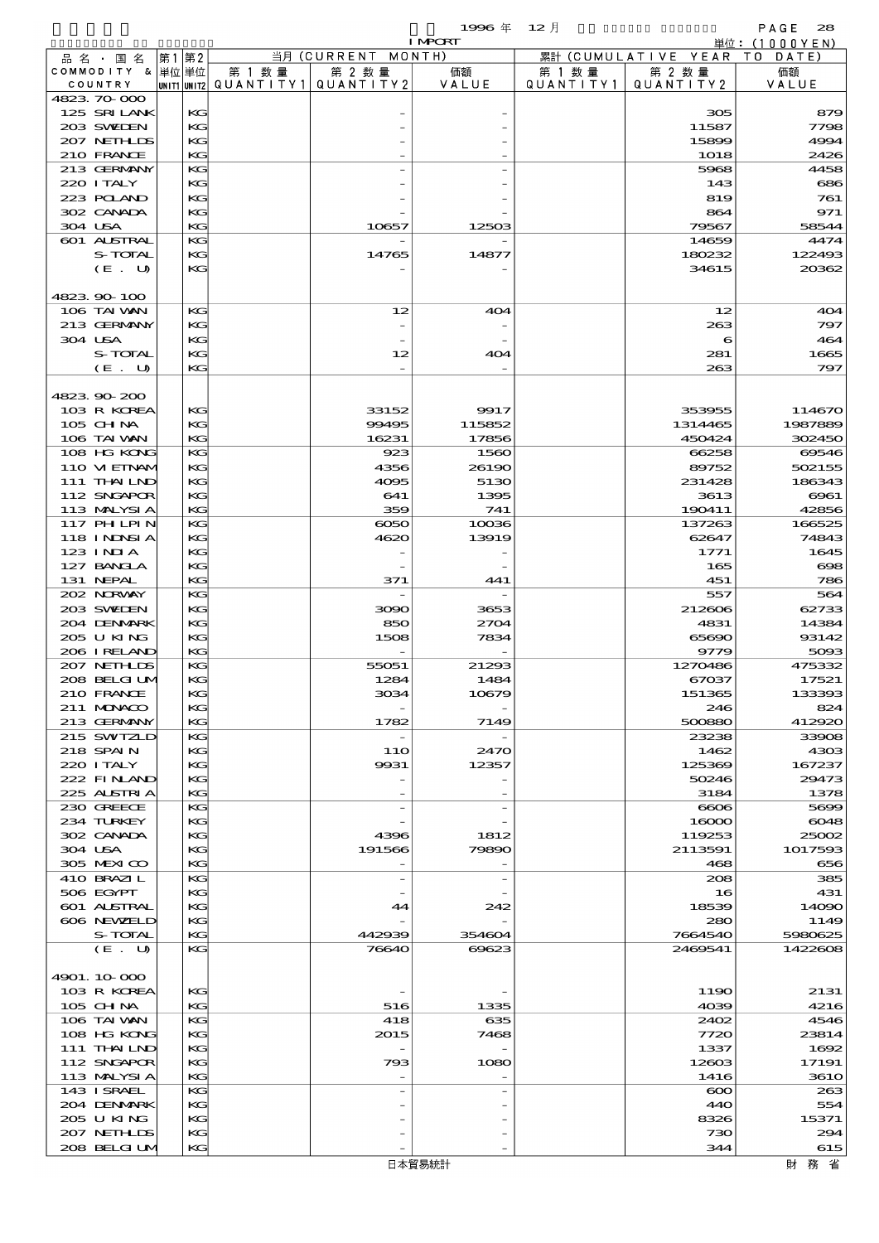|                                  |          |                          |                          | 1996年          | - 12 月    |                      | PAGE<br>28                |
|----------------------------------|----------|--------------------------|--------------------------|----------------|-----------|----------------------|---------------------------|
| 品 名 ・ 国 名                        | 第1第2     |                          | 当月 (CURRENT MONTH)       | <b>I MPORT</b> |           | 累計 (CUMULATIVE YEAR) | 単位: (1000YEN)<br>TO DATE) |
| COMMODITY & 単位単位                 |          | 第 1 数量                   | 第 2 数量                   | 価額             | 第 1 数 量   | 第 2 数量               | 価額                        |
| COUNTRY                          |          | unit1 unit2  Q∪ANT   TY1 | QUANTITY 2               | VALUE          | QUANTITY1 | QUANTITY2            | VALUE                     |
| 4823 70 000<br>125 SRILANK       | KG       |                          |                          |                |           | 305                  | 879                       |
| 203 SWIEN                        | KG       |                          |                          |                |           | 11587                | 7798                      |
| 207 NETH IDS                     | KG       |                          |                          |                |           | 15899                | 4994                      |
| 210 FRANCE                       | KG       |                          |                          |                |           | 1018                 | 2426                      |
| 213 GERMANY<br>220 I TALY        | KG<br>KG |                          |                          |                |           | 5968                 | 4458<br>686               |
| 223 POLAND                       | KG       |                          |                          |                |           | 143<br>819           | 761                       |
| 302 CANADA                       | KG       |                          |                          |                |           | 864                  | 971                       |
| 304 USA                          | KG       |                          | 10657                    | 12503          |           | 79567                | 58544                     |
| <b>601 ALSTRAL</b>               | KG       |                          |                          |                |           | 14659                | 4474                      |
| S-TOTAL<br>(E. U)                | KG<br>KG |                          | 14765                    | 14877          |           | 180232<br>34615      | 122493<br>20362           |
|                                  |          |                          |                          |                |           |                      |                           |
| 4823 90 100                      |          |                          |                          |                |           |                      |                           |
| 106 TAI WAN                      | KG       |                          | 12                       | 404            |           | 12                   | 404                       |
| 213 GERMANY                      | KG       |                          |                          |                |           | 263                  | 797                       |
| 304 USA<br>S-TOTAL               | KG<br>KG |                          | 12                       | 404            |           | 6<br>281             | 464<br>1665               |
| (E. U)                           | KG       |                          |                          |                |           | 263                  | 797                       |
|                                  |          |                          |                          |                |           |                      |                           |
| 4823.90-200                      |          |                          |                          |                |           |                      |                           |
| 103 R KOREA<br>$105$ CHNA        | KG       |                          | 33152                    | 9917<br>115852 |           | 353955               | 114670                    |
| 106 TAI VAN                      | KG<br>KG |                          | 99495<br>16231           | 17856          |           | 1314465<br>450424    | 1987889<br>302450         |
| 108 HG KONG                      | KG       |                          | 923                      | 1560           |           | 66258                | 69546                     |
| 110 VIEINAM                      | KG       |                          | 4356                     | 26190          |           | 89752                | 502155                    |
| 111 THAILND                      | KG       |                          | 4095                     | 5130           |           | 231428               | 186343                    |
| 112 SNGAPOR                      | KG       |                          | 641                      | 1395           |           | 3613                 | $\Theta$ $\Theta$ $1$     |
| 113 MALYSIA<br>117 PHLPIN        | KG<br>KG |                          | 359<br>6050              | 741<br>10036   |           | 190411<br>137263     | 42856<br>166525           |
| 118 INNSI A                      | KG       |                          | 4620                     | 13919          |           | 62647                | 74843                     |
| 123 INIA                         | KG       |                          |                          |                |           | 1771                 | 1645                      |
| 127 BANCLA                       | KG       |                          |                          |                |           | 165                  | $\infty$                  |
| 131 NEPAL<br>202 NRWAY           | KG       |                          | 371                      | 441            |           | 451                  | 786                       |
| 203 SWIEN                        | KG<br>KG |                          | 3090                     | 3653           |           | 557<br>212606        | 564<br>62733              |
| 204 DENMARK                      | KG       |                          | 850                      | 2704           |           | 4831                 | 14384                     |
| 205 U KING                       | KG       |                          | 1508                     | 7834           |           | 65690                | 93142                     |
| 206 IRELAND                      | KG       |                          |                          |                |           | 9779                 | 5093                      |
| 207 NETHLIS<br>208 BELGI UN      | KG<br>KG |                          | 55051<br>1284            | 21293<br>1484  |           | 1270486<br>67037     | 475332<br>17521           |
| 210 FRANCE                       | KG       |                          | 3034                     | 10679          |           | 151365               | 133393                    |
| 211 MUNACO                       | KG       |                          |                          |                |           | 246                  | 824                       |
| 213 GERMANY                      | KG       |                          | 1782                     | 7149           |           | 500880               | 412920                    |
| 215 SWIZLD                       | KG       |                          |                          |                |           | 23238                | 33908                     |
| 218 SPAIN<br>220 I TALY          | KG<br>KG |                          | 11O<br>9931              | 2470<br>12357  |           | 1462<br>125369       | 4303<br>167237            |
| 222 FINAND                       | KG       |                          |                          |                |           | 50246                | 29473                     |
| 225 ALSTRIA                      | KG       |                          |                          |                |           | 3184                 | 1378                      |
| 230 GREECE                       | KG       |                          |                          |                |           | 6606                 | 5699                      |
| 234 TURKEY                       | KG       |                          |                          |                |           | 16000                | 6048                      |
| 302 CANADA<br>304 USA            | KG<br>KG |                          | 4396<br>191566           | 1812<br>79890  |           | 119253<br>2113591    | 25002<br>1017593          |
| 305 MEXICO                       | KG       |                          | $\overline{a}$           |                |           | 468                  | 656                       |
| 410 BRAZIL                       | KG       |                          |                          |                |           | 208                  | 385                       |
| 506 EGYPT                        | KG       |                          |                          |                |           | 16                   | 431                       |
| <b>601 ALSTRAL</b><br>606 NEWELD | KG<br>KG |                          | 44                       | 242            |           | 18539<br>280         | 14090<br>1149             |
| S-TOTAL                          | KG       |                          | 442939                   | 354604         |           | 7664540              | 5980625                   |
| (E. U)                           | KG       |                          | 76640                    | 69623          |           | 2469541              | 1422608                   |
|                                  |          |                          |                          |                |           |                      |                           |
| 4901.10-000                      |          |                          |                          |                |           |                      |                           |
| 103 R KOREA<br>105 CH NA         | KG<br>KG |                          | 516                      | 1335           |           | 1190<br>4039         | 2131<br>4216              |
| 106 TAI VAN                      | KG       |                          | 418                      | 635            |           | 2402                 | 4546                      |
| 108 HG KONG                      | KG       |                          | 2015                     | 7468           |           | 7720                 | 23814                     |
| 111 THAILND                      | KG       |                          |                          |                |           | 1337                 | 1692                      |
| 112 SNGAPOR                      | KG       |                          | 793                      | 1080           |           | 12603                | 17191                     |
| 113 MALYSIA<br>143 ISRAEL        | KG<br>KG |                          | $\overline{\phantom{a}}$ |                |           | 1416<br>$\infty$     | <b>3610</b><br>263        |
| 204 DENMARK                      | KG       |                          |                          |                |           | 440                  | 554                       |
| 205 U KING                       | KG       |                          |                          |                |           | 8326                 | 15371                     |
| 207 NETHLIS                      | KG       |                          |                          |                |           | 730                  | 294                       |
| 208 BELGI UM                     | KG       |                          |                          |                |           | 344                  | 615                       |
|                                  |          |                          |                          | 日本貿易統計         |           |                      | 財務省                       |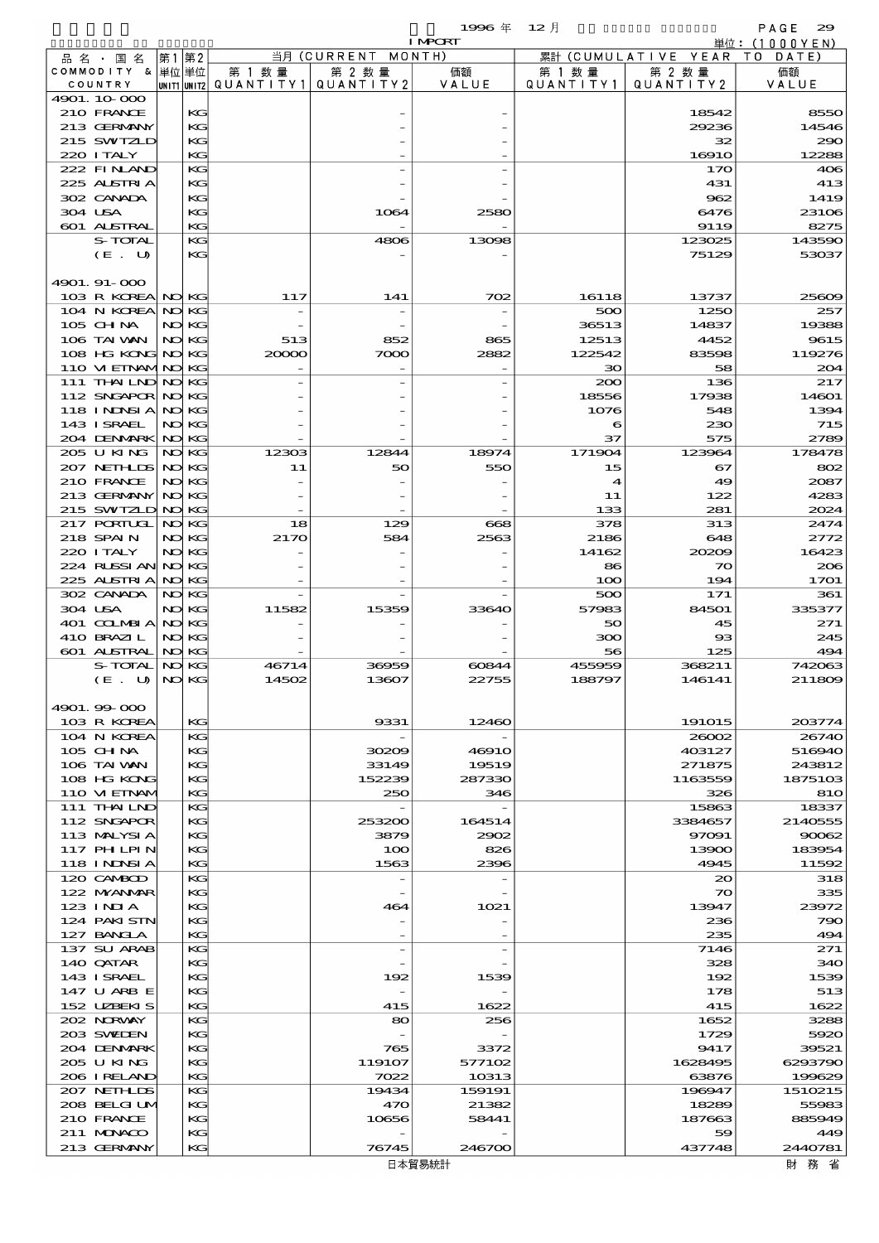$1996 \& 12 \&$ 

|                                 |       |                |                                       |                    | <b>I MPCRT</b>  |                      |                        | 単位: (1000YEN)     |
|---------------------------------|-------|----------------|---------------------------------------|--------------------|-----------------|----------------------|------------------------|-------------------|
| 品 名 ・ 国 名                       | 第1 第2 |                |                                       | 当月 (CURRENT MONTH) |                 |                      | 累計 (CUMULATIVE YEAR TO | DATE              |
| COMMODITY & 単位単位                |       |                | 第 1 数量                                | 第 2 数量             | 価額              | 第 1 数 量              | 第 2 数量                 | 価額                |
| COUNTRY<br>4901.10-000          |       |                | unit1 unit2  Q∪ANT   TY1  Q∪ANT   TY2 |                    | VALUE           | QUANTITY1            | QUANTITY 2             | VALUE             |
| 210 FRANCE                      |       | KG             |                                       |                    |                 |                      | 18542                  | 8550              |
| 213 GERMANY                     |       | KG             |                                       |                    |                 |                      | 29236                  | 14546             |
| 215 SWIZLD                      |       | KG             |                                       |                    |                 |                      | 32                     | 290               |
| 220 I TALY                      |       | KG             |                                       |                    |                 |                      | 1691O                  | 12288             |
| 222 FINAND                      |       | KG             |                                       |                    |                 |                      | 170                    | 406               |
| 225 ALSTRIA                     |       | KG             |                                       |                    |                 |                      | 431                    | 413               |
| 302 CANADA                      |       | KG             |                                       |                    |                 |                      | 962                    | 1419              |
| 304 USA<br>601 ALSTRAL          |       | KG<br>KG       |                                       | 1064               | 2580            |                      | 6476<br>9119           | 23106<br>8275     |
| S-TOTAL                         |       | KG             |                                       | 4806               | 13098           |                      | 123025                 | 143590            |
| (E. U)                          |       | KG             |                                       |                    |                 |                      | 75129                  | 53037             |
|                                 |       |                |                                       |                    |                 |                      |                        |                   |
| 4901.91-000                     |       |                |                                       |                    |                 |                      |                        |                   |
| 103 R KOREA NO KG               |       |                | 117                                   | 141                | 702             | 16118                | 13737                  | 25609             |
| 104 N KOREA NO KG               |       |                |                                       |                    |                 | 500                  | 1250                   | 257               |
| 105 CH NA<br>106 TAI VAN        |       | NO KG<br>NO KG | 513                                   | 852                | 865             | 36513<br>12513       | 14837<br>4452          | 19388<br>9615     |
| 108 HG KONG NO KG               |       |                | 20000                                 | 7000               | 2882            | 122542               | 83598                  | 119276            |
| 110 VI EINAMINO KG              |       |                |                                       |                    |                 | ЗО                   | 58                     | 204               |
| 111 THAILND NO KG               |       |                |                                       |                    |                 | 200                  | 136                    | 217               |
| 112 SNGAPOR NO KG               |       |                |                                       |                    |                 | 18556                | 17938                  | 14601             |
| 118 INDSIA                      |       | NO KG          |                                       |                    |                 | 1076                 | 548                    | 1394              |
| 143 I SRAEL                     |       | NO KG          |                                       |                    |                 | 6                    | 230                    | 715               |
| 204 DENMARK NO KG               |       |                |                                       |                    |                 | 37                   | 575                    | 2789              |
| 205 U KING<br>207 NEIHLIS NO KG |       | NO KG          | 12303                                 | 12844              | 18974           | 171904<br>15         | 123964<br>67           | 178478<br>802     |
| 210 FRANCE                      |       | NO KG          | 11                                    | 50                 | 550             | $\blacktriangleleft$ | 49                     | 2087              |
| 213 GERMANY                     |       | NO KG          |                                       |                    |                 | 11                   | 122                    | 4283              |
| 215 SWIZLD NO KG                |       |                |                                       |                    |                 | 133                  | 281                    | 2024              |
| 217 PORTUGL                     |       | NO KG          | 18                                    | 129                | 668             | 378                  | 313                    | 2474              |
| 218 SPAIN                       |       | NO KG          | 2170                                  | 584                | 2563            | 2186                 | 648                    | 2772              |
| 220 I TALY                      |       | NO KG          |                                       |                    |                 | 14162                | 20209                  | 16423             |
| 224 RUSSI AN NO KG              |       |                |                                       |                    |                 | 86                   | $\infty$               | 206               |
| 225 ALSTRIA                     |       | NO KG          |                                       |                    |                 | 100                  | 194                    | 1701              |
| 302 CANADA<br>304 USA           |       | NO KG<br>NO KG | 11582                                 | 15359              | 33640           | 500<br>57983         | 171<br>84501           | 361<br>335377     |
| 401 COLMBIA                     |       | NO KG          |                                       |                    |                 | 50                   | 45                     | 271               |
| 410 BRAZIL                      |       | NO KG          |                                       |                    |                 | 300                  | $_{\rm ss}$            | 245               |
| 601 ALSTRAL                     |       | NO KG          |                                       |                    |                 | 56                   | 125                    | 494               |
| <b>S-TOTAL</b>                  |       | NO KG          | 46714                                 | 36959              | 60844           | 455959               | 368211                 | 742063            |
| (E. U)                          |       | NO KG          | 14502                                 | 13607              | 22755           | 188797               | 146141                 | 211809            |
|                                 |       |                |                                       |                    |                 |                      |                        |                   |
| 4901.99-000                     |       | KG             |                                       |                    |                 |                      |                        |                   |
| 103 R KOREA<br>104 N KOREA      |       | KG             |                                       | 9331               | 12460           |                      | 191015<br>26002        | 203774<br>26740   |
| 105 CHNA                        |       | KG             |                                       | 30209              | 46910           |                      | 403127                 | 516940            |
| 106 TAI VAN                     |       | KG             |                                       | 33149              | 19519           |                      | 271875                 | 243812            |
| 108 HG KONG                     |       | KG             |                                       | 152239             | 287330          |                      | 1163559                | 1875103           |
| 110 VIEINAM                     |       | KG             |                                       | 250                | 346             |                      | 326                    | <b>810</b>        |
| 111 THAILND                     |       | KG             |                                       |                    |                 |                      | 15863                  | 18337             |
| 112 SNGAPOR                     |       | KG             |                                       | 253200             | 164514          |                      | 3384657                | 2140555           |
| 113 MALYSIA<br>117 PHLPIN       |       | KG<br>KG       |                                       | 3879<br>100        | 2902<br>826     |                      | 97091<br>13900         | 90062<br>183954   |
| <b>118 INDSIA</b>               |       | KG             |                                       | 1563               | 2396            |                      | 4945                   | 11592             |
| 120 CAMBOD                      |       | KG             |                                       |                    |                 |                      | $\infty$               | 318               |
| 122 MYANMAR                     |       | KG             |                                       |                    |                 |                      | $\infty$               | 335               |
| 123 INIA                        |       | KG             |                                       | 464                | 1021            |                      | 13947                  | 23972             |
| 124 PAKISTN                     |       | KG             |                                       |                    |                 |                      | 236                    | 790               |
| 127 BANCLA                      |       | KG             |                                       |                    |                 |                      | 235                    | 494               |
| 137 SU ARAB                     |       | КG             |                                       |                    |                 |                      | 7146<br>328            | 271               |
| 140 QATAR<br>143 ISRAEL         |       | KG<br>КG       |                                       | 192                | 1539            |                      | 192                    | 340<br>1539       |
| 147 U ARB E                     |       | KG             |                                       |                    |                 |                      | 178                    | 513               |
| 152 UZBEKIS                     |       | KG             |                                       | 415                | 1622            |                      | 415                    | 1622              |
| 202 N.RVAY                      |       | KG             |                                       | 80                 | 256             |                      | 1652                   | 3288              |
| 203 SWIDEN                      |       | KG             |                                       |                    |                 |                      | 1729                   | 5920              |
| 204 DENMARK                     |       | КG             |                                       | 765                | 3372            |                      | 9417                   | 39521             |
| 205 U KING                      |       | KG             |                                       | 119107             | 577102          |                      | 1628495                | 6293790           |
| 206 I RELAND<br>207 NETHLIS     |       | KG<br>КG       |                                       | 7022<br>19434      | 10313<br>159191 |                      | 63876<br>196947        | 199629<br>1510215 |
| 208 BELGI UM                    |       | KG             |                                       | 470                | 21382           |                      | 18289                  | 55983             |
| 210 FRANCE                      |       | КG             |                                       | 10656              | 58441           |                      | 187663                 | 885949            |
| 211 MUNACO                      |       | KG             |                                       |                    |                 |                      | 59                     | 449               |
| 213 GERMANY                     |       | KG             |                                       | 76745              | 246700          |                      | 437748                 | 2440781           |

財務省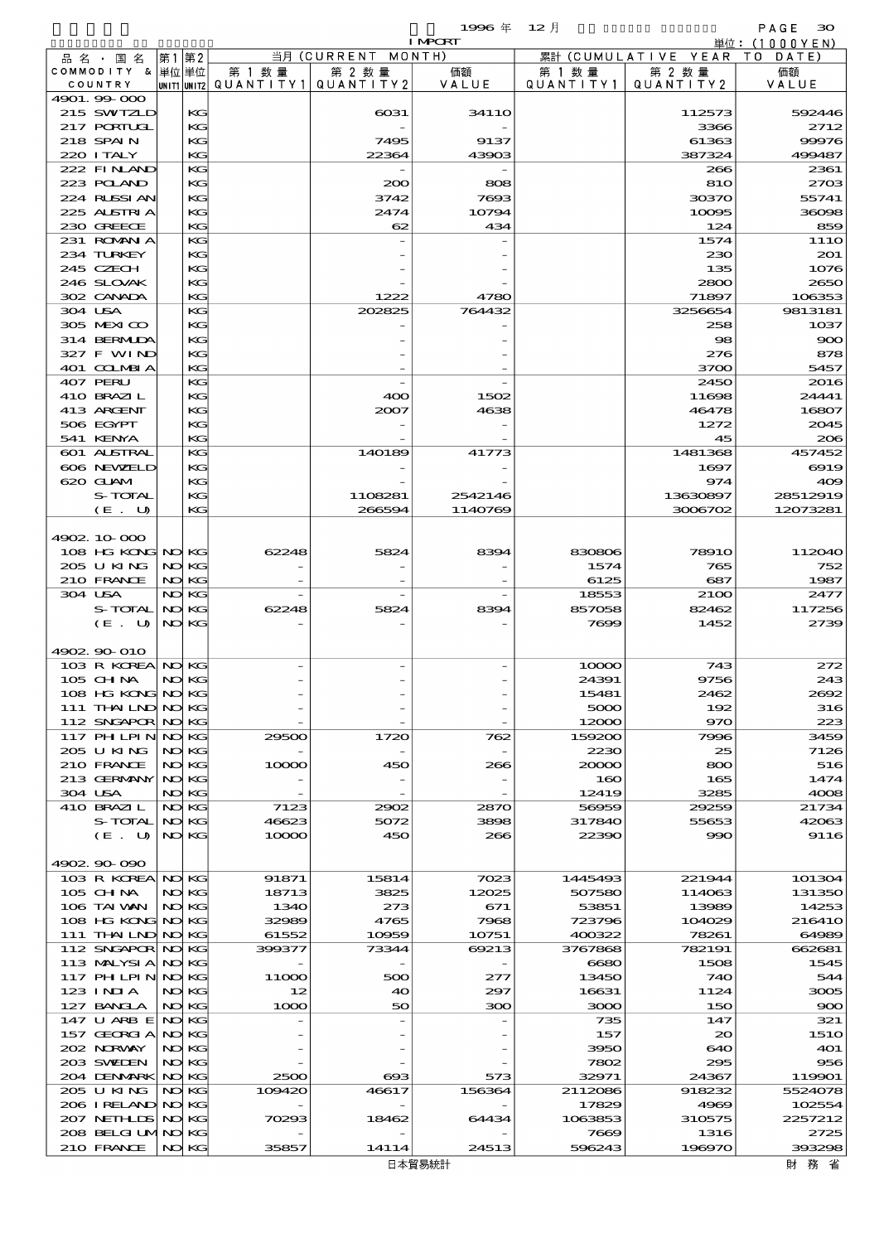$1996 \nsubseteq 12 \nexists$ 

|                                  |       |                |                                                  |                    | <b>I MPCRT</b>     |                      |                              | 単位: (1000YEN)        |
|----------------------------------|-------|----------------|--------------------------------------------------|--------------------|--------------------|----------------------|------------------------------|----------------------|
| 品 名 ・ 国 名                        | 第1    | 第2             |                                                  | 当月 (CURRENT MONTH) |                    |                      | 累計 (CUMULATIVE YEAR TO DATE) |                      |
| COMMODITY & 単位単位                 |       |                | 第 1 数量<br> unit1 unit2  Q∪ANT   TY1  Q∪ANT   TY2 | 第 2 数量             | 価額<br>VALUE        | 第 1 数 量<br>QUANTITY1 | 第 2 数量<br>QUANTITY 2         | 価額<br>VALUE          |
| COUNTRY<br>4901.99 000           |       |                |                                                  |                    |                    |                      |                              |                      |
| 215 SWIZLD                       |       | KG             |                                                  | $\cos 1$           | 341 1 O            |                      | 112573                       | 592446               |
| 217 PORTUGL                      |       | KG             |                                                  |                    |                    |                      | 3366                         | 2712                 |
| 218 SPAIN                        |       | KG             |                                                  | 7495               | 9137               |                      | 61363                        | 99976                |
| 220 I TALY                       |       | KG             |                                                  | 22364              | 43903              |                      | 387324                       | 499487               |
| 222 FINAND<br>223 POLAND         |       | KG<br>$K$ $G$  |                                                  | 200                | 808                |                      | 266<br>810                   | 2361<br>2703         |
| 224 RUSSIAN                      |       | KG             |                                                  | 3742               | 7693               |                      | 30370                        | 55741                |
| 225 ALSTRIA                      |       | $K$ $G$        |                                                  | 2474               | 10794              |                      | 10095                        | 36098                |
| 230 GREECE                       |       | $K$ $G$        |                                                  | 62                 | 434                |                      | 124                          | 859                  |
| 231 ROMANIA                      |       | KG             |                                                  |                    |                    |                      | 1574                         | 111O                 |
| 234 TURKEY                       |       | KG             |                                                  |                    |                    |                      | 230                          | 201                  |
| 245 CZECH                        |       | KG             |                                                  |                    |                    |                      | 135                          | 1076                 |
| 246 SLOVAK<br>302 CANADA         |       | $K$ $G$<br>KG  |                                                  | 1222               | 4780               |                      | 2800<br>71897                | 2650<br>106353       |
| 304 USA                          |       | KG             |                                                  | 202825             | 764432             |                      | 3256654                      | 9813181              |
| 305 MEXICO                       |       | $K$ $G$        |                                                  |                    |                    |                      | 258                          | 1037                 |
| 314 BERMIDA                      |       | KG             |                                                  |                    |                    |                      | 98                           | 900                  |
| 327 F WIND                       |       | $K$ $G$        |                                                  |                    |                    |                      | 276                          | 878                  |
| 401 COLMBIA                      |       | KG             |                                                  |                    |                    |                      | 3700                         | 5457                 |
| 407 PERU<br>410 BRAZIL           |       | KG<br>$K$ $G$  |                                                  |                    |                    |                      | 2450                         | 2016                 |
| 413 ARGENT                       |       | KG             |                                                  | 400<br>2007        | 1502<br>4638       |                      | 11698<br>46478               | 24441<br>16807       |
| 506 EGYPT                        |       | $K$ $G$        |                                                  |                    |                    |                      | 1272                         | 2045                 |
| 541 KENYA                        |       | $K$ $G$        |                                                  |                    |                    |                      | 45                           | 206                  |
| 601 ALSTRAL                      |       | KG             |                                                  | 140189             | 41773              |                      | 1481368                      | 457452               |
| 606 NEWELD                       |       | KG             |                                                  |                    |                    |                      | 1697                         | 6919                 |
| 620 GLAM                         |       | KG             |                                                  |                    |                    |                      | 974                          | 409                  |
| S-TOTAL<br>(E. U)                |       | $K$ $G$<br>KG  |                                                  | 1108281<br>266594  | 2542146<br>1140769 |                      | 13630897<br>3006702          | 28512919<br>12073281 |
|                                  |       |                |                                                  |                    |                    |                      |                              |                      |
| 4902.10.000                      |       |                |                                                  |                    |                    |                      |                              |                      |
| 108 HG KONG NO KG                |       |                | 62248                                            | 5824               | 8394               | 830806               | <b>78910</b>                 | 112040               |
| 205 U KING                       | NO KG |                |                                                  |                    |                    | 1574                 | 765                          | 752                  |
| 210 FRANCE                       |       | NO KG          |                                                  |                    |                    | 6125                 | 687                          | 1987                 |
| 304 USA<br>S-TOTAL               |       | NO KG<br>NO KG | 62248                                            | 5824               | 8394               | 18553<br>857058      | 2100<br>82462                | 2477<br>117256       |
| (E. U)                           |       | NO KG          |                                                  |                    |                    | 7699                 | 1452                         | 2739                 |
|                                  |       |                |                                                  |                    |                    |                      |                              |                      |
| 4902 90 010                      |       |                |                                                  |                    |                    |                      |                              |                      |
| 103 R KOREA NO KG                |       |                |                                                  |                    |                    | 10000                | 743                          | 272                  |
| 105 CH NA                        |       | NO KG          |                                                  |                    |                    | 24391                | 9756                         | 243                  |
| 108 HG KONG<br>111 THAILND NO KG |       | NO KG          |                                                  |                    |                    | 15481<br>5000        | 2462<br>192                  | 2692<br>316          |
| 112 SNGAPOR NO KG                |       |                |                                                  |                    |                    | 12000                | 970                          | 223                  |
| 117 PH LPIN                      |       | NO KG          | 29500                                            | 1720               | 762                | 159200               | 7996                         | 3459                 |
| 205 U KING                       |       | NO KG          |                                                  |                    |                    | 2230                 | 25                           | 7126                 |
| 210 FRANCE                       |       | NO KG          | 10000                                            | 450                | 266                | 20000                | 800                          | 516                  |
| 213 GERMANY                      |       | NO KG          |                                                  |                    |                    | 160                  | 165                          | 1474                 |
| 304 USA<br>410 BRAZIL            |       | NO KG<br>NO KG | 7123                                             | 2902               | 2870               | 12419<br>56959       | 3285<br>29259                | 4008<br>21734        |
| S-TOTAL                          |       | NO KG          | 46623                                            | 5072               | 3898               | 317840               | 55653                        | 42063                |
| (E. U)                           |       | NO KG          | 10000                                            | 450                | 266                | 22390                | 990                          | 9116                 |
|                                  |       |                |                                                  |                    |                    |                      |                              |                      |
| 4902.90-090                      |       |                |                                                  |                    |                    |                      |                              |                      |
| 103 R KOREA NO KG                |       |                | 91871                                            | 15814              | 7023               | 1445493              | 221944                       | 101304               |
| $105$ CHNA<br>106 TAI VAN        |       | NO KG<br>NO KG | 18713<br>1340                                    | 3825<br>273        | 12025<br>671       | 507580<br>53851      | 114063<br>13989              | 131350<br>14253      |
| 108 HG KONG NO KG                |       |                | 32989                                            | 4765               | 7968               | 723796               | 104029                       | 216410               |
| 111 THAILND NO KG                |       |                | 61552                                            | 10959              | 10751              | 400322               | 78261                        | 64989                |
| 112 SNGAPOR NO KG                |       |                | 399377                                           | 73344              | 69213              | 3767868              | 782191                       | 662681               |
| 113 MALYSIA                      |       | NO KG          |                                                  |                    |                    | 6680                 | 1508                         | 1545                 |
| 117 PH LPIN                      |       | NO KG          | 11000                                            | 500                | 277                | 13450                | 740                          | 544                  |
| 123 INIA                         |       | NO KG          | 12                                               | 40                 | 297                | 16631                | 1124                         | 3005                 |
| 127 BANCLA<br>147 U ARB E NOKG   | NO KG |                | 1000                                             | 50                 | 300                | 3000<br>735          | 150<br>147                   | 900<br>321           |
| 157 GEORGIA                      | NO KG |                |                                                  |                    |                    | 157                  | $\infty$                     | <b>1510</b>          |
| 202 NRWAY                        | NO    | KG             |                                                  |                    |                    | 3950                 | 640                          | <b>401</b>           |
| 203 SWIDEN                       |       | NO KG          |                                                  |                    |                    | 7802                 | 295                          | 956                  |
| 204 DENMARK NO KG                |       |                | 2500                                             | ങ്ങ                | 573                | 32971                | 24367                        | 119901               |
| 205 U KING                       |       | NO KG          | 109420                                           | 46617              | 156364             | 2112086              | 918232                       | 5524078              |
| 206 I RELAND NO KG               |       |                |                                                  |                    |                    | 17829                | 4969                         | 102554               |
| 207 NETHLIS<br>208 BELGI UMNO KG |       | NO KG          | 70293                                            | 18462              | 64434              | 1063853<br>7669      | 310575<br>1316               | 2257212<br>2725      |
| 210 FRANCE                       | NO KG |                | 35857                                            | 14114              | 24513              | 596243               | 196970                       | 393298               |
|                                  |       |                |                                                  |                    |                    |                      |                              |                      |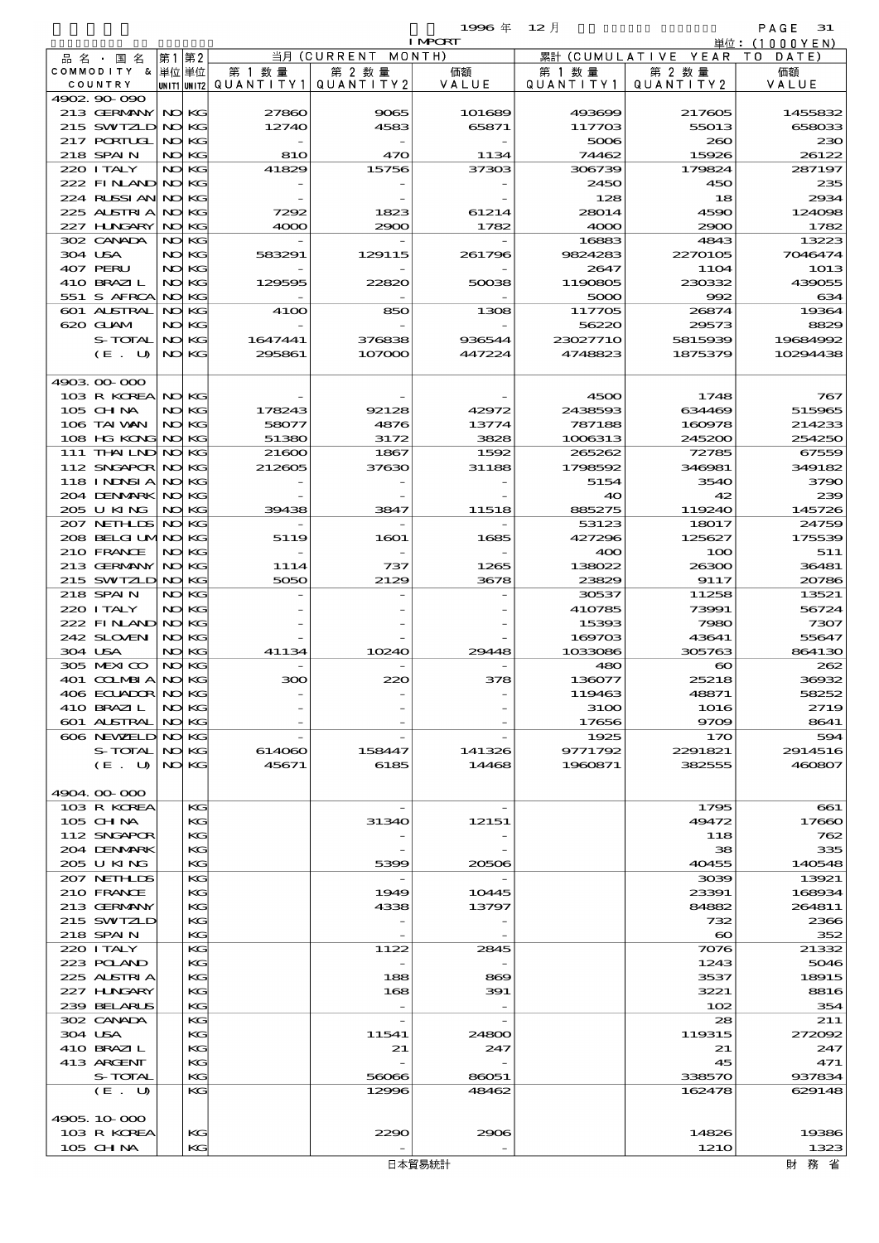|                                    |                |                          |                          | 1996 $#$         | $12$ 月              |                                 | PAGE<br>31           |
|------------------------------------|----------------|--------------------------|--------------------------|------------------|---------------------|---------------------------------|----------------------|
|                                    |                |                          |                          | <b>I MPORT</b>   |                     |                                 | 単位: $(1000YEN)$      |
| 品名・国名<br>COMMODITY & 単位単位          | 第1第2           | 第 1 数量                   | 当月(CURRENT<br>第 2 数量     | MONTH)<br>価額     | 第 1 数 量             | 累計 (CUMULATIVE YEAR)<br>第 2 数量  | T O<br>DATE)<br>価額   |
| COUNTRY                            |                | UNIT1 UNIT2 QUANT I TY 1 | QUANTITY2                | VALUE            | QUANTITY1           | QUANTITY 2                      | VALUE                |
| 4902 90 090                        |                |                          |                          |                  |                     |                                 |                      |
| 213 GERMANY                        | NO KG          | 27860                    | 9065                     | 101689           | 493699              | 217605                          | 1455832              |
| 215 SWIZLD<br>217 PORTUGL          | NO KG          | 12740                    | 4583                     | 65871            | 117703              | 55013                           | 658033               |
| 218 SPAIN                          | NO KG<br>NO KG | 810                      | 470                      | 1134             | 5006<br>74462       | 260<br>15926                    | 230<br>26122         |
| 220 I TALY                         | NO KG          | 41829                    | 15756                    | 37303            | 306739              | 179824                          | 287197               |
| 222 FINAND                         | NO KG          |                          |                          |                  | 2450                | 450                             | 235                  |
| 224 RUSSI AN                       | NO KG          |                          |                          |                  | 128                 | 18                              | 2934                 |
| 225 ALSTRIA                        | NO KG          | 7292                     | 1823                     | 61214            | 28014               | 4590                            | 124098               |
| 227 HNGARY<br>302 CANADA           | NO KG          | 4000                     | 2900                     | 1782             | 4000                | 2900<br>4843                    | 1782<br>13223        |
| 304 USA                            | NO KG<br>NO KG | 583291                   | 129115                   | 261796           | 16883<br>9824283    | 2270105                         | 7046474              |
| 407 PERU                           | NO KG          |                          |                          |                  | 2647                | <b>11O4</b>                     | 1013                 |
| 410 BRAZIL                         | NO KG          | 129595                   | 22820                    | 50038            | 1190805             | 230332                          | 439055               |
| 551 S AFRCA                        | NO KG          |                          |                          |                  | 5000                | 992                             | 634                  |
| 601 ALSTRAL                        | NO KG          | 4100                     | 850                      | 1308             | 117705              | 26874                           | 19364                |
| 620 GLAM                           | NO KG          |                          |                          |                  | 56220               | 29573                           | 8829                 |
| S-TOTAL<br>$(E_U U)$               | NO KG<br>NO KG | 1647441<br>295861        | 376838<br>107000         | 936544<br>447224 | 23027710<br>4748823 | 5815939<br>1875379              | 19684992<br>10294438 |
|                                    |                |                          |                          |                  |                     |                                 |                      |
| 4903 00 000                        |                |                          |                          |                  |                     |                                 |                      |
| 103 R KOREA                        | NO KG          |                          |                          |                  | 4500                | 1748                            | 767                  |
| 105 CH NA                          | NO KG          | 178243                   | 92128                    | 42972            | 2438593             | 634469                          | 515965               |
| 106 TAI WAN                        | NO KG          | 58077                    | 4876                     | 13774            | 787188              | 160978                          | 214233               |
| $108$ HG KONG<br>111 THAILND NO KG | NO KG          | 51380<br>21600           | 3172<br>1867             | 3828<br>1592     | 1006313<br>265262   | 245200<br>72785                 | 254250<br>67559      |
| 112 SNGAPOR NO KG                  |                | 212605                   | 37630                    | 31188            | 1798592             | 346981                          | 349182               |
| <b>118 INNSIA</b>                  | NO KG          |                          |                          |                  | 5154                | 3540                            | 3790                 |
| 204 DENMARK                        | NO KG          |                          |                          |                  | 40                  | 42                              | 239                  |
| 205 U KING                         | NO KG          | 39438                    | 3847                     | 11518            | 885275              | 119240                          | 145726               |
| 207 NETHLIS NO KG                  |                |                          |                          |                  | 53123               | 18017                           | 24759                |
| 208 BELGI UMNO KG<br>210 FRANCE    |                | 5119                     | 1601                     | 1685             | 427296              | 125627                          | 175539               |
| 213 GERMANY                        | NO KG<br>NO KG | 1114                     | 737                      | 1265             | 400<br>138022       | 100<br>26300                    | 511<br>36481         |
| 215 SWIZLD NO KG                   |                | 5050                     | 2129                     | 3678             | 23829               | 9117                            | 20786                |
| 218 SPAIN                          | NO KG          |                          |                          |                  | 30537               | 11258                           | 13521                |
| 220 I TALY                         | NO KG          |                          |                          |                  | 410785              | 73991                           | 56724                |
| 222 FINAND NO KG                   |                |                          |                          |                  | 15393               | 7980                            | 7307                 |
| 242 SLOVEN                         | NO KG          |                          |                          |                  | 169703              | 43641                           | 55647                |
| 304 USA<br>305 MEXICO              | NO KG<br>NO KG | 41134                    | 10240                    | 29448            | 1033086<br>480      | 305763<br>$\boldsymbol{\infty}$ | 864130<br>262        |
| 401 COLMBIA                        | NO KG          | ЭОС                      |                          | $\infty$         | 136077              | 25218                           | 36932                |
| 406 ECUADOR NO KG                  |                |                          |                          |                  | 119463              | 48871                           | 58252                |
| 410 BRAZIL                         | NO KG          |                          |                          |                  | 3100                | 1016                            | 2719                 |
| 601 ALSTRAL                        | NO KG          |                          |                          |                  | 17656               | 9709                            | 8641                 |
| 606 NEWELD NO KG                   |                |                          |                          |                  | 1925                | 170                             | 594                  |
| S-TOTAL NO KG<br>(E. U   NOKG)     |                | 614060<br>45671          | 158447<br>6185           | 141326<br>14468  | 9771792<br>1960871  | 2291821<br>382555               | 2914516<br>460807    |
|                                    |                |                          |                          |                  |                     |                                 |                      |
| 4904.00.000                        |                |                          |                          |                  |                     |                                 |                      |
| 103 R KOREA                        | КG             |                          |                          |                  |                     | 1795                            | 661                  |
| 105 CHNA                           | KG             |                          | 31340                    | 12151            |                     | 49472                           | 17660                |
| 112 SNGAPOR                        | KG             |                          |                          |                  |                     | 118                             | 762                  |
| 204 DENMARK<br>205 U KING          | KG<br>KG       |                          | 5399                     | 20506            |                     | 38<br>40455                     | 335<br>140548        |
| 207 NETHLIDS                       | КG             |                          |                          |                  |                     | 3039                            | 13921                |
| 210 FRANCE                         | KG             |                          | 1949                     | 10445            |                     | 23391                           | 168934               |
| 213 GERMANY                        | KG             |                          | 4338                     | 13797            |                     | 84882                           | 264811               |
| 215 SWIZLD                         | KG             |                          |                          |                  |                     | 732                             | 2366                 |
| 218 SPAIN                          | KG<br>KG       |                          |                          |                  |                     | $\infty$                        | 352                  |
| 220 I TALY<br>223 POLAND           | KG             |                          | 1122                     | 2845             |                     | 7076<br>1243                    | 21332<br>5046        |
| 225 ALSTRIA                        | KС             |                          | 188                      | 869              |                     | 3537                            | 18915                |
| 227 H.NGARY                        | KG             |                          | 168                      | 391              |                     | 3221                            | 8816                 |
| 239 BELARUS                        | KС             |                          | $\overline{\phantom{0}}$ | $-$              |                     | 102                             | 354                  |
| 302 CANADA                         | КG             |                          |                          |                  |                     | 28                              | 211                  |
| 304 USA                            | KG             |                          | 11541                    | 24800            |                     | 119315                          | 272092               |
| 410 BRAZIL<br>413 ARGENT           | КG<br>KG       |                          | 21                       | 247              |                     | 21<br>45                        | 247<br>471           |
| S-TOTAL                            | KG             |                          | 56066                    | 86051            |                     | 338570                          | 937834               |
| (E. U)                             | КG             |                          | 12996                    | 48462            |                     | 162478                          | 629148               |
|                                    |                |                          |                          |                  |                     |                                 |                      |
| 4905, 10 000                       |                |                          |                          |                  |                     |                                 |                      |
| 103 R KOREA                        | KG             |                          | 2290                     | 2906             |                     | 14826                           | 19386                |
| 105 CHNA                           | KG             |                          |                          |                  |                     | <b>1210</b>                     | 1323                 |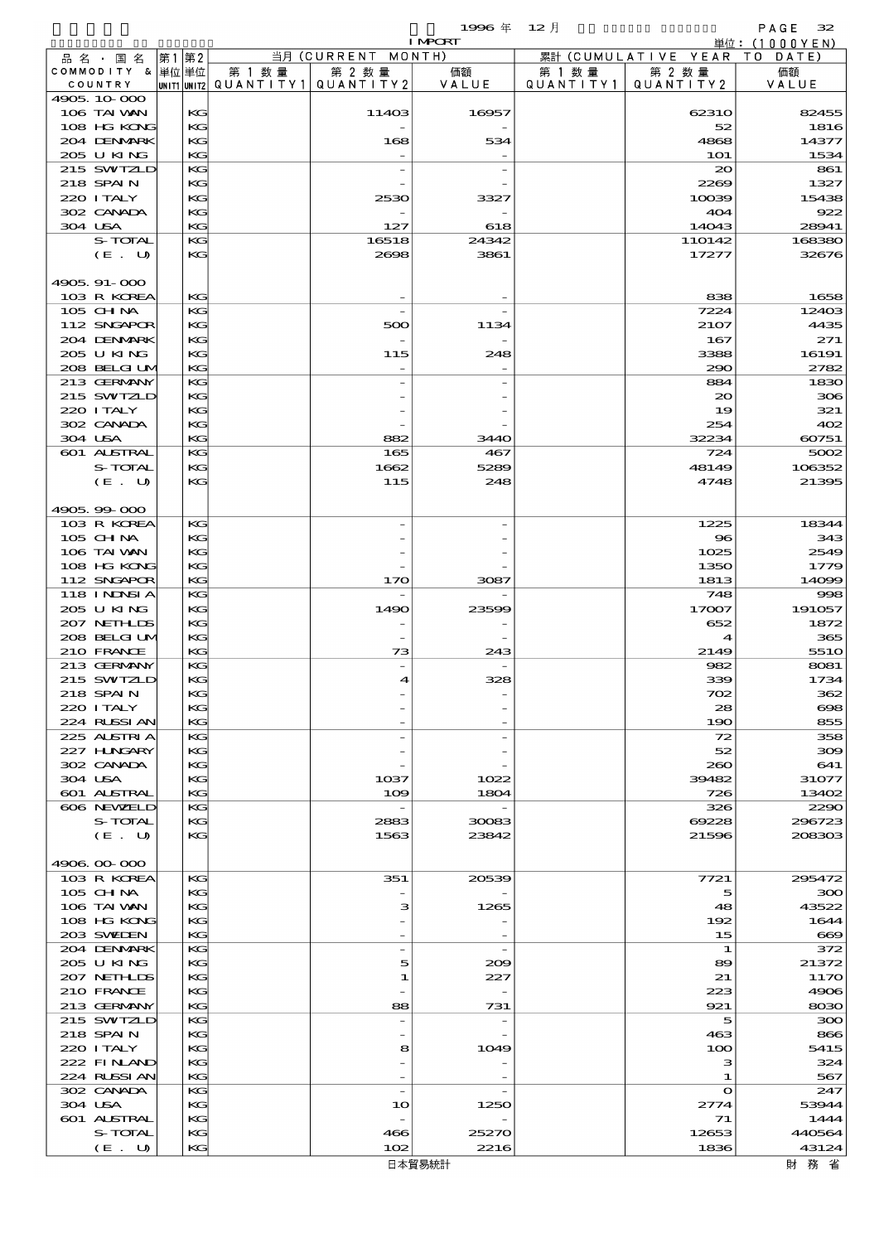$\begin{array}{lll} \textbf{1996} & \textbf{6} & \textbf{72} & \textbf{8} \\ \textbf{12} & \textbf{12} & \textbf{13} & \textbf{12} & \textbf{13} \\ \textbf{13} & \textbf{14} & \textbf{15} & \textbf{12} & \textbf{13} \\ \textbf{15} & \textbf{12} & \textbf{13} & \textbf{13} & \textbf{14} & \textbf{15} \\ \textbf{16} & \textbf{18} & \textbf{18} & \textbf{19} & \textbf{18} & \textbf{18} \\ \textbf$ 

|                             |    |              |                                            |                                | <b>I MPCRT</b> |                      |                        | 単位: (1000 Y E N) |
|-----------------------------|----|--------------|--------------------------------------------|--------------------------------|----------------|----------------------|------------------------|------------------|
| 品 名 ・ 国 名                   | 第1 | 第2           |                                            | 当月 (CURRENT                    | MONTH)         |                      | 累計 (CUMULATIVE YEAR    | T O<br>DATE)     |
| COMMODITY & 単位単位<br>COUNTRY |    |              | 第 1 数 量<br>UNIT1 UNIT2 QUANTITY1 QUANTITY2 | 第 2 数量                         | 価額<br>VALUE    | 第 1 数 量<br>QUANTITY1 | 第 2 数量<br>QUANTITY 2   | 価額<br>VALUE      |
| 4905, 10 000                |    |              |                                            |                                |                |                      |                        |                  |
| 106 TAI VAN                 |    | KG           |                                            | 11403                          | 16957          |                      | 62310                  | 82455            |
| 108 HG KONG                 |    | KG           |                                            |                                |                |                      | 52                     | 1816             |
| 204 DENMARK                 |    | KG           |                                            | 168                            | 534            |                      | 4868                   | 14377            |
| 205 U KING<br>215 SWIZLD    |    | KG<br>KG     |                                            |                                |                |                      | <b>1O1</b><br>$\infty$ | 1534<br>861      |
| 218 SPAIN                   |    | KG           |                                            |                                |                |                      | 2269                   | 1327             |
| 220 I TALY                  |    | KG           |                                            | 2530                           | 3327           |                      | 10039                  | 15438            |
| 302 CANADA                  |    | KG           |                                            |                                |                |                      | 404                    | 922              |
| 304 USA                     |    | KG           |                                            | 127                            | 618            |                      | 14043                  | 28941            |
| S-TOTAL                     |    | KG           |                                            | 16518                          | 24342          |                      | 110142                 | 168380           |
| (E. U)                      |    | KG           |                                            | 2698                           | 3861           |                      | 17277                  | 32676            |
| 4905.91-000                 |    |              |                                            |                                |                |                      |                        |                  |
| 103 R KOREA                 |    | KG           |                                            |                                |                |                      | 838                    | 1658             |
| 105 CH NA                   |    | KG           |                                            |                                |                |                      | 7224                   | 12403            |
| 112 SNGAPOR                 |    | KG           |                                            | 500                            | 1134           |                      | 2107                   | 4435             |
| 204 DENMARK<br>205 U KING   |    | KG<br>KG     |                                            | 115                            | 248            |                      | 167<br>3388            | 271<br>16191     |
| 208 BELGI UM                |    | KG           |                                            |                                |                |                      | 290                    | 2782             |
| 213 GERMANY                 |    | KG           |                                            |                                |                |                      | 884                    | 1830             |
| 215 SWIZLD                  |    | KG           |                                            |                                |                |                      | 20                     | 306              |
| 220 I TALY                  |    | KG           |                                            |                                |                |                      | 19                     | 321              |
| 302 CANADA                  |    | KG           |                                            |                                |                |                      | 254                    | 402              |
| 304 USA<br>601 ALSTRAL      |    | KG<br>KG     |                                            | 882<br>165                     | 3440<br>467    |                      | 32234<br>724           | 60751<br>5002    |
| S-TOTAL                     |    | KG           |                                            | 1662                           | 5289           |                      | 48149                  | 106352           |
| (E. U)                      |    | KG           |                                            | 115                            | 248            |                      | 4748                   | 21395            |
|                             |    |              |                                            |                                |                |                      |                        |                  |
| 4905.99-000                 |    |              |                                            |                                |                |                      |                        |                  |
| 103 R KOREA                 |    | KG           |                                            |                                |                |                      | 1225                   | 18344            |
| 105 CH NA<br>106 TAI VAN    |    | KG<br>KG     |                                            |                                |                |                      | 96<br>1025             | 343<br>2549      |
| 108 HG KONG                 |    | KG           |                                            |                                |                |                      | 1350                   | 1779             |
| 112 SNGAPOR                 |    | KG           |                                            | 170                            | 3087           |                      | 1813                   | 14099            |
| 118 INNSI A                 |    | KG           |                                            |                                |                |                      | 748                    | 998              |
| 205 U KING                  |    | KG           |                                            | 1490                           | 23599          |                      | 17007                  | 191057           |
| 207 NETH IDS                |    | KG           |                                            |                                |                |                      | 652                    | 1872             |
| 208 BELGI UM<br>210 FRANCE  |    | KG<br>KG     |                                            | 73                             | 243            |                      | 4<br>2149              | 365<br>551O      |
| 213 GERMANY                 |    | KG           |                                            | $\overline{\phantom{0}}$       |                |                      | 982                    | 8081             |
| 215 SWIZLD                  |    | KG           |                                            | 4                              | 328            |                      | 339                    | 1734             |
| 218 SPAIN                   |    | $\mathbf{K}$ |                                            |                                |                |                      | 702                    | 362              |
| 220 I TALY                  |    | KG           |                                            |                                |                |                      | 28                     | 698              |
| 224 RUSSI AN<br>225 ALSTRIA |    | KG<br>KG     |                                            |                                |                |                      | 190<br>72              | 855<br>358       |
| 227 HNGARY                  |    | KG           |                                            |                                |                |                      | 52                     | 300              |
| 302 CANADA                  |    | KG           |                                            |                                |                |                      | 260                    | 641              |
| 304 USA                     |    | KG           |                                            | $10$ 37                        | 1022           |                      | 39482                  | 31077            |
| 601 ALSTRAL                 |    | KG           |                                            | 109                            | 1804           |                      | 726                    | 13402            |
| 606 NEWELD                  |    | KG           |                                            | $\overline{\phantom{a}}$       |                |                      | 326                    | 2290             |
| <b>S-TOTAL</b><br>(E. U)    |    | KG<br>KG     |                                            | 2883<br>1563                   | 30083<br>23842 |                      | 69228<br>21596         | 296723<br>208303 |
|                             |    |              |                                            |                                |                |                      |                        |                  |
| 4906.00.000                 |    |              |                                            |                                |                |                      |                        |                  |
| 103 R KOREA                 |    | KG           |                                            | 351                            | 20539          |                      | 7721                   | 295472           |
| $105$ CHNA                  |    | KG           |                                            |                                |                |                      | 5                      | 300              |
| 106 TAI VAN<br>108 HG KONG  |    | KG<br>KG     |                                            | з                              | 1265           |                      | 48<br>192              | 43522<br>1644    |
| 203 SWIDEN                  |    | KG           |                                            |                                |                |                      | 15                     | 669              |
| 204 DENMARK                 |    | KG           |                                            | $\overline{\phantom{0}}$       |                |                      | 1                      | 372              |
| 205 U KING                  |    | KG           |                                            | 5                              | 209            |                      | 89                     | 21372            |
| 207 NETHLIS                 |    | KG           |                                            | 1                              | 227            |                      | 21                     | 117O             |
| 210 FRANCE<br>213 GERMANY   |    | KG<br>KG     |                                            | 88                             | 731            |                      | 223<br>921             | 4906<br>8030     |
| 215 SWIZLD                  |    | KG           |                                            | $\overline{\phantom{a}}$       |                |                      | 5                      | 300              |
| 218 SPAIN                   |    | KG           |                                            |                                |                |                      | 463                    | 866              |
| 220 I TALY                  |    | KG           |                                            | 8                              | 1049           |                      | 100                    | 5415             |
| 222 FINAND                  |    | KG           |                                            |                                |                |                      | з                      | 324              |
| 224 RUSSI AN                |    | KG           |                                            |                                |                |                      | 1                      | 567              |
| 302 CANADA<br>304 USA       |    | KG<br>КG     |                                            | $\overline{\phantom{a}}$<br>10 | 1250           |                      | $\mathbf o$<br>2774    | 247<br>53944     |
| 601 ALSTRAL                 |    | KG           |                                            |                                |                |                      | 71                     | 1444             |
| S-TOTAL                     |    | KG           |                                            | 466                            | 25270          |                      | 12653                  | 440564           |
| (E. U)                      |    | KG           |                                            | 102                            | 2216           |                      | 1836                   | 43124            |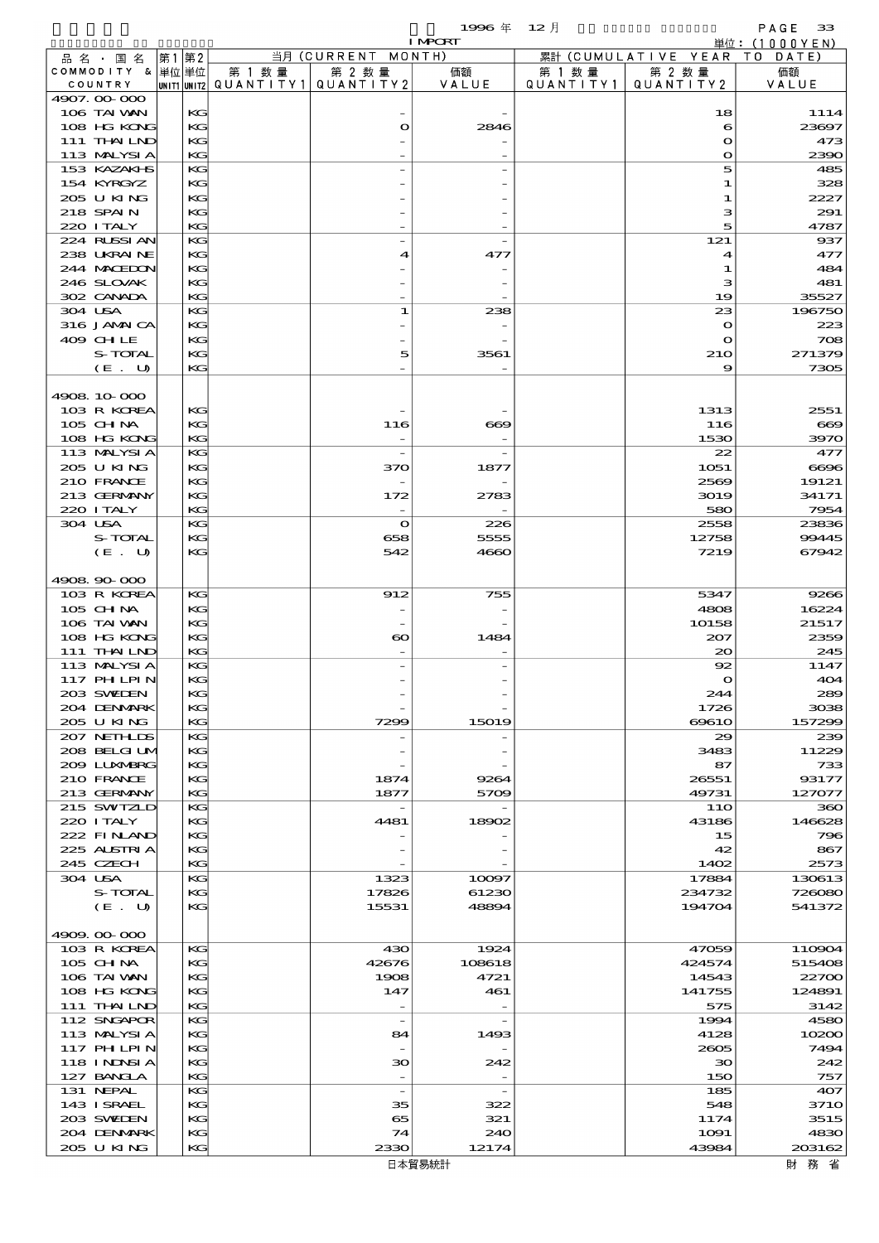$1996 \ncong 12 \nparallel$  PAGE 33

|                              |          |        |                                                  | <b>I MPORT</b> |                      |                              | 単位: (1000YEN)    |
|------------------------------|----------|--------|--------------------------------------------------|----------------|----------------------|------------------------------|------------------|
| 品名・国名                        | 第1 第2    |        | 当月 (CURRENT MONTH)                               |                |                      | 累計 (CUMULATIVE YEAR TO DATE) |                  |
| COMMODITY & 単位 単位<br>COUNTRY |          | 第 1 数量 | 第 2 数量<br> UNIT1 UNIT2  QUANT   TY1  QUANT   TY2 | 価額<br>VALUE    | 第 1 数 量<br>QUANTITY1 | 第 2 数量<br>QUANTITY 2         | 価額<br>VALUE      |
| 4907.00-000                  |          |        |                                                  |                |                      |                              |                  |
| 106 TAI VAN                  | КG       |        |                                                  |                |                      | 18                           | 1114             |
| 108 HG KONG                  | KG       |        | $\mathbf o$                                      | 2846           |                      | 6                            | 23697            |
| 111 THAILND                  | KG       |        |                                                  |                |                      | $\bullet$                    | 473              |
| 113 MALYSIA<br>153 KAZAKI S  | KG<br>KG |        |                                                  |                |                      | $\mathbf o$<br>5             | 2390<br>485      |
| 154 KYRGYZ                   | KG       |        |                                                  |                |                      | 1                            | 328              |
| 205 U KING                   | KG       |        |                                                  |                |                      | 1                            | 2227             |
| 218 SPAIN                    | KG       |        |                                                  |                |                      | з                            | 291              |
| 220 I TALY                   | KG       |        |                                                  |                |                      | 5                            | 4787             |
| 224 RUSSI AN                 | KG       |        |                                                  |                |                      | 121                          | 937              |
| 238 UKRAINE<br>244 MACHION   | KG<br>KG |        | 4                                                | 477            |                      | 4<br>1                       | 477<br>484       |
| 246 SLOVAK                   | KG       |        |                                                  |                |                      | з                            | 481              |
| 302 CANADA                   | KG       |        |                                                  |                |                      | 19                           | 35527            |
| 304 USA                      | KG       |        | $\mathbf{1}$                                     | 238            |                      | 23                           | 196750           |
| 316 JAMAICA                  | KG       |        |                                                  |                |                      | $\mathbf o$                  | 223              |
| 409 CHLE<br>S-TOTAL          | KG<br>KG |        | 5                                                | 3561           |                      | $\bullet$                    | 708<br>271379    |
| $(E_U U)$                    | KG       |        |                                                  |                |                      | 210<br>9                     | 7305             |
|                              |          |        |                                                  |                |                      |                              |                  |
| 4908 10 000                  |          |        |                                                  |                |                      |                              |                  |
| 103 R KOREA                  | KG       |        |                                                  |                |                      | 1313                         | 2551             |
| $105$ CHNA                   | KG       |        | 116                                              | $\infty$       |                      | 116                          | $\bf{669}$       |
| 108 HG KONG<br>113 MALYSIA   | KG<br>KG |        | $\overline{\phantom{a}}$                         |                |                      | 1530<br>22                   | 3970<br>477      |
| 205 U KING                   | KG       |        | 370                                              | 1877           |                      | 1051                         | 6696             |
| 210 FRANCE                   | KG       |        |                                                  |                |                      | 2569                         | 19121            |
| 213 GERMANY                  | KG       |        | 172                                              | 2783           |                      | 3019                         | 34171            |
| 220 I TALY                   | KG       |        |                                                  |                |                      | 580                          | 7954             |
| 304 USA<br>S-TOTAL           | KG<br>KG |        | $\bullet$<br>658                                 | 226<br>5555    |                      | 2558<br>12758                | 23836<br>99445   |
| (E. U)                       | KG       |        | 542                                              | 4660           |                      | 7219                         | 67942            |
|                              |          |        |                                                  |                |                      |                              |                  |
| 4908 90 000                  |          |        |                                                  |                |                      |                              |                  |
| 103 R KOREA                  | KG       |        | 912                                              | 755            |                      | 5347                         | 9266             |
| 105 CH NA                    | KG       |        |                                                  |                |                      | 4808                         | 16224            |
| 106 TAI VAN<br>108 HG KONG   | KG<br>KG |        | $\boldsymbol{\infty}$                            | 1484           |                      | 10158<br>207                 | 21517<br>2359    |
| 111 THAILND                  | KG       |        |                                                  |                |                      | $_{\infty}$                  | 245              |
| 113 MALYSIA                  | KG       |        |                                                  |                |                      | 92                           | 1147             |
| 117 PH LPIN                  | KG       |        |                                                  |                |                      | $\mathbf o$                  | 404              |
| 203 SWIJEN                   | KG       |        |                                                  |                |                      | 244                          | 289              |
| 204 DENMARK<br>205 U KING    | KG<br>KG |        | 7299                                             | 15019          |                      | 1726<br>6961O                | 3038<br>157299   |
| 207 NETHLIS                  | KG       |        |                                                  |                |                      | 29                           | 239              |
| 208 BELGI UM                 | KG       |        |                                                  |                |                      | 3483                         | 11229            |
| 200 LUNABRG                  | KG       |        |                                                  |                |                      | 87                           | 733              |
| 210 FRANCE                   | KG       |        | 1874                                             | 9264           |                      | 26551                        | 93177            |
| 213 GERMANY<br>215 SWIZLD    | KG       |        | 1877                                             | 5709           |                      | 49731                        | 127077           |
| 220 I TALY                   | KG<br>KG |        | 4481                                             | 18902          |                      | 11O<br>43186                 | 360<br>146628    |
| 222 FINAND                   | KG       |        |                                                  |                |                      | 15                           | 796              |
| 225 ALSTRIA                  | KG       |        |                                                  |                |                      | 42                           | 867              |
| 245 CZECH                    | KG       |        |                                                  |                |                      | 1402                         | 2573             |
| 304 USA                      | KG       |        | 1323                                             | 10097          |                      | 17884                        | 130613           |
| S-TOTAL<br>(E. U)            | KG<br>KG |        | 17826<br>15531                                   | 61230<br>48894 |                      | 234732<br>194704             | 726080<br>541372 |
|                              |          |        |                                                  |                |                      |                              |                  |
| 4909.00-000                  |          |        |                                                  |                |                      |                              |                  |
| 103 R KOREA                  | KG       |        | 430                                              | 1924           |                      | 47059                        | 110904           |
| 105 CHNA                     | KG       |        | 42676                                            | 108618         |                      | 424574                       | 515408           |
| 106 TAI VAN                  | KG<br>KG |        | 1908<br>147                                      | 4721           |                      | 14543                        | 22700            |
| 108 HG KONG<br>111 THAILND   | KG       |        |                                                  | 461            |                      | 141755<br>575                | 124891<br>3142   |
| 112 SNGAPOR                  | KG       |        | $\overline{\phantom{a}}$                         |                |                      | 1994                         | 4580             |
| 113 MALYSIA                  | KG       |        | 84                                               | 1493           |                      | 4128                         | 10200            |
| 117 PHLPIN                   | KG       |        |                                                  |                |                      | 2605                         | 7494             |
| 118 I NINSI A                | KG       |        | 30                                               | 242            |                      | 30                           | 242              |
| 127 BANCLA<br>131 NEPAL      | KG<br>KG |        | $\overline{\phantom{a}}$                         |                |                      | 150<br>185                   | 757<br>407       |
| 143 ISRAEL                   | KG       |        | 35                                               | 322            |                      | 548                          | 371O             |
| 203 SWIDEN                   | KG       |        | 65                                               | 321            |                      | 1174                         | 3515             |
| 204 DENMARK                  | KG       |        | 74                                               | 240            |                      | 1091                         | 4830             |
| 205 U KING                   | KG       |        | 2330                                             | 12174          |                      | 43984                        | 203162           |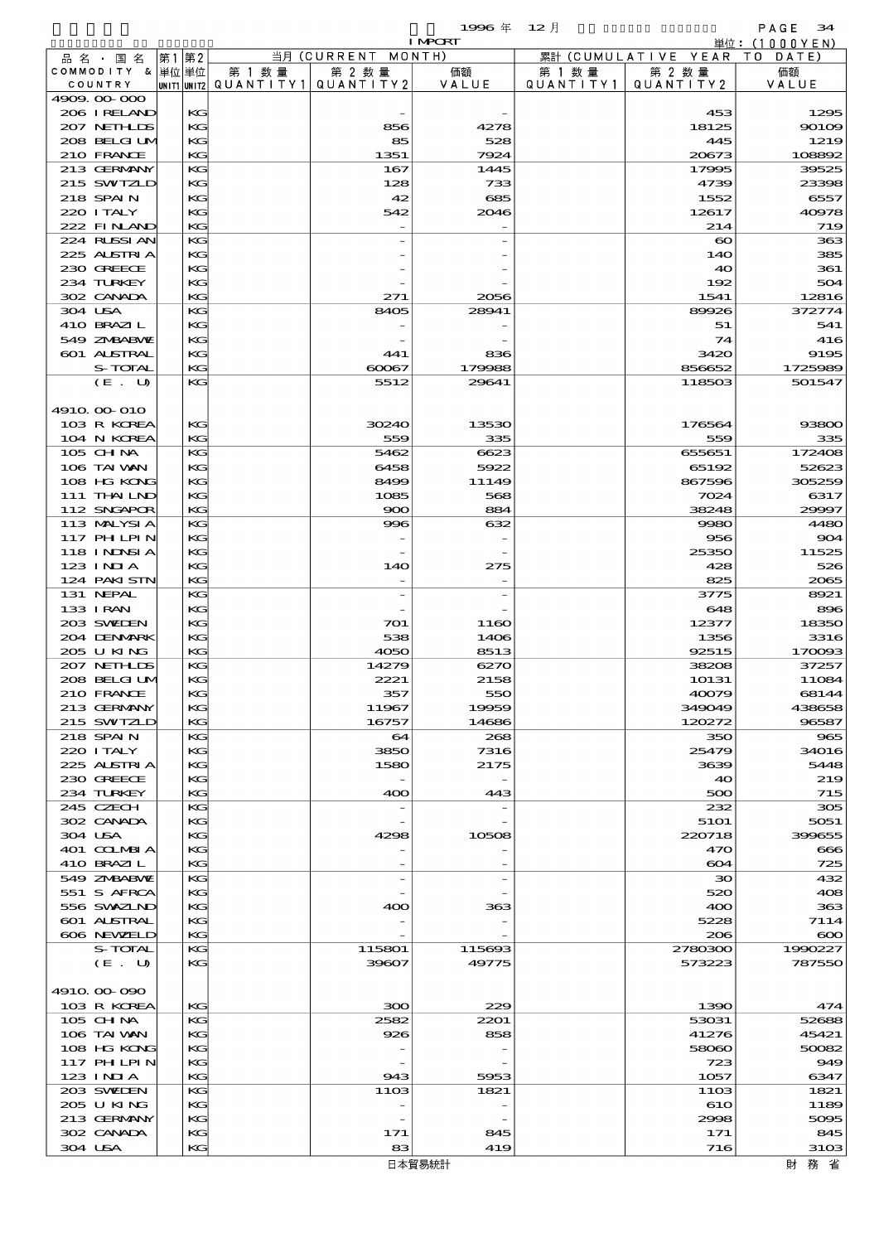|                             |    |          |                          |                    | 1996年          | $12$ 月    |                              | PAGE<br>34                     |
|-----------------------------|----|----------|--------------------------|--------------------|----------------|-----------|------------------------------|--------------------------------|
|                             |    |          |                          | 当月 (CURRENT MONTH) | <b>I MPORT</b> |           | 累計 (CUMULATIVE YEAR          | 単位: $(1000YEN)$<br>T O<br>DATE |
| 品名・国名<br>COMMODITY & 単位単位   | 第1 | 第2       | 第 1 数 量                  | 第 2 数量             | 価額             | 第 1 数 量   | 第 2 数量                       | 価額                             |
| COUNTRY                     |    |          | unit1 unit2  Q∪ANT   TY1 | QUANTITY2          | VALUE          | QUANTITY1 | QUANTITY 2                   | VALUE                          |
| 4909.00-000<br>206 IRELAND  |    | KG       |                          |                    |                |           | 453                          | 1295                           |
| 207 NETHLIS                 |    | KG       |                          | 856                | 4278           |           | 18125                        | 90109                          |
| 208 BELGIUM                 |    | KG       |                          | 85                 | 528            |           | 445                          | 1219                           |
| 210 FRANCE<br>213 GERMANY   |    | KG<br>KG |                          | 1351<br>167        | 7924<br>1445   |           | 20673<br>17995               | 108892<br>39525                |
| 215 SWIZLD                  |    | KG       |                          | 128                | 733            |           | 4739                         | 23398                          |
| 218 SPAIN                   |    | KG       |                          | 42                 | 685            |           | 1552                         | 6557                           |
| 220 I TALY                  |    | KG       |                          | 542                | 2046           |           | 12617                        | 40978                          |
| 222 FINLAND<br>224 RUSSIAN  |    | KG<br>KG |                          |                    |                |           | 214<br>$\boldsymbol{\infty}$ | 719<br>363                     |
| 225 ALSTRIA                 |    | KG       |                          |                    |                |           | 140                          | 385                            |
| 230 GREECE                  |    | KG       |                          |                    |                |           | 40                           | 361                            |
| 234 TURKEY<br>302 CANADA    |    | KG<br>КC |                          | 271                | 2056           |           | 192<br>1541                  | 504<br>12816                   |
| 304 USA                     |    | KG       |                          | 8405               | 28941          |           | 89926                        | 372774                         |
| 410 BRAZIL                  |    | KG       |                          |                    |                |           | 51                           | 541                            |
| 549 ZNBABVE                 |    | KG       |                          |                    |                |           | 74                           | 416                            |
| 601 ALSTRAL<br>S-TOTAL      |    | KG<br>KG |                          | 441<br>60067       | 836<br>179988  |           | 3420<br>856652               | 9195<br>1725989                |
| (E. U)                      |    | KG       |                          | 5512               | 29641          |           | 118503                       | 501547                         |
|                             |    |          |                          |                    |                |           |                              |                                |
| 4910 00 010                 |    |          |                          |                    |                |           |                              | 93800                          |
| 103 R KOREA<br>104 N KOREA  |    | KG<br>KG |                          | 30240<br>559       | 13530<br>335   |           | 176564<br>559                | 335                            |
| 105 CH NA                   |    | KG       |                          | 5462               | 6623           |           | 655651                       | 172408                         |
| 106 TAI WAN                 |    | КC       |                          | 6458               | 5922           |           | 65192                        | 52623                          |
| 108 HG KONG<br>111 THAILND  |    | KG<br>KG |                          | 8499<br>1085       | 11149<br>568   |           | 867596<br>7024               | 305259<br>6317                 |
| 112 SNGAPOR                 |    | KG       |                          | 900                | 884            |           | 38248                        | 29997                          |
| 113 MALYSIA                 |    | KG       |                          | 996                | 632            |           | 9980                         | 4480                           |
| 117 PHLPIN                  |    | КC       |                          |                    |                |           | 956                          | 904                            |
| 118 I NDSI A<br>123 INIA    |    | KG<br>KG |                          | 14O                | 275            |           | 25350<br>428                 | 11525<br>526                   |
| 124 PAKISTN                 |    | KG       |                          |                    |                |           | 825                          | 2065                           |
| 131 NEPAL                   |    | KG       |                          |                    |                |           | 3775                         | 8921                           |
| 133 I RAN<br>203 SWIDEN     |    | KG<br>KG |                          | 701                | 1160           |           | 648<br>12377                 | 896<br>18350                   |
| 204 DENMARK                 |    | KG       |                          | 538                | 1406           |           | 1356                         | 3316                           |
| 205 U KING                  |    | KG       |                          | 4050               | 8513           |           | 92515                        | 170093                         |
| 207 NETHLIS                 |    | KG       |                          | 14279              | 6270           |           | 38208                        | 37257                          |
| 208 BELGI UV<br>210 FRANCE  |    | KG<br>KG |                          | 2221<br>357        | 2158<br>550    |           | 10131<br>40079               | 11084<br>68144                 |
| 213 GERMANY                 |    | KG       |                          | 11967              | 19959          |           | 349049                       | 438658                         |
| 215 SWIZLD                  |    | KG       |                          | 16757              | 14686          |           | 120272                       | 96587                          |
| 218 SPAIN<br>220 I TALY     |    | KG<br>KG |                          | 64<br>3850         | 268<br>7316    |           | 350<br>25479                 | 965<br>34016                   |
| 225 ALSTRIA                 |    | KG       |                          | 1580               | 2175           |           | 3639                         | 5448                           |
| 230 GREECE                  |    | KG       |                          |                    |                |           | 40                           | 219                            |
| 234 TURKEY                  |    | KG       |                          | 400                | 443            |           | 500                          | 715                            |
| 245 CZECH<br>302 CANADA     |    | KG<br>KG |                          |                    |                |           | 232<br>5101                  | 305<br>5051                    |
| 304 USA                     |    | KG       |                          | 4298               | 10508          |           | 220718                       | 399655                         |
| 401 COLMBIA                 |    | KG       |                          |                    |                |           | 470                          | 666                            |
| 410 BRAZIL<br>549 ZMBABVE   |    | KG<br>KG |                          |                    |                |           | 604<br>30                    | 725<br>432                     |
| 551 S AFRCA                 |    | КC       |                          |                    |                |           | 520                          | 408                            |
| 556 SVXZIND                 |    | KG       |                          | 400                | 363            |           | 400                          | 363                            |
| 601 ALSTRAL                 |    | KG       |                          |                    |                |           | 5228                         | 7114                           |
| 606 NEWELD<br>S-TOTAL       |    | KG<br>KG |                          | 115801             | 115693         |           | 206<br>2780300               | $\infty$<br>1990227            |
| (E. U)                      |    | KG       |                          | 39607              | 49775          |           | 573223                       | 787550                         |
|                             |    |          |                          |                    |                |           |                              |                                |
| 4910.000.090<br>103 R KOREA |    | KG       |                          | 300                | 229            |           | 1390                         | 474                            |
| 105 CH NA                   |    | KG       |                          | 2582               | 2201           |           | 53031                        | 52688                          |
| 106 TAI VAN                 |    | KG       |                          | 926                | 858            |           | 41276                        | 45421                          |
| 108 HG KONG                 |    | KG       |                          |                    |                |           | 58060                        | 50082                          |
| 117 PHLPIN<br>123 INIA      |    | KG<br>KG |                          | 943                | 5953           |           | 723<br>1057                  | 949<br>6347                    |
| 203 SWIEN                   |    | KG       |                          | 1103               | 1821           |           | 1103                         | 1821                           |
| 205 U KING                  |    | KG       |                          |                    |                |           | 610                          | 1189                           |
| 213 GERMANY<br>302 CANADA   |    | KG<br>KG |                          | 171                | 845            |           | 2998<br>171                  | 5095<br>845                    |
| 304 USA                     |    | KG       |                          | 83                 | 419            |           | 716                          | 3103                           |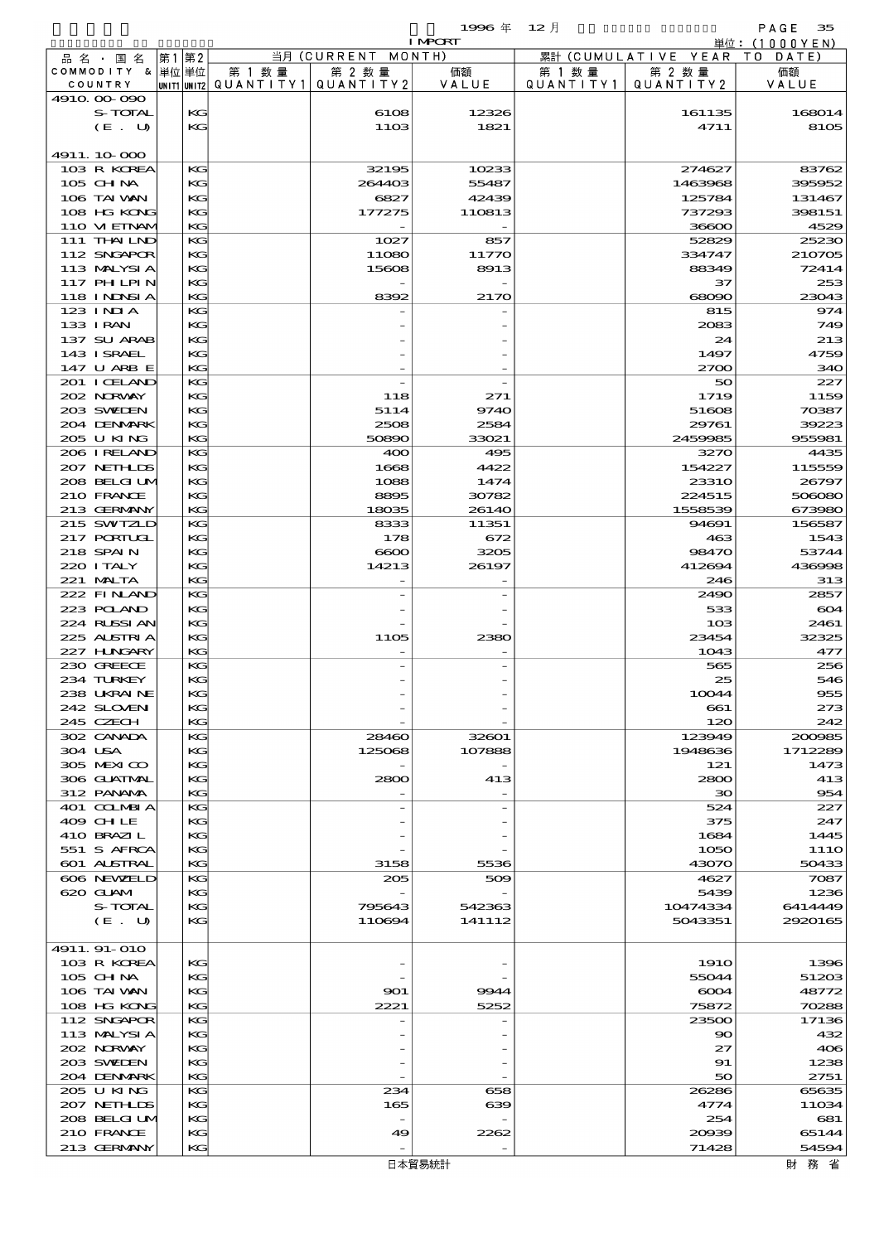$1996 \nless 12 \nless 12$ 

|                             |          |                                       |                    | <b>I MPCRT</b> |           |                              | 単位: (1000 Y E N ) |
|-----------------------------|----------|---------------------------------------|--------------------|----------------|-----------|------------------------------|-------------------|
| 品名・国名                       | 第1第2     |                                       | 当月 (CURRENT MONTH) |                |           | 累計 (CUMULATIVE YEAR TO DATE) |                   |
| COMMODITY & 単位単位            |          | 第 1 数量                                | 第 2 数量             | 価額             | 第 1 数 量   | 第 2 数量                       | 価額                |
| COUNTRY                     |          | UNIT1 UNIT2  QUANT I TY1  QUANT I TY2 |                    | VALUE          | QUANTITY1 | QUANTITY 2                   | VALUE             |
| 4910.00 090                 |          |                                       |                    |                |           |                              |                   |
| S-TOTAL                     | KG       |                                       | 6108               | 12326          |           | 161135                       | 168014            |
| (E. U)                      | KG       |                                       | 1103               | 1821           |           | 4711                         | 8105              |
|                             |          |                                       |                    |                |           |                              |                   |
| 4911.10-000                 |          |                                       |                    |                |           |                              |                   |
| 103 R KOREA                 | KG       |                                       | 32195              | 10233          |           | 274627                       | 83762             |
| 105 CH NA                   | KG       |                                       | 264403             | 55487          |           | 1463968                      | 395952            |
| 106 TAI VAN                 | KG       |                                       | 6827               | 42439          |           | 125784                       | 131467            |
| 108 HG KONG<br>110 VI EINAV | KG<br>KG |                                       | 177275             | 110813         |           | 737293<br>36600              | 398151<br>4529    |
| 111 THAILND                 | KG       |                                       |                    |                |           | 52829                        |                   |
| 112 SNGAPOR                 | КG       |                                       | 1027<br>11080      | 857            |           | 334747                       | 25230<br>210705   |
| 113 MALYSIA                 |          |                                       |                    | 11770          |           | 88349                        |                   |
| <b>117 PHLPIN</b>           | KG<br>KG |                                       | 15608              | 8913           |           | 37                           | 72414<br>253      |
| 118 I NDSI A                | KG       |                                       | 8392               | 2170           |           | 68090                        | 23043             |
| 123 INIA                    | KG       |                                       |                    |                |           | 815                          | 974               |
| 133 I RAN                   | KG       |                                       |                    |                |           | 2083                         | 749               |
| 137 SU ARAB                 | KG       |                                       |                    |                |           | 24                           | 213               |
| 143 I SRAEL                 | KG       |                                       |                    |                |           | 1497                         | 4759              |
| 147 U ARB E                 | KG       |                                       |                    |                |           | 2700                         | 340               |
| 201 I CELAND                | KG       |                                       |                    |                |           | 50                           | 227               |
| 202 NORWAY                  | КG       |                                       | 118                | 271            |           | 1719                         | 1159              |
| 203 SWIDEN                  | KG       |                                       | 5114               | 9740           |           | 51608                        | 70387             |
| 204 DENMARK                 | KG       |                                       | 2508               | 2584           |           | 29761                        | 39223             |
| 205 U KING                  | KG       |                                       | 50890              | 33021          |           | 2459985                      | 955981            |
| 206 IRELAND                 | KG       |                                       | 400                | 495            |           | 3270                         | 4435              |
| 207 NETHLIS                 | KG       |                                       | 1668               | 4422           |           | 154227                       | 115559            |
| 208 BELGI UM                | KG       |                                       | 1088               | 1474           |           | <b>23310</b>                 | 26797             |
| 210 FRANCE                  | KG       |                                       | 8895               | 30782          |           | 224515                       | 506080            |
| 213 GERMANY                 | KG       |                                       | 18035              | 26140          |           | 1558539                      | 673980            |
| 215 SWIZLD                  | KG       |                                       | 8333               | 11351          |           | 94691                        | 156587            |
| 217 PORTUGL                 | KG       |                                       | 178                | 672            |           | 463                          | 1543              |
| 218 SPAIN                   | KG       |                                       | 6600               | 3205           |           | 98470                        | 53744             |
| 220 I TALY                  | KG       |                                       | 14213              | 26197          |           | 412694                       | 436998            |
| 221 MALTA                   | KG       |                                       |                    |                |           | 246                          | 313               |
| 222 FINAND                  | KG       |                                       |                    |                |           | 2490                         | 2857              |
| 223 POLAND                  | KG       |                                       |                    |                |           | 533                          | 604               |
| 224 RUSSI AN                | KG       |                                       |                    |                |           | 103                          | 2461              |
| 225 ALSTRIA                 | KG       |                                       | <b>1105</b>        | 2380           |           | 23454                        | 32325             |
| 227 H.NGARY                 | KG       |                                       |                    |                |           | 1043                         | 477               |
| 230 GREECE                  | KG       |                                       |                    |                |           | 565                          | 256               |
| 234 TURKEY                  | KG       |                                       |                    |                |           | 25                           | 546               |
| 238 UKRAINE                 | KG       |                                       |                    |                |           | 10044                        | 955               |
| 242 SLOVENI                 | KG       |                                       |                    |                |           | 661                          | 273               |
| 245 CZECH                   | KG       |                                       |                    |                |           | 120                          | 242               |
| 302 CANADA                  | KG       |                                       | 28460              | 32601          |           | 123949                       | 200985            |
| 304 USA                     | KG       |                                       | 125068             | 107888         |           | 1948636                      | 1712289           |
| 305 MEXICO                  | KG       |                                       |                    |                |           | 121                          | 1473              |
| 306 GUATNAL                 | KG       |                                       | 2800               | 413            |           | 2800                         | 413               |
| 312 PANAMA                  | KG       |                                       |                    |                |           | 30                           | 954               |
| 401 COLMBIA                 | KG       |                                       |                    |                |           | 524                          | 227               |
| 409 CHLE                    | KG       |                                       |                    |                |           | 375                          | 247               |
| 410 BRAZIL                  | KG       |                                       |                    |                |           | 1684                         | 1445              |
| 551 S AFRCA                 | КG       |                                       |                    |                |           | 1050                         | 111O              |
| 601 ALSTRAL                 | KG       |                                       | 3158               | 5536           |           | 43070                        | 50433             |
| 606 NEWELD                  | KG       |                                       | 205                | 509            |           | 4627                         | 7087              |
| 620 GLAM                    | KG       |                                       |                    |                |           | 5439                         | 1236              |
| S-TOTAL                     | KG       |                                       | 795643             | 542363         |           | 10474334                     | 6414449           |
| (E. U)                      | KG       |                                       | 110694             | 141112         |           | 5043351                      | 2920165           |
|                             |          |                                       |                    |                |           |                              |                   |
| 4911.91-010                 |          |                                       |                    |                |           |                              |                   |
| 103 R KOREA                 | KG       |                                       |                    |                |           | <b>1910</b>                  | 1396              |
| 105 CH NA                   | KG       |                                       |                    |                |           | 55044                        | 51203             |
| 106 TAI VAN                 | KG       |                                       | 901                | 9944           |           | 6004                         | 48772             |
| 108 HG KONG                 | KG       |                                       | 2221               | 5252           |           | 75872                        | 70288             |
| 112 SNGAPOR                 | KG       |                                       |                    |                |           | 23500                        | 17136             |
| 113 MALYSIA                 | KG       |                                       |                    |                |           | $\infty$                     | 432               |
| 202 NORWAY                  | KG       |                                       |                    |                |           | 27                           | 406               |
| 203 SWIDEN                  | KG       |                                       |                    |                |           | 91                           | 1238              |
| 204 DENMARK                 | KG       |                                       |                    |                |           | 50                           | 2751              |
| 205 U KING                  | КG       |                                       | 234                | 658            |           | 26286                        | 65635             |
| 207 NETHLIS                 | KG       |                                       | 165                | 639            |           | 4774                         | 11034             |
| 208 BELGI UM<br>210 FRANCE  | KG<br>KG |                                       | 49                 | 2262           |           | 254<br>20039                 | 681<br>65144      |
| 213 GERMANY                 | KG       |                                       |                    |                |           | 71428                        | 54594             |
|                             |          |                                       |                    |                |           |                              |                   |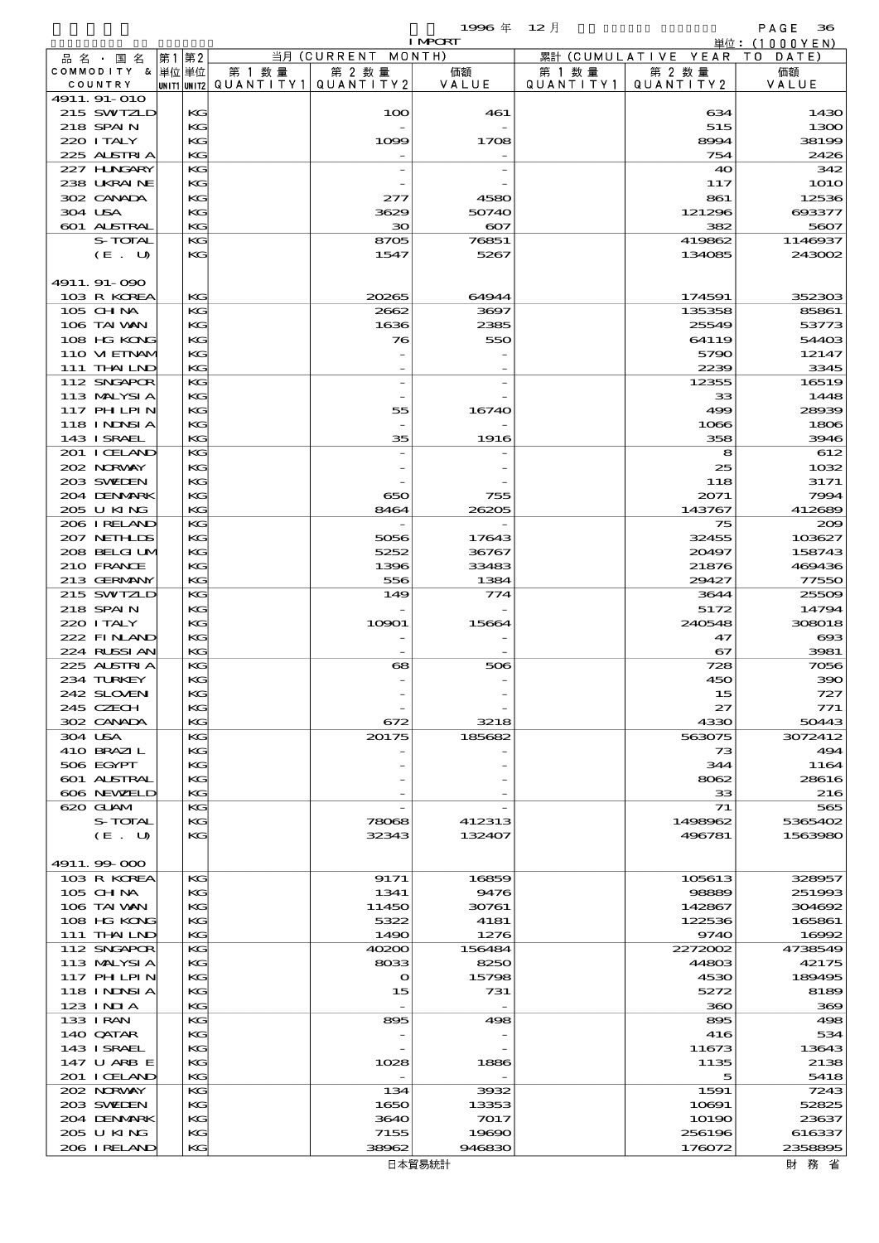|                             |       |          |                                                  |                    | 1996年          | - 12 月               |                        | PAGE<br>36       |
|-----------------------------|-------|----------|--------------------------------------------------|--------------------|----------------|----------------------|------------------------|------------------|
|                             |       |          |                                                  |                    | <b>I MPORT</b> |                      |                        | 単位:(1000YEN)     |
| 品名・国名                       | 第1 第2 |          |                                                  | 当月 (CURRENT MONTH) |                |                      | 累計 (CUMULATIVE YEAR TO | DATE)            |
| COMMODITY & 単位単位<br>COUNTRY |       |          | 第 1 数量<br> unit1 unit2  Q∪ANT   TY1  Q∪ANT   TY2 | 第 2 数量             | 価額<br>VALUE    | 第 1 数 量<br>QUANTITY1 | 第 2 数量<br>QUANTITY2    | 価額               |
| 4911.91-010                 |       |          |                                                  |                    |                |                      |                        | VALUE            |
| 215 SWIZLD                  |       | KG       |                                                  | 100                | 461            |                      | 634                    | 1430             |
| 218 SPAIN                   |       | KG       |                                                  |                    |                |                      | 515                    | 1300             |
| 220 I TALY                  |       | KG       |                                                  | 1099               | 1708           |                      | 8994                   | 38199            |
| 225 ALSTRIA                 |       | KG       |                                                  |                    |                |                      | 754                    | 2426             |
| 227 HNGARY                  |       | KG       |                                                  |                    |                |                      | 40                     | 342              |
| 238 UKRAINE                 |       | KG       |                                                  |                    |                |                      | 117                    | <b>1O1O</b>      |
| 302 CANADA                  |       | KG       |                                                  | 277                | 4580           |                      | 861                    | 12536            |
| 304 USA                     |       | KG       |                                                  | 3629               | 50740          |                      | 121296                 | 693377           |
| 601 ALSTRAL                 |       | KG       |                                                  | зо                 | $\infty$       |                      | 382                    | 5607             |
| S-TOTAL                     |       | KG       |                                                  | 8705               | 76851          |                      | 419862                 | 1146937          |
| (E. U)                      |       | KG       |                                                  | 1547               | 5267           |                      | 134085                 | 243002           |
|                             |       |          |                                                  |                    |                |                      |                        |                  |
| 4911.91-090                 |       |          |                                                  |                    |                |                      |                        |                  |
| 103 R KOREA                 |       | KG       |                                                  | 20265              | 64944          |                      | 174591                 | 352303           |
| 105 CHNA<br>106 TAI VAN     |       | KG       |                                                  | 2662               | 3697           |                      | 135358                 | 85861            |
|                             |       | KG       |                                                  | 1636               | 2385           |                      | 25549                  | 53773            |
| 108 HG KONG<br>110 VIEINAM  |       | KG<br>KG |                                                  | 76                 | 550            |                      | 64119<br>5790          | 54403<br>12147   |
| 111 THAILND                 |       | KG       |                                                  |                    |                |                      | 2239                   | 3345             |
| 112 SNGAPOR                 |       | KG       |                                                  |                    |                |                      | 12355                  | 16519            |
| 113 MALYSIA                 |       | KG       |                                                  |                    |                |                      | 33                     | 1448             |
| 117 PH LPIN                 |       | KG       |                                                  | 55                 | 16740          |                      | 499                    | 28939            |
| <b>118 INDSIA</b>           |       | KG       |                                                  |                    |                |                      | 1066                   | 1806             |
| 143 I SRAEL                 |       | KG       |                                                  | 35                 | 1916           |                      | 358                    | 3946             |
| 201 I CELAND                |       | KG       |                                                  |                    |                |                      | 8                      | 612              |
| 202 NORWAY                  |       | KG       |                                                  |                    |                |                      | 25                     | 1032             |
| 203 SWIEN                   |       | KG       |                                                  |                    |                |                      | 118                    | 3171             |
| 204 DENMARK                 |       | KG       |                                                  | 650                | 755            |                      | 2071                   | 7994             |
| 205 U KING                  |       | KG       |                                                  | 8464               | 26205          |                      | 143767                 | 412689           |
| 206 I RELAND                |       | KG       |                                                  |                    |                |                      | 75                     | 200              |
| 207 NETHLIS                 |       | KG       |                                                  | 5056               | 17643          |                      | 32455                  | 103627           |
| 208 BELGI UM                |       | KG       |                                                  | 5252               | 36767          |                      | 20497                  | 158743           |
| 210 FRANCE                  |       | KG       |                                                  | 1396               | 33483          |                      | 21876                  | 469436           |
| 213 GERMANY                 |       | KG       |                                                  | 556                | 1384           |                      | 29427                  | 77550            |
| 215 SWIZLD                  |       | KG       |                                                  | 149                | $\tau\tau$ 4   |                      | 3644                   | 25509            |
| 218 SPAIN                   |       | KG       |                                                  |                    |                |                      | 5172                   | 14794            |
| 220 I TALY<br>222 FINAND    |       | KG       |                                                  | 10901              | 15664          |                      | 240548                 | 308018           |
| 224 RUSSI AN                |       | KG<br>KG |                                                  |                    |                |                      | 47<br>67               | $\infty$<br>3981 |
| 225 ALSTRIA                 |       | KG       |                                                  | 68                 | 506            |                      | 728                    | 7056             |
| 234 TURKEY                  |       | KG       |                                                  |                    |                |                      | 450                    | 390              |
| 242 SLOVEN                  |       | KG       |                                                  |                    |                |                      | 15                     | 727              |
| 245 CZECH                   |       | KG       |                                                  |                    |                |                      | 27                     | 771              |
| 302 CANADA                  |       | KG       |                                                  | 672                | 3218           |                      | 4330                   | 50443            |
| 304 USA                     |       | KG       |                                                  | 20175              | 185682         |                      | 563075                 | 3072412          |
| 410 BRAZIL                  |       | KG       |                                                  |                    |                |                      | 73                     | 494              |
| 506 EGYPT                   |       | KG       |                                                  |                    |                |                      | 344                    | 1164             |
| 601 ALSTRAL                 |       | KG       |                                                  |                    |                |                      | 8062                   | 28616            |
| 606 NEWELD                  |       | KG       |                                                  |                    |                |                      | 33                     | 216              |
| 620 GLAM                    |       | KG       |                                                  |                    |                |                      | 71                     | 565              |
| S-TOTAL                     |       | KG       |                                                  | 78068              | 412313         |                      | 1498962                | 5365402          |
| (E. U)                      |       | KG       |                                                  | 32343              | 132407         |                      | 496781                 | 1563980          |
|                             |       |          |                                                  |                    |                |                      |                        |                  |
| 4911.99-000                 |       |          |                                                  |                    |                |                      |                        |                  |
| 103 R KOREA                 |       | KG       |                                                  | 9171               | 16859          |                      | 105613                 | 328957           |
| $105$ CHNA                  |       | KG       |                                                  | 1341               | 9476           |                      | 98889                  | 251993           |
| 106 TAI VAN<br>108 HG KONG  |       | KG<br>KG |                                                  | 11450<br>5322      | 30761<br>4181  |                      | 142867<br>122536       | 304692<br>165861 |
| 111 THAILND                 |       | KG       |                                                  | 1490               | 1276           |                      | 9740                   | 16992            |
| 112 SNGAPOR                 |       | KG       |                                                  | 40200              | 156484         |                      | 2272002                | 4738549          |
| 113 MALYSIA                 |       | KG       |                                                  | 8033               | 8250           |                      | 44803                  | 42175            |
| 117 PH LPIN                 |       | KG       |                                                  | $\mathbf o$        | 15798          |                      | 4530                   | 189495           |
| 118 I NINSI A               |       | KG       |                                                  | 15                 | 731            |                      | 5272                   | 8189             |
| 123 INIA                    |       | KG       |                                                  | $\overline{a}$     |                |                      | 360                    | 369              |
| 133 I RAN                   |       | KG       |                                                  | 895                | 498            |                      | 895                    | 498              |
| 140 QATAR                   |       | KG       |                                                  |                    |                |                      | 416                    | 534              |
| 143 ISRAEL                  |       | KG       |                                                  |                    |                |                      | 11673                  | 13643            |
| 147 U ARB E                 |       | KG       |                                                  | 1028               | 1886           |                      | 1135                   | 2138             |
| 201 I CELAND                |       | KG       |                                                  |                    |                |                      | 5                      | 5418             |
| 202 NORWAY                  |       | KG       |                                                  | 134                | 3932           |                      | 1591                   | 7243             |
| 203 SWIDEN                  |       | KG       |                                                  | 1650               | 13353          |                      | 10691                  | 52825            |
| 204 DENMARK                 |       | KG       |                                                  | 3640               | 7017           |                      | 10190                  | 23637            |
| 205 U KING                  |       | KG       |                                                  | 7155               | 19690          |                      | 256196                 | 616337           |
| 206 IRELAND                 |       | KG       |                                                  | 38962              | 946830         |                      | 176072                 | 2358895          |